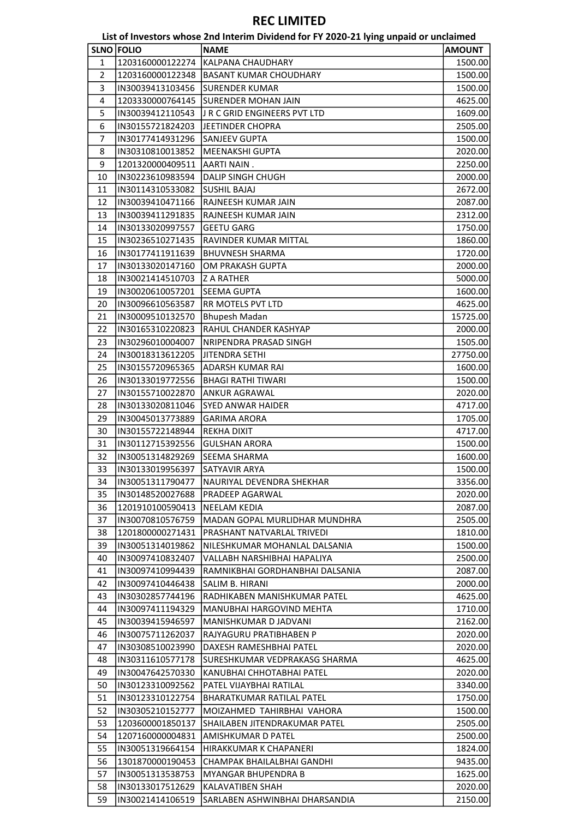|                |                                      | List of Investors whose 2nd Interim Dividend for FY 2020-21 lying unpaid or unclaimed |               |
|----------------|--------------------------------------|---------------------------------------------------------------------------------------|---------------|
|                | <b>SLNO FOLIO</b>                    | <b>NAME</b>                                                                           | <b>AMOUNT</b> |
| 1              | 1203160000122274                     | KALPANA CHAUDHARY                                                                     | 1500.00       |
| $\overline{2}$ | 1203160000122348                     | <b>BASANT KUMAR CHOUDHARY</b>                                                         | 1500.00       |
| 3              | IN30039413103456                     | <b>SURENDER KUMAR</b>                                                                 | 1500.00       |
| 4              | 1203330000764145                     | SURENDER MOHAN JAIN                                                                   | 4625.00       |
| 5              | IN30039412110543                     | J R C GRID ENGINEERS PVT LTD                                                          | 1609.00       |
| 6              | IN30155721824203                     | JEETINDER CHOPRA                                                                      | 2505.00       |
| 7              | IN30177414931296                     | <b>SANJEEV GUPTA</b>                                                                  | 1500.00       |
| 8              | IN30310810013852                     | MEENAKSHI GUPTA                                                                       | 2020.00       |
| 9              | 1201320000409511                     | <b>AARTI NAIN.</b>                                                                    | 2250.00       |
| 10             | IN30223610983594                     | <b>DALIP SINGH CHUGH</b>                                                              | 2000.00       |
| 11             | IN30114310533082                     | <b>SUSHIL BAJAJ</b>                                                                   | 2672.00       |
| 12             | IN30039410471166                     | RAJNEESH KUMAR JAIN                                                                   | 2087.00       |
| 13             | IN30039411291835                     | RAJNEESH KUMAR JAIN                                                                   | 2312.00       |
| 14             | IN30133020997557                     | <b>GEETU GARG</b>                                                                     | 1750.00       |
| 15             | IN30236510271435                     | RAVINDER KUMAR MITTAL                                                                 | 1860.00       |
| 16             | IN30177411911639                     | <b>BHUVNESH SHARMA</b>                                                                | 1720.00       |
| 17             | IN30133020147160                     | OM PRAKASH GUPTA                                                                      | 2000.00       |
|                |                                      |                                                                                       |               |
| 18<br>19       | IN30021414510703                     | <b>Z A RATHER</b>                                                                     | 5000.00       |
|                | IN30020610057201<br>IN30096610563587 | <b>SEEMA GUPTA</b><br>RR MOTELS PVT LTD                                               | 1600.00       |
| 20             |                                      |                                                                                       | 4625.00       |
| 21             | IN30009510132570                     | <b>Bhupesh Madan</b>                                                                  | 15725.00      |
| 22             | IN30165310220823                     | RAHUL CHANDER KASHYAP                                                                 | 2000.00       |
| 23             | IN30296010004007                     | NRIPENDRA PRASAD SINGH                                                                | 1505.00       |
| 24             | IN30018313612205                     | JITENDRA SETHI                                                                        | 27750.00      |
| 25             | IN30155720965365                     | ADARSH KUMAR RAI                                                                      | 1600.00       |
| 26             | IN30133019772556                     | <b>BHAGI RATHI TIWARI</b>                                                             | 1500.00       |
| 27             | IN30155710022870                     | <b>ANKUR AGRAWAL</b>                                                                  | 2020.00       |
| 28             | IN30133020811046                     | <b>SYED ANWAR HAIDER</b>                                                              | 4717.00       |
| 29             | IN30045013773889                     | <b>GARIMA ARORA</b>                                                                   | 1705.00       |
| 30             | IN30155722148944                     | <b>REKHA DIXIT</b>                                                                    | 4717.00       |
| 31             | IN30112715392556                     | <b>GULSHAN ARORA</b>                                                                  | 1500.00       |
| 32             | IN30051314829269                     | SEEMA SHARMA                                                                          | 1600.00       |
| 33             | IN30133019956397                     | SATYAVIR ARYA                                                                         | 1500.00       |
| 34             | IN30051311790477                     | NAURIYAL DEVENDRA SHEKHAR                                                             | 3356.00       |
| 35             | IN30148520027688                     | PRADEEP AGARWAL                                                                       | 2020.00       |
| 36             | 1201910100590413                     | <b>NEELAM KEDIA</b>                                                                   | 2087.00       |
| 37             | IN30070810576759                     | MADAN GOPAL MURLIDHAR MUNDHRA                                                         | 2505.00       |
| 38             | 1201800000271431                     | PRASHANT NATVARLAL TRIVEDI                                                            | 1810.00       |
| 39             | IN30051314019862                     | NILESHKUMAR MOHANLAL DALSANIA                                                         | 1500.00       |
| 40             | IN30097410832407                     | VALLABH NARSHIBHAI HAPALIYA                                                           | 2500.00       |
| 41             | IN30097410994439                     | RAMNIKBHAI GORDHANBHAI DALSANIA                                                       | 2087.00       |
| 42             | IN30097410446438                     | SALIM B. HIRANI                                                                       | 2000.00       |
| 43             | IN30302857744196                     | RADHIKABEN MANISHKUMAR PATEL                                                          | 4625.00       |
| 44             | IN30097411194329                     | MANUBHAI HARGOVIND MEHTA                                                              | 1710.00       |
| 45             | IN30039415946597                     | MANISHKUMAR D JADVANI                                                                 | 2162.00       |
| 46             | IN30075711262037                     | RAJYAGURU PRATIBHABEN P                                                               | 2020.00       |
| 47             | IN30308510023990                     | DAXESH RAMESHBHAI PATEL                                                               | 2020.00       |
| 48             | IN30311610577178                     | SURESHKUMAR VEDPRAKASG SHARMA                                                         | 4625.00       |
| 49             | IN30047642570330                     | KANUBHAI CHHOTABHAI PATEL                                                             | 2020.00       |
| 50             | IN30123310092562                     | PATEL VIJAYBHAI RATILAL                                                               | 3340.00       |
| 51             | IN30123310122754                     | BHARATKUMAR RATILAL PATEL                                                             | 1750.00       |
| 52             | IN30305210152777                     | MOIZAHMED TAHIRBHAI VAHORA                                                            | 1500.00       |
| 53             | 1203600001850137                     | SHAILABEN JITENDRAKUMAR PATEL                                                         | 2505.00       |
| 54             | 1207160000004831                     | AMISHKUMAR D PATEL                                                                    | 2500.00       |
| 55             | IN30051319664154                     | HIRAKKUMAR K CHAPANERI                                                                | 1824.00       |
| 56             | 1301870000190453                     | CHAMPAK BHAILALBHAI GANDHI                                                            | 9435.00       |
| 57             | IN30051313538753                     | MYANGAR BHUPENDRA B                                                                   | 1625.00       |
| 58             | IN30133017512629                     | <b>KALAVATIBEN SHAH</b>                                                               | 2020.00       |
| 59             | IN30021414106519                     | SARLABEN ASHWINBHAI DHARSANDIA                                                        | 2150.00       |
|                |                                      |                                                                                       |               |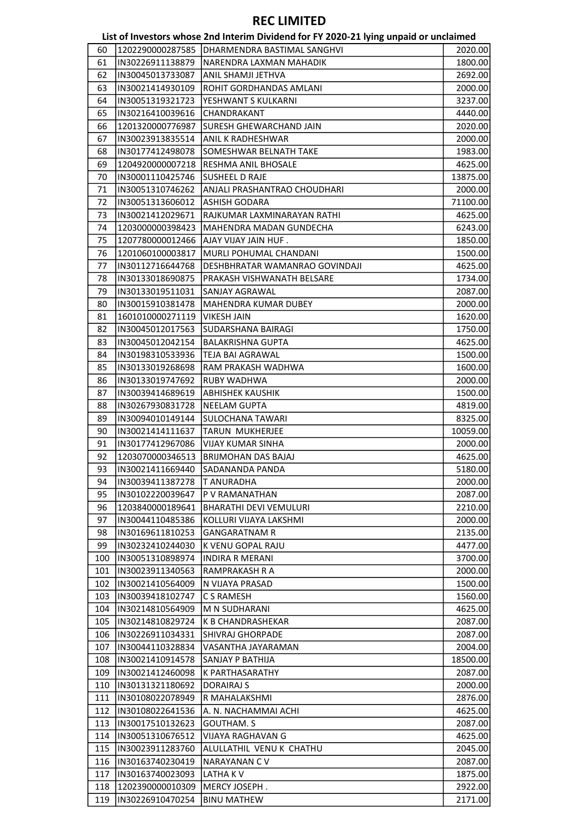List of Investors whose 2nd Interim Dividend for FY 2020-21 lying unpaid or unclaimed

| 60         |                                      |                                               |                    |
|------------|--------------------------------------|-----------------------------------------------|--------------------|
|            |                                      | 1202290000287585  DHARMENDRA BASTIMAL SANGHVI | 2020.00            |
| 61         | IN30226911138879                     | NARENDRA LAXMAN MAHADIK                       | 1800.00            |
| 62         | IN30045013733087                     | ANIL SHAMJI JETHVA                            | 2692.00            |
| 63         | IN30021414930109                     | ROHIT GORDHANDAS AMLANI                       | 2000.00            |
| 64         | IN30051319321723                     | YESHWANT S KULKARNI                           | 3237.00            |
| 65         | IN30216410039616                     | CHANDRAKANT                                   | 4440.00            |
| 66         | 1201320000776987                     | SURESH GHEWARCHAND JAIN                       | 2020.00            |
| 67         | IN30023913835514                     | ANIL K RADHESHWAR                             | 2000.00            |
| 68         | IN30177412498078                     | SOMESHWAR BELNATH TAKE                        | 1983.00            |
|            |                                      |                                               |                    |
| 69         | 1204920000007218                     | RESHMA ANIL BHOSALE                           | 4625.00            |
| 70         | IN30001110425746                     | SUSHEEL D RAJE                                | 13875.00           |
| 71         | IN30051310746262                     | ANJALI PRASHANTRAO CHOUDHARI                  | 2000.00            |
| 72         | IN30051313606012                     | <b>ASHISH GODARA</b>                          | 71100.00           |
| 73         | IN30021412029671                     | RAJKUMAR LAXMINARAYAN RATHI                   | 4625.00            |
| 74         | 1203000000398423                     | MAHENDRA MADAN GUNDECHA                       | 6243.00            |
| 75         | 1207780000012466                     | AJAY VIJAY JAIN HUF.                          | 1850.00            |
| 76         | 1201060100003817                     | MURLI POHUMAL CHANDANI                        | 1500.00            |
| 77         | IN30112716644768                     | DESHBHRATAR WAMANRAO GOVINDAJI                | 4625.00            |
| 78         | IN30133018690875                     | PRAKASH VISHWANATH BELSARE                    | 1734.00            |
| 79         | IN30133019511031                     | SANJAY AGRAWAL                                | 2087.00            |
| 80         | IN30015910381478                     | MAHENDRA KUMAR DUBEY                          | 2000.00            |
| 81         | 1601010000271119                     | <b>VIKESH JAIN</b>                            | 1620.00            |
| 82         | IN30045012017563                     | SUDARSHANA BAIRAGI                            | 1750.00            |
|            |                                      |                                               |                    |
| 83         | IN30045012042154                     | <b>BALAKRISHNA GUPTA</b>                      | 4625.00            |
| 84         | IN30198310533936                     | TEJA BAI AGRAWAL                              | 1500.00            |
| 85         | IN30133019268698                     | RAM PRAKASH WADHWA                            | 1600.00            |
| 86         | IN30133019747692                     | <b>RUBY WADHWA</b>                            | 2000.00            |
| 87         | IN30039414689619                     | <b>ABHISHEK KAUSHIK</b>                       | 1500.00            |
| 88         | IN30267930831728                     | <b>NEELAM GUPTA</b>                           | 4819.00            |
| 89         | IN30094010149144                     | <b>SULOCHANA TAWARI</b>                       | 8325.00            |
| 90         | IN30021414111637                     | TARUN MUKHERJEE                               | 10059.00           |
| 91         | IN30177412967086                     | VIJAY KUMAR SINHA                             | 2000.00            |
| 92         | 1203070000346513                     | BRIJMOHAN DAS BAJAJ                           | 4625.00            |
| 93         | IN30021411669440                     | <b>SADANANDA PANDA</b>                        | 5180.00            |
|            |                                      | <b>T ANURADHA</b>                             |                    |
| 94         | IN30039411387278                     |                                               |                    |
| 95         | IN30102220039647                     | P V RAMANATHAN                                |                    |
|            | 1203840000189641                     |                                               | 2000.00<br>2087.00 |
| 96         |                                      | <b>BHARATHI DEVI VEMULURI</b>                 | 2210.00            |
| 97         | IN30044110485386                     | KOLLURI VIJAYA LAKSHMI                        | 2000.00            |
| 98         | IN30169611810253                     | <b>GANGARATNAM R</b>                          | 2135.00            |
| 99         | IN30232410244030                     | K VENU GOPAL RAJU                             | 4477.00            |
| 100        | IN30051310898974                     | <b>INDIRA R MERANI</b>                        | 3700.00            |
| 101        | IN30023911340563                     | RAMPRAKASH R A                                | 2000.00            |
| 102        | IN30021410564009                     | N VIJAYA PRASAD                               | 1500.00            |
| 103        | IN30039418102747                     | C S RAMESH                                    | 1560.00            |
| 104        | IN30214810564909                     | M N SUDHARANI                                 | 4625.00            |
| 105        | IN30214810829724                     | <b>K B CHANDRASHEKAR</b>                      | 2087.00            |
| 106        | IN30226911034331                     | <b>SHIVRAJ GHORPADE</b>                       | 2087.00            |
| 107        | IN30044110328834                     | VASANTHA JAYARAMAN                            | 2004.00            |
| 108        | IN30021410914578                     | SANJAY P BATHIJA                              | 18500.00           |
| 109        | IN30021412460098                     | <b>K PARTHASARATHY</b>                        | 2087.00            |
| 110        | IN30131321180692                     | DORAIRAJ S                                    | 2000.00            |
| 111        | IN30108022078949                     | R MAHALAKSHMI                                 | 2876.00            |
| 112        | IN30108022641536                     | A. N. NACHAMMAI ACHI                          | 4625.00            |
| 113        | IN30017510132623                     | <b>GOUTHAM. S</b>                             |                    |
|            |                                      |                                               | 2087.00            |
| 114        | IN30051310676512                     | VIJAYA RAGHAVAN G                             | 4625.00            |
| 115        | IN30023911283760                     | ALULLATHIL VENU K CHATHU                      | 2045.00            |
| 116        | IN30163740230419                     | <b>NARAYANAN CV</b>                           | 2087.00            |
| 117        | IN30163740023093                     | LATHA K V                                     | 1875.00            |
| 118<br>119 | 1202390000010309<br>IN30226910470254 | MERCY JOSEPH.<br><b>BINU MATHEW</b>           | 2922.00<br>2171.00 |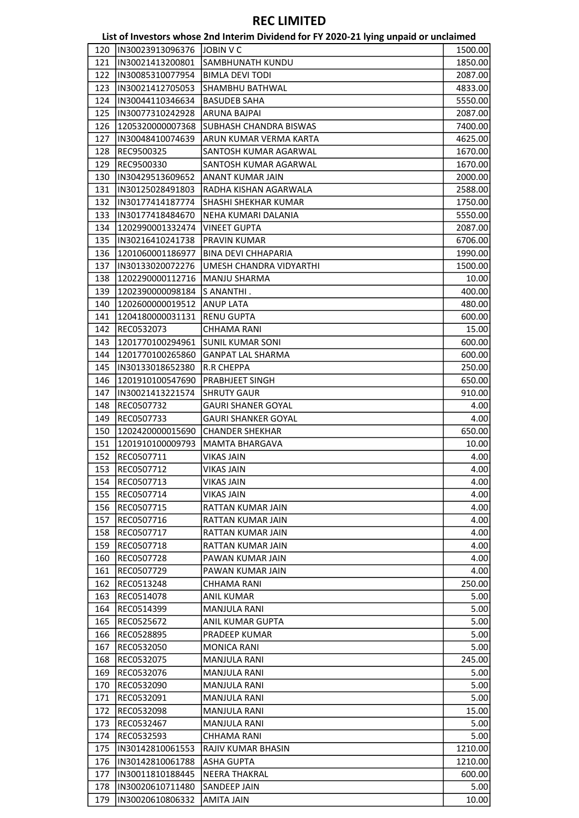|     |                  | List of Investors whose 2nd Interim Dividend for FY 2020-21 lying unpaid or unclaimed |         |
|-----|------------------|---------------------------------------------------------------------------------------|---------|
| 120 | IN30023913096376 | <b>JOBIN V C</b>                                                                      | 1500.00 |
| 121 | IN30021413200801 | SAMBHUNATH KUNDU                                                                      | 1850.00 |
| 122 | IN30085310077954 | <b>BIMLA DEVI TODI</b>                                                                | 2087.00 |
| 123 | IN30021412705053 | <b>SHAMBHU BATHWAL</b>                                                                | 4833.00 |
| 124 | IN30044110346634 | <b>BASUDEB SAHA</b>                                                                   | 5550.00 |
| 125 | IN30077310242928 | ARUNA BAJPAI                                                                          | 2087.00 |
| 126 | 1205320000007368 | SUBHASH CHANDRA BISWAS                                                                | 7400.00 |
| 127 | IN30048410074639 | ARUN KUMAR VERMA KARTA                                                                | 4625.00 |
| 128 | REC9500325       | SANTOSH KUMAR AGARWAL                                                                 | 1670.00 |
| 129 | REC9500330       | SANTOSH KUMAR AGARWAL                                                                 | 1670.00 |
| 130 | IN30429513609652 | ANANT KUMAR JAIN                                                                      | 2000.00 |
| 131 | IN30125028491803 | RADHA KISHAN AGARWALA                                                                 | 2588.00 |
| 132 | IN30177414187774 | SHASHI SHEKHAR KUMAR                                                                  | 1750.00 |
| 133 | IN30177418484670 | NEHA KUMARI DALANIA                                                                   | 5550.00 |
| 134 |                  |                                                                                       |         |
|     | 1202990001332474 | <b>VINEET GUPTA</b>                                                                   | 2087.00 |
| 135 | IN30216410241738 | PRAVIN KUMAR                                                                          | 6706.00 |
| 136 | 1201060001186977 | <b>BINA DEVI CHHAPARIA</b>                                                            | 1990.00 |
| 137 | IN30133020072276 | UMESH CHANDRA VIDYARTHI                                                               | 1500.00 |
| 138 | 1202290000112716 | <b>MANJU SHARMA</b>                                                                   | 10.00   |
| 139 | 1202390000098184 | S ANANTHI.                                                                            | 400.00  |
| 140 | 1202600000019512 | <b>ANUP LATA</b>                                                                      | 480.00  |
| 141 | 1204180000031131 | <b>RENU GUPTA</b>                                                                     | 600.00  |
| 142 | REC0532073       | CHHAMA RANI                                                                           | 15.00   |
| 143 | 1201770100294961 | <b>SUNIL KUMAR SONI</b>                                                               | 600.00  |
| 144 | 1201770100265860 | <b>GANPAT LAL SHARMA</b>                                                              | 600.00  |
| 145 | IN30133018652380 | <b>R.R CHEPPA</b>                                                                     | 250.00  |
| 146 | 1201910100547690 | <b>PRABHJEET SINGH</b>                                                                | 650.00  |
| 147 | IN30021413221574 | <b>SHRUTY GAUR</b>                                                                    | 910.00  |
| 148 | REC0507732       | <b>GAURI SHANER GOYAL</b>                                                             | 4.00    |
| 149 | REC0507733       | <b>GAURI SHANKER GOYAL</b>                                                            | 4.00    |
| 150 | 1202420000015690 | <b>CHANDER SHEKHAR</b>                                                                | 650.00  |
| 151 | 1201910100009793 | MAMTA BHARGAVA                                                                        | 10.00   |
| 152 | REC0507711       | VIKAS JAIN                                                                            | 4.00    |
| 153 | REC0507712       | VIKAS JAIN                                                                            | 4.00    |
| 154 | REC0507713       | <b>VIKAS JAIN</b>                                                                     | 4.00    |
| 155 | REC0507714       | <b>VIKAS JAIN</b>                                                                     | 4.00    |
| 156 | REC0507715       | RATTAN KUMAR JAIN                                                                     | 4.00    |
| 157 | REC0507716       | RATTAN KUMAR JAIN                                                                     | 4.00    |
| 158 | REC0507717       | RATTAN KUMAR JAIN                                                                     | 4.00    |
| 159 | REC0507718       | RATTAN KUMAR JAIN                                                                     | 4.00    |
| 160 | REC0507728       | PAWAN KUMAR JAIN                                                                      | 4.00    |
| 161 | REC0507729       | PAWAN KUMAR JAIN                                                                      | 4.00    |
|     |                  |                                                                                       |         |
| 162 | REC0513248       | CHHAMA RANI                                                                           | 250.00  |
| 163 | REC0514078       | <b>ANIL KUMAR</b>                                                                     | 5.00    |
| 164 | REC0514399       | <b>MANJULA RANI</b>                                                                   | 5.00    |
| 165 | REC0525672       | ANIL KUMAR GUPTA                                                                      | 5.00    |
| 166 | REC0528895       | PRADEEP KUMAR                                                                         | 5.00    |
| 167 | REC0532050       | <b>MONICA RANI</b>                                                                    | 5.00    |
| 168 | REC0532075       | <b>MANJULA RANI</b>                                                                   | 245.00  |
| 169 | REC0532076       | MANJULA RANI                                                                          | 5.00    |
| 170 | REC0532090       | <b>MANJULA RANI</b>                                                                   | 5.00    |
| 171 | REC0532091       | <b>MANJULA RANI</b>                                                                   | 5.00    |
| 172 | REC0532098       | <b>MANJULA RANI</b>                                                                   | 15.00   |
| 173 | REC0532467       | <b>MANJULA RANI</b>                                                                   | 5.00    |
| 174 | REC0532593       | CHHAMA RANI                                                                           | 5.00    |
| 175 | IN30142810061553 | RAJIV KUMAR BHASIN                                                                    | 1210.00 |
| 176 | IN30142810061788 | <b>ASHA GUPTA</b>                                                                     | 1210.00 |
| 177 | IN30011810188445 | <b>NEERA THAKRAL</b>                                                                  | 600.00  |
| 178 | IN30020610711480 | <b>SANDEEP JAIN</b>                                                                   | 5.00    |
| 179 | IN30020610806332 | <b>AMITA JAIN</b>                                                                     | 10.00   |
|     |                  |                                                                                       |         |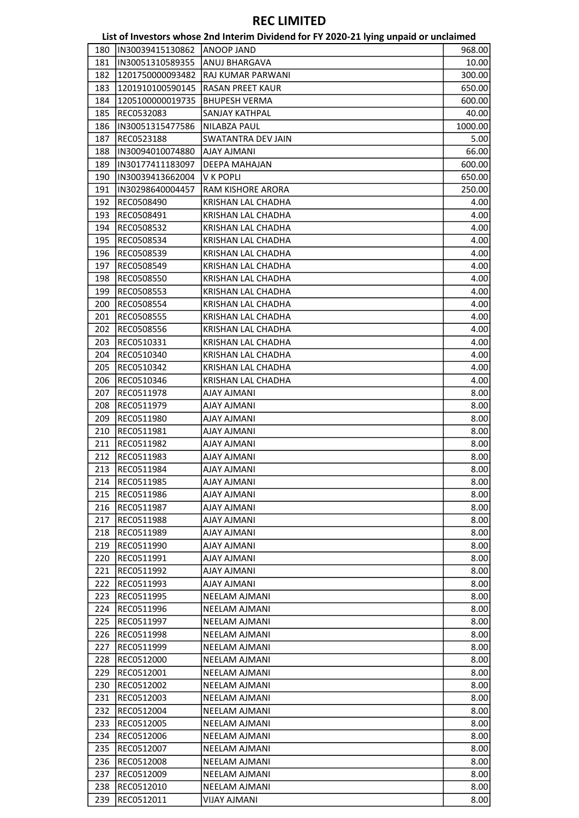|     |                  | List of Investors whose 2nd Interim Dividend for FY 2020-21 lying unpaid or unclaimed |         |
|-----|------------------|---------------------------------------------------------------------------------------|---------|
| 180 | IN30039415130862 | <b>ANOOP JAND</b>                                                                     | 968.00  |
| 181 | IN30051310589355 | <b>ANUJ BHARGAVA</b>                                                                  | 10.00   |
| 182 | 1201750000093482 | RAJ KUMAR PARWANI                                                                     | 300.00  |
| 183 | 1201910100590145 | <b>RASAN PREET KAUR</b>                                                               | 650.00  |
| 184 | 1205100000019735 | <b>BHUPESH VERMA</b>                                                                  | 600.00  |
| 185 | REC0532083       | SANJAY KATHPAL                                                                        | 40.00   |
| 186 | IN30051315477586 | NILABZA PAUL                                                                          | 1000.00 |
| 187 | REC0523188       | <b>SWATANTRA DEV JAIN</b>                                                             | 5.00    |
| 188 | IN30094010074880 | <b>AJAY AJMANI</b>                                                                    | 66.00   |
| 189 | IN30177411183097 | DEEPA MAHAJAN                                                                         | 600.00  |
| 190 | IN30039413662004 | V K POPLI                                                                             | 650.00  |
| 191 | IN30298640004457 | RAM KISHORE ARORA                                                                     | 250.00  |
| 192 | REC0508490       | KRISHAN LAL CHADHA                                                                    | 4.00    |
| 193 | REC0508491       | KRISHAN LAL CHADHA                                                                    | 4.00    |
| 194 | REC0508532       | KRISHAN LAL CHADHA                                                                    | 4.00    |
| 195 | REC0508534       | KRISHAN LAL CHADHA                                                                    | 4.00    |
| 196 | REC0508539       | KRISHAN LAL CHADHA                                                                    | 4.00    |
| 197 | REC0508549       | KRISHAN LAL CHADHA                                                                    | 4.00    |
|     |                  | KRISHAN LAL CHADHA                                                                    | 4.00    |
| 198 | REC0508550       |                                                                                       |         |
| 199 | REC0508553       | KRISHAN LAL CHADHA                                                                    | 4.00    |
| 200 | REC0508554       | KRISHAN LAL CHADHA                                                                    | 4.00    |
| 201 | REC0508555       | KRISHAN LAL CHADHA                                                                    | 4.00    |
| 202 | REC0508556       | KRISHAN LAL CHADHA                                                                    | 4.00    |
| 203 | REC0510331       | KRISHAN LAL CHADHA                                                                    | 4.00    |
| 204 | REC0510340       | KRISHAN LAL CHADHA                                                                    | 4.00    |
| 205 | REC0510342       | KRISHAN LAL CHADHA                                                                    | 4.00    |
| 206 | REC0510346       | KRISHAN LAL CHADHA                                                                    | 4.00    |
| 207 | REC0511978       | <b>AJAY AJMANI</b>                                                                    | 8.00    |
| 208 | REC0511979       | <b>AJAY AJMANI</b>                                                                    | 8.00    |
| 209 | REC0511980       | <b>AJAY AJMANI</b>                                                                    | 8.00    |
| 210 | REC0511981       | <b>AJAY AJMANI</b>                                                                    | 8.00    |
| 211 | REC0511982       | <b>IIAAMLA YALA</b>                                                                   | 8.00    |
| 212 | REC0511983       | <b>IIAAWLA YALA</b>                                                                   | 8.00    |
| 213 | REC0511984       | <b>AJAY AJMANI</b>                                                                    | 8.00    |
| 214 | REC0511985       | <b>AJAY AJMANI</b>                                                                    | 8.00    |
| 215 | REC0511986       | <b>AJAY AJMANI</b>                                                                    | 8.00    |
| 216 | REC0511987       | <b>AJAY AJMANI</b>                                                                    | 8.00    |
| 217 | REC0511988       | AJAY AJMANI                                                                           | 8.00    |
| 218 | REC0511989       | <b>AJAY AJMANI</b>                                                                    | 8.00    |
| 219 | REC0511990       | <b>IIANILA YALA</b>                                                                   | 8.00    |
| 220 | REC0511991       | AJAY AJMANI                                                                           | 8.00    |
| 221 | REC0511992       | <b>AJAY AJMANI</b>                                                                    | 8.00    |
| 222 | REC0511993       | <b>AJAY AJMANI</b>                                                                    | 8.00    |
| 223 | REC0511995       | NEELAM AJMANI                                                                         | 8.00    |
| 224 | REC0511996       | NEELAM AJMANI                                                                         | 8.00    |
| 225 | REC0511997       | <b>NEELAM AJMANI</b>                                                                  | 8.00    |
| 226 | REC0511998       | NEELAM AJMANI                                                                         | 8.00    |
| 227 | REC0511999       | NEELAM AJMANI                                                                         | 8.00    |
| 228 | REC0512000       | NEELAM AJMANI                                                                         | 8.00    |
| 229 | REC0512001       | NEELAM AJMANI                                                                         | 8.00    |
| 230 | REC0512002       | NEELAM AJMANI                                                                         | 8.00    |
| 231 | REC0512003       | NEELAM AJMANI                                                                         | 8.00    |
| 232 | REC0512004       | NEELAM AJMANI                                                                         | 8.00    |
| 233 | REC0512005       | NEELAM AJMANI                                                                         | 8.00    |
| 234 | REC0512006       | NEELAM AJMANI                                                                         | 8.00    |
| 235 | REC0512007       | NEELAM AJMANI                                                                         | 8.00    |
| 236 | REC0512008       | <b>NEELAM AJMANI</b>                                                                  | 8.00    |
| 237 | REC0512009       | NEELAM AJMANI                                                                         | 8.00    |
| 238 | REC0512010       | NEELAM AJMANI                                                                         | 8.00    |
| 239 | REC0512011       | <b>VIJAY AJMANI</b>                                                                   | 8.00    |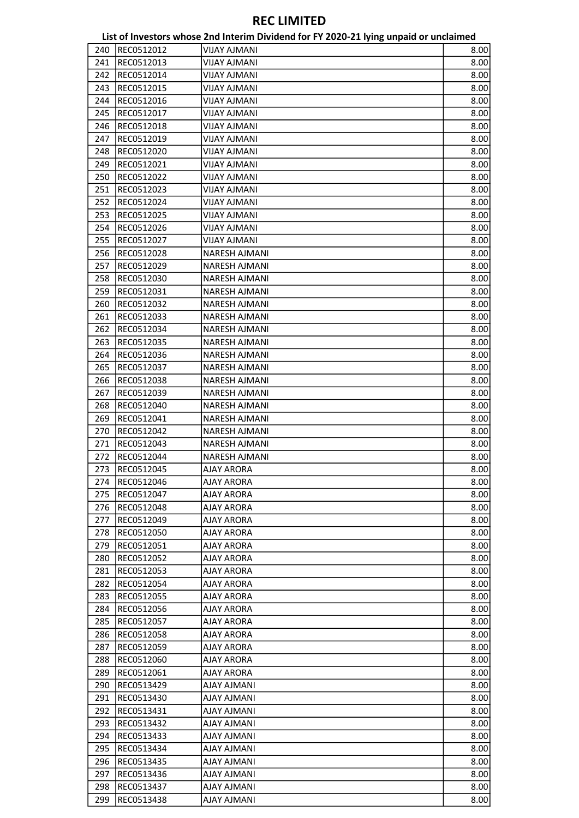|     |            | List of Investors whose 2nd Interim Dividend for FY 2020-21 lying unpaid or unclaimed |      |
|-----|------------|---------------------------------------------------------------------------------------|------|
| 240 | REC0512012 | <b>VIJAY AJMANI</b>                                                                   | 8.00 |
| 241 | REC0512013 | <b>VIJAY AJMANI</b>                                                                   | 8.00 |
| 242 | REC0512014 | <b>VIJAY AJMANI</b>                                                                   | 8.00 |
| 243 | REC0512015 | VIJAY AJMANI                                                                          | 8.00 |
| 244 | REC0512016 | VIJAY AJMANI                                                                          | 8.00 |
| 245 | REC0512017 | <b>VIJAY AJMANI</b>                                                                   | 8.00 |
| 246 | REC0512018 | <b>VIJAY AJMANI</b>                                                                   | 8.00 |
| 247 | REC0512019 | <b>VIJAY AJMANI</b>                                                                   | 8.00 |
| 248 | REC0512020 | VIJAY AJMANI                                                                          | 8.00 |
| 249 | REC0512021 | <b>VIJAY AJMANI</b>                                                                   | 8.00 |
| 250 | REC0512022 | <b>VIJAY AJMANI</b>                                                                   | 8.00 |
| 251 | REC0512023 | VIJAY AJMANI                                                                          | 8.00 |
| 252 |            |                                                                                       | 8.00 |
|     | REC0512024 | VIJAY AJMANI                                                                          |      |
| 253 | REC0512025 | <b>VIJAY AJMANI</b>                                                                   | 8.00 |
| 254 | REC0512026 | VIJAY AJMANI                                                                          | 8.00 |
| 255 | REC0512027 | VIJAY AJMANI                                                                          | 8.00 |
| 256 | REC0512028 | NARESH AJMANI                                                                         | 8.00 |
| 257 | REC0512029 | <b>NARESH AJMANI</b>                                                                  | 8.00 |
| 258 | REC0512030 | <b>NARESH AJMANI</b>                                                                  | 8.00 |
| 259 | REC0512031 | <b>NARESH AJMANI</b>                                                                  | 8.00 |
| 260 | REC0512032 | NARESH AJMANI                                                                         | 8.00 |
| 261 | REC0512033 | <b>NARESH AJMANI</b>                                                                  | 8.00 |
| 262 | REC0512034 | NARESH AJMANI                                                                         | 8.00 |
| 263 | REC0512035 | NARESH AJMANI                                                                         | 8.00 |
| 264 | REC0512036 | NARESH AJMANI                                                                         | 8.00 |
| 265 | REC0512037 | NARESH AJMANI                                                                         | 8.00 |
| 266 | REC0512038 | NARESH AJMANI                                                                         | 8.00 |
| 267 | REC0512039 | NARESH AJMANI                                                                         | 8.00 |
| 268 | REC0512040 | <b>NARESH AJMANI</b>                                                                  | 8.00 |
| 269 | REC0512041 | <b>NARESH AJMANI</b>                                                                  | 8.00 |
| 270 | REC0512042 | NARESH AJMANI                                                                         | 8.00 |
| 271 | REC0512043 | NARESH AJMANI                                                                         | 8.00 |
| 272 | REC0512044 | <b>NARESH AJMANI</b>                                                                  | 8.00 |
| 273 | REC0512045 | AJAY ARORA                                                                            | 8.00 |
| 274 | REC0512046 | <b>AJAY ARORA</b>                                                                     | 8.00 |
| 275 | REC0512047 | AJAY ARORA                                                                            | 8.00 |
| 276 | REC0512048 | <b>AJAY ARORA</b>                                                                     | 8.00 |
| 277 | REC0512049 | AJAY ARORA                                                                            | 8.00 |
| 278 | REC0512050 | AJAY ARORA                                                                            | 8.00 |
| 279 | REC0512051 | <b>AJAY ARORA</b>                                                                     | 8.00 |
|     | REC0512052 |                                                                                       |      |
| 280 |            | AJAY ARORA                                                                            | 8.00 |
| 281 | REC0512053 | AJAY ARORA                                                                            | 8.00 |
| 282 | REC0512054 | AJAY ARORA                                                                            | 8.00 |
| 283 | REC0512055 | AJAY ARORA                                                                            | 8.00 |
| 284 | REC0512056 | AJAY ARORA                                                                            | 8.00 |
| 285 | REC0512057 | AJAY ARORA                                                                            | 8.00 |
| 286 | REC0512058 | AJAY ARORA                                                                            | 8.00 |
| 287 | REC0512059 | AJAY ARORA                                                                            | 8.00 |
| 288 | REC0512060 | AJAY ARORA                                                                            | 8.00 |
| 289 | REC0512061 | AJAY ARORA                                                                            | 8.00 |
| 290 | REC0513429 | <b>AJAY AJMANI</b>                                                                    | 8.00 |
| 291 | REC0513430 | AJAY AJMANI                                                                           | 8.00 |
| 292 | REC0513431 | <b>AJAY AJMANI</b>                                                                    | 8.00 |
| 293 | REC0513432 | <b>AJAY AJMANI</b>                                                                    | 8.00 |
| 294 | REC0513433 | <b>AJAY AJMANI</b>                                                                    | 8.00 |
| 295 | REC0513434 | <b>AJAY AJMANI</b>                                                                    | 8.00 |
| 296 | REC0513435 | <b>AJAY AJMANI</b>                                                                    | 8.00 |
| 297 | REC0513436 | <b>AJAY AJMANI</b>                                                                    | 8.00 |
| 298 | REC0513437 | <b>AJAY AJMANI</b>                                                                    | 8.00 |
| 299 | REC0513438 | <b>AJAY AJMANI</b>                                                                    | 8.00 |
|     |            |                                                                                       |      |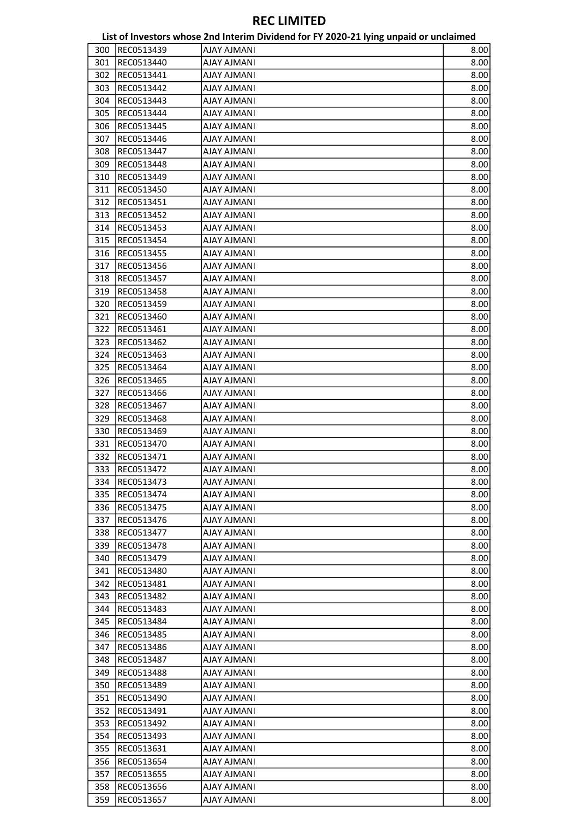|     |            | List of Investors whose 2nd Interim Dividend for FY 2020-21 lying unpaid or unclaimed |      |
|-----|------------|---------------------------------------------------------------------------------------|------|
| 300 | REC0513439 | <b>AJAY AJMANI</b>                                                                    | 8.00 |
| 301 | REC0513440 | <b>AJAY AJMANI</b>                                                                    | 8.00 |
| 302 | REC0513441 | <b>AJAY AJMANI</b>                                                                    | 8.00 |
| 303 | REC0513442 | <b>AJAY AJMANI</b>                                                                    | 8.00 |
| 304 | REC0513443 | <b>AJAY AJMANI</b>                                                                    | 8.00 |
| 305 | REC0513444 | <b>AJAY AJMANI</b>                                                                    | 8.00 |
| 306 | REC0513445 | <b>AJAY AJMANI</b>                                                                    | 8.00 |
| 307 | REC0513446 | <b>AJAY AJMANI</b>                                                                    | 8.00 |
| 308 | REC0513447 | <b>AJAY AJMANI</b>                                                                    | 8.00 |
| 309 | REC0513448 | <b>AJAY AJMANI</b>                                                                    | 8.00 |
| 310 | REC0513449 | <b>AJAY AJMANI</b>                                                                    | 8.00 |
| 311 | REC0513450 | <b>AJAY AJMANI</b>                                                                    | 8.00 |
| 312 |            |                                                                                       | 8.00 |
|     | REC0513451 | <b>AJAY AJMANI</b>                                                                    |      |
| 313 | REC0513452 | <b>AJAY AJMANI</b>                                                                    | 8.00 |
| 314 | REC0513453 | <b>AJAY AJMANI</b>                                                                    | 8.00 |
| 315 | REC0513454 | <b>AJAY AJMANI</b>                                                                    | 8.00 |
| 316 | REC0513455 | <b>AJAY AJMANI</b>                                                                    | 8.00 |
| 317 | REC0513456 | <b>AJAY AJMANI</b>                                                                    | 8.00 |
| 318 | REC0513457 | <b>AJAY AJMANI</b>                                                                    | 8.00 |
| 319 | REC0513458 | <b>AJAY AJMANI</b>                                                                    | 8.00 |
| 320 | REC0513459 | <b>AJAY AJMANI</b>                                                                    | 8.00 |
| 321 | REC0513460 | <b>AJAY AJMANI</b>                                                                    | 8.00 |
| 322 | REC0513461 | <b>AJAY AJMANI</b>                                                                    | 8.00 |
| 323 | REC0513462 | <b>AJAY AJMANI</b>                                                                    | 8.00 |
| 324 | REC0513463 | <b>AJAY AJMANI</b>                                                                    | 8.00 |
| 325 | REC0513464 | <b>AJAY AJMANI</b>                                                                    | 8.00 |
| 326 | REC0513465 | <b>AJAY AJMANI</b>                                                                    | 8.00 |
| 327 | REC0513466 | <b>AJAY AJMANI</b>                                                                    | 8.00 |
| 328 | REC0513467 | <b>AJAY AJMANI</b>                                                                    | 8.00 |
| 329 | REC0513468 | <b>AJAY AJMANI</b>                                                                    | 8.00 |
| 330 | REC0513469 | <b>AJAY AJMANI</b>                                                                    | 8.00 |
| 331 | REC0513470 | <b>AJAY AJMANI</b>                                                                    | 8.00 |
| 332 | REC0513471 | <b>AJAY AJMANI</b>                                                                    | 8.00 |
| 333 | REC0513472 | AJAY AJMANI                                                                           | 8.00 |
| 334 | REC0513473 | <b>AJAY AJMANI</b>                                                                    | 8.00 |
| 335 | REC0513474 | <b>IIAAWLA YALA</b>                                                                   | 8.00 |
| 336 | REC0513475 | IIANILA YALA                                                                          | 8.00 |
| 337 | REC0513476 | <b>AJAY AJMANI</b>                                                                    | 8.00 |
| 338 | REC0513477 | <b>AJAY AJMANI</b>                                                                    | 8.00 |
| 339 | REC0513478 | <b>AJAY AJMANI</b>                                                                    | 8.00 |
| 340 | REC0513479 | <b>AJAY AJMANI</b>                                                                    | 8.00 |
| 341 | REC0513480 | <b>AJAY AJMANI</b>                                                                    | 8.00 |
| 342 | REC0513481 | <b>IIAAWLA YALA</b>                                                                   | 8.00 |
| 343 | REC0513482 | <b>AJAY AJMANI</b>                                                                    | 8.00 |
| 344 | REC0513483 | <b>AJAY AJMANI</b>                                                                    | 8.00 |
| 345 | REC0513484 | <b>AJAY AJMANI</b>                                                                    | 8.00 |
|     |            | <b>AJAY AJMANI</b>                                                                    |      |
| 346 | REC0513485 |                                                                                       | 8.00 |
| 347 | REC0513486 | AJAY AJMANI                                                                           | 8.00 |
| 348 | REC0513487 | <b>AJAY AJMANI</b>                                                                    | 8.00 |
| 349 | REC0513488 | <b>AJAY AJMANI</b>                                                                    | 8.00 |
| 350 | REC0513489 | <b>AJAY AJMANI</b>                                                                    | 8.00 |
| 351 | REC0513490 | AJAY AJMANI                                                                           | 8.00 |
| 352 | REC0513491 | <b>AJAY AJMANI</b>                                                                    | 8.00 |
| 353 | REC0513492 | <b>AJAY AJMANI</b>                                                                    | 8.00 |
| 354 | REC0513493 | <b>AJAY AJMANI</b>                                                                    | 8.00 |
| 355 | REC0513631 | <b>AJAY AJMANI</b>                                                                    | 8.00 |
| 356 | REC0513654 | <b>AJAY AJMANI</b>                                                                    | 8.00 |
| 357 | REC0513655 | <b>AJAY AJMANI</b>                                                                    | 8.00 |
| 358 | REC0513656 | <b>AJAY AJMANI</b>                                                                    | 8.00 |
| 359 | REC0513657 | <b>AJAY AJMANI</b>                                                                    | 8.00 |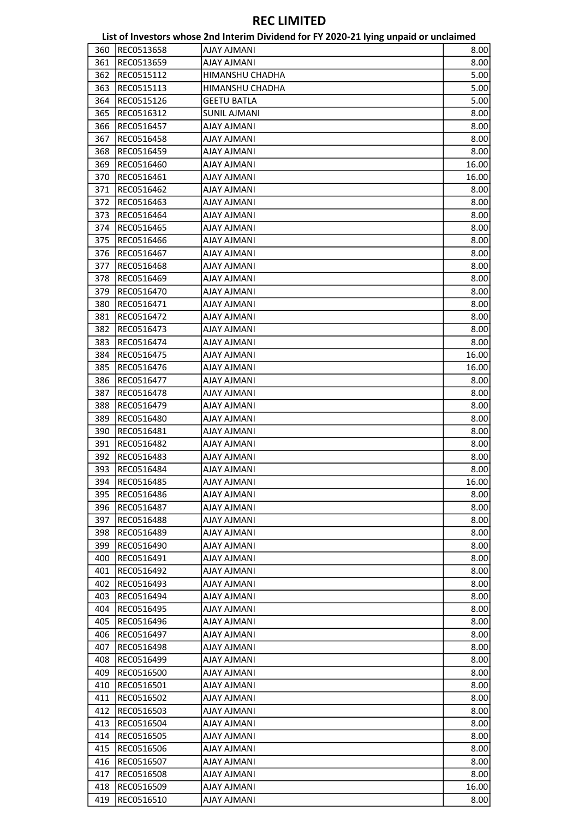|     |            | List of Investors whose 2nd Interim Dividend for FY 2020-21 lying unpaid or unclaimed |       |
|-----|------------|---------------------------------------------------------------------------------------|-------|
| 360 | REC0513658 | <b>AJAY AJMANI</b>                                                                    | 8.00  |
| 361 | REC0513659 | <b>AJAY AJMANI</b>                                                                    | 8.00  |
| 362 | REC0515112 | HIMANSHU CHADHA                                                                       | 5.00  |
| 363 | REC0515113 | HIMANSHU CHADHA                                                                       | 5.00  |
| 364 | REC0515126 | <b>GEETU BATLA</b>                                                                    | 5.00  |
| 365 | REC0516312 | <b>SUNIL AJMANI</b>                                                                   | 8.00  |
| 366 | REC0516457 | <b>IIAAWLA YALA</b>                                                                   | 8.00  |
| 367 | REC0516458 | <b>AJAY AJMANI</b>                                                                    | 8.00  |
| 368 | REC0516459 | <b>IIAAWLA YALA</b>                                                                   | 8.00  |
| 369 | REC0516460 | <b>AJAY AJMANI</b>                                                                    | 16.00 |
| 370 | REC0516461 | <b>AJAY AJMANI</b>                                                                    | 16.00 |
| 371 | REC0516462 | <b>AJAY AJMANI</b>                                                                    | 8.00  |
| 372 | REC0516463 | <b>AJAY AJMANI</b>                                                                    | 8.00  |
| 373 | REC0516464 | <b>AJAY AJMANI</b>                                                                    | 8.00  |
| 374 | REC0516465 | <b>AJAY AJMANI</b>                                                                    | 8.00  |
| 375 | REC0516466 | <b>AJAY AJMANI</b>                                                                    | 8.00  |
| 376 | REC0516467 |                                                                                       |       |
|     | REC0516468 | <b>AJAY AJMANI</b>                                                                    | 8.00  |
| 377 |            | <b>AJAY AJMANI</b>                                                                    | 8.00  |
| 378 | REC0516469 | <b>AJAY AJMANI</b>                                                                    | 8.00  |
| 379 | REC0516470 | <b>AJAY AJMANI</b>                                                                    | 8.00  |
| 380 | REC0516471 | <b>AJAY AJMANI</b>                                                                    | 8.00  |
| 381 | REC0516472 | <b>AJAY AJMANI</b>                                                                    | 8.00  |
| 382 | REC0516473 | <b>AJAY AJMANI</b>                                                                    | 8.00  |
| 383 | REC0516474 | <b>AJAY AJMANI</b>                                                                    | 8.00  |
| 384 | REC0516475 | <b>AJAY AJMANI</b>                                                                    | 16.00 |
| 385 | REC0516476 | AJAY AJMANI                                                                           | 16.00 |
| 386 | REC0516477 | <b>AJAY AJMANI</b>                                                                    | 8.00  |
| 387 | REC0516478 | <b>AJAY AJMANI</b>                                                                    | 8.00  |
| 388 | REC0516479 | <b>AJAY AJMANI</b>                                                                    | 8.00  |
| 389 | REC0516480 | <b>AJAY AJMANI</b>                                                                    | 8.00  |
| 390 | REC0516481 | <b>AJAY AJMANI</b>                                                                    | 8.00  |
| 391 | REC0516482 | <b>AJAY AJMANI</b>                                                                    | 8.00  |
| 392 | REC0516483 | <b>AJAY AJMANI</b>                                                                    | 8.00  |
| 393 | REC0516484 | <b>AJAY AJMANI</b>                                                                    | 8.00  |
| 394 | REC0516485 | <b>AJAY AJMANI</b>                                                                    | 16.00 |
| 395 | REC0516486 | IIANILA YALA                                                                          | 8.00  |
| 396 | REC0516487 | AJAY AJMANI                                                                           | 8.00  |
| 397 | REC0516488 | <b>AJAY AJMANI</b>                                                                    | 8.00  |
| 398 | REC0516489 | <b>AJAY AJMANI</b>                                                                    | 8.00  |
| 399 | REC0516490 | AJAY AJMANI                                                                           | 8.00  |
| 400 | REC0516491 | IIANILA YALA                                                                          | 8.00  |
| 401 | REC0516492 | IIAANLA YALA                                                                          | 8.00  |
| 402 | REC0516493 | AJAY AJMANI                                                                           | 8.00  |
| 403 | REC0516494 | <b>AJAY AJMANI</b>                                                                    | 8.00  |
| 404 | REC0516495 | <b>AJAY AJMANI</b>                                                                    | 8.00  |
| 405 | REC0516496 | <b>AJAY AJMANI</b>                                                                    | 8.00  |
| 406 | REC0516497 | <b>IIAAWA YALA</b>                                                                    | 8.00  |
| 407 | REC0516498 | AJAY AJMANI                                                                           | 8.00  |
| 408 | REC0516499 | <b>AJAY AJMANI</b>                                                                    | 8.00  |
| 409 | REC0516500 | <b>AJAY AJMANI</b>                                                                    | 8.00  |
| 410 | REC0516501 | AJAY AJMANI                                                                           | 8.00  |
| 411 | REC0516502 | AJAY AJMANI                                                                           | 8.00  |
| 412 | REC0516503 | IIAANLA YALA                                                                          | 8.00  |
| 413 | REC0516504 | AJAY AJMANI                                                                           | 8.00  |
| 414 | REC0516505 | <b>AJAY AJMANI</b>                                                                    | 8.00  |
| 415 | REC0516506 | <b>AJAY AJMANI</b>                                                                    | 8.00  |
| 416 | REC0516507 | <b>AJAY AJMANI</b>                                                                    | 8.00  |
| 417 | REC0516508 | <b>AJAY AJMANI</b>                                                                    | 8.00  |
| 418 | REC0516509 | AJAY AJMANI                                                                           | 16.00 |
| 419 |            | IIAANLA YALA                                                                          |       |
|     | REC0516510 |                                                                                       | 8.00  |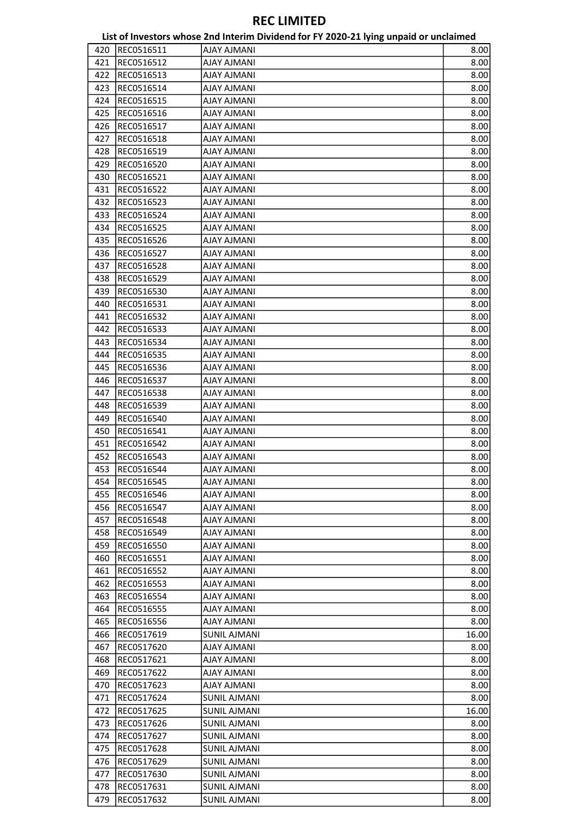|     |            | List of Investors whose 2nd Interim Dividend for FY 2020-21 lying unpaid or unclaimed |       |
|-----|------------|---------------------------------------------------------------------------------------|-------|
| 420 | REC0516511 | <b>AJAY AJMANI</b>                                                                    | 8.00  |
| 421 | REC0516512 | <b>AJAY AJMANI</b>                                                                    | 8.00  |
| 422 | REC0516513 | <b>IIAAMLA YALA</b>                                                                   | 8.00  |
| 423 | REC0516514 | <b>AJAY AJMANI</b>                                                                    | 8.00  |
| 424 | REC0516515 | <b>AJAY AJMANI</b>                                                                    | 8.00  |
| 425 | REC0516516 | <b>IIAAMLA YALA</b>                                                                   | 8.00  |
| 426 | REC0516517 | <b>IIAAWA YALA</b>                                                                    | 8.00  |
| 427 | REC0516518 | <b>IIAAMLA YALA</b>                                                                   | 8.00  |
| 428 | REC0516519 | <b>IIAAWLA YALA</b>                                                                   | 8.00  |
| 429 | REC0516520 | <b>IIAAWA YALA</b>                                                                    | 8.00  |
| 430 | REC0516521 | <b>IIAAMLA YALA</b>                                                                   | 8.00  |
| 431 | REC0516522 | <b>AJAY AJMANI</b>                                                                    | 8.00  |
| 432 | REC0516523 | <b>AJAY AJMANI</b>                                                                    | 8.00  |
| 433 | REC0516524 | <b>IIAAMLA YALA</b>                                                                   | 8.00  |
| 434 | REC0516525 | AJAY AJMANI                                                                           | 8.00  |
| 435 | REC0516526 | <b>AJAY AJMANI</b>                                                                    | 8.00  |
| 436 | REC0516527 | <b>AJAY AJMANI</b>                                                                    | 8.00  |
|     |            |                                                                                       |       |
| 437 | REC0516528 | <b>IIAAWA YALA</b>                                                                    | 8.00  |
| 438 | REC0516529 | <b>IIAAWA YALA</b>                                                                    | 8.00  |
| 439 | REC0516530 | <b>AJAY AJMANI</b>                                                                    | 8.00  |
| 440 | REC0516531 | <b>IIAAWLA YALA</b>                                                                   | 8.00  |
| 441 | REC0516532 | <b>AJAY AJMANI</b>                                                                    | 8.00  |
| 442 | REC0516533 | <b>AJAY AJMANI</b>                                                                    | 8.00  |
| 443 | REC0516534 | <b>AJAY AJMANI</b>                                                                    | 8.00  |
| 444 | REC0516535 | <b>IIAAMLA YALA</b>                                                                   | 8.00  |
| 445 | REC0516536 | <b>AJAY AJMANI</b>                                                                    | 8.00  |
| 446 | REC0516537 | <b>AJAY AJMANI</b>                                                                    | 8.00  |
| 447 | REC0516538 | <b>AJAY AJMANI</b>                                                                    | 8.00  |
| 448 | REC0516539 | <b>IIAAWA YALA</b>                                                                    | 8.00  |
| 449 | REC0516540 | <b>IIAAWA YALA</b>                                                                    | 8.00  |
| 450 | REC0516541 | <b>AJAY AJMANI</b>                                                                    | 8.00  |
| 451 | REC0516542 | <b>AJAY AJMANI</b>                                                                    | 8.00  |
| 452 | REC0516543 | <b>IIAAMLA YALA</b>                                                                   | 8.00  |
| 453 | REC0516544 | <b>AJAY AJMANI</b>                                                                    | 8.00  |
| 454 | REC0516545 | <b>IIAAWA YALA</b>                                                                    | 8.00  |
| 455 | REC0516546 | <b>IIAAWA YALA</b>                                                                    | 8.00  |
| 456 | REC0516547 | IIANILA YALA                                                                          | 8.00  |
| 457 | REC0516548 | <b>AJAY AJMANI</b>                                                                    | 8.00  |
| 458 | REC0516549 | <b>IIAAWA YALA</b>                                                                    | 8.00  |
| 459 | REC0516550 | <b>IIAAWA YALA</b>                                                                    | 8.00  |
| 460 | REC0516551 | AJAY AJMANI                                                                           | 8.00  |
| 461 | REC0516552 | <b>AJAY AJMANI</b>                                                                    | 8.00  |
| 462 | REC0516553 | <b>IIAAMLA YALA</b>                                                                   | 8.00  |
| 463 | REC0516554 | IIAANLA YALA                                                                          | 8.00  |
| 464 | REC0516555 | IIAANLA YALA                                                                          | 8.00  |
| 465 | REC0516556 | <b>IIAAWA YALA</b>                                                                    | 8.00  |
| 466 | REC0517619 | SUNIL AJMANI                                                                          | 16.00 |
|     | REC0517620 |                                                                                       |       |
| 467 |            | AJAY AJMANI                                                                           | 8.00  |
| 468 | REC0517621 | <b>AJAY AJMANI</b>                                                                    | 8.00  |
| 469 | REC0517622 | <b>IIAAWA YALA</b>                                                                    | 8.00  |
| 470 | REC0517623 | AJAY AJMANI                                                                           | 8.00  |
| 471 | REC0517624 | <b>SUNIL AJMANI</b>                                                                   | 8.00  |
| 472 | REC0517625 | SUNIL AJMANI                                                                          | 16.00 |
| 473 | REC0517626 | SUNIL AJMANI                                                                          | 8.00  |
| 474 | REC0517627 | <b>SUNIL AJMANI</b>                                                                   | 8.00  |
| 475 | REC0517628 | <b>SUNIL AJMANI</b>                                                                   | 8.00  |
| 476 | REC0517629 | <b>SUNIL AJMANI</b>                                                                   | 8.00  |
| 477 | REC0517630 | SUNIL AJMANI                                                                          | 8.00  |
| 478 | REC0517631 | <b>SUNIL AJMANI</b>                                                                   | 8.00  |
| 479 | REC0517632 | <b>SUNIL AJMANI</b>                                                                   | 8.00  |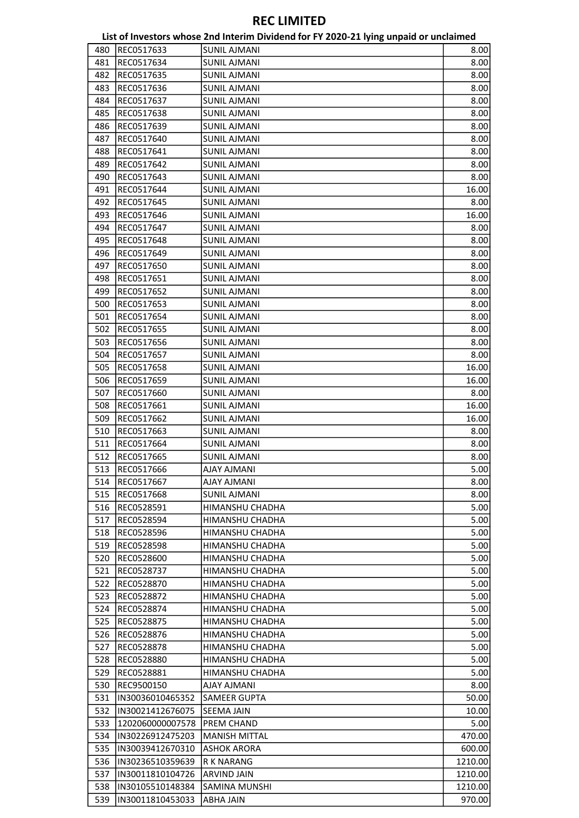|     |                  | List of Investors whose 2nd Interim Dividend for FY 2020-21 lying unpaid or unclaimed |         |
|-----|------------------|---------------------------------------------------------------------------------------|---------|
| 480 | REC0517633       | <b>SUNIL AJMANI</b>                                                                   | 8.00    |
| 481 | REC0517634       | <b>SUNIL AJMANI</b>                                                                   | 8.00    |
| 482 | REC0517635       | <b>SUNIL AJMANI</b>                                                                   | 8.00    |
| 483 | REC0517636       | <b>SUNIL AJMANI</b>                                                                   | 8.00    |
| 484 | REC0517637       | <b>SUNIL AJMANI</b>                                                                   | 8.00    |
| 485 | REC0517638       | <b>SUNIL AJMANI</b>                                                                   | 8.00    |
| 486 | REC0517639       | <b>SUNIL AJMANI</b>                                                                   | 8.00    |
| 487 | REC0517640       | <b>SUNIL AJMANI</b>                                                                   | 8.00    |
| 488 | REC0517641       | <b>SUNIL AJMANI</b>                                                                   | 8.00    |
| 489 | REC0517642       | <b>SUNIL AJMANI</b>                                                                   | 8.00    |
| 490 | REC0517643       | <b>SUNIL AJMANI</b>                                                                   | 8.00    |
| 491 | REC0517644       | <b>SUNIL AJMANI</b>                                                                   | 16.00   |
| 492 | REC0517645       | <b>SUNIL AJMANI</b>                                                                   | 8.00    |
| 493 |                  |                                                                                       |         |
|     | REC0517646       | <b>SUNIL AJMANI</b>                                                                   | 16.00   |
| 494 | REC0517647       | <b>SUNIL AJMANI</b>                                                                   | 8.00    |
| 495 | REC0517648       | <b>SUNIL AJMANI</b>                                                                   | 8.00    |
| 496 | REC0517649       | <b>SUNIL AJMANI</b>                                                                   | 8.00    |
| 497 | REC0517650       | <b>SUNIL AJMANI</b>                                                                   | 8.00    |
| 498 | REC0517651       | <b>SUNIL AJMANI</b>                                                                   | 8.00    |
| 499 | REC0517652       | <b>SUNIL AJMANI</b>                                                                   | 8.00    |
| 500 | REC0517653       | <b>SUNIL AJMANI</b>                                                                   | 8.00    |
| 501 | REC0517654       | <b>SUNIL AJMANI</b>                                                                   | 8.00    |
| 502 | REC0517655       | <b>SUNIL AJMANI</b>                                                                   | 8.00    |
| 503 | REC0517656       | <b>SUNIL AJMANI</b>                                                                   | 8.00    |
| 504 | REC0517657       | <b>SUNIL AJMANI</b>                                                                   | 8.00    |
| 505 | REC0517658       | <b>SUNIL AJMANI</b>                                                                   | 16.00   |
| 506 | REC0517659       | <b>SUNIL AJMANI</b>                                                                   | 16.00   |
| 507 | REC0517660       | <b>SUNIL AJMANI</b>                                                                   | 8.00    |
| 508 | REC0517661       | <b>SUNIL AJMANI</b>                                                                   | 16.00   |
| 509 | REC0517662       | <b>SUNIL AJMANI</b>                                                                   | 16.00   |
| 510 | REC0517663       | <b>SUNIL AJMANI</b>                                                                   | 8.00    |
| 511 | REC0517664       | <b>SUNIL AJMANI</b>                                                                   | 8.00    |
| 512 | REC0517665       | <b>SUNIL AJMANI</b>                                                                   | 8.00    |
| 513 | REC0517666       | <b>AJAY AJMANI</b>                                                                    | 5.00    |
| 514 | REC0517667       | <b>AJAY AJMANI</b>                                                                    | 8.00    |
| 515 | REC0517668       | <b>SUNIL AJMANI</b>                                                                   | 8.00    |
| 516 | REC0528591       | HIMANSHU CHADHA                                                                       | 5.00    |
| 517 | REC0528594       | HIMANSHU CHADHA                                                                       | 5.00    |
| 518 | REC0528596       | HIMANSHU CHADHA                                                                       | 5.00    |
| 519 | REC0528598       | HIMANSHU CHADHA                                                                       | 5.00    |
| 520 | REC0528600       | HIMANSHU CHADHA                                                                       | 5.00    |
| 521 | REC0528737       | HIMANSHU CHADHA                                                                       | 5.00    |
| 522 | REC0528870       | HIMANSHU CHADHA                                                                       | 5.00    |
| 523 | REC0528872       | HIMANSHU CHADHA                                                                       | 5.00    |
| 524 | REC0528874       | HIMANSHU CHADHA                                                                       | 5.00    |
| 525 | REC0528875       | HIMANSHU CHADHA                                                                       | 5.00    |
| 526 | REC0528876       | HIMANSHU CHADHA                                                                       | 5.00    |
|     |                  |                                                                                       |         |
| 527 | REC0528878       | HIMANSHU CHADHA                                                                       | 5.00    |
| 528 | REC0528880       | HIMANSHU CHADHA<br>HIMANSHU CHADHA                                                    | 5.00    |
| 529 | REC0528881       |                                                                                       | 5.00    |
| 530 | REC9500150       | <b>AJAY AJMANI</b>                                                                    | 8.00    |
| 531 | IN30036010465352 | SAMEER GUPTA                                                                          | 50.00   |
| 532 | IN30021412676075 | <b>SEEMA JAIN</b>                                                                     | 10.00   |
| 533 | 1202060000007578 | <b>PREM CHAND</b>                                                                     | 5.00    |
| 534 | IN30226912475203 | <b>MANISH MITTAL</b>                                                                  | 470.00  |
| 535 | IN30039412670310 | <b>ASHOK ARORA</b>                                                                    | 600.00  |
| 536 | IN30236510359639 | R K NARANG                                                                            | 1210.00 |
| 537 | IN30011810104726 | <b>ARVIND JAIN</b>                                                                    | 1210.00 |
| 538 | IN30105510148384 | <b>SAMINA MUNSHI</b>                                                                  | 1210.00 |
| 539 | IN30011810453033 | ABHA JAIN                                                                             | 970.00  |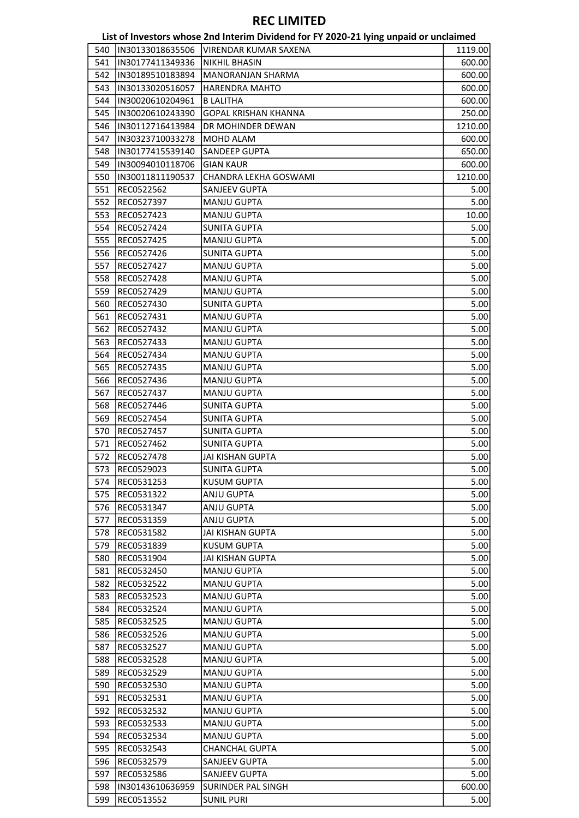|            |                  | List of Investors whose 2nd Interim Dividend for FY 2020-21 lying unpaid or unclaimed |              |
|------------|------------------|---------------------------------------------------------------------------------------|--------------|
| 540        | IN30133018635506 | <b>VIRENDAR KUMAR SAXENA</b>                                                          | 1119.00      |
| 541        | IN30177411349336 | <b>NIKHIL BHASIN</b>                                                                  | 600.00       |
| 542        | IN30189510183894 | <b>MANORANJAN SHARMA</b>                                                              | 600.00       |
| 543        | IN30133020516057 | <b>HARENDRA MAHTO</b>                                                                 | 600.00       |
| 544        | IN30020610204961 | <b>B LALITHA</b>                                                                      | 600.00       |
| 545        | IN30020610243390 | <b>GOPAL KRISHAN KHANNA</b>                                                           | 250.00       |
| 546        | IN30112716413984 | DR MOHINDER DEWAN                                                                     | 1210.00      |
| 547        | IN30323710033278 | MOHD ALAM                                                                             | 600.00       |
| 548        | IN30177415539140 | <b>SANDEEP GUPTA</b>                                                                  | 650.00       |
| 549        | IN30094010118706 | <b>GIAN KAUR</b>                                                                      | 600.00       |
| 550        | IN30011811190537 | CHANDRA LEKHA GOSWAMI                                                                 | 1210.00      |
| 551        | REC0522562       | <b>SANJEEV GUPTA</b>                                                                  | 5.00         |
| 552        | REC0527397       | <b>MANJU GUPTA</b>                                                                    | 5.00         |
| 553        | REC0527423       | <b>MANJU GUPTA</b>                                                                    | 10.00        |
| 554        | REC0527424       | <b>SUNITA GUPTA</b>                                                                   | 5.00         |
| 555        | REC0527425       | <b>MANJU GUPTA</b>                                                                    | 5.00         |
| 556        | REC0527426       | <b>SUNITA GUPTA</b>                                                                   | 5.00         |
| 557        | REC0527427       | <b>MANJU GUPTA</b>                                                                    | 5.00         |
| 558        | REC0527428       | <b>MANJU GUPTA</b>                                                                    | 5.00         |
| 559        | REC0527429       | <b>MANJU GUPTA</b>                                                                    | 5.00         |
| 560        | REC0527430       | <b>SUNITA GUPTA</b>                                                                   | 5.00         |
| 561        | REC0527431       | <b>MANJU GUPTA</b>                                                                    | 5.00         |
| 562        | REC0527432       | <b>MANJU GUPTA</b>                                                                    | 5.00         |
| 563        | REC0527433       | <b>MANJU GUPTA</b>                                                                    | 5.00         |
| 564        | REC0527434       | <b>MANJU GUPTA</b>                                                                    | 5.00         |
| 565        | REC0527435       | <b>MANJU GUPTA</b>                                                                    | 5.00         |
| 566        | REC0527436       | <b>MANJU GUPTA</b>                                                                    | 5.00         |
| 567        | REC0527437       | <b>MANJU GUPTA</b>                                                                    | 5.00         |
| 568        | REC0527446       | <b>SUNITA GUPTA</b>                                                                   | 5.00         |
| 569        | REC0527454       | <b>SUNITA GUPTA</b>                                                                   | 5.00         |
| 570        | REC0527457       | <b>SUNITA GUPTA</b>                                                                   | 5.00         |
| 571        | REC0527462       | <b>SUNITA GUPTA</b>                                                                   | 5.00         |
| 572        | REC0527478       | <b>JAI KISHAN GUPTA</b>                                                               | 5.00         |
| 573        | REC0529023       | <b>SUNITA GUPTA</b>                                                                   | 5.00         |
| 574        | REC0531253       | <b>KUSUM GUPTA</b>                                                                    | 5.00         |
| 575        | REC0531322       | ANJU GUPTA                                                                            | 5.00         |
| 576        | REC0531347       | ANJU GUPTA                                                                            | 5.00         |
|            |                  |                                                                                       |              |
| 577        | REC0531359       | ANJU GUPTA                                                                            | 5.00         |
| 578        | REC0531582       | <b>JAI KISHAN GUPTA</b><br><b>KUSUM GUPTA</b>                                         | 5.00         |
| 579        | REC0531839       |                                                                                       | 5.00         |
| 580        | REC0531904       | JAI KISHAN GUPTA                                                                      | 5.00         |
| 581        | REC0532450       | <b>MANJU GUPTA</b><br><b>MANJU GUPTA</b>                                              | 5.00         |
| 582        | REC0532522       |                                                                                       | 5.00         |
| 583<br>584 | REC0532523       | <b>MANJU GUPTA</b><br><b>MANJU GUPTA</b>                                              | 5.00<br>5.00 |
|            | REC0532524       |                                                                                       |              |
| 585        | REC0532525       | <b>MANJU GUPTA</b>                                                                    | 5.00         |
| 586        | REC0532526       | <b>MANJU GUPTA</b>                                                                    | 5.00         |
| 587        | REC0532527       | <b>MANJU GUPTA</b>                                                                    | 5.00         |
| 588        | REC0532528       | <b>MANJU GUPTA</b>                                                                    | 5.00         |
| 589        | REC0532529       | <b>MANJU GUPTA</b>                                                                    | 5.00         |
| 590        | REC0532530       | <b>MANJU GUPTA</b>                                                                    | 5.00         |
| 591        | REC0532531       | <b>MANJU GUPTA</b>                                                                    | 5.00         |
| 592        | REC0532532       | <b>MANJU GUPTA</b>                                                                    | 5.00         |
| 593        | REC0532533       | <b>MANJU GUPTA</b>                                                                    | 5.00         |
| 594        | REC0532534       | <b>MANJU GUPTA</b>                                                                    | 5.00         |
| 595        | REC0532543       | <b>CHANCHAL GUPTA</b>                                                                 | 5.00         |
| 596        | REC0532579       | <b>SANJEEV GUPTA</b>                                                                  | 5.00         |
| 597        | REC0532586       | SANJEEV GUPTA                                                                         | 5.00         |
| 598        | IN30143610636959 | <b>SURINDER PAL SINGH</b>                                                             | 600.00       |
| 599        | REC0513552       | <b>SUNIL PURI</b>                                                                     | 5.00         |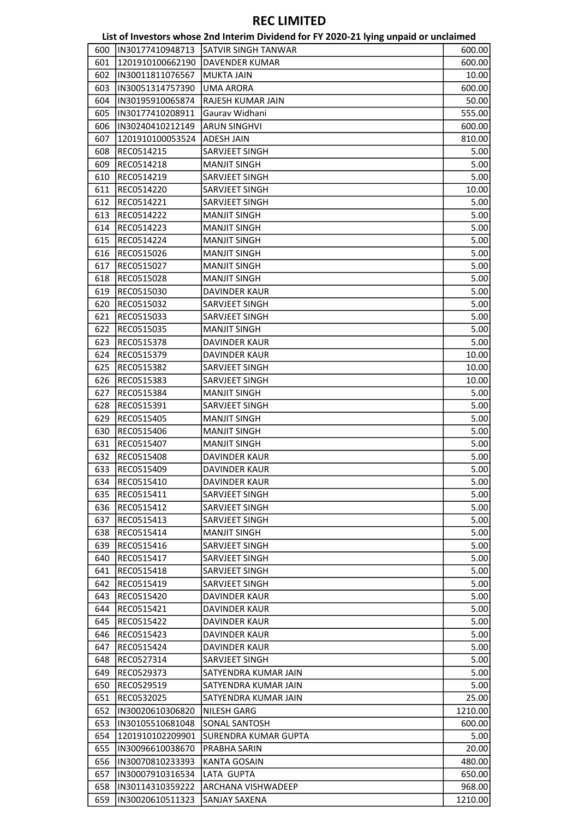|     |                  | List of Investors whose 2nd Interim Dividend for FY 2020-21 lying unpaid or unclaimed |         |
|-----|------------------|---------------------------------------------------------------------------------------|---------|
| 600 | IN30177410948713 | SATVIR SINGH TANWAR                                                                   | 600.00  |
| 601 | 1201910100662190 | <b>DAVENDER KUMAR</b>                                                                 | 600.00  |
| 602 | IN30011811076567 | <b>MUKTA JAIN</b>                                                                     | 10.00   |
| 603 | IN30051314757390 | <b>UMA ARORA</b>                                                                      | 600.00  |
| 604 | IN30195910065874 | RAJESH KUMAR JAIN                                                                     | 50.00   |
| 605 | IN30177410208911 | Gaurav Widhani                                                                        | 555.00  |
| 606 | IN30240410212149 | <b>ARUN SINGHVI</b>                                                                   | 600.00  |
| 607 | 1201910100053524 | <b>ADESH JAIN</b>                                                                     | 810.00  |
| 608 | REC0514215       | SARVJEET SINGH                                                                        | 5.00    |
| 609 | REC0514218       | <b>MANJIT SINGH</b>                                                                   | 5.00    |
| 610 | REC0514219       | SARVJEET SINGH                                                                        | 5.00    |
| 611 | REC0514220       | SARVJEET SINGH                                                                        | 10.00   |
| 612 | REC0514221       | SARVJEET SINGH                                                                        | 5.00    |
| 613 | REC0514222       | <b>MANJIT SINGH</b>                                                                   | 5.00    |
| 614 |                  |                                                                                       | 5.00    |
|     | REC0514223       | <b>MANJIT SINGH</b>                                                                   |         |
| 615 | REC0514224       | <b>MANJIT SINGH</b>                                                                   | 5.00    |
| 616 | REC0515026       | <b>MANJIT SINGH</b>                                                                   | 5.00    |
| 617 | REC0515027       | <b>MANJIT SINGH</b>                                                                   | 5.00    |
| 618 | REC0515028       | <b>MANJIT SINGH</b>                                                                   | 5.00    |
| 619 | REC0515030       | <b>DAVINDER KAUR</b>                                                                  | 5.00    |
| 620 | REC0515032       | <b>SARVJEET SINGH</b>                                                                 | 5.00    |
| 621 | REC0515033       | SARVJEET SINGH                                                                        | 5.00    |
| 622 | REC0515035       | <b>MANJIT SINGH</b>                                                                   | 5.00    |
| 623 | REC0515378       | DAVINDER KAUR                                                                         | 5.00    |
| 624 | REC0515379       | DAVINDER KAUR                                                                         | 10.00   |
| 625 | REC0515382       | SARVJEET SINGH                                                                        | 10.00   |
| 626 | REC0515383       | SARVJEET SINGH                                                                        | 10.00   |
| 627 | REC0515384       | <b>MANJIT SINGH</b>                                                                   | 5.00    |
| 628 | REC0515391       | SARVJEET SINGH                                                                        | 5.00    |
| 629 | REC0515405       | <b>MANJIT SINGH</b>                                                                   | 5.00    |
| 630 | REC0515406       | <b>MANJIT SINGH</b>                                                                   | 5.00    |
| 631 | REC0515407       | <b>MANJIT SINGH</b>                                                                   | 5.00    |
| 632 | REC0515408       | <b>DAVINDER KAUR</b>                                                                  | 5.00    |
| 633 | REC0515409       | DAVINDER KAUR                                                                         | 5.00    |
| 634 | REC0515410       | DAVINDER KAUR                                                                         | 5.00    |
| 635 | REC0515411       | SARVJEET SINGH                                                                        | 5.00    |
| 636 | REC0515412       | SARVJEET SINGH                                                                        | 5.00    |
| 637 | REC0515413       | SARVJEET SINGH                                                                        | 5.00    |
| 638 | REC0515414       | MANJIT SINGH                                                                          | 5.00    |
| 639 | REC0515416       | SARVJEET SINGH                                                                        | 5.00    |
| 640 | REC0515417       | SARVJEET SINGH                                                                        | 5.00    |
| 641 | REC0515418       | SARVJEET SINGH                                                                        | 5.00    |
| 642 | REC0515419       | SARVJEET SINGH                                                                        | 5.00    |
| 643 | REC0515420       | DAVINDER KAUR                                                                         | 5.00    |
| 644 | REC0515421       | DAVINDER KAUR                                                                         | 5.00    |
| 645 | REC0515422       | DAVINDER KAUR                                                                         | 5.00    |
| 646 | REC0515423       | DAVINDER KAUR                                                                         | 5.00    |
|     |                  |                                                                                       |         |
| 647 | REC0515424       | DAVINDER KAUR                                                                         | 5.00    |
| 648 | REC0527314       | SARVJEET SINGH                                                                        | 5.00    |
| 649 | REC0529373       | SATYENDRA KUMAR JAIN                                                                  | 5.00    |
| 650 | REC0529519       | SATYENDRA KUMAR JAIN                                                                  | 5.00    |
| 651 | REC0532025       | SATYENDRA KUMAR JAIN                                                                  | 25.00   |
| 652 | IN30020610306820 | NILESH GARG                                                                           | 1210.00 |
| 653 | IN30105510681048 | SONAL SANTOSH                                                                         | 600.00  |
| 654 | 1201910102209901 | SURENDRA KUMAR GUPTA                                                                  | 5.00    |
| 655 | IN30096610038670 | PRABHA SARIN                                                                          | 20.00   |
| 656 | IN30070810233393 | <b>KANTA GOSAIN</b>                                                                   | 480.00  |
| 657 | IN30007910316534 | LATA GUPTA                                                                            | 650.00  |
| 658 | IN30114310359222 | <b>ARCHANA VISHWADEEP</b>                                                             | 968.00  |
| 659 | IN30020610511323 | <b>SANJAY SAXENA</b>                                                                  | 1210.00 |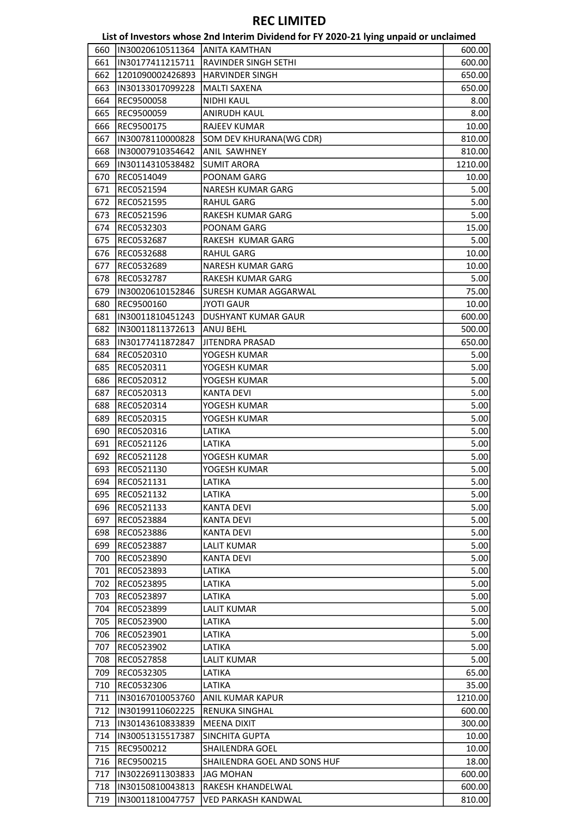|     |                                | List of Investors whose 2nd Interim Dividend for FY 2020-21 lying unpaid or unclaimed |         |
|-----|--------------------------------|---------------------------------------------------------------------------------------|---------|
| 660 | IN30020610511364 ANITA KAMTHAN |                                                                                       | 600.00  |
| 661 | IN30177411215711               | <b>RAVINDER SINGH SETHI</b>                                                           | 600.00  |
| 662 | 1201090002426893               | <b>HARVINDER SINGH</b>                                                                | 650.00  |
| 663 | IN30133017099228               | <b>MALTI SAXENA</b>                                                                   | 650.00  |
| 664 | REC9500058                     | <b>NIDHI KAUL</b>                                                                     | 8.00    |
| 665 | REC9500059                     | ANIRUDH KAUL                                                                          | 8.00    |
| 666 | REC9500175                     | <b>RAJEEV KUMAR</b>                                                                   | 10.00   |
| 667 | IN30078110000828               | SOM DEV KHURANA(WG CDR)                                                               | 810.00  |
| 668 | IN30007910354642               | ANIL SAWHNEY                                                                          | 810.00  |
| 669 | IN30114310538482               | <b>SUMIT ARORA</b>                                                                    | 1210.00 |
| 670 | REC0514049                     | POONAM GARG                                                                           | 10.00   |
| 671 | REC0521594                     | NARESH KUMAR GARG                                                                     | 5.00    |
| 672 | REC0521595                     | <b>RAHUL GARG</b>                                                                     | 5.00    |
| 673 | REC0521596                     | RAKESH KUMAR GARG                                                                     | 5.00    |
| 674 | REC0532303                     | POONAM GARG                                                                           | 15.00   |
| 675 | REC0532687                     | RAKESH KUMAR GARG                                                                     | 5.00    |
| 676 | REC0532688                     | RAHUL GARG                                                                            | 10.00   |
| 677 | REC0532689                     | <b>NARESH KUMAR GARG</b>                                                              | 10.00   |
| 678 | REC0532787                     | RAKESH KUMAR GARG                                                                     | 5.00    |
| 679 | IN30020610152846               | SURESH KUMAR AGGARWAL                                                                 | 75.00   |
| 680 | REC9500160                     | <b>JYOTI GAUR</b>                                                                     | 10.00   |
| 681 | IN30011810451243               | DUSHYANT KUMAR GAUR                                                                   | 600.00  |
| 682 | IN30011811372613               | ANUJ BEHL                                                                             | 500.00  |
| 683 | IN30177411872847               | <b>JITENDRA PRASAD</b>                                                                | 650.00  |
| 684 | REC0520310                     | YOGESH KUMAR                                                                          | 5.00    |
| 685 | REC0520311                     | YOGESH KUMAR                                                                          | 5.00    |
| 686 | REC0520312                     | YOGESH KUMAR                                                                          | 5.00    |
| 687 | REC0520313                     | <b>KANTA DEVI</b>                                                                     | 5.00    |
| 688 | REC0520314                     | YOGESH KUMAR                                                                          | 5.00    |
| 689 | REC0520315                     | YOGESH KUMAR                                                                          | 5.00    |
| 690 | REC0520316                     | LATIKA                                                                                | 5.00    |
| 691 | REC0521126                     | LATIKA                                                                                | 5.00    |
| 692 | REC0521128                     | YOGESH KUMAR                                                                          | 5.00    |
| 693 | REC0521130                     | YOGESH KUMAR                                                                          | 5.00    |
| 694 | REC0521131                     | LATIKA                                                                                | 5.00    |
| 695 | REC0521132                     | LATIKA                                                                                | 5.00    |
| 696 | REC0521133                     | KANTA DEVI                                                                            | 5.00    |
| 697 | REC0523884                     | <b>KANTA DEVI</b>                                                                     | 5.00    |
| 698 | REC0523886                     | KANTA DEVI                                                                            | 5.00    |
| 699 | REC0523887                     | LALIT KUMAR                                                                           | 5.00    |
| 700 | REC0523890                     | <b>KANTA DEVI</b>                                                                     | 5.00    |
| 701 | REC0523893                     | LATIKA                                                                                | 5.00    |
| 702 | REC0523895                     | LATIKA                                                                                | 5.00    |
| 703 | REC0523897                     | LATIKA                                                                                | 5.00    |
| 704 | REC0523899                     | <b>LALIT KUMAR</b>                                                                    | 5.00    |
| 705 | REC0523900                     | LATIKA                                                                                | 5.00    |
| 706 | REC0523901                     | LATIKA                                                                                | 5.00    |
| 707 | REC0523902                     | LATIKA                                                                                | 5.00    |
| 708 | REC0527858                     | <b>LALIT KUMAR</b>                                                                    | 5.00    |
| 709 | REC0532305                     | LATIKA                                                                                | 65.00   |
| 710 | REC0532306                     | LATIKA                                                                                | 35.00   |
| 711 | IN30167010053760               | <b>ANIL KUMAR KAPUR</b>                                                               | 1210.00 |
| 712 | IN30199110602225               | RENUKA SINGHAL                                                                        | 600.00  |
| 713 | IN30143610833839               | <b>MEENA DIXIT</b>                                                                    | 300.00  |
| 714 | IN30051315517387               | SINCHITA GUPTA                                                                        | 10.00   |
| 715 | REC9500212                     | SHAILENDRA GOEL                                                                       | 10.00   |
| 716 | REC9500215                     | SHAILENDRA GOEL AND SONS HUF                                                          | 18.00   |
| 717 | IN30226911303833               | <b>JAG MOHAN</b>                                                                      | 600.00  |
| 718 | IN30150810043813               | RAKESH KHANDELWAL                                                                     | 600.00  |
| 719 | IN30011810047757               | VED PARKASH KANDWAL                                                                   | 810.00  |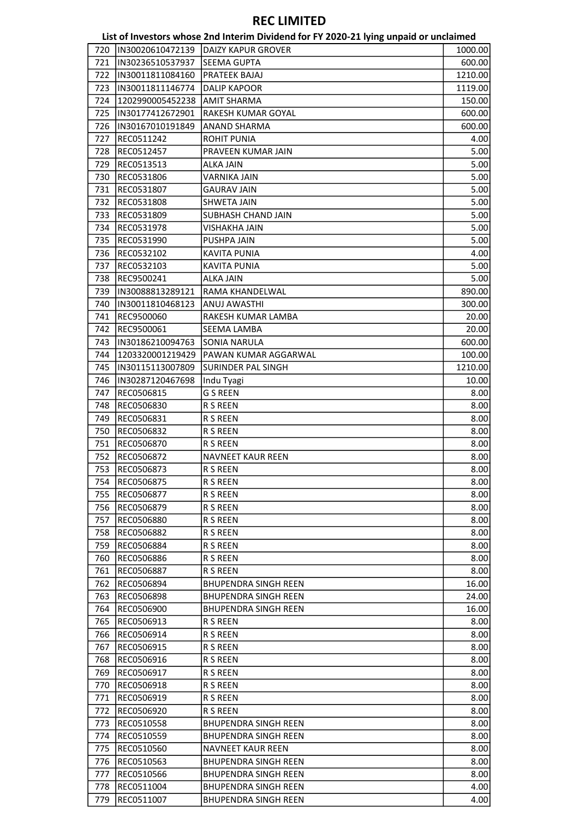|     |                  | List of Investors whose 2nd Interim Dividend for FY 2020-21 lying unpaid or unclaimed |         |
|-----|------------------|---------------------------------------------------------------------------------------|---------|
| 720 | IN30020610472139 | <b>DAIZY KAPUR GROVER</b>                                                             | 1000.00 |
| 721 | IN30236510537937 | <b>SEEMA GUPTA</b>                                                                    | 600.00  |
| 722 | IN30011811084160 | <b>PRATEEK BAJAJ</b>                                                                  | 1210.00 |
| 723 | IN30011811146774 | <b>DALIP KAPOOR</b>                                                                   | 1119.00 |
| 724 | 1202990005452238 | AMIT SHARMA                                                                           | 150.00  |
| 725 | IN30177412672901 | RAKESH KUMAR GOYAL                                                                    | 600.00  |
| 726 | IN30167010191849 | <b>ANAND SHARMA</b>                                                                   | 600.00  |
| 727 | REC0511242       | <b>ROHIT PUNIA</b>                                                                    | 4.00    |
| 728 | REC0512457       | PRAVEEN KUMAR JAIN                                                                    | 5.00    |
| 729 | REC0513513       | <b>ALKA JAIN</b>                                                                      | 5.00    |
| 730 | REC0531806       | VARNIKA JAIN                                                                          |         |
| 731 | REC0531807       | <b>GAURAV JAIN</b>                                                                    | 5.00    |
|     |                  |                                                                                       | 5.00    |
| 732 | REC0531808       | <b>SHWETA JAIN</b>                                                                    | 5.00    |
| 733 | REC0531809       | SUBHASH CHAND JAIN                                                                    | 5.00    |
| 734 | REC0531978       | <b>VISHAKHA JAIN</b>                                                                  | 5.00    |
| 735 | REC0531990       | PUSHPA JAIN                                                                           | 5.00    |
| 736 | REC0532102       | <b>KAVITA PUNIA</b>                                                                   | 4.00    |
| 737 | REC0532103       | <b>KAVITA PUNIA</b>                                                                   | 5.00    |
| 738 | REC9500241       | <b>ALKA JAIN</b>                                                                      | 5.00    |
| 739 | IN30088813289121 | RAMA KHANDELWAL                                                                       | 890.00  |
| 740 | IN30011810468123 | ANUJ AWASTHI                                                                          | 300.00  |
| 741 | REC9500060       | RAKESH KUMAR LAMBA                                                                    | 20.00   |
| 742 | REC9500061       | SEEMA LAMBA                                                                           | 20.00   |
| 743 | IN30186210094763 | <b>SONIA NARULA</b>                                                                   | 600.00  |
| 744 | 1203320001219429 | PAWAN KUMAR AGGARWAL                                                                  | 100.00  |
| 745 | IN30115113007809 | <b>SURINDER PAL SINGH</b>                                                             | 1210.00 |
| 746 | IN30287120467698 | Indu Tyagi                                                                            | 10.00   |
| 747 | REC0506815       | G S REEN                                                                              | 8.00    |
| 748 | REC0506830       | R S REEN                                                                              | 8.00    |
| 749 | REC0506831       | R S REEN                                                                              | 8.00    |
| 750 | REC0506832       | R S REEN                                                                              | 8.00    |
| 751 | REC0506870       | R S REEN                                                                              | 8.00    |
| 752 | REC0506872       | <b>NAVNEET KAUR REEN</b>                                                              | 8.00    |
| 753 | REC0506873       | R S REEN                                                                              | 8.00    |
| 754 | REC0506875       | R S REEN                                                                              | 8.00    |
| 755 | REC0506877       | R S REEN                                                                              | 8.00    |
| 756 | REC0506879       | R S REEN                                                                              | 8.00    |
| 757 | REC0506880       | R S REEN                                                                              | 8.00    |
| 758 | REC0506882       | R S REEN                                                                              | 8.00    |
| 759 | REC0506884       | R S REEN                                                                              | 8.00    |
| 760 | REC0506886       | R S REEN                                                                              | 8.00    |
| 761 | REC0506887       | R S REEN                                                                              | 8.00    |
|     |                  |                                                                                       |         |
| 762 | REC0506894       | <b>BHUPENDRA SINGH REEN</b>                                                           | 16.00   |
| 763 | REC0506898       | <b>BHUPENDRA SINGH REEN</b>                                                           | 24.00   |
| 764 | REC0506900       | <b>BHUPENDRA SINGH REEN</b>                                                           | 16.00   |
| 765 | REC0506913       | <b>R S REEN</b>                                                                       | 8.00    |
| 766 | REC0506914       | R S REEN                                                                              | 8.00    |
| 767 | REC0506915       | <b>R S REEN</b>                                                                       | 8.00    |
| 768 | REC0506916       | R S REEN                                                                              | 8.00    |
| 769 | REC0506917       | R S REEN                                                                              | 8.00    |
| 770 | REC0506918       | <b>R S REEN</b>                                                                       | 8.00    |
| 771 | REC0506919       | <b>R S REEN</b>                                                                       | 8.00    |
| 772 | REC0506920       | R S REEN                                                                              | 8.00    |
| 773 | REC0510558       | <b>BHUPENDRA SINGH REEN</b>                                                           | 8.00    |
| 774 | REC0510559       | <b>BHUPENDRA SINGH REEN</b>                                                           | 8.00    |
| 775 | REC0510560       | <b>NAVNEET KAUR REEN</b>                                                              | 8.00    |
| 776 | REC0510563       | <b>BHUPENDRA SINGH REEN</b>                                                           | 8.00    |
| 777 | REC0510566       | <b>BHUPENDRA SINGH REEN</b>                                                           | 8.00    |
| 778 | REC0511004       | <b>BHUPENDRA SINGH REEN</b>                                                           | 4.00    |
| 779 | REC0511007       | <b>BHUPENDRA SINGH REEN</b>                                                           | 4.00    |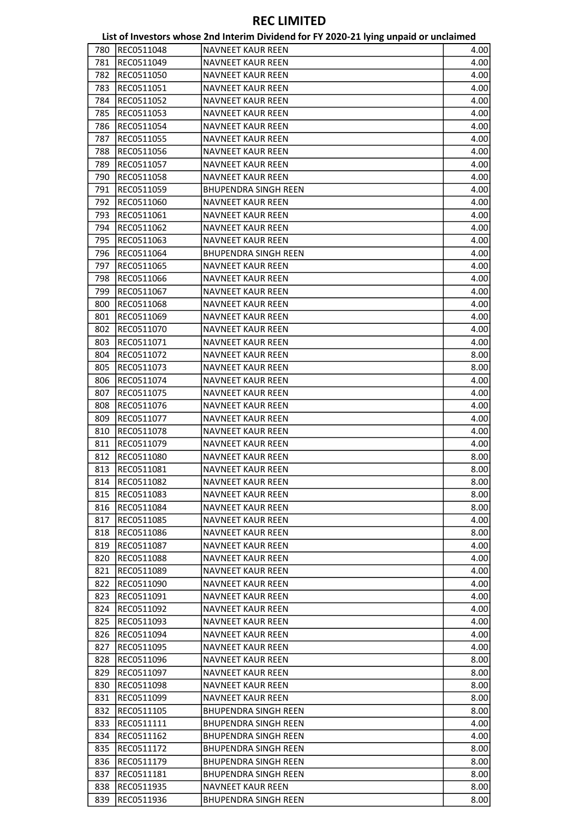|     |            | List of Investors whose 2nd Interim Dividend for FY 2020-21 lying unpaid or unclaimed |      |
|-----|------------|---------------------------------------------------------------------------------------|------|
| 780 | REC0511048 | <b>NAVNEET KAUR REEN</b>                                                              | 4.00 |
| 781 | REC0511049 | <b>NAVNEET KAUR REEN</b>                                                              | 4.00 |
| 782 | REC0511050 | <b>NAVNEET KAUR REEN</b>                                                              | 4.00 |
| 783 | REC0511051 | NAVNEET KAUR REEN                                                                     | 4.00 |
| 784 | REC0511052 | NAVNEET KAUR REEN                                                                     | 4.00 |
| 785 | REC0511053 | <b>NAVNEET KAUR REEN</b>                                                              | 4.00 |
| 786 | REC0511054 | <b>NAVNEET KAUR REEN</b>                                                              | 4.00 |
| 787 | REC0511055 | <b>NAVNEET KAUR REEN</b>                                                              | 4.00 |
| 788 | REC0511056 | <b>NAVNEET KAUR REEN</b>                                                              | 4.00 |
| 789 | REC0511057 | <b>NAVNEET KAUR REEN</b>                                                              | 4.00 |
| 790 | REC0511058 | <b>NAVNEET KAUR REEN</b>                                                              | 4.00 |
| 791 | REC0511059 | <b>BHUPENDRA SINGH REEN</b>                                                           | 4.00 |
| 792 | REC0511060 | <b>NAVNEET KAUR REEN</b>                                                              | 4.00 |
| 793 | REC0511061 | <b>NAVNEET KAUR REEN</b>                                                              | 4.00 |
| 794 | REC0511062 | <b>NAVNEET KAUR REEN</b>                                                              | 4.00 |
| 795 | REC0511063 | <b>NAVNEET KAUR REEN</b>                                                              | 4.00 |
| 796 | REC0511064 | <b>BHUPENDRA SINGH REEN</b>                                                           | 4.00 |
| 797 | REC0511065 | <b>NAVNEET KAUR REEN</b>                                                              | 4.00 |
| 798 | REC0511066 | <b>NAVNEET KAUR REEN</b>                                                              | 4.00 |
| 799 | REC0511067 | <b>NAVNEET KAUR REEN</b>                                                              | 4.00 |
| 800 | REC0511068 | <b>NAVNEET KAUR REEN</b>                                                              | 4.00 |
| 801 | REC0511069 | <b>NAVNEET KAUR REEN</b>                                                              | 4.00 |
| 802 | REC0511070 | <b>NAVNEET KAUR REEN</b>                                                              | 4.00 |
| 803 | REC0511071 | <b>NAVNEET KAUR REEN</b>                                                              | 4.00 |
| 804 | REC0511072 | <b>NAVNEET KAUR REEN</b>                                                              | 8.00 |
| 805 | REC0511073 | <b>NAVNEET KAUR REEN</b>                                                              | 8.00 |
| 806 | REC0511074 | NAVNEET KAUR REEN                                                                     | 4.00 |
| 807 | REC0511075 | <b>NAVNEET KAUR REEN</b>                                                              | 4.00 |
| 808 | REC0511076 | <b>NAVNEET KAUR REEN</b>                                                              | 4.00 |
| 809 | REC0511077 | <b>NAVNEET KAUR REEN</b>                                                              | 4.00 |
| 810 | REC0511078 | <b>NAVNEET KAUR REEN</b>                                                              | 4.00 |
| 811 | REC0511079 | <b>NAVNEET KAUR REEN</b>                                                              | 4.00 |
| 812 | REC0511080 | <b>NAVNEET KAUR REEN</b>                                                              | 8.00 |
| 813 | REC0511081 | <b>NAVNEET KAUR REEN</b>                                                              | 8.00 |
| 814 | REC0511082 | <b>NAVNEET KAUR REEN</b>                                                              | 8.00 |
| 815 | REC0511083 | <b>NAVNEET KAUR REEN</b>                                                              | 8.00 |
| 816 | REC0511084 | <b>NAVNEET KAUR REEN</b>                                                              | 8.00 |
| 817 | REC0511085 | NAVNEET KAUR REEN                                                                     | 4.00 |
| 818 | REC0511086 | <b>NAVNEET KAUR REEN</b>                                                              | 8.00 |
| 819 | REC0511087 | <b>NAVNEET KAUR REEN</b>                                                              | 4.00 |
| 820 | REC0511088 | <b>NAVNEET KAUR REEN</b>                                                              | 4.00 |
| 821 | REC0511089 | <b>NAVNEET KAUR REEN</b>                                                              | 4.00 |
| 822 | REC0511090 | <b>NAVNEET KAUR REEN</b>                                                              | 4.00 |
| 823 | REC0511091 | <b>NAVNEET KAUR REEN</b>                                                              | 4.00 |
| 824 | REC0511092 | <b>NAVNEET KAUR REEN</b>                                                              | 4.00 |
| 825 | REC0511093 | <b>NAVNEET KAUR REEN</b>                                                              | 4.00 |
| 826 | REC0511094 | <b>NAVNEET KAUR REEN</b>                                                              | 4.00 |
| 827 | REC0511095 | <b>NAVNEET KAUR REEN</b>                                                              | 4.00 |
| 828 | REC0511096 | NAVNEET KAUR REEN                                                                     | 8.00 |
| 829 | REC0511097 | <b>NAVNEET KAUR REEN</b>                                                              | 8.00 |
| 830 | REC0511098 | <b>NAVNEET KAUR REEN</b>                                                              | 8.00 |
| 831 | REC0511099 | <b>NAVNEET KAUR REEN</b>                                                              | 8.00 |
| 832 | REC0511105 | <b>BHUPENDRA SINGH REEN</b>                                                           | 8.00 |
| 833 | REC0511111 | <b>BHUPENDRA SINGH REEN</b>                                                           | 4.00 |
| 834 | REC0511162 | <b>BHUPENDRA SINGH REEN</b>                                                           | 4.00 |
| 835 | REC0511172 | <b>BHUPENDRA SINGH REEN</b>                                                           | 8.00 |
| 836 | REC0511179 | <b>BHUPENDRA SINGH REEN</b>                                                           | 8.00 |
| 837 | REC0511181 | <b>BHUPENDRA SINGH REEN</b>                                                           | 8.00 |
| 838 | REC0511935 | <b>NAVNEET KAUR REEN</b>                                                              | 8.00 |
| 839 | REC0511936 | <b>BHUPENDRA SINGH REEN</b>                                                           | 8.00 |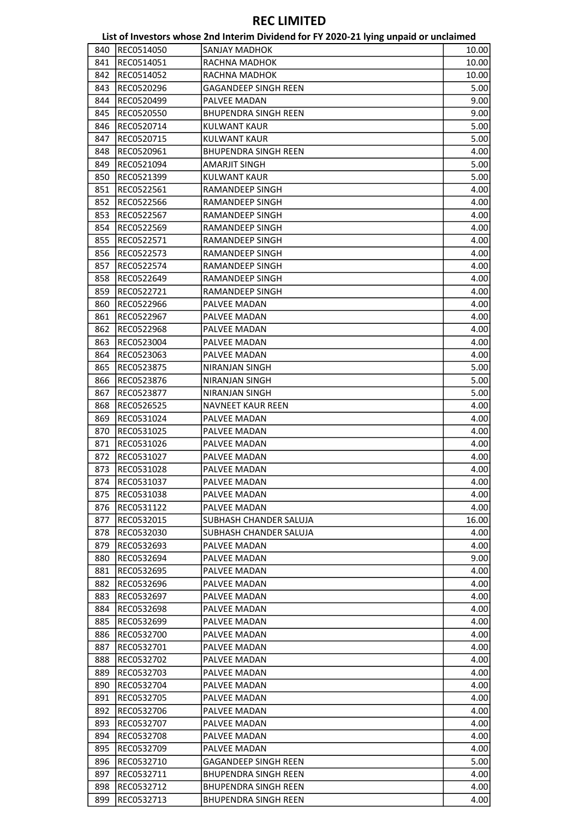|     |            | List of Investors whose 2nd Interim Dividend for FY 2020-21 lying unpaid or unclaimed |       |
|-----|------------|---------------------------------------------------------------------------------------|-------|
| 840 | REC0514050 | <b>SANJAY MADHOK</b>                                                                  | 10.00 |
| 841 | REC0514051 | RACHNA MADHOK                                                                         | 10.00 |
| 842 | REC0514052 | RACHNA MADHOK                                                                         | 10.00 |
| 843 | REC0520296 | <b>GAGANDEEP SINGH REEN</b>                                                           | 5.00  |
| 844 | REC0520499 | PALVEE MADAN                                                                          | 9.00  |
| 845 | REC0520550 | <b>BHUPENDRA SINGH REEN</b>                                                           | 9.00  |
| 846 | REC0520714 | <b>KULWANT KAUR</b>                                                                   | 5.00  |
| 847 | REC0520715 | <b>KULWANT KAUR</b>                                                                   | 5.00  |
| 848 | REC0520961 | <b>BHUPENDRA SINGH REEN</b>                                                           | 4.00  |
| 849 | REC0521094 | <b>AMARJIT SINGH</b>                                                                  | 5.00  |
| 850 | REC0521399 | <b>KULWANT KAUR</b>                                                                   | 5.00  |
| 851 | REC0522561 | RAMANDEEP SINGH                                                                       | 4.00  |
| 852 | REC0522566 | RAMANDEEP SINGH                                                                       | 4.00  |
| 853 | REC0522567 | RAMANDEEP SINGH                                                                       | 4.00  |
| 854 |            |                                                                                       | 4.00  |
|     | REC0522569 | RAMANDEEP SINGH                                                                       |       |
| 855 | REC0522571 | RAMANDEEP SINGH                                                                       | 4.00  |
| 856 | REC0522573 | RAMANDEEP SINGH                                                                       | 4.00  |
| 857 | REC0522574 | RAMANDEEP SINGH                                                                       | 4.00  |
| 858 | REC0522649 | <b>RAMANDEEP SINGH</b>                                                                | 4.00  |
| 859 | REC0522721 | RAMANDEEP SINGH                                                                       | 4.00  |
| 860 | REC0522966 | PALVEE MADAN                                                                          | 4.00  |
| 861 | REC0522967 | PALVEE MADAN                                                                          | 4.00  |
| 862 | REC0522968 | PALVEE MADAN                                                                          | 4.00  |
| 863 | REC0523004 | PALVEE MADAN                                                                          | 4.00  |
| 864 | REC0523063 | PALVEE MADAN                                                                          | 4.00  |
| 865 | REC0523875 | NIRANJAN SINGH                                                                        | 5.00  |
| 866 | REC0523876 | NIRANJAN SINGH                                                                        | 5.00  |
| 867 | REC0523877 | NIRANJAN SINGH                                                                        | 5.00  |
| 868 | REC0526525 | <b>NAVNEET KAUR REEN</b>                                                              | 4.00  |
| 869 | REC0531024 | PALVEE MADAN                                                                          | 4.00  |
| 870 | REC0531025 | PALVEE MADAN                                                                          | 4.00  |
| 871 | REC0531026 | PALVEE MADAN                                                                          | 4.00  |
| 872 | REC0531027 | <b>PALVEE MADAN</b>                                                                   | 4.00  |
| 873 | REC0531028 | PALVEE MADAN                                                                          | 4.00  |
| 874 | REC0531037 | PALVEE MADAN                                                                          | 4.00  |
| 875 | REC0531038 | PALVEE MADAN                                                                          | 4.00  |
| 876 | REC0531122 | PALVEE MADAN                                                                          | 4.00  |
| 877 | REC0532015 | SUBHASH CHANDER SALUJA                                                                | 16.00 |
| 878 | REC0532030 | SUBHASH CHANDER SALUJA                                                                | 4.00  |
| 879 | REC0532693 | PALVEE MADAN                                                                          | 4.00  |
| 880 | REC0532694 | PALVEE MADAN                                                                          | 9.00  |
| 881 | REC0532695 | PALVEE MADAN                                                                          | 4.00  |
| 882 | REC0532696 | PALVEE MADAN                                                                          | 4.00  |
| 883 | REC0532697 | PALVEE MADAN                                                                          | 4.00  |
| 884 | REC0532698 | PALVEE MADAN                                                                          | 4.00  |
| 885 | REC0532699 | PALVEE MADAN                                                                          | 4.00  |
| 886 | REC0532700 | PALVEE MADAN                                                                          | 4.00  |
| 887 | REC0532701 | PALVEE MADAN                                                                          | 4.00  |
| 888 |            |                                                                                       | 4.00  |
|     | REC0532702 | PALVEE MADAN<br>PALVEE MADAN                                                          | 4.00  |
| 889 | REC0532703 |                                                                                       |       |
| 890 | REC0532704 | PALVEE MADAN                                                                          | 4.00  |
| 891 | REC0532705 | PALVEE MADAN                                                                          | 4.00  |
| 892 | REC0532706 | PALVEE MADAN                                                                          | 4.00  |
| 893 | REC0532707 | PALVEE MADAN                                                                          | 4.00  |
| 894 | REC0532708 | PALVEE MADAN                                                                          | 4.00  |
| 895 | REC0532709 | PALVEE MADAN                                                                          | 4.00  |
| 896 | REC0532710 | <b>GAGANDEEP SINGH REEN</b>                                                           | 5.00  |
| 897 | REC0532711 | <b>BHUPENDRA SINGH REEN</b>                                                           | 4.00  |
| 898 | REC0532712 | <b>BHUPENDRA SINGH REEN</b>                                                           | 4.00  |
| 899 | REC0532713 | <b>BHUPENDRA SINGH REEN</b>                                                           | 4.00  |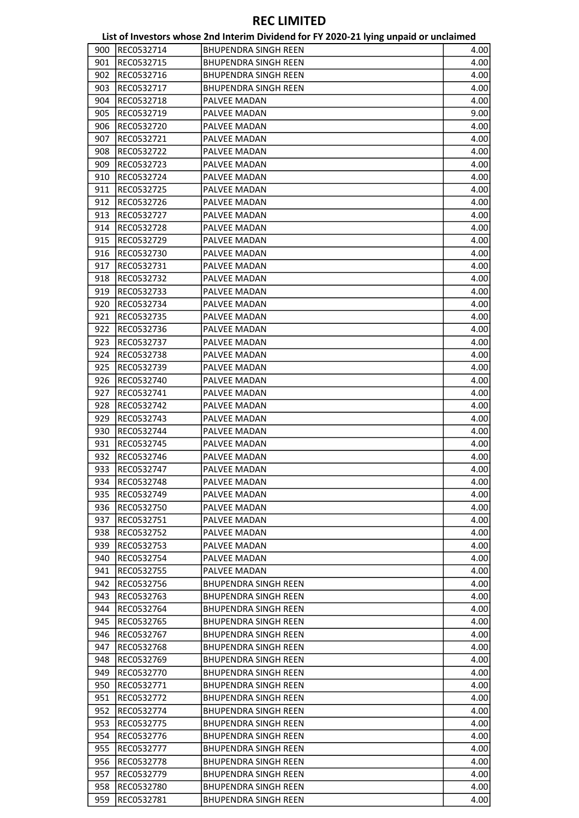|     |            | List of Investors whose 2nd Interim Dividend for FY 2020-21 lying unpaid or unclaimed |      |
|-----|------------|---------------------------------------------------------------------------------------|------|
| 900 | REC0532714 | <b>BHUPENDRA SINGH REEN</b>                                                           | 4.00 |
| 901 | REC0532715 | <b>BHUPENDRA SINGH REEN</b>                                                           | 4.00 |
| 902 | REC0532716 | <b>BHUPENDRA SINGH REEN</b>                                                           | 4.00 |
| 903 | REC0532717 | <b>BHUPENDRA SINGH REEN</b>                                                           | 4.00 |
| 904 | REC0532718 | PALVEE MADAN                                                                          | 4.00 |
| 905 | REC0532719 | PALVEE MADAN                                                                          | 9.00 |
| 906 | REC0532720 | PALVEE MADAN                                                                          | 4.00 |
| 907 | REC0532721 | PALVEE MADAN                                                                          | 4.00 |
| 908 | REC0532722 | PALVEE MADAN                                                                          | 4.00 |
| 909 | REC0532723 | PALVEE MADAN                                                                          | 4.00 |
| 910 | REC0532724 | PALVEE MADAN                                                                          | 4.00 |
| 911 | REC0532725 | PALVEE MADAN                                                                          | 4.00 |
| 912 | REC0532726 | PALVEE MADAN                                                                          |      |
|     |            |                                                                                       | 4.00 |
| 913 | REC0532727 | PALVEE MADAN                                                                          | 4.00 |
| 914 | REC0532728 | PALVEE MADAN                                                                          | 4.00 |
| 915 | REC0532729 | PALVEE MADAN                                                                          | 4.00 |
| 916 | REC0532730 | PALVEE MADAN                                                                          | 4.00 |
| 917 | REC0532731 | PALVEE MADAN                                                                          | 4.00 |
| 918 | REC0532732 | PALVEE MADAN                                                                          | 4.00 |
| 919 | REC0532733 | PALVEE MADAN                                                                          | 4.00 |
| 920 | REC0532734 | PALVEE MADAN                                                                          | 4.00 |
| 921 | REC0532735 | PALVEE MADAN                                                                          | 4.00 |
| 922 | REC0532736 | PALVEE MADAN                                                                          | 4.00 |
| 923 | REC0532737 | PALVEE MADAN                                                                          | 4.00 |
| 924 | REC0532738 | PALVEE MADAN                                                                          | 4.00 |
| 925 | REC0532739 | PALVEE MADAN                                                                          | 4.00 |
| 926 | REC0532740 | PALVEE MADAN                                                                          | 4.00 |
| 927 | REC0532741 | PALVEE MADAN                                                                          | 4.00 |
| 928 | REC0532742 | PALVEE MADAN                                                                          | 4.00 |
| 929 | REC0532743 | PALVEE MADAN                                                                          | 4.00 |
| 930 | REC0532744 | PALVEE MADAN                                                                          | 4.00 |
| 931 | REC0532745 | PALVEE MADAN                                                                          | 4.00 |
| 932 | REC0532746 | PALVEE MADAN                                                                          | 4.00 |
| 933 | REC0532747 | PALVEE MADAN                                                                          | 4.00 |
| 934 | REC0532748 | PALVEE MADAN                                                                          | 4.00 |
| 935 | REC0532749 | PALVEE MADAN                                                                          | 4.00 |
|     | REC0532750 | PALVEE MADAN                                                                          |      |
| 936 |            |                                                                                       | 4.00 |
| 937 | REC0532751 | PALVEE MADAN                                                                          | 4.00 |
| 938 | REC0532752 | PALVEE MADAN                                                                          | 4.00 |
| 939 | REC0532753 | PALVEE MADAN                                                                          | 4.00 |
| 940 | REC0532754 | PALVEE MADAN                                                                          | 4.00 |
| 941 | REC0532755 | PALVEE MADAN                                                                          | 4.00 |
| 942 | REC0532756 | <b>BHUPENDRA SINGH REEN</b>                                                           | 4.00 |
| 943 | REC0532763 | <b>BHUPENDRA SINGH REEN</b>                                                           | 4.00 |
| 944 | REC0532764 | <b>BHUPENDRA SINGH REEN</b>                                                           | 4.00 |
| 945 | REC0532765 | <b>BHUPENDRA SINGH REEN</b>                                                           | 4.00 |
| 946 | REC0532767 | <b>BHUPENDRA SINGH REEN</b>                                                           | 4.00 |
| 947 | REC0532768 | <b>BHUPENDRA SINGH REEN</b>                                                           | 4.00 |
| 948 | REC0532769 | <b>BHUPENDRA SINGH REEN</b>                                                           | 4.00 |
| 949 | REC0532770 | <b>BHUPENDRA SINGH REEN</b>                                                           | 4.00 |
| 950 | REC0532771 | <b>BHUPENDRA SINGH REEN</b>                                                           | 4.00 |
| 951 | REC0532772 | <b>BHUPENDRA SINGH REEN</b>                                                           | 4.00 |
| 952 | REC0532774 | BHUPENDRA SINGH REEN                                                                  | 4.00 |
| 953 | REC0532775 | <b>BHUPENDRA SINGH REEN</b>                                                           | 4.00 |
| 954 | REC0532776 | <b>BHUPENDRA SINGH REEN</b>                                                           | 4.00 |
| 955 | REC0532777 | <b>BHUPENDRA SINGH REEN</b>                                                           | 4.00 |
| 956 | REC0532778 | <b>BHUPENDRA SINGH REEN</b>                                                           | 4.00 |
| 957 | REC0532779 | <b>BHUPENDRA SINGH REEN</b>                                                           | 4.00 |
| 958 | REC0532780 | <b>BHUPENDRA SINGH REEN</b>                                                           | 4.00 |
|     |            |                                                                                       |      |
| 959 | REC0532781 | <b>BHUPENDRA SINGH REEN</b>                                                           | 4.00 |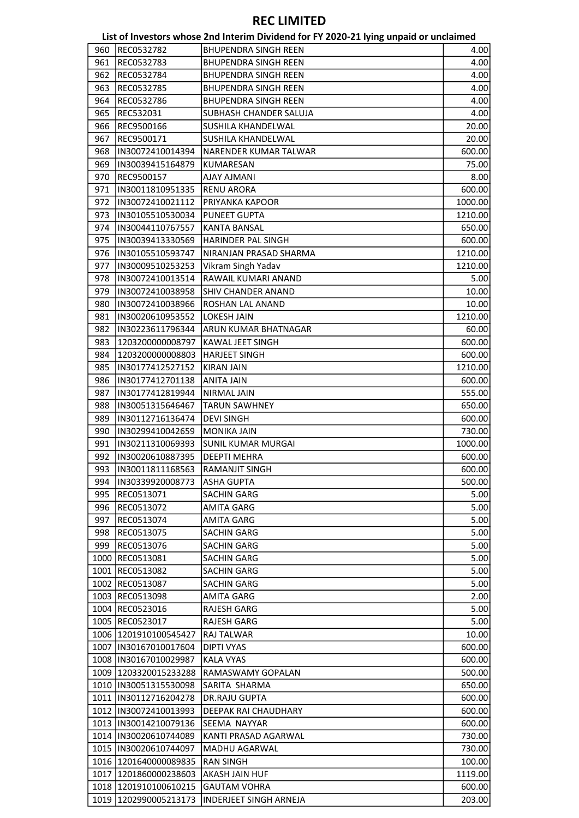| 960<br><b>BHUPENDRA SINGH REEN</b><br>REC0532782<br>4.00<br>961<br>REC0532783<br><b>BHUPENDRA SINGH REEN</b><br>4.00<br>962<br>REC0532784<br><b>BHUPENDRA SINGH REEN</b><br>4.00<br>963<br><b>BHUPENDRA SINGH REEN</b><br>4.00<br>REC0532785<br>964<br>4.00<br>REC0532786<br><b>BHUPENDRA SINGH REEN</b><br>965<br>REC532031<br>SUBHASH CHANDER SALUJA<br>4.00<br>966<br>REC9500166<br>SUSHILA KHANDELWAL<br>20.00<br>967<br>REC9500171<br>SUSHILA KHANDELWAL<br>20.00<br>968<br>IN30072410014394<br>NARENDER KUMAR TALWAR<br>600.00<br>969<br>75.00<br>IN30039415164879<br>KUMARESAN<br>970<br>REC9500157<br><b>AJAY AJMANI</b><br>8.00<br>IN30011810951335<br>971<br><b>RENU ARORA</b><br>600.00<br>972<br>IN30072410021112<br>PRIYANKA KAPOOR<br>1000.00<br>973<br>IN30105510530034<br>PUNEET GUPTA<br>1210.00<br>974<br>IN30044110767557<br><b>KANTA BANSAL</b><br>650.00<br>975<br>IN30039413330569<br>HARINDER PAL SINGH<br>600.00<br>IN30105510593747<br>NIRANJAN PRASAD SHARMA<br>976<br>1210.00<br>977<br>IN30009510253253<br>Vikram Singh Yadav<br>1210.00<br>978<br>IN30072410013514<br>RAWAIL KUMARI ANAND<br>5.00<br>979<br>IN30072410038958<br>SHIV CHANDER ANAND<br>10.00<br>980<br>IN30072410038966<br>ROSHAN LAL ANAND<br>10.00<br>981<br>IN30020610953552<br><b>LOKESH JAIN</b><br>1210.00<br>ARUN KUMAR BHATNAGAR<br>982<br>IN30223611796344<br>60.00<br>983<br>KAWAL JEET SINGH<br>1203200000008797<br>600.00<br>984<br>1203200000008803<br><b>HARJEET SINGH</b><br>600.00<br>985<br>IN30177412527152<br><b>KIRAN JAIN</b><br>1210.00<br>986<br>IN30177412701138<br>ANITA JAIN<br>600.00<br>987<br>IN30177412819944<br><b>NIRMAL JAIN</b><br>555.00<br>988<br>IN30051315646467<br><b>TARUN SAWHNEY</b><br>650.00<br>989<br>IN30112716136474<br><b>DEVI SINGH</b><br>600.00<br>990<br>IN30299410042659<br><b>MONIKA JAIN</b><br>730.00<br>991<br>IN30211310069393<br>SUNIL KUMAR MURGAI<br>1000.00<br>992<br>IN30020610887395<br><b>DEEPTI MEHRA</b><br>600.00<br>993<br>IN30011811168563<br>RAMANJIT SINGH<br>600.00<br>994<br>IN30339920008773<br><b>ASHA GUPTA</b><br>500.00<br>REC0513071<br>995<br>SACHIN GARG<br>5.00<br>996<br><b>AMITA GARG</b><br>REC0513072<br>5.00<br>997<br>REC0513074<br><b>AMITA GARG</b><br>5.00<br>REC0513075<br>998<br>SACHIN GARG<br>5.00<br>999<br>REC0513076<br><b>SACHIN GARG</b><br>5.00<br>1000<br>REC0513081<br>SACHIN GARG<br>5.00<br>1001 REC0513082<br>SACHIN GARG<br>5.00<br><b>SACHIN GARG</b><br>1002<br>REC0513087<br>5.00<br>1003<br>REC0513098<br>AMITA GARG<br>2.00<br>1004 REC0523016<br><b>RAJESH GARG</b><br>5.00<br>1005 REC0523017<br><b>RAJESH GARG</b><br>1006 1201910100545427<br><b>RAJ TALWAR</b><br>10.00<br>1007  IN30167010017604<br><b>DIPTI VYAS</b><br>600.00<br>1008  IN30167010029987<br><b>KALA VYAS</b><br>600.00<br>1009 1203320015233288<br>RAMASWAMY GOPALAN<br>500.00<br>1010  IN30051315530098<br>SARITA SHARMA<br>650.00<br>1011  IN30112716204278<br><b>DR.RAJU GUPTA</b><br>600.00<br>1012  IN30072410013993<br>DEEPAK RAI CHAUDHARY<br>600.00<br>1013 IIN30014210079136<br>SEEMA NAYYAR<br>600.00<br>1014  IN30020610744089<br>KANTI PRASAD AGARWAL<br>730.00<br>1015  IN30020610744097<br>MADHU AGARWAL<br>730.00<br>1016 1201640000089835<br><b>RAN SINGH</b><br>100.00<br>1017   1201860000238603<br><b>AKASH JAIN HUF</b><br>1119.00<br>1018 1201910100610215<br><b>GAUTAM VOHRA</b><br>1019<br>1202990005213173<br>INDERJEET SINGH ARNEJA |  | List of Investors whose 2nd Interim Dividend for FY 2020-21 lying unpaid or unclaimed |        |
|--------------------------------------------------------------------------------------------------------------------------------------------------------------------------------------------------------------------------------------------------------------------------------------------------------------------------------------------------------------------------------------------------------------------------------------------------------------------------------------------------------------------------------------------------------------------------------------------------------------------------------------------------------------------------------------------------------------------------------------------------------------------------------------------------------------------------------------------------------------------------------------------------------------------------------------------------------------------------------------------------------------------------------------------------------------------------------------------------------------------------------------------------------------------------------------------------------------------------------------------------------------------------------------------------------------------------------------------------------------------------------------------------------------------------------------------------------------------------------------------------------------------------------------------------------------------------------------------------------------------------------------------------------------------------------------------------------------------------------------------------------------------------------------------------------------------------------------------------------------------------------------------------------------------------------------------------------------------------------------------------------------------------------------------------------------------------------------------------------------------------------------------------------------------------------------------------------------------------------------------------------------------------------------------------------------------------------------------------------------------------------------------------------------------------------------------------------------------------------------------------------------------------------------------------------------------------------------------------------------------------------------------------------------------------------------------------------------------------------------------------------------------------------------------------------------------------------------------------------------------------------------------------------------------------------------------------------------------------------------------------------------------------------------------------------------------------------------------------------------------------------------------------------------------------------------------------------------------------------------------------------------------------------------------------------------------------------------------------------------------------------------------------------------------------------------------------|--|---------------------------------------------------------------------------------------|--------|
|                                                                                                                                                                                                                                                                                                                                                                                                                                                                                                                                                                                                                                                                                                                                                                                                                                                                                                                                                                                                                                                                                                                                                                                                                                                                                                                                                                                                                                                                                                                                                                                                                                                                                                                                                                                                                                                                                                                                                                                                                                                                                                                                                                                                                                                                                                                                                                                                                                                                                                                                                                                                                                                                                                                                                                                                                                                                                                                                                                                                                                                                                                                                                                                                                                                                                                                                                                                                                                                  |  |                                                                                       |        |
|                                                                                                                                                                                                                                                                                                                                                                                                                                                                                                                                                                                                                                                                                                                                                                                                                                                                                                                                                                                                                                                                                                                                                                                                                                                                                                                                                                                                                                                                                                                                                                                                                                                                                                                                                                                                                                                                                                                                                                                                                                                                                                                                                                                                                                                                                                                                                                                                                                                                                                                                                                                                                                                                                                                                                                                                                                                                                                                                                                                                                                                                                                                                                                                                                                                                                                                                                                                                                                                  |  |                                                                                       |        |
|                                                                                                                                                                                                                                                                                                                                                                                                                                                                                                                                                                                                                                                                                                                                                                                                                                                                                                                                                                                                                                                                                                                                                                                                                                                                                                                                                                                                                                                                                                                                                                                                                                                                                                                                                                                                                                                                                                                                                                                                                                                                                                                                                                                                                                                                                                                                                                                                                                                                                                                                                                                                                                                                                                                                                                                                                                                                                                                                                                                                                                                                                                                                                                                                                                                                                                                                                                                                                                                  |  |                                                                                       |        |
|                                                                                                                                                                                                                                                                                                                                                                                                                                                                                                                                                                                                                                                                                                                                                                                                                                                                                                                                                                                                                                                                                                                                                                                                                                                                                                                                                                                                                                                                                                                                                                                                                                                                                                                                                                                                                                                                                                                                                                                                                                                                                                                                                                                                                                                                                                                                                                                                                                                                                                                                                                                                                                                                                                                                                                                                                                                                                                                                                                                                                                                                                                                                                                                                                                                                                                                                                                                                                                                  |  |                                                                                       |        |
|                                                                                                                                                                                                                                                                                                                                                                                                                                                                                                                                                                                                                                                                                                                                                                                                                                                                                                                                                                                                                                                                                                                                                                                                                                                                                                                                                                                                                                                                                                                                                                                                                                                                                                                                                                                                                                                                                                                                                                                                                                                                                                                                                                                                                                                                                                                                                                                                                                                                                                                                                                                                                                                                                                                                                                                                                                                                                                                                                                                                                                                                                                                                                                                                                                                                                                                                                                                                                                                  |  |                                                                                       |        |
|                                                                                                                                                                                                                                                                                                                                                                                                                                                                                                                                                                                                                                                                                                                                                                                                                                                                                                                                                                                                                                                                                                                                                                                                                                                                                                                                                                                                                                                                                                                                                                                                                                                                                                                                                                                                                                                                                                                                                                                                                                                                                                                                                                                                                                                                                                                                                                                                                                                                                                                                                                                                                                                                                                                                                                                                                                                                                                                                                                                                                                                                                                                                                                                                                                                                                                                                                                                                                                                  |  |                                                                                       |        |
|                                                                                                                                                                                                                                                                                                                                                                                                                                                                                                                                                                                                                                                                                                                                                                                                                                                                                                                                                                                                                                                                                                                                                                                                                                                                                                                                                                                                                                                                                                                                                                                                                                                                                                                                                                                                                                                                                                                                                                                                                                                                                                                                                                                                                                                                                                                                                                                                                                                                                                                                                                                                                                                                                                                                                                                                                                                                                                                                                                                                                                                                                                                                                                                                                                                                                                                                                                                                                                                  |  |                                                                                       |        |
|                                                                                                                                                                                                                                                                                                                                                                                                                                                                                                                                                                                                                                                                                                                                                                                                                                                                                                                                                                                                                                                                                                                                                                                                                                                                                                                                                                                                                                                                                                                                                                                                                                                                                                                                                                                                                                                                                                                                                                                                                                                                                                                                                                                                                                                                                                                                                                                                                                                                                                                                                                                                                                                                                                                                                                                                                                                                                                                                                                                                                                                                                                                                                                                                                                                                                                                                                                                                                                                  |  |                                                                                       |        |
|                                                                                                                                                                                                                                                                                                                                                                                                                                                                                                                                                                                                                                                                                                                                                                                                                                                                                                                                                                                                                                                                                                                                                                                                                                                                                                                                                                                                                                                                                                                                                                                                                                                                                                                                                                                                                                                                                                                                                                                                                                                                                                                                                                                                                                                                                                                                                                                                                                                                                                                                                                                                                                                                                                                                                                                                                                                                                                                                                                                                                                                                                                                                                                                                                                                                                                                                                                                                                                                  |  |                                                                                       |        |
|                                                                                                                                                                                                                                                                                                                                                                                                                                                                                                                                                                                                                                                                                                                                                                                                                                                                                                                                                                                                                                                                                                                                                                                                                                                                                                                                                                                                                                                                                                                                                                                                                                                                                                                                                                                                                                                                                                                                                                                                                                                                                                                                                                                                                                                                                                                                                                                                                                                                                                                                                                                                                                                                                                                                                                                                                                                                                                                                                                                                                                                                                                                                                                                                                                                                                                                                                                                                                                                  |  |                                                                                       |        |
|                                                                                                                                                                                                                                                                                                                                                                                                                                                                                                                                                                                                                                                                                                                                                                                                                                                                                                                                                                                                                                                                                                                                                                                                                                                                                                                                                                                                                                                                                                                                                                                                                                                                                                                                                                                                                                                                                                                                                                                                                                                                                                                                                                                                                                                                                                                                                                                                                                                                                                                                                                                                                                                                                                                                                                                                                                                                                                                                                                                                                                                                                                                                                                                                                                                                                                                                                                                                                                                  |  |                                                                                       |        |
|                                                                                                                                                                                                                                                                                                                                                                                                                                                                                                                                                                                                                                                                                                                                                                                                                                                                                                                                                                                                                                                                                                                                                                                                                                                                                                                                                                                                                                                                                                                                                                                                                                                                                                                                                                                                                                                                                                                                                                                                                                                                                                                                                                                                                                                                                                                                                                                                                                                                                                                                                                                                                                                                                                                                                                                                                                                                                                                                                                                                                                                                                                                                                                                                                                                                                                                                                                                                                                                  |  |                                                                                       |        |
|                                                                                                                                                                                                                                                                                                                                                                                                                                                                                                                                                                                                                                                                                                                                                                                                                                                                                                                                                                                                                                                                                                                                                                                                                                                                                                                                                                                                                                                                                                                                                                                                                                                                                                                                                                                                                                                                                                                                                                                                                                                                                                                                                                                                                                                                                                                                                                                                                                                                                                                                                                                                                                                                                                                                                                                                                                                                                                                                                                                                                                                                                                                                                                                                                                                                                                                                                                                                                                                  |  |                                                                                       |        |
|                                                                                                                                                                                                                                                                                                                                                                                                                                                                                                                                                                                                                                                                                                                                                                                                                                                                                                                                                                                                                                                                                                                                                                                                                                                                                                                                                                                                                                                                                                                                                                                                                                                                                                                                                                                                                                                                                                                                                                                                                                                                                                                                                                                                                                                                                                                                                                                                                                                                                                                                                                                                                                                                                                                                                                                                                                                                                                                                                                                                                                                                                                                                                                                                                                                                                                                                                                                                                                                  |  |                                                                                       |        |
|                                                                                                                                                                                                                                                                                                                                                                                                                                                                                                                                                                                                                                                                                                                                                                                                                                                                                                                                                                                                                                                                                                                                                                                                                                                                                                                                                                                                                                                                                                                                                                                                                                                                                                                                                                                                                                                                                                                                                                                                                                                                                                                                                                                                                                                                                                                                                                                                                                                                                                                                                                                                                                                                                                                                                                                                                                                                                                                                                                                                                                                                                                                                                                                                                                                                                                                                                                                                                                                  |  |                                                                                       |        |
|                                                                                                                                                                                                                                                                                                                                                                                                                                                                                                                                                                                                                                                                                                                                                                                                                                                                                                                                                                                                                                                                                                                                                                                                                                                                                                                                                                                                                                                                                                                                                                                                                                                                                                                                                                                                                                                                                                                                                                                                                                                                                                                                                                                                                                                                                                                                                                                                                                                                                                                                                                                                                                                                                                                                                                                                                                                                                                                                                                                                                                                                                                                                                                                                                                                                                                                                                                                                                                                  |  |                                                                                       |        |
|                                                                                                                                                                                                                                                                                                                                                                                                                                                                                                                                                                                                                                                                                                                                                                                                                                                                                                                                                                                                                                                                                                                                                                                                                                                                                                                                                                                                                                                                                                                                                                                                                                                                                                                                                                                                                                                                                                                                                                                                                                                                                                                                                                                                                                                                                                                                                                                                                                                                                                                                                                                                                                                                                                                                                                                                                                                                                                                                                                                                                                                                                                                                                                                                                                                                                                                                                                                                                                                  |  |                                                                                       |        |
|                                                                                                                                                                                                                                                                                                                                                                                                                                                                                                                                                                                                                                                                                                                                                                                                                                                                                                                                                                                                                                                                                                                                                                                                                                                                                                                                                                                                                                                                                                                                                                                                                                                                                                                                                                                                                                                                                                                                                                                                                                                                                                                                                                                                                                                                                                                                                                                                                                                                                                                                                                                                                                                                                                                                                                                                                                                                                                                                                                                                                                                                                                                                                                                                                                                                                                                                                                                                                                                  |  |                                                                                       |        |
|                                                                                                                                                                                                                                                                                                                                                                                                                                                                                                                                                                                                                                                                                                                                                                                                                                                                                                                                                                                                                                                                                                                                                                                                                                                                                                                                                                                                                                                                                                                                                                                                                                                                                                                                                                                                                                                                                                                                                                                                                                                                                                                                                                                                                                                                                                                                                                                                                                                                                                                                                                                                                                                                                                                                                                                                                                                                                                                                                                                                                                                                                                                                                                                                                                                                                                                                                                                                                                                  |  |                                                                                       |        |
|                                                                                                                                                                                                                                                                                                                                                                                                                                                                                                                                                                                                                                                                                                                                                                                                                                                                                                                                                                                                                                                                                                                                                                                                                                                                                                                                                                                                                                                                                                                                                                                                                                                                                                                                                                                                                                                                                                                                                                                                                                                                                                                                                                                                                                                                                                                                                                                                                                                                                                                                                                                                                                                                                                                                                                                                                                                                                                                                                                                                                                                                                                                                                                                                                                                                                                                                                                                                                                                  |  |                                                                                       |        |
|                                                                                                                                                                                                                                                                                                                                                                                                                                                                                                                                                                                                                                                                                                                                                                                                                                                                                                                                                                                                                                                                                                                                                                                                                                                                                                                                                                                                                                                                                                                                                                                                                                                                                                                                                                                                                                                                                                                                                                                                                                                                                                                                                                                                                                                                                                                                                                                                                                                                                                                                                                                                                                                                                                                                                                                                                                                                                                                                                                                                                                                                                                                                                                                                                                                                                                                                                                                                                                                  |  |                                                                                       |        |
|                                                                                                                                                                                                                                                                                                                                                                                                                                                                                                                                                                                                                                                                                                                                                                                                                                                                                                                                                                                                                                                                                                                                                                                                                                                                                                                                                                                                                                                                                                                                                                                                                                                                                                                                                                                                                                                                                                                                                                                                                                                                                                                                                                                                                                                                                                                                                                                                                                                                                                                                                                                                                                                                                                                                                                                                                                                                                                                                                                                                                                                                                                                                                                                                                                                                                                                                                                                                                                                  |  |                                                                                       |        |
|                                                                                                                                                                                                                                                                                                                                                                                                                                                                                                                                                                                                                                                                                                                                                                                                                                                                                                                                                                                                                                                                                                                                                                                                                                                                                                                                                                                                                                                                                                                                                                                                                                                                                                                                                                                                                                                                                                                                                                                                                                                                                                                                                                                                                                                                                                                                                                                                                                                                                                                                                                                                                                                                                                                                                                                                                                                                                                                                                                                                                                                                                                                                                                                                                                                                                                                                                                                                                                                  |  |                                                                                       |        |
|                                                                                                                                                                                                                                                                                                                                                                                                                                                                                                                                                                                                                                                                                                                                                                                                                                                                                                                                                                                                                                                                                                                                                                                                                                                                                                                                                                                                                                                                                                                                                                                                                                                                                                                                                                                                                                                                                                                                                                                                                                                                                                                                                                                                                                                                                                                                                                                                                                                                                                                                                                                                                                                                                                                                                                                                                                                                                                                                                                                                                                                                                                                                                                                                                                                                                                                                                                                                                                                  |  |                                                                                       |        |
|                                                                                                                                                                                                                                                                                                                                                                                                                                                                                                                                                                                                                                                                                                                                                                                                                                                                                                                                                                                                                                                                                                                                                                                                                                                                                                                                                                                                                                                                                                                                                                                                                                                                                                                                                                                                                                                                                                                                                                                                                                                                                                                                                                                                                                                                                                                                                                                                                                                                                                                                                                                                                                                                                                                                                                                                                                                                                                                                                                                                                                                                                                                                                                                                                                                                                                                                                                                                                                                  |  |                                                                                       |        |
|                                                                                                                                                                                                                                                                                                                                                                                                                                                                                                                                                                                                                                                                                                                                                                                                                                                                                                                                                                                                                                                                                                                                                                                                                                                                                                                                                                                                                                                                                                                                                                                                                                                                                                                                                                                                                                                                                                                                                                                                                                                                                                                                                                                                                                                                                                                                                                                                                                                                                                                                                                                                                                                                                                                                                                                                                                                                                                                                                                                                                                                                                                                                                                                                                                                                                                                                                                                                                                                  |  |                                                                                       |        |
|                                                                                                                                                                                                                                                                                                                                                                                                                                                                                                                                                                                                                                                                                                                                                                                                                                                                                                                                                                                                                                                                                                                                                                                                                                                                                                                                                                                                                                                                                                                                                                                                                                                                                                                                                                                                                                                                                                                                                                                                                                                                                                                                                                                                                                                                                                                                                                                                                                                                                                                                                                                                                                                                                                                                                                                                                                                                                                                                                                                                                                                                                                                                                                                                                                                                                                                                                                                                                                                  |  |                                                                                       |        |
|                                                                                                                                                                                                                                                                                                                                                                                                                                                                                                                                                                                                                                                                                                                                                                                                                                                                                                                                                                                                                                                                                                                                                                                                                                                                                                                                                                                                                                                                                                                                                                                                                                                                                                                                                                                                                                                                                                                                                                                                                                                                                                                                                                                                                                                                                                                                                                                                                                                                                                                                                                                                                                                                                                                                                                                                                                                                                                                                                                                                                                                                                                                                                                                                                                                                                                                                                                                                                                                  |  |                                                                                       |        |
|                                                                                                                                                                                                                                                                                                                                                                                                                                                                                                                                                                                                                                                                                                                                                                                                                                                                                                                                                                                                                                                                                                                                                                                                                                                                                                                                                                                                                                                                                                                                                                                                                                                                                                                                                                                                                                                                                                                                                                                                                                                                                                                                                                                                                                                                                                                                                                                                                                                                                                                                                                                                                                                                                                                                                                                                                                                                                                                                                                                                                                                                                                                                                                                                                                                                                                                                                                                                                                                  |  |                                                                                       |        |
|                                                                                                                                                                                                                                                                                                                                                                                                                                                                                                                                                                                                                                                                                                                                                                                                                                                                                                                                                                                                                                                                                                                                                                                                                                                                                                                                                                                                                                                                                                                                                                                                                                                                                                                                                                                                                                                                                                                                                                                                                                                                                                                                                                                                                                                                                                                                                                                                                                                                                                                                                                                                                                                                                                                                                                                                                                                                                                                                                                                                                                                                                                                                                                                                                                                                                                                                                                                                                                                  |  |                                                                                       |        |
|                                                                                                                                                                                                                                                                                                                                                                                                                                                                                                                                                                                                                                                                                                                                                                                                                                                                                                                                                                                                                                                                                                                                                                                                                                                                                                                                                                                                                                                                                                                                                                                                                                                                                                                                                                                                                                                                                                                                                                                                                                                                                                                                                                                                                                                                                                                                                                                                                                                                                                                                                                                                                                                                                                                                                                                                                                                                                                                                                                                                                                                                                                                                                                                                                                                                                                                                                                                                                                                  |  |                                                                                       |        |
|                                                                                                                                                                                                                                                                                                                                                                                                                                                                                                                                                                                                                                                                                                                                                                                                                                                                                                                                                                                                                                                                                                                                                                                                                                                                                                                                                                                                                                                                                                                                                                                                                                                                                                                                                                                                                                                                                                                                                                                                                                                                                                                                                                                                                                                                                                                                                                                                                                                                                                                                                                                                                                                                                                                                                                                                                                                                                                                                                                                                                                                                                                                                                                                                                                                                                                                                                                                                                                                  |  |                                                                                       |        |
|                                                                                                                                                                                                                                                                                                                                                                                                                                                                                                                                                                                                                                                                                                                                                                                                                                                                                                                                                                                                                                                                                                                                                                                                                                                                                                                                                                                                                                                                                                                                                                                                                                                                                                                                                                                                                                                                                                                                                                                                                                                                                                                                                                                                                                                                                                                                                                                                                                                                                                                                                                                                                                                                                                                                                                                                                                                                                                                                                                                                                                                                                                                                                                                                                                                                                                                                                                                                                                                  |  |                                                                                       |        |
|                                                                                                                                                                                                                                                                                                                                                                                                                                                                                                                                                                                                                                                                                                                                                                                                                                                                                                                                                                                                                                                                                                                                                                                                                                                                                                                                                                                                                                                                                                                                                                                                                                                                                                                                                                                                                                                                                                                                                                                                                                                                                                                                                                                                                                                                                                                                                                                                                                                                                                                                                                                                                                                                                                                                                                                                                                                                                                                                                                                                                                                                                                                                                                                                                                                                                                                                                                                                                                                  |  |                                                                                       |        |
|                                                                                                                                                                                                                                                                                                                                                                                                                                                                                                                                                                                                                                                                                                                                                                                                                                                                                                                                                                                                                                                                                                                                                                                                                                                                                                                                                                                                                                                                                                                                                                                                                                                                                                                                                                                                                                                                                                                                                                                                                                                                                                                                                                                                                                                                                                                                                                                                                                                                                                                                                                                                                                                                                                                                                                                                                                                                                                                                                                                                                                                                                                                                                                                                                                                                                                                                                                                                                                                  |  |                                                                                       |        |
|                                                                                                                                                                                                                                                                                                                                                                                                                                                                                                                                                                                                                                                                                                                                                                                                                                                                                                                                                                                                                                                                                                                                                                                                                                                                                                                                                                                                                                                                                                                                                                                                                                                                                                                                                                                                                                                                                                                                                                                                                                                                                                                                                                                                                                                                                                                                                                                                                                                                                                                                                                                                                                                                                                                                                                                                                                                                                                                                                                                                                                                                                                                                                                                                                                                                                                                                                                                                                                                  |  |                                                                                       |        |
|                                                                                                                                                                                                                                                                                                                                                                                                                                                                                                                                                                                                                                                                                                                                                                                                                                                                                                                                                                                                                                                                                                                                                                                                                                                                                                                                                                                                                                                                                                                                                                                                                                                                                                                                                                                                                                                                                                                                                                                                                                                                                                                                                                                                                                                                                                                                                                                                                                                                                                                                                                                                                                                                                                                                                                                                                                                                                                                                                                                                                                                                                                                                                                                                                                                                                                                                                                                                                                                  |  |                                                                                       |        |
|                                                                                                                                                                                                                                                                                                                                                                                                                                                                                                                                                                                                                                                                                                                                                                                                                                                                                                                                                                                                                                                                                                                                                                                                                                                                                                                                                                                                                                                                                                                                                                                                                                                                                                                                                                                                                                                                                                                                                                                                                                                                                                                                                                                                                                                                                                                                                                                                                                                                                                                                                                                                                                                                                                                                                                                                                                                                                                                                                                                                                                                                                                                                                                                                                                                                                                                                                                                                                                                  |  |                                                                                       |        |
|                                                                                                                                                                                                                                                                                                                                                                                                                                                                                                                                                                                                                                                                                                                                                                                                                                                                                                                                                                                                                                                                                                                                                                                                                                                                                                                                                                                                                                                                                                                                                                                                                                                                                                                                                                                                                                                                                                                                                                                                                                                                                                                                                                                                                                                                                                                                                                                                                                                                                                                                                                                                                                                                                                                                                                                                                                                                                                                                                                                                                                                                                                                                                                                                                                                                                                                                                                                                                                                  |  |                                                                                       |        |
|                                                                                                                                                                                                                                                                                                                                                                                                                                                                                                                                                                                                                                                                                                                                                                                                                                                                                                                                                                                                                                                                                                                                                                                                                                                                                                                                                                                                                                                                                                                                                                                                                                                                                                                                                                                                                                                                                                                                                                                                                                                                                                                                                                                                                                                                                                                                                                                                                                                                                                                                                                                                                                                                                                                                                                                                                                                                                                                                                                                                                                                                                                                                                                                                                                                                                                                                                                                                                                                  |  |                                                                                       |        |
|                                                                                                                                                                                                                                                                                                                                                                                                                                                                                                                                                                                                                                                                                                                                                                                                                                                                                                                                                                                                                                                                                                                                                                                                                                                                                                                                                                                                                                                                                                                                                                                                                                                                                                                                                                                                                                                                                                                                                                                                                                                                                                                                                                                                                                                                                                                                                                                                                                                                                                                                                                                                                                                                                                                                                                                                                                                                                                                                                                                                                                                                                                                                                                                                                                                                                                                                                                                                                                                  |  |                                                                                       |        |
|                                                                                                                                                                                                                                                                                                                                                                                                                                                                                                                                                                                                                                                                                                                                                                                                                                                                                                                                                                                                                                                                                                                                                                                                                                                                                                                                                                                                                                                                                                                                                                                                                                                                                                                                                                                                                                                                                                                                                                                                                                                                                                                                                                                                                                                                                                                                                                                                                                                                                                                                                                                                                                                                                                                                                                                                                                                                                                                                                                                                                                                                                                                                                                                                                                                                                                                                                                                                                                                  |  |                                                                                       |        |
|                                                                                                                                                                                                                                                                                                                                                                                                                                                                                                                                                                                                                                                                                                                                                                                                                                                                                                                                                                                                                                                                                                                                                                                                                                                                                                                                                                                                                                                                                                                                                                                                                                                                                                                                                                                                                                                                                                                                                                                                                                                                                                                                                                                                                                                                                                                                                                                                                                                                                                                                                                                                                                                                                                                                                                                                                                                                                                                                                                                                                                                                                                                                                                                                                                                                                                                                                                                                                                                  |  |                                                                                       |        |
|                                                                                                                                                                                                                                                                                                                                                                                                                                                                                                                                                                                                                                                                                                                                                                                                                                                                                                                                                                                                                                                                                                                                                                                                                                                                                                                                                                                                                                                                                                                                                                                                                                                                                                                                                                                                                                                                                                                                                                                                                                                                                                                                                                                                                                                                                                                                                                                                                                                                                                                                                                                                                                                                                                                                                                                                                                                                                                                                                                                                                                                                                                                                                                                                                                                                                                                                                                                                                                                  |  |                                                                                       |        |
|                                                                                                                                                                                                                                                                                                                                                                                                                                                                                                                                                                                                                                                                                                                                                                                                                                                                                                                                                                                                                                                                                                                                                                                                                                                                                                                                                                                                                                                                                                                                                                                                                                                                                                                                                                                                                                                                                                                                                                                                                                                                                                                                                                                                                                                                                                                                                                                                                                                                                                                                                                                                                                                                                                                                                                                                                                                                                                                                                                                                                                                                                                                                                                                                                                                                                                                                                                                                                                                  |  |                                                                                       |        |
|                                                                                                                                                                                                                                                                                                                                                                                                                                                                                                                                                                                                                                                                                                                                                                                                                                                                                                                                                                                                                                                                                                                                                                                                                                                                                                                                                                                                                                                                                                                                                                                                                                                                                                                                                                                                                                                                                                                                                                                                                                                                                                                                                                                                                                                                                                                                                                                                                                                                                                                                                                                                                                                                                                                                                                                                                                                                                                                                                                                                                                                                                                                                                                                                                                                                                                                                                                                                                                                  |  |                                                                                       | $5.00$ |
|                                                                                                                                                                                                                                                                                                                                                                                                                                                                                                                                                                                                                                                                                                                                                                                                                                                                                                                                                                                                                                                                                                                                                                                                                                                                                                                                                                                                                                                                                                                                                                                                                                                                                                                                                                                                                                                                                                                                                                                                                                                                                                                                                                                                                                                                                                                                                                                                                                                                                                                                                                                                                                                                                                                                                                                                                                                                                                                                                                                                                                                                                                                                                                                                                                                                                                                                                                                                                                                  |  |                                                                                       |        |
|                                                                                                                                                                                                                                                                                                                                                                                                                                                                                                                                                                                                                                                                                                                                                                                                                                                                                                                                                                                                                                                                                                                                                                                                                                                                                                                                                                                                                                                                                                                                                                                                                                                                                                                                                                                                                                                                                                                                                                                                                                                                                                                                                                                                                                                                                                                                                                                                                                                                                                                                                                                                                                                                                                                                                                                                                                                                                                                                                                                                                                                                                                                                                                                                                                                                                                                                                                                                                                                  |  |                                                                                       |        |
|                                                                                                                                                                                                                                                                                                                                                                                                                                                                                                                                                                                                                                                                                                                                                                                                                                                                                                                                                                                                                                                                                                                                                                                                                                                                                                                                                                                                                                                                                                                                                                                                                                                                                                                                                                                                                                                                                                                                                                                                                                                                                                                                                                                                                                                                                                                                                                                                                                                                                                                                                                                                                                                                                                                                                                                                                                                                                                                                                                                                                                                                                                                                                                                                                                                                                                                                                                                                                                                  |  |                                                                                       |        |
|                                                                                                                                                                                                                                                                                                                                                                                                                                                                                                                                                                                                                                                                                                                                                                                                                                                                                                                                                                                                                                                                                                                                                                                                                                                                                                                                                                                                                                                                                                                                                                                                                                                                                                                                                                                                                                                                                                                                                                                                                                                                                                                                                                                                                                                                                                                                                                                                                                                                                                                                                                                                                                                                                                                                                                                                                                                                                                                                                                                                                                                                                                                                                                                                                                                                                                                                                                                                                                                  |  |                                                                                       |        |
|                                                                                                                                                                                                                                                                                                                                                                                                                                                                                                                                                                                                                                                                                                                                                                                                                                                                                                                                                                                                                                                                                                                                                                                                                                                                                                                                                                                                                                                                                                                                                                                                                                                                                                                                                                                                                                                                                                                                                                                                                                                                                                                                                                                                                                                                                                                                                                                                                                                                                                                                                                                                                                                                                                                                                                                                                                                                                                                                                                                                                                                                                                                                                                                                                                                                                                                                                                                                                                                  |  |                                                                                       |        |
|                                                                                                                                                                                                                                                                                                                                                                                                                                                                                                                                                                                                                                                                                                                                                                                                                                                                                                                                                                                                                                                                                                                                                                                                                                                                                                                                                                                                                                                                                                                                                                                                                                                                                                                                                                                                                                                                                                                                                                                                                                                                                                                                                                                                                                                                                                                                                                                                                                                                                                                                                                                                                                                                                                                                                                                                                                                                                                                                                                                                                                                                                                                                                                                                                                                                                                                                                                                                                                                  |  |                                                                                       |        |
|                                                                                                                                                                                                                                                                                                                                                                                                                                                                                                                                                                                                                                                                                                                                                                                                                                                                                                                                                                                                                                                                                                                                                                                                                                                                                                                                                                                                                                                                                                                                                                                                                                                                                                                                                                                                                                                                                                                                                                                                                                                                                                                                                                                                                                                                                                                                                                                                                                                                                                                                                                                                                                                                                                                                                                                                                                                                                                                                                                                                                                                                                                                                                                                                                                                                                                                                                                                                                                                  |  |                                                                                       |        |
|                                                                                                                                                                                                                                                                                                                                                                                                                                                                                                                                                                                                                                                                                                                                                                                                                                                                                                                                                                                                                                                                                                                                                                                                                                                                                                                                                                                                                                                                                                                                                                                                                                                                                                                                                                                                                                                                                                                                                                                                                                                                                                                                                                                                                                                                                                                                                                                                                                                                                                                                                                                                                                                                                                                                                                                                                                                                                                                                                                                                                                                                                                                                                                                                                                                                                                                                                                                                                                                  |  |                                                                                       |        |
|                                                                                                                                                                                                                                                                                                                                                                                                                                                                                                                                                                                                                                                                                                                                                                                                                                                                                                                                                                                                                                                                                                                                                                                                                                                                                                                                                                                                                                                                                                                                                                                                                                                                                                                                                                                                                                                                                                                                                                                                                                                                                                                                                                                                                                                                                                                                                                                                                                                                                                                                                                                                                                                                                                                                                                                                                                                                                                                                                                                                                                                                                                                                                                                                                                                                                                                                                                                                                                                  |  |                                                                                       |        |
|                                                                                                                                                                                                                                                                                                                                                                                                                                                                                                                                                                                                                                                                                                                                                                                                                                                                                                                                                                                                                                                                                                                                                                                                                                                                                                                                                                                                                                                                                                                                                                                                                                                                                                                                                                                                                                                                                                                                                                                                                                                                                                                                                                                                                                                                                                                                                                                                                                                                                                                                                                                                                                                                                                                                                                                                                                                                                                                                                                                                                                                                                                                                                                                                                                                                                                                                                                                                                                                  |  |                                                                                       |        |
|                                                                                                                                                                                                                                                                                                                                                                                                                                                                                                                                                                                                                                                                                                                                                                                                                                                                                                                                                                                                                                                                                                                                                                                                                                                                                                                                                                                                                                                                                                                                                                                                                                                                                                                                                                                                                                                                                                                                                                                                                                                                                                                                                                                                                                                                                                                                                                                                                                                                                                                                                                                                                                                                                                                                                                                                                                                                                                                                                                                                                                                                                                                                                                                                                                                                                                                                                                                                                                                  |  |                                                                                       |        |
|                                                                                                                                                                                                                                                                                                                                                                                                                                                                                                                                                                                                                                                                                                                                                                                                                                                                                                                                                                                                                                                                                                                                                                                                                                                                                                                                                                                                                                                                                                                                                                                                                                                                                                                                                                                                                                                                                                                                                                                                                                                                                                                                                                                                                                                                                                                                                                                                                                                                                                                                                                                                                                                                                                                                                                                                                                                                                                                                                                                                                                                                                                                                                                                                                                                                                                                                                                                                                                                  |  |                                                                                       |        |
|                                                                                                                                                                                                                                                                                                                                                                                                                                                                                                                                                                                                                                                                                                                                                                                                                                                                                                                                                                                                                                                                                                                                                                                                                                                                                                                                                                                                                                                                                                                                                                                                                                                                                                                                                                                                                                                                                                                                                                                                                                                                                                                                                                                                                                                                                                                                                                                                                                                                                                                                                                                                                                                                                                                                                                                                                                                                                                                                                                                                                                                                                                                                                                                                                                                                                                                                                                                                                                                  |  |                                                                                       | 600.00 |
|                                                                                                                                                                                                                                                                                                                                                                                                                                                                                                                                                                                                                                                                                                                                                                                                                                                                                                                                                                                                                                                                                                                                                                                                                                                                                                                                                                                                                                                                                                                                                                                                                                                                                                                                                                                                                                                                                                                                                                                                                                                                                                                                                                                                                                                                                                                                                                                                                                                                                                                                                                                                                                                                                                                                                                                                                                                                                                                                                                                                                                                                                                                                                                                                                                                                                                                                                                                                                                                  |  |                                                                                       | 203.00 |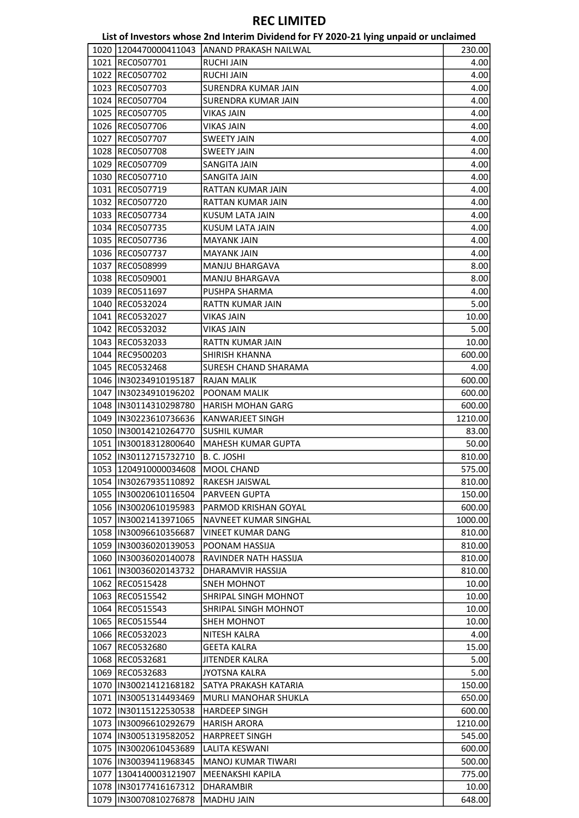| List of Investors whose 2nd Interim Dividend for FY 2020-21 lying unpaid or unclaimed |  |  |
|---------------------------------------------------------------------------------------|--|--|
|---------------------------------------------------------------------------------------|--|--|

| 1020  1204470000411043  | JANAND PRAKASH NAILWAL       | 230.00  |
|-------------------------|------------------------------|---------|
| 1021 REC0507701         | RUCHI JAIN                   | 4.00    |
| 1022 REC0507702         | <b>RUCHI JAIN</b>            | 4.00    |
| 1023 REC0507703         | SURENDRA KUMAR JAIN          | 4.00    |
| 1024 REC0507704         | <b>SURENDRA KUMAR JAIN</b>   | 4.00    |
| 1025 REC0507705         | <b>VIKAS JAIN</b>            | 4.00    |
| 1026 REC0507706         | <b>VIKAS JAIN</b>            | 4.00    |
| 1027 REC0507707         | <b>SWEETY JAIN</b>           | 4.00    |
| 1028 REC0507708         | SWEETY JAIN                  | 4.00    |
| 1029 REC0507709         | SANGITA JAIN                 | 4.00    |
| 1030 REC0507710         | SANGITA JAIN                 | 4.00    |
| 1031 REC0507719         | RATTAN KUMAR JAIN            | 4.00    |
| 1032 REC0507720         | RATTAN KUMAR JAIN            | 4.00    |
|                         | KUSUM LATA JAIN              | 4.00    |
| 1033 REC0507734         |                              |         |
| 1034 REC0507735         | KUSUM LATA JAIN              | 4.00    |
| 1035 REC0507736         | <b>MAYANK JAIN</b>           | 4.00    |
| 1036 REC0507737         | <b>MAYANK JAIN</b>           | 4.00    |
| 1037 REC0508999         | <b>MANJU BHARGAVA</b>        | 8.00    |
| 1038 REC0509001         | <b>MANJU BHARGAVA</b>        | 8.00    |
| 1039 REC0511697         | PUSHPA SHARMA                | 4.00    |
| 1040 REC0532024         | <b>RATTN KUMAR JAIN</b>      | 5.00    |
| 1041 REC0532027         | VIKAS JAIN                   | 10.00   |
| 1042 REC0532032         | VIKAS JAIN                   | 5.00    |
| 1043 REC0532033         | RATTN KUMAR JAIN             | 10.00   |
|                         | SHIRISH KHANNA               |         |
| 1044 REC9500203         |                              | 600.00  |
| 1045   REC0532468       | SURESH CHAND SHARAMA         | 4.00    |
| 1046 IN30234910195187   | <b>RAJAN MALIK</b>           | 600.00  |
| 1047   IN30234910196202 | POONAM MALIK                 | 600.00  |
| 1048 IN30114310298780   | <b>HARISH MOHAN GARG</b>     | 600.00  |
| 1049 IN30223610736636   | KANWARJEET SINGH             | 1210.00 |
| 1050  IN30014210264770  | <b>SUSHIL KUMAR</b>          | 83.00   |
| 1051  IN30018312800640  | <b>MAHESH KUMAR GUPTA</b>    | 50.00   |
| 1052  IN30112715732710  | B. C. JOSHI                  | 810.00  |
| 1053   1204910000034608 | MOOL CHAND                   | 575.00  |
| 1054  IN30267935110892  | <b>RAKESH JAISWAL</b>        | 810.00  |
| 1055  IN30020610116504  | <b>PARVEEN GUPTA</b>         | 150.00  |
| 1056 IIN30020610195983  | PARMOD KRISHAN GOYAL         | 600.00  |
| 1057  IN30021413971065  | NAVNEET KUMAR SINGHAL        | 1000.00 |
| 1058  IN30096610356687  | <b>VINEET KUMAR DANG</b>     |         |
|                         |                              | 810.00  |
| 1059  IN30036020139053  | POONAM HASSIJA               | 810.00  |
| 1060  IN30036020140078  | <b>RAVINDER NATH HASSIJA</b> | 810.00  |
| 1061  IN30036020143732  | DHARAMVIR HASSIJA            | 810.00  |
| 1062 REC0515428         | <b>SNEH MOHNOT</b>           | 10.00   |
| 1063 REC0515542         | SHRIPAL SINGH MOHNOT         | 10.00   |
| 1064 REC0515543         | SHRIPAL SINGH MOHNOT         | 10.00   |
| 1065 REC0515544         | SHEH MOHNOT                  | 10.00   |
| 1066 REC0532023         | NITESH KALRA                 | 4.00    |
| 1067 REC0532680         | GEETA KALRA                  | 15.00   |
| 1068 REC0532681         | JITENDER KALRA               | 5.00    |
| 1069 REC0532683         | <b>JYOTSNA KALRA</b>         | 5.00    |
| 1070   IN30021412168182 | SATYA PRAKASH KATARIA        | 150.00  |
| 1071  IN30051314493469  | MURLI MANOHAR SHUKLA         | 650.00  |
|                         |                              |         |
| 1072  IN30115122530538  | <b>HARDEEP SINGH</b>         | 600.00  |
| 1073 IIN30096610292679  | <b>HARISH ARORA</b>          | 1210.00 |
| 1074   IN30051319582052 | <b>HARPREET SINGH</b>        | 545.00  |
| 1075  IN30020610453689  | LALITA KESWANI               | 600.00  |
| 1076 IN30039411968345   | <b>MANOJ KUMAR TIWARI</b>    | 500.00  |
| 1077   1304140003121907 | MEENAKSHI KAPILA             | 775.00  |
| 1078  IN30177416167312  | DHARAMBIR                    | 10.00   |
| 1079  IN30070810276878  | MADHU JAIN                   | 648.00  |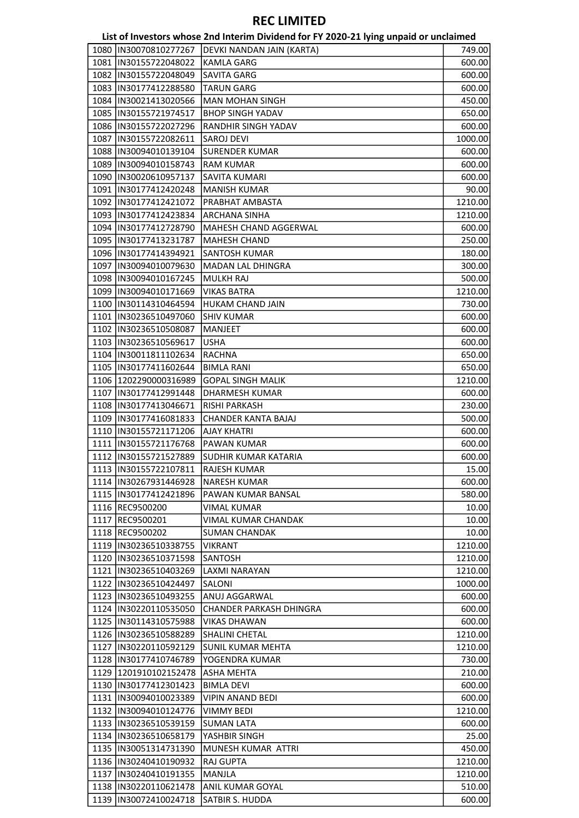|                         | List of Investors whose 2nd Interim Dividend for FY 2020-21 lying unpaid or unclaimed |         |
|-------------------------|---------------------------------------------------------------------------------------|---------|
| 1080  IN30070810277267  | DEVKI NANDAN JAIN (KARTA)                                                             | 749.00  |
| 1081  IN30155722048022  | <b>KAMLA GARG</b>                                                                     | 600.00  |
| 1082  IN30155722048049  | SAVITA GARG                                                                           | 600.00  |
| 1083  IN30177412288580  | <b>TARUN GARG</b>                                                                     | 600.00  |
| 1084  IN30021413020566  | <b>MAN MOHAN SINGH</b>                                                                | 450.00  |
| 1085  IN30155721974517  | <b>BHOP SINGH YADAV</b>                                                               | 650.00  |
| 1086  IN30155722027296  | <b>RANDHIR SINGH YADAV</b>                                                            | 600.00  |
| 1087  IN30155722082611  | <b>SAROJ DEVI</b>                                                                     | 1000.00 |
| 1088  IN30094010139104  | <b>SURENDER KUMAR</b>                                                                 | 600.00  |
| 1089  IN30094010158743  | <b>RAM KUMAR</b>                                                                      | 600.00  |
| 1090  IN30020610957137  | SAVITA KUMARI                                                                         | 600.00  |
| 1091  IN30177412420248  | <b>MANISH KUMAR</b>                                                                   | 90.00   |
| 1092  IN30177412421072  | <b>PRABHAT AMBASTA</b>                                                                | 1210.00 |
| 1093  IN30177412423834  | <b>ARCHANA SINHA</b>                                                                  | 1210.00 |
| 1094   IN30177412728790 | MAHESH CHAND AGGERWAL                                                                 | 600.00  |
| 1095  IN30177413231787  | <b>MAHESH CHAND</b>                                                                   | 250.00  |
| 1096  IN30177414394921  | <b>SANTOSH KUMAR</b>                                                                  | 180.00  |
| 1097  IN30094010079630  | <b>MADAN LAL DHINGRA</b>                                                              |         |
|                         |                                                                                       | 300.00  |
| 1098  IN30094010167245  | <b>MULKH RAJ</b>                                                                      | 500.00  |
| 1099 IN30094010171669   | <b>VIKAS BATRA</b>                                                                    | 1210.00 |
| 1100  IN30114310464594  | <b>HUKAM CHAND JAIN</b>                                                               | 730.00  |
| 1101  IN30236510497060  | <b>SHIV KUMAR</b>                                                                     | 600.00  |
| 1102  IN30236510508087  | <b>MANJEET</b>                                                                        | 600.00  |
| 1103  IN30236510569617  | <b>USHA</b>                                                                           | 600.00  |
| 1104  IN30011811102634  | <b>RACHNA</b>                                                                         | 650.00  |
| 1105  IN30177411602644  | <b>BIMLA RANI</b>                                                                     | 650.00  |
| 1106 1202290000316989   | <b>GOPAL SINGH MALIK</b>                                                              | 1210.00 |
| 1107  IN30177412991448  | <b>DHARMESH KUMAR</b>                                                                 | 600.00  |
| 1108  IN30177413046671  | <b>RISHI PARKASH</b>                                                                  | 230.00  |
| 1109  IN30177416081833  | CHANDER KANTA BAJAJ                                                                   | 500.00  |
| 1110   IN30155721171206 | <b>AJAY KHATRI</b>                                                                    | 600.00  |
| 1111  IN30155721176768  | <b>PAWAN KUMAR</b>                                                                    | 600.00  |
| 1112 IN30155721527889   | <b>SUDHIR KUMAR KATARIA</b>                                                           | 600.00  |
| 1113  IN30155722107811  | RAJESH KUMAR                                                                          | 15.00   |
| 1114 IN30267931446928   | NARESH KUMAR                                                                          | 600.00  |
| 1115  IN30177412421896  | PAWAN KUMAR BANSAL                                                                    | 580.00  |
| 1116 REC9500200         | VIMAL KUMAR                                                                           | 10.00   |
| 1117 REC9500201         | VIMAL KUMAR CHANDAK                                                                   | 10.00   |
| 1118 REC9500202         | <b>SUMAN CHANDAK</b>                                                                  | 10.00   |
| 1119  IN30236510338755  | <b>VIKRANT</b>                                                                        | 1210.00 |
| 1120  IN30236510371598  | SANTOSH                                                                               | 1210.00 |
| 1121 IIN30236510403269  | LAXMI NARAYAN                                                                         | 1210.00 |
| 1122  IN30236510424497  | SALONI                                                                                | 1000.00 |
| 1123  IN30236510493255  | <b>ANUJ AGGARWAL</b>                                                                  | 600.00  |
| 1124  IN30220110535050  | <b>CHANDER PARKASH DHINGRA</b>                                                        | 600.00  |
| 1125 IN30114310575988   | <b>VIKAS DHAWAN</b>                                                                   | 600.00  |
| 1126 IN30236510588289   | <b>SHALINI CHETAL</b>                                                                 | 1210.00 |
| 1127 IIN30220110592129  | <b>SUNIL KUMAR MEHTA</b>                                                              | 1210.00 |
| 1128  IN30177410746789  | YOGENDRA KUMAR                                                                        | 730.00  |
| 1129 1201910102152478   | ASHA MEHTA                                                                            | 210.00  |
| 1130   IN30177412301423 | <b>BIMLA DEVI</b>                                                                     | 600.00  |
| 1131  IN30094010023389  | <b>VIPIN ANAND BEDI</b>                                                               | 600.00  |
| 1132 IIN30094010124776  | <b>VIMMY BEDI</b>                                                                     | 1210.00 |
| 1133  IN30236510539159  | <b>SUMAN LATA</b>                                                                     |         |
|                         |                                                                                       | 600.00  |
| 1134  IN30236510658179  | YASHBIR SINGH                                                                         | 25.00   |
| 1135  IN30051314731390  | MUNESH KUMAR ATTRI                                                                    | 450.00  |
| 1136 IN30240410190932   | <b>RAJ GUPTA</b>                                                                      | 1210.00 |
| 1137  IN30240410191355  | <b>MANJLA</b>                                                                         | 1210.00 |
| 1138 IN30220110621478   | <b>ANIL KUMAR GOYAL</b>                                                               | 510.00  |
| 1139  IN30072410024718  | <b>SATBIR S. HUDDA</b>                                                                | 600.00  |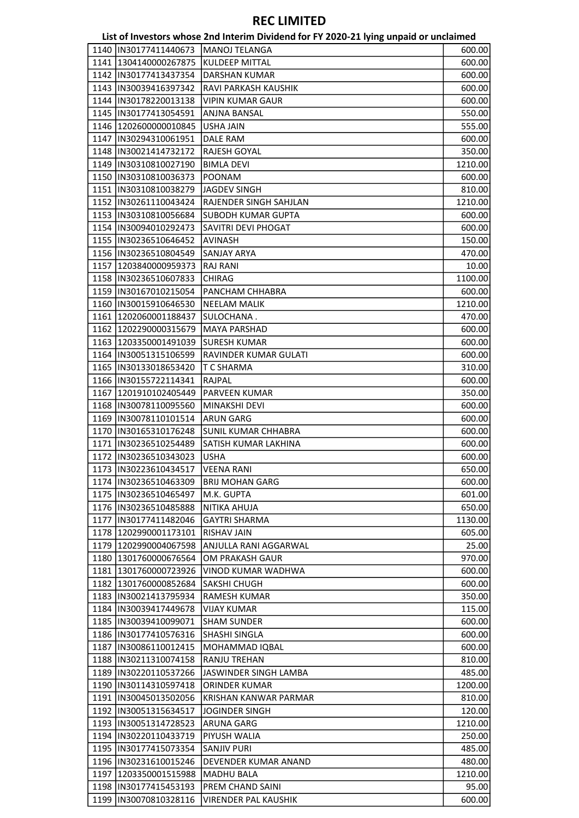|      |                         | List of Investors whose 2nd Interim Dividend for FY 2020-21 lying unpaid or unclaimed |         |
|------|-------------------------|---------------------------------------------------------------------------------------|---------|
| 1140 | IIN30177411440673       | MANOJ TELANGA                                                                         | 600.00  |
|      | 1141 1304140000267875   | KULDEEP MITTAL                                                                        | 600.00  |
|      | 1142  IN30177413437354  | <b>DARSHAN KUMAR</b>                                                                  | 600.00  |
|      | 1143  IN30039416397342  | RAVI PARKASH KAUSHIK                                                                  | 600.00  |
|      | 1144  IN30178220013138  | <b>VIPIN KUMAR GAUR</b>                                                               | 600.00  |
|      | 1145  IN30177413054591  | ANJNA BANSAL                                                                          | 550.00  |
|      | 1146   1202600000010845 | USHA JAIN                                                                             | 555.00  |
| 1147 | IN30294310061951        | <b>DALE RAM</b>                                                                       | 600.00  |
|      | 1148 IN30021414732172   | RAJESH GOYAL                                                                          | 350.00  |
|      | 1149  IN30310810027190  | <b>BIMLA DEVI</b>                                                                     | 1210.00 |
|      | 1150  IN30310810036373  | POONAM                                                                                | 600.00  |
|      | 1151  IN30310810038279  | JAGDEV SINGH                                                                          | 810.00  |
|      | 1152  IN30261110043424  | RAJENDER SINGH SAHJLAN                                                                | 1210.00 |
|      | 1153  IN30310810056684  | <b>SUBODH KUMAR GUPTA</b>                                                             | 600.00  |
|      | 1154  IN30094010292473  | SAVITRI DEVI PHOGAT                                                                   | 600.00  |
|      | 1155  IN30236510646452  | <b>AVINASH</b>                                                                        | 150.00  |
|      | 1156  IN30236510804549  | SANJAY ARYA                                                                           | 470.00  |
|      | 1157 1203840000959373   | <b>RAJ RANI</b>                                                                       | 10.00   |
|      | 1158  IN30236510607833  | <b>CHIRAG</b>                                                                         | 1100.00 |
|      | 1159  IN30167010215054  | PANCHAM CHHABRA                                                                       | 600.00  |
|      | 1160  IN30015910646530  | <b>NEELAM MALIK</b>                                                                   |         |
|      | 1161 1202060001188437   | SULOCHANA .                                                                           | 1210.00 |
|      |                         |                                                                                       | 470.00  |
| 1162 | 1202290000315679        | <b>MAYA PARSHAD</b>                                                                   | 600.00  |
|      | 1163 1203350001491039   | <b>SURESH KUMAR</b>                                                                   | 600.00  |
|      | 1164  IN30051315106599  | RAVINDER KUMAR GULATI                                                                 | 600.00  |
|      | 1165  IN30133018653420  | T C SHARMA                                                                            | 310.00  |
|      | 1166   IN30155722114341 | RAJPAL                                                                                | 600.00  |
| 1167 | 1201910102405449        | PARVEEN KUMAR                                                                         | 350.00  |
|      | 1168 IIN30078110095560  | MINAKSHI DEVI                                                                         | 600.00  |
|      | 1169  IN30078110101514  | <b>ARUN GARG</b>                                                                      | 600.00  |
|      | 1170  IN30165310176248  | <b>SUNIL KUMAR CHHABRA</b>                                                            | 600.00  |
|      | 1171  IN30236510254489  | SATISH KUMAR LAKHINA                                                                  | 600.00  |
|      | 1172  IN30236510343023  | <b>USHA</b>                                                                           | 600.00  |
|      | 1173  IN30223610434517  | VEENA RANI                                                                            | 650.00  |
|      | 1174 IN30236510463309   | <b>BRIJ MOHAN GARG</b>                                                                | 600.00  |
|      | 1175  IN30236510465497  | M.K. GUPTA                                                                            | 601.00  |
|      | 1176  IN30236510485888  | NITIKA AHUJA                                                                          | 650.00  |
|      | 1177  IN30177411482046  | <b>GAYTRI SHARMA</b>                                                                  | 1130.00 |
|      | 1178 1202990001173101   | <b>RISHAV JAIN</b>                                                                    | 605.00  |
|      | 1179 1202990004067598   | ANJULLA RANI AGGARWAL                                                                 | 25.00   |
|      | 1180 1301760000676564   | OM PRAKASH GAUR                                                                       | 970.00  |
|      | 1181 1301760000723926   | VINOD KUMAR WADHWA                                                                    | 600.00  |
|      | 1182 1301760000852684   | <b>SAKSHI CHUGH</b>                                                                   | 600.00  |
|      | 1183  IN30021413795934  | RAMESH KUMAR                                                                          | 350.00  |
|      | 1184   IN30039417449678 | VIJAY KUMAR                                                                           | 115.00  |
|      | 1185 IN30039410099071   | <b>SHAM SUNDER</b>                                                                    | 600.00  |
|      | 1186  IN30177410576316  | <b>SHASHI SINGLA</b>                                                                  | 600.00  |
|      | 1187  IN30086110012415  | MOHAMMAD IQBAL                                                                        | 600.00  |
|      | 1188  IN30211310074158  | <b>RANJU TREHAN</b>                                                                   | 810.00  |
|      | 1189  IN30220110537266  | JASWINDER SINGH LAMBA                                                                 | 485.00  |
|      | 1190 IN30114310597418   | ORINDER KUMAR                                                                         | 1200.00 |
|      | 1191  IN30045013502056  | KRISHAN KANWAR PARMAR                                                                 | 810.00  |
|      | 1192  IN30051315634517  | JOGINDER SINGH                                                                        | 120.00  |
|      | 1193  IN30051314728523  | ARUNA GARG                                                                            | 1210.00 |
|      | 1194  IN30220110433719  | <b>PIYUSH WALIA</b>                                                                   | 250.00  |
|      | 1195  IN30177415073354  | <b>SANJIV PURI</b>                                                                    | 485.00  |
|      | 1196 IN30231610015246   | DEVENDER KUMAR ANAND                                                                  | 480.00  |
|      | 1197   1203350001515988 | <b>MADHU BALA</b>                                                                     | 1210.00 |
|      | 1198  IN30177415453193  | PREM CHAND SAINI                                                                      | 95.00   |
|      | 1199  IN30070810328116  | <b>VIRENDER PAL KAUSHIK</b>                                                           | 600.00  |
|      |                         |                                                                                       |         |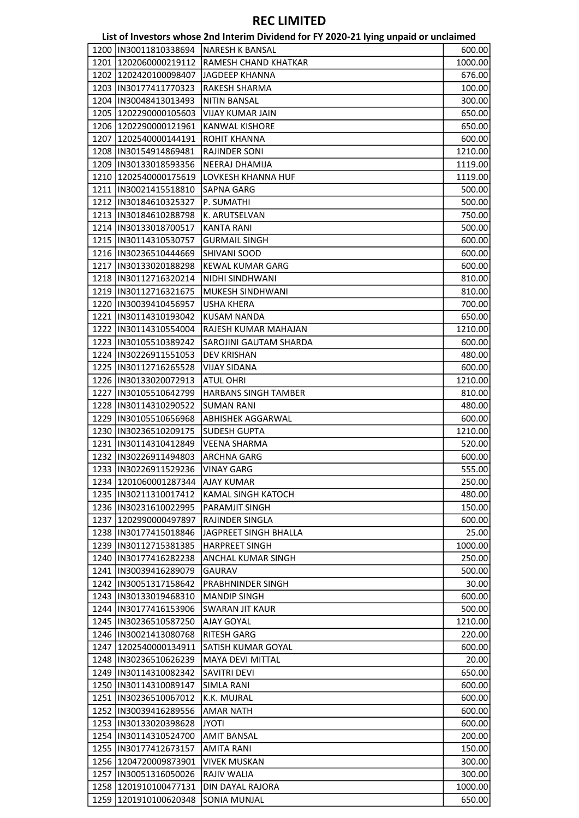|      |                                    | List of Investors whose 2nd Interim Dividend for FY 2020-21 lying unpaid or unclaimed |         |
|------|------------------------------------|---------------------------------------------------------------------------------------|---------|
|      | 1200  IN30011810338694             | <b>INARESH K BANSAL</b>                                                               | 600.00  |
|      | 1201 1202060000219112              | RAMESH CHAND KHATKAR                                                                  | 1000.00 |
|      | 1202 1202420100098407              | JAGDEEP KHANNA                                                                        | 676.00  |
|      | 1203  IN30177411770323             | RAKESH SHARMA                                                                         | 100.00  |
|      | 1204   IN30048413013493            | <b>NITIN BANSAL</b>                                                                   | 300.00  |
|      | 1205 1202290000105603              | <b>VIJAY KUMAR JAIN</b>                                                               | 650.00  |
|      | 1206 1202290000121961              | <b>KANWAL KISHORE</b>                                                                 | 650.00  |
| 1207 | 1202540000144191                   | ROHIT KHANNA                                                                          | 600.00  |
|      | 1208  IN30154914869481             | <b>RAJINDER SONI</b>                                                                  | 1210.00 |
|      | 1209 IN30133018593356              | NEERAJ DHAMIJA                                                                        | 1119.00 |
|      | 1210 1202540000175619              | LOVKESH KHANNA HUF                                                                    | 1119.00 |
|      | 1211  IN30021415518810             | SAPNA GARG                                                                            | 500.00  |
|      | 1212  IN30184610325327             | P. SUMATHI                                                                            | 500.00  |
|      | 1213  IN30184610288798             | K. ARUTSELVAN                                                                         | 750.00  |
|      | 1214  IN30133018700517             | <b>KANTA RANI</b>                                                                     | 500.00  |
|      | 1215  IN30114310530757             | <b>GURMAIL SINGH</b>                                                                  | 600.00  |
|      | 1216  IN30236510444669             | SHIVANI SOOD                                                                          | 600.00  |
|      | 1217  IN30133020188298             | <b>KEWAL KUMAR GARG</b>                                                               | 600.00  |
|      | 1218 IN30112716320214              | NIDHI SINDHWANI                                                                       | 810.00  |
|      | 1219  IN30112716321675             | MUKESH SINDHWANI                                                                      | 810.00  |
|      | 1220  IN30039410456957             | <b>USHA KHERA</b>                                                                     | 700.00  |
|      | 1221  IN30114310193042             | <b>KUSAM NANDA</b>                                                                    | 650.00  |
|      | 1222  IN30114310554004             | RAJESH KUMAR MAHAJAN                                                                  | 1210.00 |
|      | 1223  IN30105510389242             | SAROJINI GAUTAM SHARDA                                                                | 600.00  |
|      | 1224  IN30226911551053             | <b>DEV KRISHAN</b>                                                                    | 480.00  |
|      | 1225  IN30112716265528             | <b>VIJAY SIDANA</b>                                                                   | 600.00  |
|      | 1226  IN30133020072913             | <b>ATUL OHRI</b>                                                                      | 1210.00 |
|      | 1227  IN30105510642799             | <b>HARBANS SINGH TAMBER</b>                                                           | 810.00  |
|      | 1228  IN30114310290522             | <b>SUMAN RANI</b>                                                                     | 480.00  |
|      | 1229 IIN30105510656968             | <b>ABHISHEK AGGARWAL</b>                                                              | 600.00  |
|      | 1230  IN30236510209175             | SUDESH GUPTA                                                                          | 1210.00 |
|      | 1231  IN30114310412849             | <b>VEENA SHARMA</b>                                                                   | 520.00  |
|      | 1232 IN30226911494803              | ARCHNA GARG                                                                           | 600.00  |
|      | 1233  IN30226911529236  VINAY GARG |                                                                                       | 555.00  |
|      | 1234 1201060001287344              | <b>AJAY KUMAR</b>                                                                     | 250.00  |
|      | 1235  IN30211310017412             | KAMAL SINGH KATOCH                                                                    | 480.00  |
|      | 1236  IN30231610022995             | PARAMJIT SINGH                                                                        | 150.00  |
|      | 1237 1202990000497897              | RAJINDER SINGLA                                                                       | 600.00  |
|      | 1238  IN30177415018846             | JAGPREET SINGH BHALLA                                                                 | 25.00   |
|      | 1239  IN30112715381385             | <b>HARPREET SINGH</b>                                                                 | 1000.00 |
|      | 1240   IN30177416282238            | ANCHAL KUMAR SINGH                                                                    | 250.00  |
|      | 1241  IN30039416289079             | GAURAV                                                                                | 500.00  |
|      | 1242  IN30051317158642             | PRABHNINDER SINGH                                                                     | 30.00   |
|      | 1243  IN30133019468310             | <b>MANDIP SINGH</b>                                                                   | 600.00  |
|      | 1244  IN30177416153906             | <b>SWARAN JIT KAUR</b>                                                                | 500.00  |
|      | 1245  IN30236510587250             | AJAY GOYAL                                                                            | 1210.00 |
|      | 1246  IN30021413080768             | RITESH GARG                                                                           | 220.00  |
|      | 1247   1202540000134911            | SATISH KUMAR GOYAL                                                                    | 600.00  |
|      | 1248  IN30236510626239             | MAYA DEVI MITTAL                                                                      | 20.00   |
|      | 1249 IN30114310082342              | SAVITRI DEVI                                                                          | 650.00  |
|      | 1250  IN30114310089147             | <b>SIMLA RANI</b>                                                                     | 600.00  |
|      | 1251  IN30236510067012             | K.K. MUJRAL                                                                           | 600.00  |
|      | 1252  IN30039416289556             | <b>AMAR NATH</b>                                                                      | 600.00  |
|      | 1253  IN30133020398628             | <b>ITOYL</b>                                                                          | 600.00  |
|      | 1254  IN30114310524700             | <b>AMIT BANSAL</b>                                                                    | 200.00  |
|      | 1255  IN30177412673157             | <b>AMITA RANI</b>                                                                     | 150.00  |
|      | 1256 1204720009873901              | <b>VIVEK MUSKAN</b>                                                                   | 300.00  |
|      | 1257  IN30051316050026             | RAJIV WALIA                                                                           | 300.00  |
|      | 1258 1201910100477131              | <b>DIN DAYAL RAJORA</b>                                                               | 1000.00 |
|      | 1259 1201910100620348              | <b>SONIA MUNJAL</b>                                                                   | 650.00  |
|      |                                    |                                                                                       |         |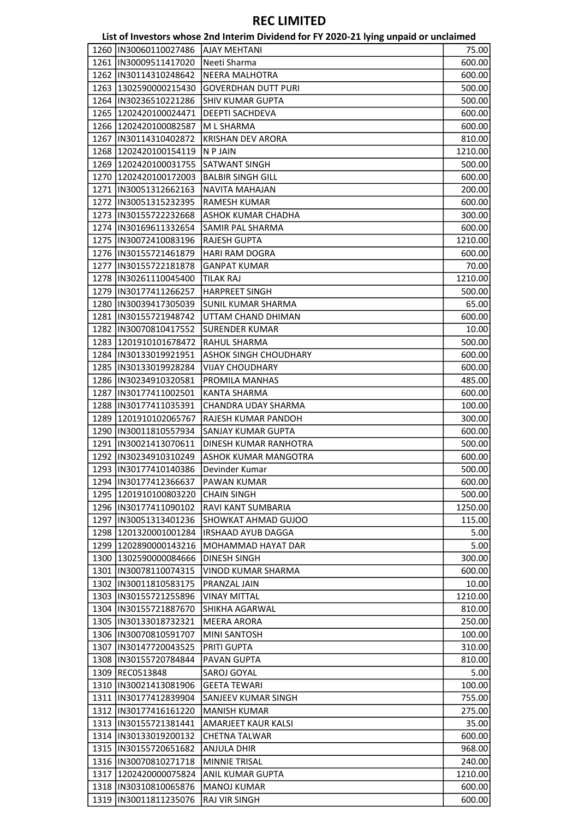|      |                                                  | List of Investors whose 2nd Interim Dividend for FY 2020-21 lying unpaid or unclaimed |         |
|------|--------------------------------------------------|---------------------------------------------------------------------------------------|---------|
| 1260 | IN30060110027486                                 | <b>AJAY MEHTANI</b>                                                                   | 75.00   |
|      | 1261  IN30009511417020                           | Neeti Sharma                                                                          | 600.00  |
|      | 1262  IN30114310248642                           | <b>NEERA MALHOTRA</b>                                                                 | 600.00  |
|      | 1263 1302590000215430                            | <b>GOVERDHAN DUTT PURI</b>                                                            | 500.00  |
|      | 1264   IN30236510221286                          | <b>SHIV KUMAR GUPTA</b>                                                               | 500.00  |
| 1265 | 1202420100024471                                 | DEEPTI SACHDEVA                                                                       | 600.00  |
|      | 1266 1202420100082587                            | M L SHARMA                                                                            | 600.00  |
| 1267 | IN30114310402872                                 | <b>KRISHAN DEV ARORA</b>                                                              | 810.00  |
|      | 1268 1202420100154119                            | N P JAIN                                                                              | 1210.00 |
|      | 1269 1202420100031755                            | <b>SATWANT SINGH</b>                                                                  | 500.00  |
|      | 1270 1202420100172003                            | <b>BALBIR SINGH GILL</b>                                                              | 600.00  |
|      | 1271  IN30051312662163                           | <b>NAVITA MAHAJAN</b>                                                                 | 200.00  |
|      | 1272  IN30051315232395                           | RAMESH KUMAR                                                                          | 600.00  |
|      | 1273  IN30155722232668                           | ASHOK KUMAR CHADHA                                                                    | 300.00  |
|      | 1274   IN30169611332654                          | SAMIR PAL SHARMA                                                                      | 600.00  |
|      | 1275  IN30072410083196                           | RAJESH GUPTA                                                                          | 1210.00 |
|      | 1276  IN30155721461879                           | <b>HARI RAM DOGRA</b>                                                                 | 600.00  |
| 1277 | IN30155722181878                                 | <b>GANPAT KUMAR</b>                                                                   | 70.00   |
|      | 1278  IN30261110045400                           | <b>TILAK RAJ</b>                                                                      | 1210.00 |
|      | 1279  IN30177411266257                           | <b>HARPREET SINGH</b>                                                                 | 500.00  |
|      | 1280  IN30039417305039                           | <b>SUNIL KUMAR SHARMA</b>                                                             | 65.00   |
|      | 1281   IN30155721948742                          | UTTAM CHAND DHIMAN                                                                    | 600.00  |
|      | 1282  IN30070810417552                           | <b>SURENDER KUMAR</b>                                                                 | 10.00   |
|      | 1283 1201910101678472                            | RAHUL SHARMA                                                                          | 500.00  |
|      | 1284  IN30133019921951                           | <b>ASHOK SINGH CHOUDHARY</b>                                                          |         |
|      | 1285  IN30133019928284                           |                                                                                       | 600.00  |
|      | 1286  IN30234910320581                           | <b>VIJAY CHOUDHARY</b><br>PROMILA MANHAS                                              | 600.00  |
|      |                                                  |                                                                                       | 485.00  |
| 1287 | IN30177411002501                                 | KANTA SHARMA                                                                          | 600.00  |
|      | 1288  IN30177411035391                           | CHANDRA UDAY SHARMA                                                                   | 100.00  |
|      | 1289 1201910102065767                            | RAJESH KUMAR PANDOH                                                                   | 300.00  |
|      | 1290  IN30011810557934<br>1291  IN30021413070611 | SANJAY KUMAR GUPTA<br>DINESH KUMAR RANHOTRA                                           | 600.00  |
|      |                                                  |                                                                                       | 500.00  |
|      | 1292  IN30234910310249                           | <b>ASHOK KUMAR MANGOTRA</b>                                                           | 600.00  |
|      | 1293  IN30177410140386                           | Devinder Kumar                                                                        | 500.00  |
|      | 1294 IN30177412366637                            | PAWAN KUMAR                                                                           | 600.00  |
|      | 1295 1201910100803220                            | <b>CHAIN SINGH</b>                                                                    | 500.00  |
|      | 1296 IN30177411090102                            | RAVI KANT SUMBARIA                                                                    | 1250.00 |
|      | 1297  IN30051313401236                           | SHOWKAT AHMAD GUJOO                                                                   | 115.00  |
|      | 1298 1201320001001284                            | <b>IRSHAAD AYUB DAGGA</b>                                                             | 5.00    |
|      | 1299 1202890000143216                            | MOHAMMAD HAYAT DAR                                                                    | 5.00    |
|      | 1300 1302590000084666                            | DINESH SINGH                                                                          | 300.00  |
|      | 1301  IN30078110074315                           | VINOD KUMAR SHARMA                                                                    | 600.00  |
|      | 1302  IN30011810583175                           | PRANZAL JAIN                                                                          | 10.00   |
|      | 1303  IN30155721255896                           | <b>VINAY MITTAL</b>                                                                   | 1210.00 |
|      | 1304 IN30155721887670                            | SHIKHA AGARWAL                                                                        | 810.00  |
|      | 1305  IN30133018732321                           | <b>MEERA ARORA</b>                                                                    | 250.00  |
|      | 1306  IN30070810591707                           | MINI SANTOSH                                                                          | 100.00  |
|      | 1307  IN30147720043525                           | PRITI GUPTA                                                                           | 310.00  |
|      | 1308  IN30155720784844                           | <b>PAVAN GUPTA</b>                                                                    | 810.00  |
|      | 1309 REC0513848                                  | SAROJ GOYAL                                                                           | 5.00    |
|      | 1310   IN30021413081906                          | <b>GEETA TEWARI</b>                                                                   | 100.00  |
|      | 1311  IN30177412839904                           | SANJEEV KUMAR SINGH                                                                   | 755.00  |
|      | 1312  IN30177416161220                           | <b>MANISH KUMAR</b>                                                                   | 275.00  |
|      | 1313   IN30155721381441                          | <b>AMARJEET KAUR KALSI</b>                                                            | 35.00   |
|      | 1314  IN30133019200132                           | <b>CHETNA TALWAR</b>                                                                  | 600.00  |
|      | 1315 IN30155720651682                            | ANJULA DHIR                                                                           | 968.00  |
|      | 1316  IN30070810271718                           | MINNIE TRISAL                                                                         | 240.00  |
|      | 1317 1202420000075824                            | <b>ANIL KUMAR GUPTA</b>                                                               | 1210.00 |
|      | 1318  IN30310810065876                           | <b>MANOJ KUMAR</b>                                                                    | 600.00  |
|      | 1319  IN30011811235076                           | <b>RAJ VIR SINGH</b>                                                                  | 600.00  |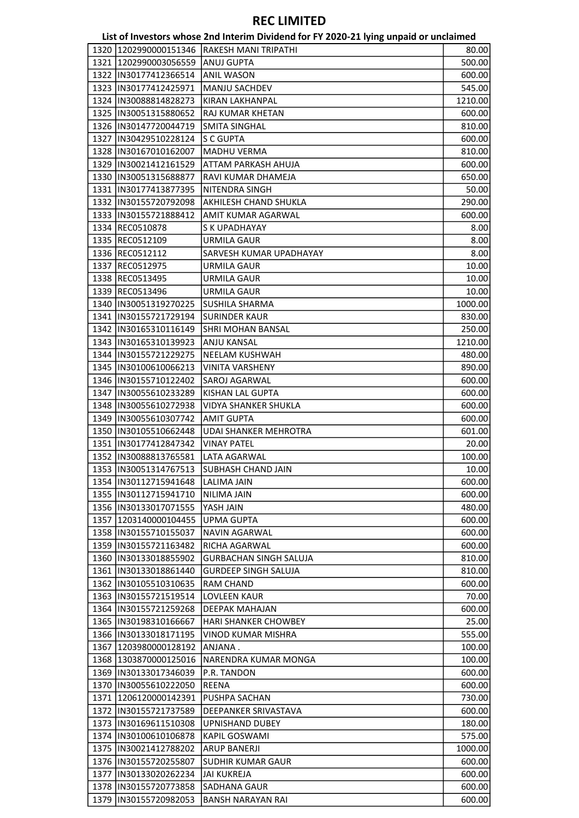|      |                         | List of Investors whose 2nd Interim Dividend for FY 2020-21 lying unpaid or unclaimed |         |
|------|-------------------------|---------------------------------------------------------------------------------------|---------|
|      | 1320 1202990000151346   | <b>RAKESH MANI TRIPATHI</b>                                                           | 80.00   |
|      | 1321 1202990003056559   | ANUJ GUPTA                                                                            | 500.00  |
|      | 1322 IIN30177412366514  | <b>ANIL WASON</b>                                                                     | 600.00  |
|      | 1323 IN30177412425971   | MANJU SACHDEV                                                                         | 545.00  |
|      | 1324   IN30088814828273 | KIRAN LAKHANPAL                                                                       | 1210.00 |
|      | 1325  IN30051315880652  | RAJ KUMAR KHETAN                                                                      | 600.00  |
|      | 1326  IN30147720044719  | <b>SMITA SINGHAL</b>                                                                  | 810.00  |
|      | 1327 IN30429510228124   | <b>S C GUPTA</b>                                                                      | 600.00  |
|      | 1328  IN30167010162007  | MADHU VERMA                                                                           | 810.00  |
|      | 1329  IN30021412161529  | ATTAM PARKASH AHUJA                                                                   | 600.00  |
|      | 1330  IN30051315688877  | RAVI KUMAR DHAMEJA                                                                    | 650.00  |
|      | 1331  IN30177413877395  | NITENDRA SINGH                                                                        | 50.00   |
|      | 1332  IN30155720792098  | AKHILESH CHAND SHUKLA                                                                 | 290.00  |
|      | 1333  IN30155721888412  | AMIT KUMAR AGARWAL                                                                    | 600.00  |
|      | 1334 REC0510878         | <b>S K UPADHAYAY</b>                                                                  | 8.00    |
|      | 1335 REC0512109         | <b>URMILA GAUR</b>                                                                    | 8.00    |
|      | 1336 REC0512112         | SARVESH KUMAR UPADHAYAY                                                               | 8.00    |
|      | 1337 REC0512975         | URMILA GAUR                                                                           | 10.00   |
|      | 1338 REC0513495         | URMILA GAUR                                                                           | 10.00   |
|      | 1339 REC0513496         | <b>URMILA GAUR</b>                                                                    | 10.00   |
|      | 1340  IN30051319270225  | <b>SUSHILA SHARMA</b>                                                                 | 1000.00 |
|      | 1341  IN30155721729194  | <b>SURINDER KAUR</b>                                                                  | 830.00  |
|      |                         |                                                                                       |         |
|      | 1342  IN30165310116149  | <b>SHRI MOHAN BANSAL</b>                                                              | 250.00  |
|      | 1343  IN30165310139923  | <b>ANJU KANSAL</b>                                                                    | 1210.00 |
|      | 1344 IN30155721229275   | <b>NEELAM KUSHWAH</b>                                                                 | 480.00  |
|      | 1345  IN30100610066213  | <b>VINITA VARSHENY</b>                                                                | 890.00  |
|      | 1346   IN30155710122402 | SAROJ AGARWAL                                                                         | 600.00  |
|      | 1347  IN30055610233289  | KISHAN LAL GUPTA                                                                      | 600.00  |
|      | 1348  IN30055610272938  | <b>VIDYA SHANKER SHUKLA</b>                                                           | 600.00  |
|      | 1349 IN30055610307742   | <b>AMIT GUPTA</b>                                                                     | 600.00  |
|      | 1350  IN30105510662448  | <b>UDAI SHANKER MEHROTRA</b>                                                          | 601.00  |
|      | 1351  IN30177412847342  | <b>VINAY PATEL</b>                                                                    | 20.00   |
|      | 1352 IN30088813765581   | LATA AGARWAL                                                                          | 100.00  |
|      |                         | 1353  IN30051314767513  SUBHASH CHAND JAIN                                            | 10.00   |
|      | 1354   IN30112715941648 | LALIMA JAIN                                                                           | 600.00  |
|      | 1355 IIN30112715941710  | <b>NILIMA JAIN</b>                                                                    | 600.00  |
|      | 1356 IN30133017071555   | YASH JAIN                                                                             | 480.00  |
|      | 1357 1203140000104455   | <b>UPMA GUPTA</b>                                                                     | 600.00  |
|      | 1358  IN30155710155037  | <b>NAVIN AGARWAL</b>                                                                  | 600.00  |
|      | 1359  IN30155721163482  | RICHA AGARWAL                                                                         | 600.00  |
|      | 1360  IN30133018855902  | <b>GURBACHAN SINGH SALUJA</b>                                                         | 810.00  |
|      | 1361   IN30133018861440 | <b>GURDEEP SINGH SALUJA</b>                                                           | 810.00  |
|      | 1362  IN30105510310635  | <b>RAM CHAND</b>                                                                      | 600.00  |
|      | 1363   IN30155721519514 | LOVLEEN KAUR                                                                          | 70.00   |
|      | 1364   IN30155721259268 | DEEPAK MAHAJAN                                                                        | 600.00  |
|      | 1365  IN30198310166667  | HARI SHANKER CHOWBEY                                                                  | 25.00   |
|      | 1366   IN30133018171195 | VINOD KUMAR MISHRA                                                                    | 555.00  |
| 1367 | 1203980000128192        | ANJANA.                                                                               | 100.00  |
|      | 1368 1303870000125016   | NARENDRA KUMAR MONGA                                                                  | 100.00  |
|      | 1369  IN30133017346039  | P.R. TANDON                                                                           | 600.00  |
|      | 1370   IN30055610222050 | REENA                                                                                 | 600.00  |
|      | 1371 1206120000142391   | PUSHPA SACHAN                                                                         | 730.00  |
|      | 1372 IN30155721737589   | DEEPANKER SRIVASTAVA                                                                  | 600.00  |
|      | 1373  IN30169611510308  | <b>UPNISHAND DUBEY</b>                                                                | 180.00  |
|      | 1374  IN30100610106878  | KAPIL GOSWAMI                                                                         | 575.00  |
|      | 1375  IN30021412788202  | <b>ARUP BANERJI</b>                                                                   | 1000.00 |
|      | 1376  IN30155720255807  | <b>SUDHIR KUMAR GAUR</b>                                                              | 600.00  |
|      | 1377  IN30133020262234  | <b>JAI KUKREJA</b>                                                                    | 600.00  |
|      | 1378  IN30155720773858  | <b>SADHANA GAUR</b>                                                                   | 600.00  |
|      | 1379  IN30155720982053  | <b>BANSH NARAYAN RAI</b>                                                              | 600.00  |
|      |                         |                                                                                       |         |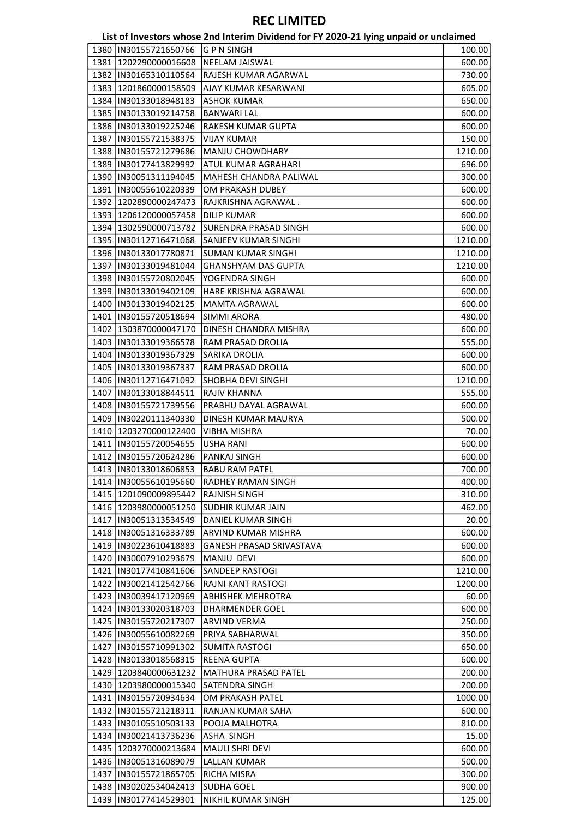|                                                  | List of Investors whose 2nd Interim Dividend for FY 2020-21 lying unpaid or unclaimed |                  |
|--------------------------------------------------|---------------------------------------------------------------------------------------|------------------|
| 1380  IN30155721650766                           | G P N SINGH                                                                           | 100.00           |
| 1381 1202290000016608                            | <b>NEELAM JAISWAL</b>                                                                 | 600.00           |
| 1382  IN30165310110564                           | RAJESH KUMAR AGARWAL                                                                  | 730.00           |
| 1383 1201860000158509                            | AJAY KUMAR KESARWANI                                                                  | 605.00           |
| 1384   IN30133018948183                          | <b>ASHOK KUMAR</b>                                                                    | 650.00           |
| 1385  IN30133019214758                           | <b>BANWARI LAL</b>                                                                    | 600.00           |
| 1386  IN30133019225246                           | RAKESH KUMAR GUPTA                                                                    | 600.00           |
| 1387   IN30155721538375                          | <b>VIJAY KUMAR</b>                                                                    | 150.00           |
| 1388  IN30155721279686                           | MANJU CHOWDHARY                                                                       | 1210.00          |
| 1389  IN30177413829992                           | ATUL KUMAR AGRAHARI                                                                   | 696.00           |
| 1390  IN30051311194045                           | MAHESH CHANDRA PALIWAL                                                                | 300.00           |
| 1391  IN30055610220339                           | OM PRAKASH DUBEY                                                                      | 600.00           |
| 1392 1202890000247473                            | RAJKRISHNA AGRAWAL.                                                                   | 600.00           |
| 1393 1206120000057458                            | <b>DILIP KUMAR</b>                                                                    | 600.00           |
| 1394 1302590000713782                            | SURENDRA PRASAD SINGH                                                                 | 600.00           |
| 1395  IN30112716471068                           | SANJEEV KUMAR SINGHI                                                                  | 1210.00          |
| 1396  IN30133017780871                           | <b>SUMAN KUMAR SINGHI</b>                                                             | 1210.00          |
| 1397   IN30133019481044                          | <b>GHANSHYAM DAS GUPTA</b>                                                            | 1210.00          |
| 1398  IN30155720802045                           | YOGENDRA SINGH                                                                        | 600.00           |
| 1399  IN30133019402109                           | HARE KRISHNA AGRAWAL                                                                  | 600.00           |
| 1400  IN30133019402125                           | <b>MAMTA AGRAWAL</b>                                                                  | 600.00           |
| 1401   IN30155720518694                          | <b>SIMMI ARORA</b>                                                                    | 480.00           |
| 1402 1303870000047170                            | DINESH CHANDRA MISHRA                                                                 | 600.00           |
| 1403  IN30133019366578                           | RAM PRASAD DROLIA                                                                     | 555.00           |
| 1404   IN30133019367329                          | <b>SARIKA DROLIA</b>                                                                  | 600.00           |
| 1405  IN30133019367337                           | RAM PRASAD DROLIA                                                                     | 600.00           |
| 1406  IN30112716471092                           | <b>SHOBHA DEVI SINGHI</b>                                                             | 1210.00          |
| 1407   IN30133018844511                          | RAJIV KHANNA                                                                          | 555.00           |
| 1408 IN30155721739556                            | PRABHU DAYAL AGRAWAL                                                                  | 600.00           |
| 1409   IN30220111340330                          | DINESH KUMAR MAURYA                                                                   | 500.00           |
| 1410 1203270000122400                            | <b>VIBHA MISHRA</b>                                                                   | 70.00            |
| 1411  IN30155720054655                           | <b>USHA RANI</b>                                                                      | 600.00           |
| 1412  IN30155720624286                           | PANKAJ SINGH                                                                          | 600.00           |
| 1413  IN30133018606853                           | <b>BABU RAM PATEL</b>                                                                 | 700.00           |
| 1414  IN30055610195660                           | RADHEY RAMAN SINGH                                                                    | 400.00           |
| 1415 1201090009895442                            | <b>RAJNISH SINGH</b>                                                                  | 310.00           |
| 1416 1203980000051250                            | <b>SUDHIR KUMAR JAIN</b>                                                              | 462.00           |
|                                                  | <b>DANIEL KUMAR SINGH</b>                                                             |                  |
| 1417   IN30051313534549                          | ARVIND KUMAR MISHRA                                                                   | 20.00<br>600.00  |
| 1418  IN30051316333789<br>1419 IIN30223610418883 |                                                                                       |                  |
| 1420 IN30007910293679                            | <b>GANESH PRASAD SRIVASTAVA</b><br>MANJU DEVI                                         | 600.00<br>600.00 |
| 1421  IN30177410841606                           | <b>SANDEEP RASTOGI</b>                                                                | 1210.00          |
|                                                  |                                                                                       |                  |
| 1422 IIN30021412542766<br>1423  IN30039417120969 | RAJNI KANT RASTOGI                                                                    | 1200.00          |
|                                                  | ABHISHEK MEHROTRA                                                                     | 60.00            |
| 1424 IN30133020318703                            | <b>DHARMENDER GOEL</b>                                                                | 600.00           |
| 1425 IIN30155720217307                           | <b>ARVIND VERMA</b>                                                                   | 250.00           |
| 1426  IN30055610082269                           | PRIYA SABHARWAL                                                                       | 350.00           |
| 1427  IN30155710991302                           | SUMITA RASTOGI                                                                        | 650.00           |
| 1428 IN30133018568315                            | <b>REENA GUPTA</b>                                                                    | 600.00           |
| 1429 1203840000631232                            | MATHURA PRASAD PATEL                                                                  | 200.00           |
| 1430 1203980000015340                            | <b>SATENDRA SINGH</b>                                                                 | 200.00           |
| 1431   IN30155720934634                          | OM PRAKASH PATEL                                                                      | 1000.00          |
| 1432  IN30155721218311                           | RANJAN KUMAR SAHA                                                                     | 600.00           |
| 1433  IN30105510503133                           | POOJA MALHOTRA                                                                        | 810.00           |
| 1434  IN30021413736236                           | ASHA SINGH                                                                            | 15.00            |
| 1435   1203270000213684                          | <b>MAULI SHRI DEVI</b>                                                                | 600.00           |
| 1436 IN30051316089079                            | <b>LALLAN KUMAR</b>                                                                   | 500.00           |
| 1437  IN30155721865705                           | <b>RICHA MISRA</b>                                                                    | 300.00           |
| 1438  IN30202534042413                           | lsudha GOEL                                                                           | 900.00           |
| 1439 IN30177414529301                            | NIKHIL KUMAR SINGH                                                                    | 125.00           |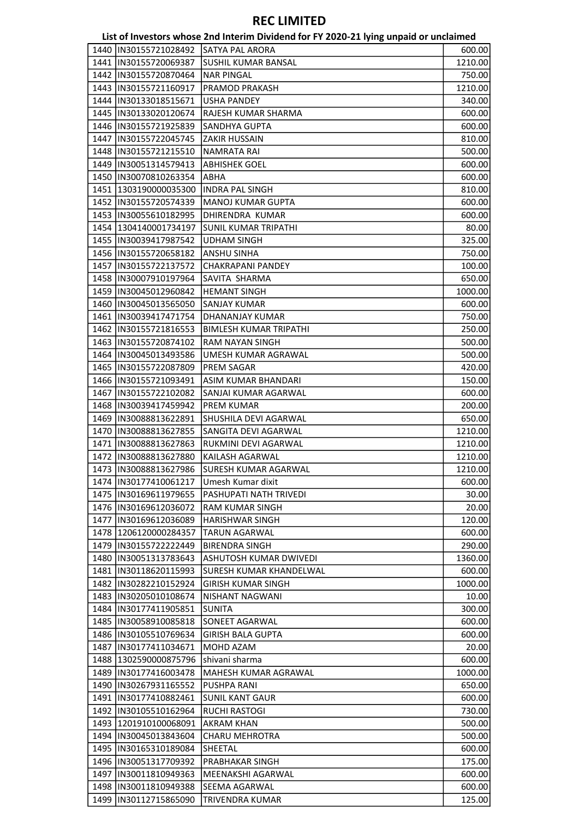|      |                         | List of Investors whose 2nd Interim Dividend for FY 2020-21 lying unpaid or unclaimed |         |
|------|-------------------------|---------------------------------------------------------------------------------------|---------|
| 1440 | IN30155721028492        | <b>SATYA PAL ARORA</b>                                                                | 600.00  |
|      | 1441  IN30155720069387  | SUSHIL KUMAR BANSAL                                                                   | 1210.00 |
|      | 1442  IN30155720870464  | <b>NAR PINGAL</b>                                                                     | 750.00  |
|      | 1443  IN30155721160917  | PRAMOD PRAKASH                                                                        | 1210.00 |
|      | 1444   IN30133018515671 | <b>USHA PANDEY</b>                                                                    | 340.00  |
|      | 1445  IN30133020120674  | RAJESH KUMAR SHARMA                                                                   | 600.00  |
|      | 1446 IN30155721925839   | SANDHYA GUPTA                                                                         | 600.00  |
| 1447 | IN30155722045745        | <b>ZAKIR HUSSAIN</b>                                                                  | 810.00  |
|      | 1448  IN30155721215510  | <b>NAMRATA RAI</b>                                                                    | 500.00  |
|      | 1449   IN30051314579413 | <b>ABHISHEK GOEL</b>                                                                  | 600.00  |
|      | 1450  IN30070810263354  | <b>ABHA</b>                                                                           | 600.00  |
|      | 1451   1303190000035300 | <b>INDRA PAL SINGH</b>                                                                | 810.00  |
|      | 1452  IN30155720574339  | MANOJ KUMAR GUPTA                                                                     | 600.00  |
|      | 1453  IN30055610182995  | DHIRENDRA KUMAR                                                                       | 600.00  |
|      | 1454 1304140001734197   | <b>SUNIL KUMAR TRIPATHI</b>                                                           | 80.00   |
|      | 1455  IN30039417987542  | <b>UDHAM SINGH</b>                                                                    | 325.00  |
|      | 1456  IN30155720658182  | ANSHU SINHA                                                                           | 750.00  |
|      | 1457   IN30155722137572 | <b>CHAKRAPANI PANDEY</b>                                                              | 100.00  |
|      | 1458  IN30007910197964  | SAVITA SHARMA                                                                         | 650.00  |
|      | 1459  IN30045012960842  | <b>HEMANT SINGH</b>                                                                   | 1000.00 |
|      | 1460  IN30045013565050  | <b>SANJAY KUMAR</b>                                                                   | 600.00  |
|      | 1461   IN30039417471754 | DHANANJAY KUMAR                                                                       | 750.00  |
|      | 1462  IN30155721816553  | <b>BIMLESH KUMAR TRIPATHI</b>                                                         | 250.00  |
|      | 1463  IN30155720874102  | RAM NAYAN SINGH                                                                       |         |
|      |                         |                                                                                       | 500.00  |
|      | 1464   IN30045013493586 | UMESH KUMAR AGRAWAL                                                                   | 500.00  |
|      | 1465  IN30155722087809  | PREM SAGAR                                                                            | 420.00  |
|      | 1466   IN30155721093491 | ASIM KUMAR BHANDARI                                                                   | 150.00  |
| 1467 | IN30155722102082        | SANJAI KUMAR AGARWAL                                                                  | 600.00  |
|      | 1468   IN30039417459942 | <b>PREM KUMAR</b>                                                                     | 200.00  |
|      | 1469  IN30088813622891  | SHUSHILA DEVI AGARWAL                                                                 | 650.00  |
|      | 1470  IN30088813627855  | SANGITA DEVI AGARWAL                                                                  | 1210.00 |
|      | 1471  IN30088813627863  | RUKMINI DEVI AGARWAL                                                                  | 1210.00 |
|      | 1472 IN30088813627880   | KAILASH AGARWAL                                                                       | 1210.00 |
|      | 1473   IN30088813627986 | SURESH KUMAR AGARWAL                                                                  | 1210.00 |
|      | 1474 IIN30177410061217  | Umesh Kumar dixit                                                                     | 600.00  |
|      | 1475  IN30169611979655  | PASHUPATI NATH TRIVEDI                                                                | 30.00   |
|      | 1476  IN30169612036072  | <b>RAM KUMAR SINGH</b>                                                                | 20.00   |
|      | 1477 IN30169612036089   | <b>HARISHWAR SINGH</b>                                                                | 120.00  |
|      | 1478 1206120000284357   | <b>TARUN AGARWAL</b>                                                                  | 600.00  |
|      | 1479 IIN30155722222449  | <b>BIRENDRA SINGH</b>                                                                 | 290.00  |
|      | 1480   IN30051313783643 | ASHUTOSH KUMAR DWIVEDI                                                                | 1360.00 |
|      | 1481  IN30118620115993  | <b>SURESH KUMAR KHANDELWAL</b>                                                        | 600.00  |
|      | 1482  IN30282210152924  | <b>GIRISH KUMAR SINGH</b>                                                             | 1000.00 |
|      | 1483 IN30205010108674   | <b>NISHANT NAGWANI</b>                                                                | 10.00   |
|      | 1484   IN30177411905851 | SUNITA                                                                                | 300.00  |
|      | 1485  IN30058910085818  | SONEET AGARWAL                                                                        | 600.00  |
|      | 1486  IN30105510769634  | <b>GIRISH BALA GUPTA</b>                                                              | 600.00  |
|      | 1487   IN30177411034671 | MOHD AZAM                                                                             | 20.00   |
|      | 1488 1302590000875796   | shivani sharma                                                                        | 600.00  |
|      | 1489 IN30177416003478   | <b>MAHESH KUMAR AGRAWAL</b>                                                           | 1000.00 |
|      | 1490   IN30267931165552 | PUSHPA RANI                                                                           | 650.00  |
|      | 1491   IN30177410882461 | <b>SUNIL KANT GAUR</b>                                                                | 600.00  |
|      | 1492  IN30105510162964  | <b>RUCHI RASTOGI</b>                                                                  | 730.00  |
|      | 1493 1201910100068091   | AKRAM KHAN                                                                            | 500.00  |
|      | 1494   IN30045013843604 | <b>CHARU MEHROTRA</b>                                                                 | 500.00  |
|      | 1495  IN30165310189084  | SHEETAL                                                                               | 600.00  |
|      | 1496 IN30051317709392   | PRABHAKAR SINGH                                                                       | 175.00  |
|      | 1497  IN30011810949363  | MEENAKSHI AGARWAL                                                                     | 600.00  |
|      | 1498  IN30011810949388  | SEEMA AGARWAL                                                                         | 600.00  |
|      | 1499  IN30112715865090  | <b>TRIVENDRA KUMAR</b>                                                                | 125.00  |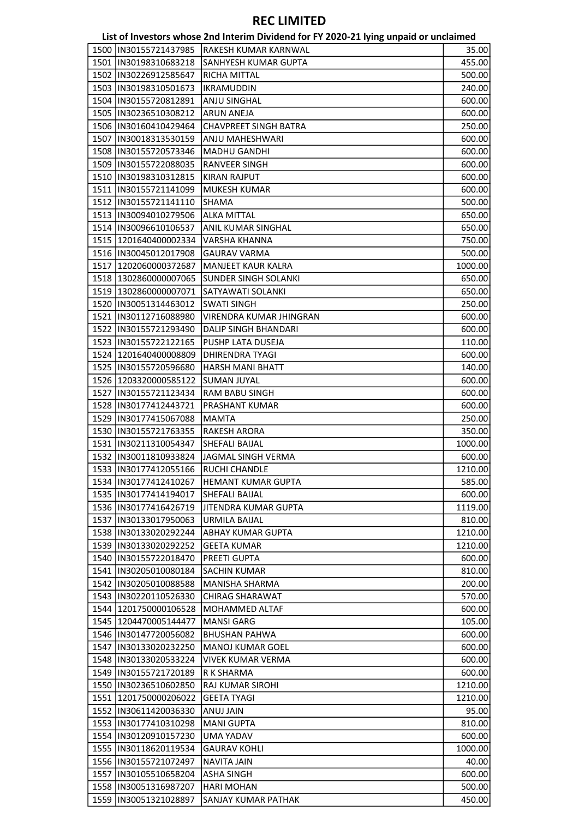|                                       | List of Investors whose 2nd Interim Dividend for FY 2020-21 lying unpaid or unclaimed |         |
|---------------------------------------|---------------------------------------------------------------------------------------|---------|
| 1500 IIN30155721437985                | lrakesh kumar karnwal                                                                 | 35.00   |
| 1501  IN30198310683218                | SANHYESH KUMAR GUPTA                                                                  | 455.00  |
| 1502  IN30226912585647                | RICHA MITTAL                                                                          | 500.00  |
| 1503 IN30198310501673                 | <b>IKRAMUDDIN</b>                                                                     | 240.00  |
| 1504  IN30155720812891                | ANJU SINGHAL                                                                          | 600.00  |
| 1505  IN30236510308212                | <b>ARUN ANEJA</b>                                                                     | 600.00  |
| 1506  IN30160410429464                | <b>CHAVPREET SINGH BATRA</b>                                                          | 250.00  |
| 1507  IN30018313530159                | ANJU MAHESHWARI                                                                       | 600.00  |
| 1508  IN30155720573346                | <b>MADHU GANDHI</b>                                                                   | 600.00  |
| 1509  IN30155722088035                | RANVEER SINGH                                                                         | 600.00  |
| 1510  IN30198310312815                | <b>KIRAN RAJPUT</b>                                                                   | 600.00  |
| 1511  IN30155721141099                | MUKESH KUMAR                                                                          | 600.00  |
| 1512  IN30155721141110                | SHAMA                                                                                 | 500.00  |
| 1513  IN30094010279506                | <b>ALKA MITTAL</b>                                                                    | 650.00  |
| 1514 IN30096610106537                 | ANIL KUMAR SINGHAL                                                                    | 650.00  |
| 1515 1201640400002334                 | VARSHA KHANNA                                                                         | 750.00  |
| 1516  IN30045012017908                | <b>GAURAV VARMA</b>                                                                   | 500.00  |
| 1517 1202060000372687                 | <b>MANJEET KAUR KALRA</b>                                                             | 1000.00 |
| 1518   1302860000007065               | <b>SUNDER SINGH SOLANKI</b>                                                           | 650.00  |
| 1519 1302860000007071                 | <b>SATYAWATI SOLANKI</b>                                                              | 650.00  |
| 1520  IN30051314463012                | <b>SWATI SINGH</b>                                                                    | 250.00  |
| 1521  IN30112716088980                | VIRENDRA KUMAR JHINGRAN                                                               | 600.00  |
| 1522  IN30155721293490                | DALIP SINGH BHANDARI                                                                  | 600.00  |
| 1523  IN30155722122165                | PUSHP LATA DUSEJA                                                                     | 110.00  |
| 1524 1201640400008809                 | DHIRENDRA TYAGI                                                                       | 600.00  |
| 1525  IN30155720596680                | <b>HARSH MANI BHATT</b>                                                               | 140.00  |
| 1526 1203320000585122                 | <b>SUMAN JUYAL</b>                                                                    | 600.00  |
| 1527   IN30155721123434               | RAM BABU SINGH                                                                        | 600.00  |
| 1528  IN30177412443721                | PRASHANT KUMAR                                                                        | 600.00  |
| 1529 IIN30177415067088                | MAMTA                                                                                 | 250.00  |
| 1530  IN30155721763355                | RAKESH ARORA                                                                          | 350.00  |
| 1531  IN30211310054347                | SHEFALI BAIJAL                                                                        | 1000.00 |
| 1532  IN30011810933824                | JAGMAL SINGH VERMA                                                                    | 600.00  |
| 1533  IN30177412055166  RUCHI CHANDLE |                                                                                       | 1210.00 |
| 1534   IN30177412410267               | <b>HEMANT KUMAR GUPTA</b>                                                             | 585.00  |
| 1535  IN30177414194017                | <b>SHEFALI BAIJAL</b>                                                                 | 600.00  |
| 1536  IN30177416426719                | JITENDRA KUMAR GUPTA                                                                  | 1119.00 |
| 1537  IN30133017950063                | <b>URMILA BAIJAL</b>                                                                  | 810.00  |
| 1538 IN30133020292244                 | <b>ABHAY KUMAR GUPTA</b>                                                              | 1210.00 |
| 1539  IN30133020292252                | <b>GEETA KUMAR</b>                                                                    | 1210.00 |
| 1540   IN30155722018470               | PREETI GUPTA                                                                          | 600.00  |
| 1541  IN30205010080184                | <b>SACHIN KUMAR</b>                                                                   | 810.00  |
| 1542  IN30205010088588                | <b>MANISHA SHARMA</b>                                                                 | 200.00  |
| 1543  IN30220110526330                | <b>CHIRAG SHARAWAT</b>                                                                | 570.00  |
| 1544 1201750000106528                 | MOHAMMED ALTAF                                                                        | 600.00  |
| 1545   1204470005144477               | <b>MANSI GARG</b>                                                                     | 105.00  |
| 1546   IN30147720056082               | <b>BHUSHAN PAHWA</b>                                                                  | 600.00  |
| 1547  IN30133020232250                | <b>MANOJ KUMAR GOEL</b>                                                               | 600.00  |
| 1548  IN30133020533224                | <b>VIVEK KUMAR VERMA</b>                                                              | 600.00  |
| 1549   IN30155721720189               | R K SHARMA                                                                            | 600.00  |
| 1550  IN30236510602850                | RAJ KUMAR SIROHI                                                                      | 1210.00 |
| 1551 1201750000206022                 | <b>GEETA TYAGI</b>                                                                    | 1210.00 |
| 1552  IN30611420036330                | ANUJ JAIN                                                                             | 95.00   |
| 1553  IN30177410310298                | <b>MANI GUPTA</b>                                                                     | 810.00  |
| 1554  IN30120910157230                | <b>UMA YADAV</b>                                                                      | 600.00  |
| 1555  IN30118620119534                | <b>GAURAV KOHLI</b>                                                                   | 1000.00 |
| 1556  IN30155721072497                | <b>NAVITA JAIN</b>                                                                    | 40.00   |
| 1557  IN30105510658204                | ASHA SINGH                                                                            | 600.00  |
| 1558  IN30051316987207                | <b>HARI MOHAN</b>                                                                     | 500.00  |
| 1559  IN30051321028897                | <b>SANJAY KUMAR PATHAK</b>                                                            | 450.00  |
|                                       |                                                                                       |         |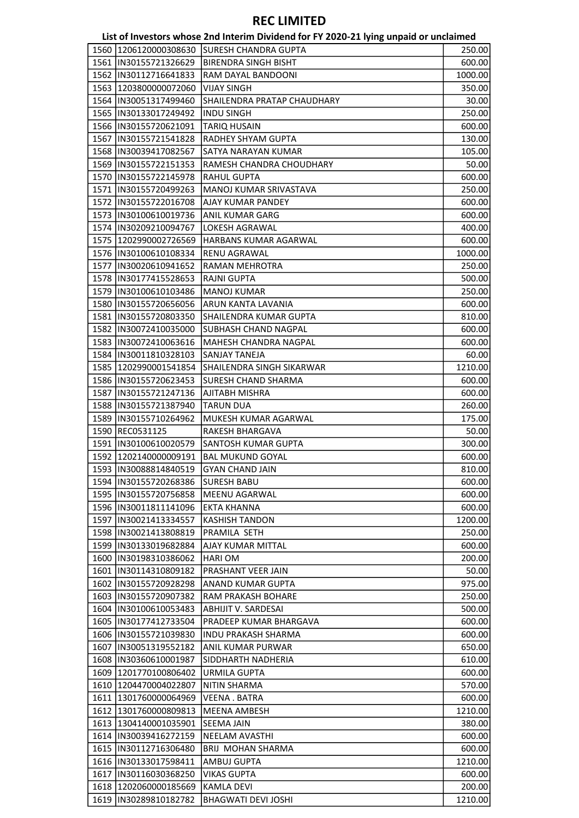| 1560   1206120000308630   SURESH CHANDRA GUPTA<br>1561  IN30155721326629<br> BIRENDRA SINGH BISHT<br>1562  IN30112716641833<br>RAM DAYAL BANDOONI<br>1563 1203800000072060<br><b>VIJAY SINGH</b><br>1564  IN30051317499460<br><b>SHAILENDRA PRATAP CHAUDHARY</b><br>1565  IN30133017249492<br><b>INDU SINGH</b><br>1566  IN30155720621091<br><b>TARIQ HUSAIN</b><br>600.00<br>1567  IN30155721541828<br>RADHEY SHYAM GUPTA<br>130.00<br>1568  IN30039417082567<br>SATYA NARAYAN KUMAR<br>105.00<br>1569   IN30155722151353<br>RAMESH CHANDRA CHOUDHARY<br>50.00<br>1570   IN30155722145978<br><b>RAHUL GUPTA</b><br>1571  IN30155720499263<br>MANOJ KUMAR SRIVASTAVA<br>1572  IN30155722016708<br>AJAY KUMAR PANDEY<br>1573  IN30100610019736<br>ANIL KUMAR GARG<br>1574  IN30209210094767<br>LOKESH AGRAWAL<br>1575 1202990002726569<br>HARBANS KUMAR AGARWAL<br>1576  IN30100610108334<br><b>RENU AGRAWAL</b><br>1000.00<br>1577  IN30020610941652<br><b>RAMAN MEHROTRA</b><br>250.00<br>1578  IN30177415528653<br><b>RAJNI GUPTA</b><br>500.00<br>1579  IN30100610103486<br><b>MANOJ KUMAR</b><br>250.00<br>1580  IN30155720656056<br>ARUN KANTA LAVANIA<br>600.00<br>1581  IN30155720803350<br>SHAILENDRA KUMAR GUPTA<br>1582  IN30072410035000<br><b>SUBHASH CHAND NAGPAL</b><br>1583  IN30072410063616<br>MAHESH CHANDRA NAGPAL<br>1584  IN30011810328103<br>SANJAY TANEJA<br>1585   1202990001541854<br> SHAILENDRA SINGH SIKARWAR<br>1586   IN30155720623453<br>SURESH CHAND SHARMA<br>1587  IN30155721247136<br>AJITABH MISHRA<br>1588  IN30155721387940<br><b>TARUN DUA</b><br>260.00<br>1589  IN30155710264962<br>MUKESH KUMAR AGARWAL<br>175.00<br>1590 REC0531125<br>RAKESH BHARGAVA<br>50.00<br>1591  IN30100610020579<br> SANTOSH KUMAR GUPTA<br>300.00<br>1592 1202140000009191<br><b>BAL MUKUND GOYAL</b><br>1593 IN30088814840519<br><b>GYAN CHAND JAIN</b><br>1594  IN30155720268386<br>lsuresh Babu<br>1595  IN30155720756858<br><b>MEENU AGARWAL</b><br>1596 IN30011811141096<br><b>EKTA KHANNA</b><br>1597  IN30021413334557<br><b>KASHISH TANDON</b><br>PRAMILA SETH<br>1598 IIN30021413808819<br>1599  IN30133019682884<br><b>AJAY KUMAR MITTAL</b><br>600.00<br>1600   IN30198310386062<br><b>HARIOM</b><br>200.00<br>1601   IN30114310809182<br>PRASHANT VEER JAIN<br>50.00<br>1602   IN30155720928298<br>ANAND KUMAR GUPTA<br>975.00<br>1603   IN30155720907382<br>RAM PRAKASH BOHARE<br>1604  IN30100610053483<br><b>ABHIJIT V. SARDESAI</b><br>1605 IN30177412733504<br>PRADEEP KUMAR BHARGAVA<br>1606   IN30155721039830<br>INDU PRAKASH SHARMA<br>1607   IN30051319552182<br>ANIL KUMAR PURWAR<br>1608  IN30360610001987<br>SIDDHARTH NADHERIA<br>1609 1201770100806402<br>URMILA GUPTA<br>1610   1204470004022807<br>NITIN SHARMA<br>1611   1301760000064969<br><b>VEENA. BATRA</b><br>1612 1301760000809813<br>MEENA AMBESH<br>1210.00<br>1613   1304140001035901<br> SEEMA JAIN<br>380.00<br>1614   IN30039416272159<br><b>NEELAM AVASTHI</b><br>600.00<br>1615  IN30112716306480<br>BRIJ MOHAN SHARMA<br>1616   IN30133017598411<br><b>AMBUJ GUPTA</b><br>1617  IN30116030368250<br><b>VIKAS GUPTA</b><br>1618   1202060000185669<br><b>KAMLA DEVI</b> |                         |                            |         |
|-------------------------------------------------------------------------------------------------------------------------------------------------------------------------------------------------------------------------------------------------------------------------------------------------------------------------------------------------------------------------------------------------------------------------------------------------------------------------------------------------------------------------------------------------------------------------------------------------------------------------------------------------------------------------------------------------------------------------------------------------------------------------------------------------------------------------------------------------------------------------------------------------------------------------------------------------------------------------------------------------------------------------------------------------------------------------------------------------------------------------------------------------------------------------------------------------------------------------------------------------------------------------------------------------------------------------------------------------------------------------------------------------------------------------------------------------------------------------------------------------------------------------------------------------------------------------------------------------------------------------------------------------------------------------------------------------------------------------------------------------------------------------------------------------------------------------------------------------------------------------------------------------------------------------------------------------------------------------------------------------------------------------------------------------------------------------------------------------------------------------------------------------------------------------------------------------------------------------------------------------------------------------------------------------------------------------------------------------------------------------------------------------------------------------------------------------------------------------------------------------------------------------------------------------------------------------------------------------------------------------------------------------------------------------------------------------------------------------------------------------------------------------------------------------------------------------------------------------------------------------------------------------------------------------------------------------------------------------------------------------------------------------------------------------------------------------------------------------------------------------------------------------------------------------------------------|-------------------------|----------------------------|---------|
|                                                                                                                                                                                                                                                                                                                                                                                                                                                                                                                                                                                                                                                                                                                                                                                                                                                                                                                                                                                                                                                                                                                                                                                                                                                                                                                                                                                                                                                                                                                                                                                                                                                                                                                                                                                                                                                                                                                                                                                                                                                                                                                                                                                                                                                                                                                                                                                                                                                                                                                                                                                                                                                                                                                                                                                                                                                                                                                                                                                                                                                                                                                                                                                           |                         |                            | 250.00  |
|                                                                                                                                                                                                                                                                                                                                                                                                                                                                                                                                                                                                                                                                                                                                                                                                                                                                                                                                                                                                                                                                                                                                                                                                                                                                                                                                                                                                                                                                                                                                                                                                                                                                                                                                                                                                                                                                                                                                                                                                                                                                                                                                                                                                                                                                                                                                                                                                                                                                                                                                                                                                                                                                                                                                                                                                                                                                                                                                                                                                                                                                                                                                                                                           |                         |                            | 600.00  |
|                                                                                                                                                                                                                                                                                                                                                                                                                                                                                                                                                                                                                                                                                                                                                                                                                                                                                                                                                                                                                                                                                                                                                                                                                                                                                                                                                                                                                                                                                                                                                                                                                                                                                                                                                                                                                                                                                                                                                                                                                                                                                                                                                                                                                                                                                                                                                                                                                                                                                                                                                                                                                                                                                                                                                                                                                                                                                                                                                                                                                                                                                                                                                                                           |                         |                            | 1000.00 |
|                                                                                                                                                                                                                                                                                                                                                                                                                                                                                                                                                                                                                                                                                                                                                                                                                                                                                                                                                                                                                                                                                                                                                                                                                                                                                                                                                                                                                                                                                                                                                                                                                                                                                                                                                                                                                                                                                                                                                                                                                                                                                                                                                                                                                                                                                                                                                                                                                                                                                                                                                                                                                                                                                                                                                                                                                                                                                                                                                                                                                                                                                                                                                                                           |                         |                            | 350.00  |
|                                                                                                                                                                                                                                                                                                                                                                                                                                                                                                                                                                                                                                                                                                                                                                                                                                                                                                                                                                                                                                                                                                                                                                                                                                                                                                                                                                                                                                                                                                                                                                                                                                                                                                                                                                                                                                                                                                                                                                                                                                                                                                                                                                                                                                                                                                                                                                                                                                                                                                                                                                                                                                                                                                                                                                                                                                                                                                                                                                                                                                                                                                                                                                                           |                         |                            | 30.00   |
|                                                                                                                                                                                                                                                                                                                                                                                                                                                                                                                                                                                                                                                                                                                                                                                                                                                                                                                                                                                                                                                                                                                                                                                                                                                                                                                                                                                                                                                                                                                                                                                                                                                                                                                                                                                                                                                                                                                                                                                                                                                                                                                                                                                                                                                                                                                                                                                                                                                                                                                                                                                                                                                                                                                                                                                                                                                                                                                                                                                                                                                                                                                                                                                           |                         |                            | 250.00  |
|                                                                                                                                                                                                                                                                                                                                                                                                                                                                                                                                                                                                                                                                                                                                                                                                                                                                                                                                                                                                                                                                                                                                                                                                                                                                                                                                                                                                                                                                                                                                                                                                                                                                                                                                                                                                                                                                                                                                                                                                                                                                                                                                                                                                                                                                                                                                                                                                                                                                                                                                                                                                                                                                                                                                                                                                                                                                                                                                                                                                                                                                                                                                                                                           |                         |                            |         |
|                                                                                                                                                                                                                                                                                                                                                                                                                                                                                                                                                                                                                                                                                                                                                                                                                                                                                                                                                                                                                                                                                                                                                                                                                                                                                                                                                                                                                                                                                                                                                                                                                                                                                                                                                                                                                                                                                                                                                                                                                                                                                                                                                                                                                                                                                                                                                                                                                                                                                                                                                                                                                                                                                                                                                                                                                                                                                                                                                                                                                                                                                                                                                                                           |                         |                            |         |
|                                                                                                                                                                                                                                                                                                                                                                                                                                                                                                                                                                                                                                                                                                                                                                                                                                                                                                                                                                                                                                                                                                                                                                                                                                                                                                                                                                                                                                                                                                                                                                                                                                                                                                                                                                                                                                                                                                                                                                                                                                                                                                                                                                                                                                                                                                                                                                                                                                                                                                                                                                                                                                                                                                                                                                                                                                                                                                                                                                                                                                                                                                                                                                                           |                         |                            |         |
|                                                                                                                                                                                                                                                                                                                                                                                                                                                                                                                                                                                                                                                                                                                                                                                                                                                                                                                                                                                                                                                                                                                                                                                                                                                                                                                                                                                                                                                                                                                                                                                                                                                                                                                                                                                                                                                                                                                                                                                                                                                                                                                                                                                                                                                                                                                                                                                                                                                                                                                                                                                                                                                                                                                                                                                                                                                                                                                                                                                                                                                                                                                                                                                           |                         |                            |         |
|                                                                                                                                                                                                                                                                                                                                                                                                                                                                                                                                                                                                                                                                                                                                                                                                                                                                                                                                                                                                                                                                                                                                                                                                                                                                                                                                                                                                                                                                                                                                                                                                                                                                                                                                                                                                                                                                                                                                                                                                                                                                                                                                                                                                                                                                                                                                                                                                                                                                                                                                                                                                                                                                                                                                                                                                                                                                                                                                                                                                                                                                                                                                                                                           |                         |                            |         |
|                                                                                                                                                                                                                                                                                                                                                                                                                                                                                                                                                                                                                                                                                                                                                                                                                                                                                                                                                                                                                                                                                                                                                                                                                                                                                                                                                                                                                                                                                                                                                                                                                                                                                                                                                                                                                                                                                                                                                                                                                                                                                                                                                                                                                                                                                                                                                                                                                                                                                                                                                                                                                                                                                                                                                                                                                                                                                                                                                                                                                                                                                                                                                                                           |                         |                            | 600.00  |
|                                                                                                                                                                                                                                                                                                                                                                                                                                                                                                                                                                                                                                                                                                                                                                                                                                                                                                                                                                                                                                                                                                                                                                                                                                                                                                                                                                                                                                                                                                                                                                                                                                                                                                                                                                                                                                                                                                                                                                                                                                                                                                                                                                                                                                                                                                                                                                                                                                                                                                                                                                                                                                                                                                                                                                                                                                                                                                                                                                                                                                                                                                                                                                                           |                         |                            | 250.00  |
|                                                                                                                                                                                                                                                                                                                                                                                                                                                                                                                                                                                                                                                                                                                                                                                                                                                                                                                                                                                                                                                                                                                                                                                                                                                                                                                                                                                                                                                                                                                                                                                                                                                                                                                                                                                                                                                                                                                                                                                                                                                                                                                                                                                                                                                                                                                                                                                                                                                                                                                                                                                                                                                                                                                                                                                                                                                                                                                                                                                                                                                                                                                                                                                           |                         |                            | 600.00  |
|                                                                                                                                                                                                                                                                                                                                                                                                                                                                                                                                                                                                                                                                                                                                                                                                                                                                                                                                                                                                                                                                                                                                                                                                                                                                                                                                                                                                                                                                                                                                                                                                                                                                                                                                                                                                                                                                                                                                                                                                                                                                                                                                                                                                                                                                                                                                                                                                                                                                                                                                                                                                                                                                                                                                                                                                                                                                                                                                                                                                                                                                                                                                                                                           |                         |                            | 600.00  |
|                                                                                                                                                                                                                                                                                                                                                                                                                                                                                                                                                                                                                                                                                                                                                                                                                                                                                                                                                                                                                                                                                                                                                                                                                                                                                                                                                                                                                                                                                                                                                                                                                                                                                                                                                                                                                                                                                                                                                                                                                                                                                                                                                                                                                                                                                                                                                                                                                                                                                                                                                                                                                                                                                                                                                                                                                                                                                                                                                                                                                                                                                                                                                                                           |                         |                            | 400.00  |
|                                                                                                                                                                                                                                                                                                                                                                                                                                                                                                                                                                                                                                                                                                                                                                                                                                                                                                                                                                                                                                                                                                                                                                                                                                                                                                                                                                                                                                                                                                                                                                                                                                                                                                                                                                                                                                                                                                                                                                                                                                                                                                                                                                                                                                                                                                                                                                                                                                                                                                                                                                                                                                                                                                                                                                                                                                                                                                                                                                                                                                                                                                                                                                                           |                         |                            | 600.00  |
|                                                                                                                                                                                                                                                                                                                                                                                                                                                                                                                                                                                                                                                                                                                                                                                                                                                                                                                                                                                                                                                                                                                                                                                                                                                                                                                                                                                                                                                                                                                                                                                                                                                                                                                                                                                                                                                                                                                                                                                                                                                                                                                                                                                                                                                                                                                                                                                                                                                                                                                                                                                                                                                                                                                                                                                                                                                                                                                                                                                                                                                                                                                                                                                           |                         |                            |         |
|                                                                                                                                                                                                                                                                                                                                                                                                                                                                                                                                                                                                                                                                                                                                                                                                                                                                                                                                                                                                                                                                                                                                                                                                                                                                                                                                                                                                                                                                                                                                                                                                                                                                                                                                                                                                                                                                                                                                                                                                                                                                                                                                                                                                                                                                                                                                                                                                                                                                                                                                                                                                                                                                                                                                                                                                                                                                                                                                                                                                                                                                                                                                                                                           |                         |                            |         |
|                                                                                                                                                                                                                                                                                                                                                                                                                                                                                                                                                                                                                                                                                                                                                                                                                                                                                                                                                                                                                                                                                                                                                                                                                                                                                                                                                                                                                                                                                                                                                                                                                                                                                                                                                                                                                                                                                                                                                                                                                                                                                                                                                                                                                                                                                                                                                                                                                                                                                                                                                                                                                                                                                                                                                                                                                                                                                                                                                                                                                                                                                                                                                                                           |                         |                            |         |
|                                                                                                                                                                                                                                                                                                                                                                                                                                                                                                                                                                                                                                                                                                                                                                                                                                                                                                                                                                                                                                                                                                                                                                                                                                                                                                                                                                                                                                                                                                                                                                                                                                                                                                                                                                                                                                                                                                                                                                                                                                                                                                                                                                                                                                                                                                                                                                                                                                                                                                                                                                                                                                                                                                                                                                                                                                                                                                                                                                                                                                                                                                                                                                                           |                         |                            |         |
|                                                                                                                                                                                                                                                                                                                                                                                                                                                                                                                                                                                                                                                                                                                                                                                                                                                                                                                                                                                                                                                                                                                                                                                                                                                                                                                                                                                                                                                                                                                                                                                                                                                                                                                                                                                                                                                                                                                                                                                                                                                                                                                                                                                                                                                                                                                                                                                                                                                                                                                                                                                                                                                                                                                                                                                                                                                                                                                                                                                                                                                                                                                                                                                           |                         |                            |         |
|                                                                                                                                                                                                                                                                                                                                                                                                                                                                                                                                                                                                                                                                                                                                                                                                                                                                                                                                                                                                                                                                                                                                                                                                                                                                                                                                                                                                                                                                                                                                                                                                                                                                                                                                                                                                                                                                                                                                                                                                                                                                                                                                                                                                                                                                                                                                                                                                                                                                                                                                                                                                                                                                                                                                                                                                                                                                                                                                                                                                                                                                                                                                                                                           |                         |                            |         |
|                                                                                                                                                                                                                                                                                                                                                                                                                                                                                                                                                                                                                                                                                                                                                                                                                                                                                                                                                                                                                                                                                                                                                                                                                                                                                                                                                                                                                                                                                                                                                                                                                                                                                                                                                                                                                                                                                                                                                                                                                                                                                                                                                                                                                                                                                                                                                                                                                                                                                                                                                                                                                                                                                                                                                                                                                                                                                                                                                                                                                                                                                                                                                                                           |                         |                            | 810.00  |
|                                                                                                                                                                                                                                                                                                                                                                                                                                                                                                                                                                                                                                                                                                                                                                                                                                                                                                                                                                                                                                                                                                                                                                                                                                                                                                                                                                                                                                                                                                                                                                                                                                                                                                                                                                                                                                                                                                                                                                                                                                                                                                                                                                                                                                                                                                                                                                                                                                                                                                                                                                                                                                                                                                                                                                                                                                                                                                                                                                                                                                                                                                                                                                                           |                         |                            | 600.00  |
|                                                                                                                                                                                                                                                                                                                                                                                                                                                                                                                                                                                                                                                                                                                                                                                                                                                                                                                                                                                                                                                                                                                                                                                                                                                                                                                                                                                                                                                                                                                                                                                                                                                                                                                                                                                                                                                                                                                                                                                                                                                                                                                                                                                                                                                                                                                                                                                                                                                                                                                                                                                                                                                                                                                                                                                                                                                                                                                                                                                                                                                                                                                                                                                           |                         |                            | 600.00  |
|                                                                                                                                                                                                                                                                                                                                                                                                                                                                                                                                                                                                                                                                                                                                                                                                                                                                                                                                                                                                                                                                                                                                                                                                                                                                                                                                                                                                                                                                                                                                                                                                                                                                                                                                                                                                                                                                                                                                                                                                                                                                                                                                                                                                                                                                                                                                                                                                                                                                                                                                                                                                                                                                                                                                                                                                                                                                                                                                                                                                                                                                                                                                                                                           |                         |                            | 60.00   |
|                                                                                                                                                                                                                                                                                                                                                                                                                                                                                                                                                                                                                                                                                                                                                                                                                                                                                                                                                                                                                                                                                                                                                                                                                                                                                                                                                                                                                                                                                                                                                                                                                                                                                                                                                                                                                                                                                                                                                                                                                                                                                                                                                                                                                                                                                                                                                                                                                                                                                                                                                                                                                                                                                                                                                                                                                                                                                                                                                                                                                                                                                                                                                                                           |                         |                            | 1210.00 |
|                                                                                                                                                                                                                                                                                                                                                                                                                                                                                                                                                                                                                                                                                                                                                                                                                                                                                                                                                                                                                                                                                                                                                                                                                                                                                                                                                                                                                                                                                                                                                                                                                                                                                                                                                                                                                                                                                                                                                                                                                                                                                                                                                                                                                                                                                                                                                                                                                                                                                                                                                                                                                                                                                                                                                                                                                                                                                                                                                                                                                                                                                                                                                                                           |                         |                            | 600.00  |
|                                                                                                                                                                                                                                                                                                                                                                                                                                                                                                                                                                                                                                                                                                                                                                                                                                                                                                                                                                                                                                                                                                                                                                                                                                                                                                                                                                                                                                                                                                                                                                                                                                                                                                                                                                                                                                                                                                                                                                                                                                                                                                                                                                                                                                                                                                                                                                                                                                                                                                                                                                                                                                                                                                                                                                                                                                                                                                                                                                                                                                                                                                                                                                                           |                         |                            | 600.00  |
|                                                                                                                                                                                                                                                                                                                                                                                                                                                                                                                                                                                                                                                                                                                                                                                                                                                                                                                                                                                                                                                                                                                                                                                                                                                                                                                                                                                                                                                                                                                                                                                                                                                                                                                                                                                                                                                                                                                                                                                                                                                                                                                                                                                                                                                                                                                                                                                                                                                                                                                                                                                                                                                                                                                                                                                                                                                                                                                                                                                                                                                                                                                                                                                           |                         |                            |         |
|                                                                                                                                                                                                                                                                                                                                                                                                                                                                                                                                                                                                                                                                                                                                                                                                                                                                                                                                                                                                                                                                                                                                                                                                                                                                                                                                                                                                                                                                                                                                                                                                                                                                                                                                                                                                                                                                                                                                                                                                                                                                                                                                                                                                                                                                                                                                                                                                                                                                                                                                                                                                                                                                                                                                                                                                                                                                                                                                                                                                                                                                                                                                                                                           |                         |                            |         |
|                                                                                                                                                                                                                                                                                                                                                                                                                                                                                                                                                                                                                                                                                                                                                                                                                                                                                                                                                                                                                                                                                                                                                                                                                                                                                                                                                                                                                                                                                                                                                                                                                                                                                                                                                                                                                                                                                                                                                                                                                                                                                                                                                                                                                                                                                                                                                                                                                                                                                                                                                                                                                                                                                                                                                                                                                                                                                                                                                                                                                                                                                                                                                                                           |                         |                            |         |
|                                                                                                                                                                                                                                                                                                                                                                                                                                                                                                                                                                                                                                                                                                                                                                                                                                                                                                                                                                                                                                                                                                                                                                                                                                                                                                                                                                                                                                                                                                                                                                                                                                                                                                                                                                                                                                                                                                                                                                                                                                                                                                                                                                                                                                                                                                                                                                                                                                                                                                                                                                                                                                                                                                                                                                                                                                                                                                                                                                                                                                                                                                                                                                                           |                         |                            |         |
|                                                                                                                                                                                                                                                                                                                                                                                                                                                                                                                                                                                                                                                                                                                                                                                                                                                                                                                                                                                                                                                                                                                                                                                                                                                                                                                                                                                                                                                                                                                                                                                                                                                                                                                                                                                                                                                                                                                                                                                                                                                                                                                                                                                                                                                                                                                                                                                                                                                                                                                                                                                                                                                                                                                                                                                                                                                                                                                                                                                                                                                                                                                                                                                           |                         |                            |         |
|                                                                                                                                                                                                                                                                                                                                                                                                                                                                                                                                                                                                                                                                                                                                                                                                                                                                                                                                                                                                                                                                                                                                                                                                                                                                                                                                                                                                                                                                                                                                                                                                                                                                                                                                                                                                                                                                                                                                                                                                                                                                                                                                                                                                                                                                                                                                                                                                                                                                                                                                                                                                                                                                                                                                                                                                                                                                                                                                                                                                                                                                                                                                                                                           |                         |                            | 600.00  |
|                                                                                                                                                                                                                                                                                                                                                                                                                                                                                                                                                                                                                                                                                                                                                                                                                                                                                                                                                                                                                                                                                                                                                                                                                                                                                                                                                                                                                                                                                                                                                                                                                                                                                                                                                                                                                                                                                                                                                                                                                                                                                                                                                                                                                                                                                                                                                                                                                                                                                                                                                                                                                                                                                                                                                                                                                                                                                                                                                                                                                                                                                                                                                                                           |                         |                            | 810.00  |
|                                                                                                                                                                                                                                                                                                                                                                                                                                                                                                                                                                                                                                                                                                                                                                                                                                                                                                                                                                                                                                                                                                                                                                                                                                                                                                                                                                                                                                                                                                                                                                                                                                                                                                                                                                                                                                                                                                                                                                                                                                                                                                                                                                                                                                                                                                                                                                                                                                                                                                                                                                                                                                                                                                                                                                                                                                                                                                                                                                                                                                                                                                                                                                                           |                         |                            | 600.00  |
|                                                                                                                                                                                                                                                                                                                                                                                                                                                                                                                                                                                                                                                                                                                                                                                                                                                                                                                                                                                                                                                                                                                                                                                                                                                                                                                                                                                                                                                                                                                                                                                                                                                                                                                                                                                                                                                                                                                                                                                                                                                                                                                                                                                                                                                                                                                                                                                                                                                                                                                                                                                                                                                                                                                                                                                                                                                                                                                                                                                                                                                                                                                                                                                           |                         |                            | 600.00  |
|                                                                                                                                                                                                                                                                                                                                                                                                                                                                                                                                                                                                                                                                                                                                                                                                                                                                                                                                                                                                                                                                                                                                                                                                                                                                                                                                                                                                                                                                                                                                                                                                                                                                                                                                                                                                                                                                                                                                                                                                                                                                                                                                                                                                                                                                                                                                                                                                                                                                                                                                                                                                                                                                                                                                                                                                                                                                                                                                                                                                                                                                                                                                                                                           |                         |                            | 600.00  |
|                                                                                                                                                                                                                                                                                                                                                                                                                                                                                                                                                                                                                                                                                                                                                                                                                                                                                                                                                                                                                                                                                                                                                                                                                                                                                                                                                                                                                                                                                                                                                                                                                                                                                                                                                                                                                                                                                                                                                                                                                                                                                                                                                                                                                                                                                                                                                                                                                                                                                                                                                                                                                                                                                                                                                                                                                                                                                                                                                                                                                                                                                                                                                                                           |                         |                            | 1200.00 |
|                                                                                                                                                                                                                                                                                                                                                                                                                                                                                                                                                                                                                                                                                                                                                                                                                                                                                                                                                                                                                                                                                                                                                                                                                                                                                                                                                                                                                                                                                                                                                                                                                                                                                                                                                                                                                                                                                                                                                                                                                                                                                                                                                                                                                                                                                                                                                                                                                                                                                                                                                                                                                                                                                                                                                                                                                                                                                                                                                                                                                                                                                                                                                                                           |                         |                            | 250.00  |
|                                                                                                                                                                                                                                                                                                                                                                                                                                                                                                                                                                                                                                                                                                                                                                                                                                                                                                                                                                                                                                                                                                                                                                                                                                                                                                                                                                                                                                                                                                                                                                                                                                                                                                                                                                                                                                                                                                                                                                                                                                                                                                                                                                                                                                                                                                                                                                                                                                                                                                                                                                                                                                                                                                                                                                                                                                                                                                                                                                                                                                                                                                                                                                                           |                         |                            |         |
|                                                                                                                                                                                                                                                                                                                                                                                                                                                                                                                                                                                                                                                                                                                                                                                                                                                                                                                                                                                                                                                                                                                                                                                                                                                                                                                                                                                                                                                                                                                                                                                                                                                                                                                                                                                                                                                                                                                                                                                                                                                                                                                                                                                                                                                                                                                                                                                                                                                                                                                                                                                                                                                                                                                                                                                                                                                                                                                                                                                                                                                                                                                                                                                           |                         |                            |         |
|                                                                                                                                                                                                                                                                                                                                                                                                                                                                                                                                                                                                                                                                                                                                                                                                                                                                                                                                                                                                                                                                                                                                                                                                                                                                                                                                                                                                                                                                                                                                                                                                                                                                                                                                                                                                                                                                                                                                                                                                                                                                                                                                                                                                                                                                                                                                                                                                                                                                                                                                                                                                                                                                                                                                                                                                                                                                                                                                                                                                                                                                                                                                                                                           |                         |                            |         |
|                                                                                                                                                                                                                                                                                                                                                                                                                                                                                                                                                                                                                                                                                                                                                                                                                                                                                                                                                                                                                                                                                                                                                                                                                                                                                                                                                                                                                                                                                                                                                                                                                                                                                                                                                                                                                                                                                                                                                                                                                                                                                                                                                                                                                                                                                                                                                                                                                                                                                                                                                                                                                                                                                                                                                                                                                                                                                                                                                                                                                                                                                                                                                                                           |                         |                            |         |
|                                                                                                                                                                                                                                                                                                                                                                                                                                                                                                                                                                                                                                                                                                                                                                                                                                                                                                                                                                                                                                                                                                                                                                                                                                                                                                                                                                                                                                                                                                                                                                                                                                                                                                                                                                                                                                                                                                                                                                                                                                                                                                                                                                                                                                                                                                                                                                                                                                                                                                                                                                                                                                                                                                                                                                                                                                                                                                                                                                                                                                                                                                                                                                                           |                         |                            |         |
|                                                                                                                                                                                                                                                                                                                                                                                                                                                                                                                                                                                                                                                                                                                                                                                                                                                                                                                                                                                                                                                                                                                                                                                                                                                                                                                                                                                                                                                                                                                                                                                                                                                                                                                                                                                                                                                                                                                                                                                                                                                                                                                                                                                                                                                                                                                                                                                                                                                                                                                                                                                                                                                                                                                                                                                                                                                                                                                                                                                                                                                                                                                                                                                           |                         |                            | 250.00  |
|                                                                                                                                                                                                                                                                                                                                                                                                                                                                                                                                                                                                                                                                                                                                                                                                                                                                                                                                                                                                                                                                                                                                                                                                                                                                                                                                                                                                                                                                                                                                                                                                                                                                                                                                                                                                                                                                                                                                                                                                                                                                                                                                                                                                                                                                                                                                                                                                                                                                                                                                                                                                                                                                                                                                                                                                                                                                                                                                                                                                                                                                                                                                                                                           |                         |                            | 500.00  |
|                                                                                                                                                                                                                                                                                                                                                                                                                                                                                                                                                                                                                                                                                                                                                                                                                                                                                                                                                                                                                                                                                                                                                                                                                                                                                                                                                                                                                                                                                                                                                                                                                                                                                                                                                                                                                                                                                                                                                                                                                                                                                                                                                                                                                                                                                                                                                                                                                                                                                                                                                                                                                                                                                                                                                                                                                                                                                                                                                                                                                                                                                                                                                                                           |                         |                            | 600.00  |
|                                                                                                                                                                                                                                                                                                                                                                                                                                                                                                                                                                                                                                                                                                                                                                                                                                                                                                                                                                                                                                                                                                                                                                                                                                                                                                                                                                                                                                                                                                                                                                                                                                                                                                                                                                                                                                                                                                                                                                                                                                                                                                                                                                                                                                                                                                                                                                                                                                                                                                                                                                                                                                                                                                                                                                                                                                                                                                                                                                                                                                                                                                                                                                                           |                         |                            | 600.00  |
|                                                                                                                                                                                                                                                                                                                                                                                                                                                                                                                                                                                                                                                                                                                                                                                                                                                                                                                                                                                                                                                                                                                                                                                                                                                                                                                                                                                                                                                                                                                                                                                                                                                                                                                                                                                                                                                                                                                                                                                                                                                                                                                                                                                                                                                                                                                                                                                                                                                                                                                                                                                                                                                                                                                                                                                                                                                                                                                                                                                                                                                                                                                                                                                           |                         |                            | 650.00  |
|                                                                                                                                                                                                                                                                                                                                                                                                                                                                                                                                                                                                                                                                                                                                                                                                                                                                                                                                                                                                                                                                                                                                                                                                                                                                                                                                                                                                                                                                                                                                                                                                                                                                                                                                                                                                                                                                                                                                                                                                                                                                                                                                                                                                                                                                                                                                                                                                                                                                                                                                                                                                                                                                                                                                                                                                                                                                                                                                                                                                                                                                                                                                                                                           |                         |                            | 610.00  |
|                                                                                                                                                                                                                                                                                                                                                                                                                                                                                                                                                                                                                                                                                                                                                                                                                                                                                                                                                                                                                                                                                                                                                                                                                                                                                                                                                                                                                                                                                                                                                                                                                                                                                                                                                                                                                                                                                                                                                                                                                                                                                                                                                                                                                                                                                                                                                                                                                                                                                                                                                                                                                                                                                                                                                                                                                                                                                                                                                                                                                                                                                                                                                                                           |                         |                            | 600.00  |
|                                                                                                                                                                                                                                                                                                                                                                                                                                                                                                                                                                                                                                                                                                                                                                                                                                                                                                                                                                                                                                                                                                                                                                                                                                                                                                                                                                                                                                                                                                                                                                                                                                                                                                                                                                                                                                                                                                                                                                                                                                                                                                                                                                                                                                                                                                                                                                                                                                                                                                                                                                                                                                                                                                                                                                                                                                                                                                                                                                                                                                                                                                                                                                                           |                         |                            | 570.00  |
|                                                                                                                                                                                                                                                                                                                                                                                                                                                                                                                                                                                                                                                                                                                                                                                                                                                                                                                                                                                                                                                                                                                                                                                                                                                                                                                                                                                                                                                                                                                                                                                                                                                                                                                                                                                                                                                                                                                                                                                                                                                                                                                                                                                                                                                                                                                                                                                                                                                                                                                                                                                                                                                                                                                                                                                                                                                                                                                                                                                                                                                                                                                                                                                           |                         |                            | 600.00  |
|                                                                                                                                                                                                                                                                                                                                                                                                                                                                                                                                                                                                                                                                                                                                                                                                                                                                                                                                                                                                                                                                                                                                                                                                                                                                                                                                                                                                                                                                                                                                                                                                                                                                                                                                                                                                                                                                                                                                                                                                                                                                                                                                                                                                                                                                                                                                                                                                                                                                                                                                                                                                                                                                                                                                                                                                                                                                                                                                                                                                                                                                                                                                                                                           |                         |                            |         |
|                                                                                                                                                                                                                                                                                                                                                                                                                                                                                                                                                                                                                                                                                                                                                                                                                                                                                                                                                                                                                                                                                                                                                                                                                                                                                                                                                                                                                                                                                                                                                                                                                                                                                                                                                                                                                                                                                                                                                                                                                                                                                                                                                                                                                                                                                                                                                                                                                                                                                                                                                                                                                                                                                                                                                                                                                                                                                                                                                                                                                                                                                                                                                                                           |                         |                            |         |
|                                                                                                                                                                                                                                                                                                                                                                                                                                                                                                                                                                                                                                                                                                                                                                                                                                                                                                                                                                                                                                                                                                                                                                                                                                                                                                                                                                                                                                                                                                                                                                                                                                                                                                                                                                                                                                                                                                                                                                                                                                                                                                                                                                                                                                                                                                                                                                                                                                                                                                                                                                                                                                                                                                                                                                                                                                                                                                                                                                                                                                                                                                                                                                                           |                         |                            |         |
|                                                                                                                                                                                                                                                                                                                                                                                                                                                                                                                                                                                                                                                                                                                                                                                                                                                                                                                                                                                                                                                                                                                                                                                                                                                                                                                                                                                                                                                                                                                                                                                                                                                                                                                                                                                                                                                                                                                                                                                                                                                                                                                                                                                                                                                                                                                                                                                                                                                                                                                                                                                                                                                                                                                                                                                                                                                                                                                                                                                                                                                                                                                                                                                           |                         |                            |         |
|                                                                                                                                                                                                                                                                                                                                                                                                                                                                                                                                                                                                                                                                                                                                                                                                                                                                                                                                                                                                                                                                                                                                                                                                                                                                                                                                                                                                                                                                                                                                                                                                                                                                                                                                                                                                                                                                                                                                                                                                                                                                                                                                                                                                                                                                                                                                                                                                                                                                                                                                                                                                                                                                                                                                                                                                                                                                                                                                                                                                                                                                                                                                                                                           |                         |                            | 600.00  |
|                                                                                                                                                                                                                                                                                                                                                                                                                                                                                                                                                                                                                                                                                                                                                                                                                                                                                                                                                                                                                                                                                                                                                                                                                                                                                                                                                                                                                                                                                                                                                                                                                                                                                                                                                                                                                                                                                                                                                                                                                                                                                                                                                                                                                                                                                                                                                                                                                                                                                                                                                                                                                                                                                                                                                                                                                                                                                                                                                                                                                                                                                                                                                                                           |                         |                            | 1210.00 |
|                                                                                                                                                                                                                                                                                                                                                                                                                                                                                                                                                                                                                                                                                                                                                                                                                                                                                                                                                                                                                                                                                                                                                                                                                                                                                                                                                                                                                                                                                                                                                                                                                                                                                                                                                                                                                                                                                                                                                                                                                                                                                                                                                                                                                                                                                                                                                                                                                                                                                                                                                                                                                                                                                                                                                                                                                                                                                                                                                                                                                                                                                                                                                                                           |                         |                            | 600.00  |
|                                                                                                                                                                                                                                                                                                                                                                                                                                                                                                                                                                                                                                                                                                                                                                                                                                                                                                                                                                                                                                                                                                                                                                                                                                                                                                                                                                                                                                                                                                                                                                                                                                                                                                                                                                                                                                                                                                                                                                                                                                                                                                                                                                                                                                                                                                                                                                                                                                                                                                                                                                                                                                                                                                                                                                                                                                                                                                                                                                                                                                                                                                                                                                                           |                         |                            | 200.00  |
|                                                                                                                                                                                                                                                                                                                                                                                                                                                                                                                                                                                                                                                                                                                                                                                                                                                                                                                                                                                                                                                                                                                                                                                                                                                                                                                                                                                                                                                                                                                                                                                                                                                                                                                                                                                                                                                                                                                                                                                                                                                                                                                                                                                                                                                                                                                                                                                                                                                                                                                                                                                                                                                                                                                                                                                                                                                                                                                                                                                                                                                                                                                                                                                           | 1619   IN30289810182782 | <b>BHAGWATI DEVI JOSHI</b> | 1210.00 |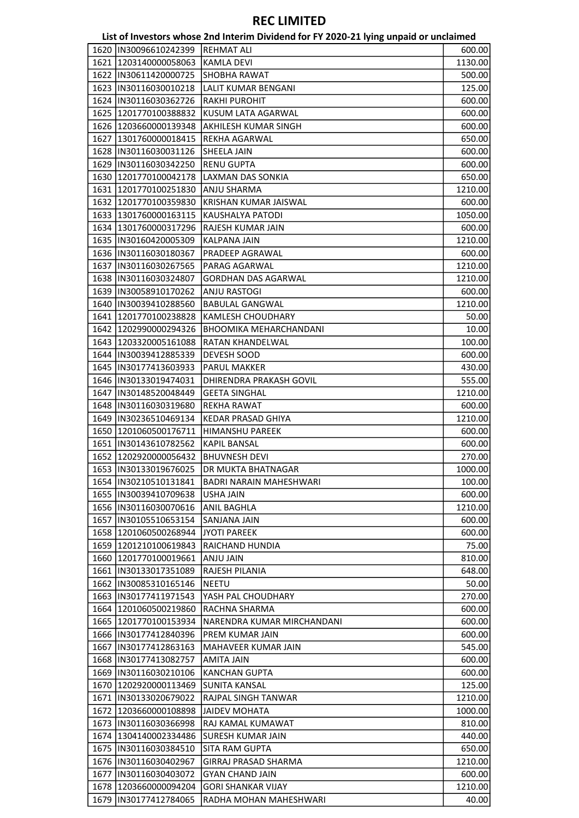|      |                         | List of Investors whose 2nd Interim Dividend for FY 2020-21 lying unpaid or unclaimed |         |
|------|-------------------------|---------------------------------------------------------------------------------------|---------|
| 1620 | IIN30096610242399       | <b>REHMAT ALI</b>                                                                     | 600.00  |
|      | 1621 1203140000058063   | <b>KAMLA DEVI</b>                                                                     | 1130.00 |
|      | 1622  IN30611420000725  | <b>SHOBHA RAWAT</b>                                                                   | 500.00  |
|      | 1623  IN30116030010218  | <b>LALIT KUMAR BENGANI</b>                                                            | 125.00  |
|      | 1624  IN30116030362726  | <b>RAKHI PUROHIT</b>                                                                  | 600.00  |
|      | 1625 1201770100388832   | KUSUM LATA AGARWAL                                                                    | 600.00  |
|      | 1626 1203660000139348   | AKHILESH KUMAR SINGH                                                                  | 600.00  |
|      | 1627 1301760000018415   | <b>REKHA AGARWAL</b>                                                                  | 650.00  |
|      | 1628  IN30116030031126  | SHEELA JAIN                                                                           | 600.00  |
|      | 1629  IN30116030342250  | <b>RENU GUPTA</b>                                                                     | 600.00  |
|      | 1630 1201770100042178   | LAXMAN DAS SONKIA                                                                     | 650.00  |
|      | 1631 1201770100251830   | ANJU SHARMA                                                                           | 1210.00 |
|      | 1632 1201770100359830   | KRISHAN KUMAR JAISWAL                                                                 | 600.00  |
|      | 1633 1301760000163115   | KAUSHALYA PATODI                                                                      | 1050.00 |
|      | 1634 1301760000317296   | <b>RAJESH KUMAR JAIN</b>                                                              | 600.00  |
|      | 1635  IN30160420005309  | <b>KALPANA JAIN</b>                                                                   | 1210.00 |
|      | 1636  IN30116030180367  | PRADEEP AGRAWAL                                                                       | 600.00  |
|      | 1637  IN30116030267565  | PARAG AGARWAL                                                                         | 1210.00 |
|      | 1638  IN30116030324807  | <b>GORDHAN DAS AGARWAL</b>                                                            | 1210.00 |
|      | 1639  IN30058910170262  | <b>ANJU RASTOGI</b>                                                                   | 600.00  |
|      | 1640  IN30039410288560  | <b>BABULAL GANGWAL</b>                                                                | 1210.00 |
|      | 1641 1201770100238828   | <b>KAMLESH CHOUDHARY</b>                                                              | 50.00   |
|      | 1642   1202990000294326 | <b>BHOOMIKA MEHARCHANDANI</b>                                                         |         |
|      | 1643 1203320005161088   | <b>RATAN KHANDELWAL</b>                                                               | 10.00   |
|      |                         |                                                                                       | 100.00  |
|      | 1644   IN30039412885339 | DEVESH SOOD                                                                           | 600.00  |
|      | 1645  IN30177413603933  | <b>PARUL MAKKER</b>                                                                   | 430.00  |
|      | 1646   IN30133019474031 | DHIRENDRA PRAKASH GOVIL                                                               | 555.00  |
|      | 1647   IN30148520048449 | <b>GEETA SINGHAL</b>                                                                  | 1210.00 |
|      | 1648  IN30116030319680  | <b>REKHA RAWAT</b>                                                                    | 600.00  |
|      | 1649   IN30236510469134 | <b>KEDAR PRASAD GHIYA</b>                                                             | 1210.00 |
|      | 1650 1201060500176711   | <b>HIMANSHU PAREEK</b>                                                                | 600.00  |
|      | 1651  IN30143610782562  | <b>KAPIL BANSAL</b>                                                                   | 600.00  |
|      | 1652 1202920000056432   | <b>BHUVNESH DEVI</b>                                                                  | 270.00  |
|      | 1653  IN30133019676025  | DR MUKTA BHATNAGAR                                                                    | 1000.00 |
|      | 1654   IN30210510131841 | <b>BADRI NARAIN MAHESHWARI</b>                                                        | 100.00  |
|      | 1655 IN30039410709638   | <b>USHA JAIN</b>                                                                      | 600.00  |
|      | 1656 IN30116030070616   | <b>ANIL BAGHLA</b>                                                                    | 1210.00 |
|      | 1657   IN30105510653154 | <b>SANJANA JAIN</b>                                                                   | 600.00  |
|      | 1658 1201060500268944   | JYOTI PAREEK                                                                          | 600.00  |
|      | 1659 1201210100619843   | <b>RAICHAND HUNDIA</b>                                                                | 75.00   |
|      | 1660 1201770100019661   | AIAL ULNA                                                                             | 810.00  |
|      | 1661  IN30133017351089  | RAJESH PILANIA                                                                        | 648.00  |
|      | 1662   IN30085310165146 | NEETU                                                                                 | 50.00   |
|      | 1663 IN30177411971543   | YASH PAL CHOUDHARY                                                                    | 270.00  |
|      | 1664   1201060500219860 | RACHNA SHARMA                                                                         | 600.00  |
|      | 1665   1201770100153934 | NARENDRA KUMAR MIRCHANDANI                                                            | 600.00  |
|      | 1666   IN30177412840396 | PREM KUMAR JAIN                                                                       | 600.00  |
|      | 1667   IN30177412863163 | MAHAVEER KUMAR JAIN                                                                   | 545.00  |
|      | 1668   IN30177413082757 | <b>AMITA JAIN</b>                                                                     | 600.00  |
|      | 1669  IN30116030210106  | <b>KANCHAN GUPTA</b>                                                                  | 600.00  |
|      | 1670   1202920000113469 | <b>SUNITA KANSAL</b>                                                                  | 125.00  |
|      | 1671  IN30133020679022  | RAJPAL SINGH TANWAR                                                                   | 1210.00 |
|      | 1672 1203660000108898   | JAIDEV MOHATA                                                                         | 1000.00 |
|      | 1673  IN30116030366998  | RAJ KAMAL KUMAWAT                                                                     | 810.00  |
|      | 1674 1304140002334486   | <b>SURESH KUMAR JAIN</b>                                                              | 440.00  |
|      | 1675 IIN30116030384510  | <b>SITA RAM GUPTA</b>                                                                 | 650.00  |
|      | 1676  IN30116030402967  | GIRRAJ PRASAD SHARMA                                                                  | 1210.00 |
|      | 1677  IN30116030403072  | <b>GYAN CHAND JAIN</b>                                                                | 600.00  |
|      | 1678 1203660000094204   | <b>GORI SHANKAR VIJAY</b>                                                             | 1210.00 |
|      | 1679   IN30177412784065 | RADHA MOHAN MAHESHWARI                                                                | 40.00   |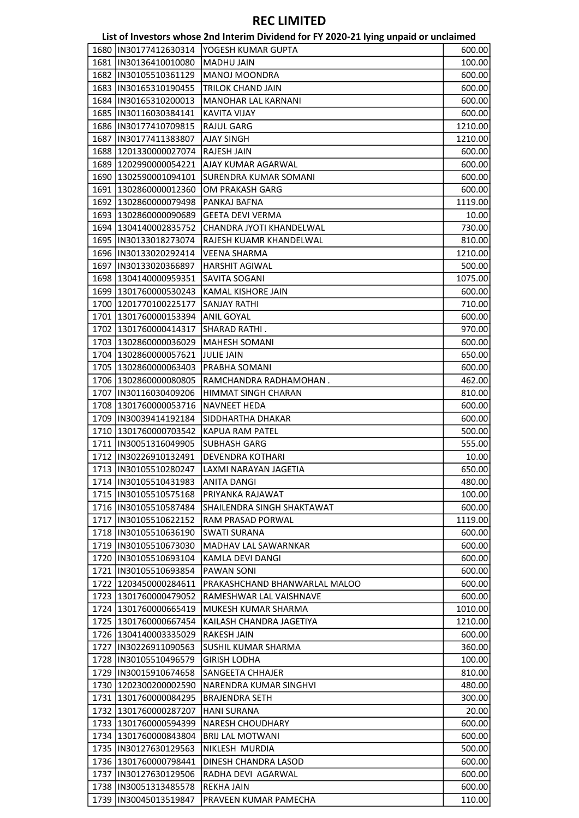|      |                         | List of Investors whose 2nd Interim Dividend for FY 2020-21 lying unpaid or unclaimed |                  |
|------|-------------------------|---------------------------------------------------------------------------------------|------------------|
|      | 1680 IN30177412630314   | YOGESH KUMAR GUPTA                                                                    | 600.00           |
|      | 1681 IN30136410010080   | MADHU JAIN                                                                            | 100.00           |
|      | 1682  IN30105510361129  | <b>MANOJ MOONDRA</b>                                                                  | 600.00           |
|      | 1683  IN30165310190455  | <b>TRILOK CHAND JAIN</b>                                                              | 600.00           |
|      | 1684  IN30165310200013  | MANOHAR LAL KARNANI                                                                   | 600.00           |
|      | 1685  IN30116030384141  | <b>KAVITA VIJAY</b>                                                                   | 600.00           |
|      | 1686  IN30177410709815  | <b>RAJUL GARG</b>                                                                     | 1210.00          |
| 1687 | IIN30177411383807       | AJAY SINGH                                                                            | 1210.00          |
|      | 1688 1201330000027074   | RAJESH JAIN                                                                           | 600.00           |
|      | 1689 1202990000054221   | AJAY KUMAR AGARWAL                                                                    | 600.00           |
|      | 1690 1302590001094101   | SURENDRA KUMAR SOMANI                                                                 | 600.00           |
|      | 1691 1302860000012360   | OM PRAKASH GARG                                                                       | 600.00           |
|      | 1692 1302860000079498   | PANKAJ BAFNA                                                                          | 1119.00          |
|      | 1693   1302860000090689 | <b>GEETA DEVI VERMA</b>                                                               | 10.00            |
|      | 1694 1304140002835752   | CHANDRA JYOTI KHANDELWAL                                                              | 730.00           |
|      | 1695  IN30133018273074  | RAJESH KUAMR KHANDELWAL                                                               | 810.00           |
|      | 1696 IN30133020292414   | <b>VEENA SHARMA</b>                                                                   | 1210.00          |
|      | 1697  IN30133020366897  | <b>HARSHIT AGIWAL</b>                                                                 | 500.00           |
|      | 1698   1304140000959351 | SAVITA SOGANI                                                                         | 1075.00          |
|      | 1699 1301760000530243   | KAMAL KISHORE JAIN                                                                    | 600.00           |
|      | 1700 1201770100225177   | <b>SANJAY RATHI</b>                                                                   | 710.00           |
|      | 1701 1301760000153394   | <b>ANIL GOYAL</b>                                                                     | 600.00           |
|      | 1702 1301760000414317   | SHARAD RATHI.                                                                         | 970.00           |
|      | 1703 1302860000036029   | <b>MAHESH SOMANI</b>                                                                  | 600.00           |
|      | 1704 1302860000057621   | <b>JULIE JAIN</b>                                                                     | 650.00           |
|      | 1705 1302860000063403   | PRABHA SOMANI                                                                         | 600.00           |
|      | 1706 1302860000080805   | RAMCHANDRA RADHAMOHAN.                                                                | 462.00           |
|      | 1707  IN30116030409206  | HIMMAT SINGH CHARAN                                                                   | 810.00           |
|      | 1708 1301760000053716   | <b>NAVNEET HEDA</b>                                                                   | 600.00           |
|      | 1709   IN30039414192184 | SIDDHARTHA DHAKAR                                                                     | 600.00           |
|      | 1710 1301760000703542   | <b>KAPUA RAM PATEL</b>                                                                | 500.00           |
|      | 1711  IN30051316049905  | <b>SUBHASH GARG</b>                                                                   | 555.00           |
|      | 1712  IN30226910132491  | DEVENDRA KOTHARI                                                                      | 10.00            |
|      |                         | 1713  IN30105510280247 LAXMI NARAYAN JAGETIA                                          | 650.00           |
|      | 1714   IN30105510431983 | ANITA DANGI                                                                           | 480.00           |
|      | 1715  IN30105510575168  | PRIYANKA RAJAWAT                                                                      | 100.00           |
|      | 1716   IN30105510587484 | SHAILENDRA SINGH SHAKTAWAT                                                            | 600.00           |
|      | 1717  IN30105510622152  | RAM PRASAD PORWAL                                                                     | 1119.00          |
|      | 1718  IN30105510636190  | <b>SWATI SURANA</b>                                                                   | 600.00           |
|      | 1719   IN30105510673030 | MADHAV LAL SAWARNKAR                                                                  | 600.00           |
|      | 1720  IN30105510693104  | KAMLA DEVI DANGI                                                                      | 600.00           |
|      | 1721  IN30105510693854  | <b>PAWAN SONI</b>                                                                     | 600.00           |
|      | 1722 1203450000284611   | PRAKASHCHAND BHANWARLAL MALOO                                                         | 600.00           |
|      | 1723 1301760000479052   | RAMESHWAR LAL VAISHNAVE                                                               | 600.00           |
|      | 1724 1301760000665419   | MUKESH KUMAR SHARMA                                                                   | 1010.00          |
|      | 1725 1301760000667454   | KAILASH CHANDRA JAGETIYA                                                              | 1210.00          |
|      | 1726 1304140003335029   | <b>RAKESH JAIN</b>                                                                    | 600.00           |
|      | 1727  IN30226911090563  | SUSHIL KUMAR SHARMA                                                                   | 360.00           |
|      | 1728  IN30105510496579  | <b>GIRISH LODHA</b>                                                                   | 100.00           |
|      | 1729  IN30015910674658  | SANGEETA CHHAJER                                                                      | 810.00           |
|      | 1730 1202300200002590   | NARENDRA KUMAR SINGHVI                                                                | 480.00           |
|      | 1731 1301760000084295   | <b>BRAJENDRA SETH</b>                                                                 | 300.00           |
|      | 1732 1301760000287207   | <b>HANI SURANA</b>                                                                    | 20.00            |
|      | 1733 1301760000594399   | NARESH CHOUDHARY                                                                      | 600.00           |
|      | 1734 1301760000843804   | <b>BRIJ LAL MOTWANI</b>                                                               | 600.00           |
|      | 1735  IN30127630129563  | NIKLESH MURDIA                                                                        | 500.00           |
|      | 1736 1301760000798441   | DINESH CHANDRA LASOD                                                                  | 600.00           |
|      | 1737  IN30127630129506  | RADHA DEVI AGARWAL                                                                    |                  |
|      | 1738  IN30051313485578  | <b>REKHA JAIN</b>                                                                     | 600.00<br>600.00 |
|      | 1739  IN30045013519847  | PRAVEEN KUMAR PAMECHA                                                                 | 110.00           |
|      |                         |                                                                                       |                  |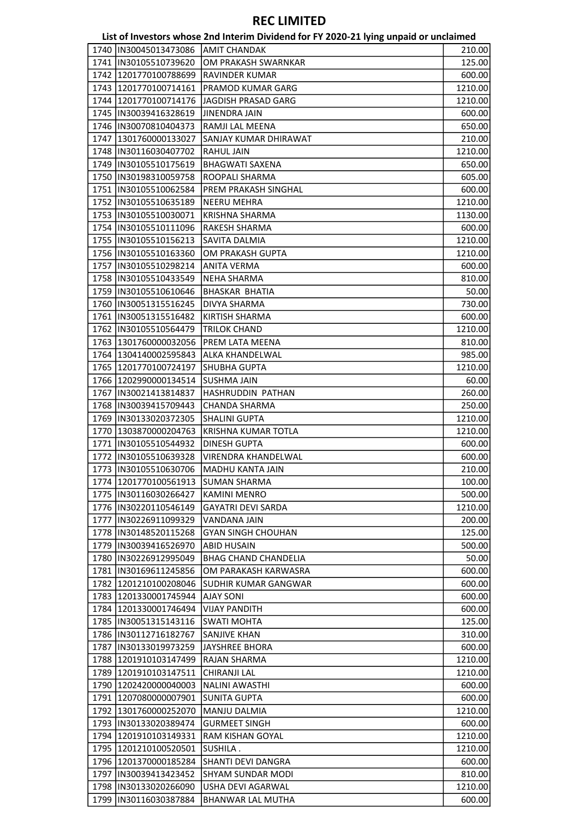|      |                         | List of Investors whose 2nd Interim Dividend for FY 2020-21 lying unpaid or unclaimed |         |
|------|-------------------------|---------------------------------------------------------------------------------------|---------|
|      | 1740 IIN30045013473086  | <b>AMIT CHANDAK</b>                                                                   | 210.00  |
|      | 1741  IN30105510739620  | OM PRAKASH SWARNKAR                                                                   | 125.00  |
|      | 1742 1201770100788699   | RAVINDER KUMAR                                                                        | 600.00  |
|      | 1743 1201770100714161   | PRAMOD KUMAR GARG                                                                     | 1210.00 |
|      | 1744 1201770100714176   | JAGDISH PRASAD GARG                                                                   | 1210.00 |
|      | 1745  IN30039416328619  | <b>JINENDRA JAIN</b>                                                                  | 600.00  |
|      | 1746   IN30070810404373 | RAMJI LAL MEENA                                                                       | 650.00  |
| 1747 | 1301760000133027        | SANJAY KUMAR DHIRAWAT                                                                 | 210.00  |
|      | 1748  IN30116030407702  | <b>RAHUL JAIN</b>                                                                     | 1210.00 |
|      | 1749  IN30105510175619  | <b>BHAGWATI SAXENA</b>                                                                | 650.00  |
|      | 1750  IN30198310059758  | ROOPALI SHARMA                                                                        | 605.00  |
|      | 1751  IN30105510062584  | PREM PRAKASH SINGHAL                                                                  | 600.00  |
|      | 1752  IN30105510635189  | <b>NEERU MEHRA</b>                                                                    | 1210.00 |
|      | 1753  IN30105510030071  | <b>KRISHNA SHARMA</b>                                                                 | 1130.00 |
|      | 1754  IN30105510111096  | RAKESH SHARMA                                                                         | 600.00  |
|      | 1755  IN30105510156213  | <b>SAVITA DALMIA</b>                                                                  | 1210.00 |
|      | 1756  IN30105510163360  | OM PRAKASH GUPTA                                                                      | 1210.00 |
|      | 1757  IN30105510298214  | <b>ANITA VERMA</b>                                                                    | 600.00  |
|      | 1758 IN30105510433549   | <b>NEHA SHARMA</b>                                                                    | 810.00  |
|      | 1759 IN30105510610646   | <b>BHASKAR BHATIA</b>                                                                 | 50.00   |
|      | 1760  IN30051315516245  | <b>DIVYA SHARMA</b>                                                                   | 730.00  |
|      | 1761   IN30051315516482 | <b>KIRTISH SHARMA</b>                                                                 | 600.00  |
|      | 1762  IN30105510564479  | <b>TRILOK CHAND</b>                                                                   | 1210.00 |
|      | 1763 1301760000032056   | PREM LATA MEENA                                                                       |         |
|      |                         |                                                                                       | 810.00  |
|      | 1764 1304140002595843   | ALKA KHANDELWAL                                                                       | 985.00  |
|      | 1765 1201770100724197   | <b>SHUBHA GUPTA</b>                                                                   | 1210.00 |
|      | 1766 1202990000134514   | <b>SUSHMA JAIN</b>                                                                    | 60.00   |
|      | 1767   IN30021413814837 | HASHRUDDIN PATHAN                                                                     | 260.00  |
|      | 1768   IN30039415709443 | <b>CHANDA SHARMA</b>                                                                  | 250.00  |
|      | 1769  IN30133020372305  | <b>SHALINI GUPTA</b>                                                                  | 1210.00 |
|      | 1770 1303870000204763   | KRISHNA KUMAR TOTLA                                                                   | 1210.00 |
|      | 1771  IN30105510544932  | <b>DINESH GUPTA</b>                                                                   | 600.00  |
|      | 1772  IN30105510639328  | <b>VIRENDRA KHANDELWAL</b>                                                            | 600.00  |
|      | 1773  IN30105510630706  | MADHU KANTA JAIN                                                                      | 210.00  |
|      | 1774   1201770100561913 | SUMAN SHARMA                                                                          | 100.00  |
|      | 1775 IIN30116030266427  | <b>KAMINI MENRO</b>                                                                   | 500.00  |
|      | 1776 IN30220110546149   | <b>GAYATRI DEVI SARDA</b>                                                             | 1210.00 |
|      | 1777  IN30226911099329  | <b>VANDANA JAIN</b>                                                                   | 200.00  |
|      | 1778 IN30148520115268   | <b>GYAN SINGH CHOUHAN</b>                                                             | 125.00  |
|      | 1779 IIN30039416526970  | <b>ABID HUSAIN</b>                                                                    | 500.00  |
|      | 1780 IIN30226912995049  | <b>BHAG CHAND CHANDELIA</b>                                                           | 50.00   |
|      | 1781 IN30169611245856   | OM PARAKASH KARWASRA                                                                  | 600.00  |
|      | 1782 1201210100208046   | <b>SUDHIR KUMAR GANGWAR</b>                                                           | 600.00  |
|      | 1783 1201330001745944   | <b>AJAY SONI</b>                                                                      | 600.00  |
|      | 1784 1201330001746494   | <b>VIJAY PANDITH</b>                                                                  | 600.00  |
|      | 1785   IN30051315143116 | <b>SWATI MOHTA</b>                                                                    | 125.00  |
|      | 1786   IN30112716182767 | SANJIVE KHAN                                                                          | 310.00  |
| 1787 | IN30133019973259        | <b>JAYSHREE BHORA</b>                                                                 | 600.00  |
|      | 1788 1201910103147499   | <b>RAJAN SHARMA</b>                                                                   | 1210.00 |
|      | 1789 1201910103147511   | <b>CHIRANJI LAL</b>                                                                   | 1210.00 |
|      | 1790   1202420000040003 | NALINI AWASTHI                                                                        | 600.00  |
|      | 1791 1207080000007901   | <b>SUNITA GUPTA</b>                                                                   | 600.00  |
|      | 1792 1301760000252070   | <b>MANJU DALMIA</b>                                                                   | 1210.00 |
|      | 1793  IN30133020389474  | <b>GURMEET SINGH</b>                                                                  | 600.00  |
|      | 1794 1201910103149331   | <b>RAM KISHAN GOYAL</b>                                                               | 1210.00 |
|      | 1795 1201210100520501   | SUSHILA .                                                                             | 1210.00 |
|      | 1796 1201370000185284   | SHANTI DEVI DANGRA                                                                    | 600.00  |
|      | 1797   IN30039413423452 | <b>SHYAM SUNDAR MODI</b>                                                              | 810.00  |
|      | 1798 IN30133020266090   | USHA DEVI AGARWAL                                                                     | 1210.00 |
|      | 1799  IN30116030387884  | <b>BHANWAR LAL MUTHA</b>                                                              | 600.00  |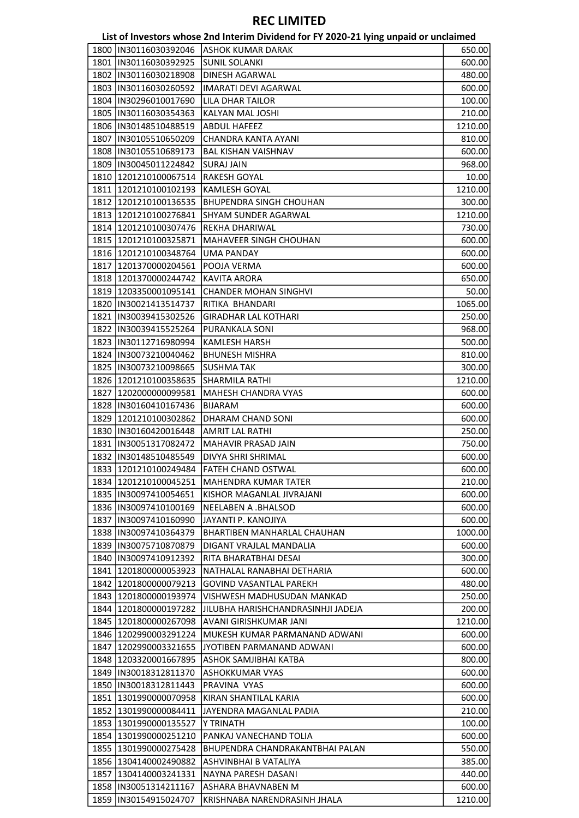|      |                         | List of Investors whose 2nd Interim Dividend for FY 2020-21 lying unpaid or unclaimed |         |
|------|-------------------------|---------------------------------------------------------------------------------------|---------|
| 1800 | IIN30116030392046       | ASHOK KUMAR DARAK                                                                     | 650.00  |
|      | 1801 IN30116030392925   | <b>SUNIL SOLANKI</b>                                                                  | 600.00  |
|      | 1802  IN30116030218908  | DINESH AGARWAL                                                                        | 480.00  |
|      | 1803  IN30116030260592  | <b>IMARATI DEVI AGARWAL</b>                                                           | 600.00  |
|      | 1804  IN30296010017690  | LILA DHAR TAILOR                                                                      | 100.00  |
|      | 1805  IN30116030354363  | KALYAN MAL JOSHI                                                                      | 210.00  |
|      | 1806   IN30148510488519 | <b>ABDUL HAFEEZ</b>                                                                   | 1210.00 |
| 1807 | IN30105510650209        | CHANDRA KANTA AYANI                                                                   | 810.00  |
|      | 1808  IN30105510689173  | <b>BAL KISHAN VAISHNAV</b>                                                            | 600.00  |
|      | 1809 IN30045011224842   | <b>SURAJ JAIN</b>                                                                     | 968.00  |
|      | 1810 1201210100067514   | <b>RAKESH GOYAL</b>                                                                   | 10.00   |
|      | 1811   1201210100102193 | <b>KAMLESH GOYAL</b>                                                                  | 1210.00 |
|      | 1812   1201210100136535 | <b>BHUPENDRA SINGH CHOUHAN</b>                                                        | 300.00  |
|      | 1813 1201210100276841   | <b>SHYAM SUNDER AGARWAL</b>                                                           | 1210.00 |
|      | 1814 1201210100307476   | <b>REKHA DHARIWAL</b>                                                                 | 730.00  |
|      | 1815 1201210100325871   | <b>MAHAVEER SINGH CHOUHAN</b>                                                         | 600.00  |
|      | 1816 1201210100348764   | <b>UMA PANDAY</b>                                                                     | 600.00  |
|      | 1817   1201370000204561 | POOJA VERMA                                                                           | 600.00  |
|      | 1818   1201370000244742 | <b>KAVITA ARORA</b>                                                                   | 650.00  |
|      | 1819 1203350001095141   | <b>CHANDER MOHAN SINGHVI</b>                                                          | 50.00   |
|      | 1820   IN30021413514737 | RITIKA BHANDARI                                                                       | 1065.00 |
|      | 1821   IN30039415302526 | <b>GIRADHAR LAL KOTHARI</b>                                                           | 250.00  |
|      | 1822   IN30039415525264 | PURANKALA SONI                                                                        | 968.00  |
|      | 1823   IN30112716980994 | <b>KAMLESH HARSH</b>                                                                  |         |
|      | 1824   IN30073210040462 | <b>BHUNESH MISHRA</b>                                                                 | 500.00  |
|      | 1825  IN30073210098665  | <b>SUSHMA TAK</b>                                                                     | 810.00  |
|      |                         |                                                                                       | 300.00  |
|      | 1826 1201210100358635   | SHARMILA RATHI                                                                        | 1210.00 |
|      | 1827   1202000000099581 | MAHESH CHANDRA VYAS                                                                   | 600.00  |
|      | 1828  IN30160410167436  | <b>BIJARAM</b>                                                                        | 600.00  |
|      | 1829 1201210100302862   | DHARAM CHAND SONI                                                                     | 600.00  |
|      | 1830   IN30160420016448 | <b>AMRIT LAL RATHI</b>                                                                | 250.00  |
|      | 1831   IN30051317082472 | MAHAVIR PRASAD JAIN                                                                   | 750.00  |
|      | 1832 IN30148510485549   | DIVYA SHRI SHRIMAL                                                                    | 600.00  |
|      | 1833 1201210100249484   | <b>FATEH CHAND OSTWAL</b>                                                             | 600.00  |
|      | 1834   1201210100045251 | MAHENDRA KUMAR TATER                                                                  | 210.00  |
|      | 1835 IN30097410054651   | KISHOR MAGANLAL JIVRAJANI                                                             | 600.00  |
|      | 1836  IN30097410100169  | <b>NEELABEN A .BHALSOD</b>                                                            | 600.00  |
|      | 1837 IIN30097410160990  | JAYANTI P. KANOJIYA                                                                   | 600.00  |
|      | 1838   IN30097410364379 | BHARTIBEN MANHARLAL CHAUHAN                                                           | 1000.00 |
|      | 1839 IIN30075710870879  | DIGANT VRAJLAL MANDALIA                                                               | 600.00  |
|      | 1840 IN30097410912392   | RITA BHARATBHAI DESAI                                                                 | 300.00  |
|      | 1841   1201800000053923 | NATHALAL RANABHAI DETHARIA                                                            | 600.00  |
|      | 1842 1201800000079213   | <b>GOVIND VASANTLAL PAREKH</b>                                                        | 480.00  |
|      | 1843   1201800000193974 | VISHWESH MADHUSUDAN MANKAD                                                            | 250.00  |
|      | 1844   1201800000197282 | JILUBHA HARISHCHANDRASINHJI JADEJA                                                    | 200.00  |
|      | 1845   1201800000267098 | AVANI GIRISHKUMAR JANI                                                                | 1210.00 |
|      | 1846 1202990003291224   | MUKESH KUMAR PARMANAND ADWANI                                                         | 600.00  |
|      | 1847   1202990003321655 | JYOTIBEN PARMANAND ADWANI                                                             | 600.00  |
|      | 1848 1203320001667895   | ASHOK SAMJIBHAI KATBA                                                                 | 800.00  |
|      | 1849 IN30018312811370   | <b>ASHOKKUMAR VYAS</b>                                                                | 600.00  |
|      | 1850   IN30018312811443 | PRAVINA VYAS                                                                          | 600.00  |
|      | 1851 1301990000070958   | KIRAN SHANTILAL KARIA                                                                 | 600.00  |
|      | 1852 1301990000084411   | JAYENDRA MAGANLAL PADIA                                                               | 210.00  |
|      | 1853   1301990000135527 | Y TRINATH                                                                             | 100.00  |
|      | 1854   1301990000251210 | PANKAJ VANECHAND TOLIA                                                                | 600.00  |
|      | 1855 1301990000275428   | BHUPENDRA CHANDRAKANTBHAI PALAN                                                       | 550.00  |
|      | 1856 1304140002490882   | ASHVINBHAI B VATALIYA                                                                 | 385.00  |
|      | 1857   1304140003241331 | NAYNA PARESH DASANI                                                                   | 440.00  |
|      | 1858  IN30051314211167  | <b>ASHARA BHAVNABEN M</b>                                                             | 600.00  |
|      | 1859  IN30154915024707  | KRISHNABA NARENDRASINH JHALA                                                          | 1210.00 |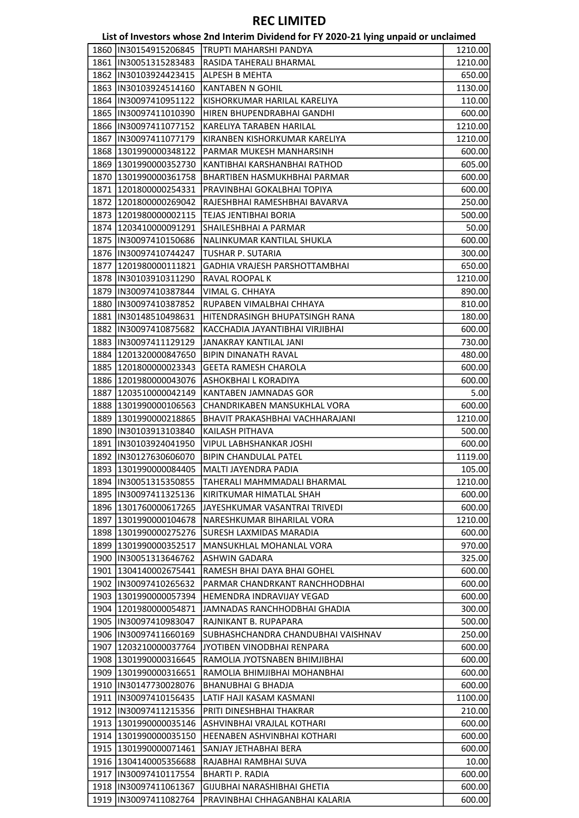|      |                         | List of Investors whose 2nd Interim Dividend for FY 2020-21 lying unpaid or unclaimed |         |
|------|-------------------------|---------------------------------------------------------------------------------------|---------|
|      | 1860   IN30154915206845 | <b>TRUPTI MAHARSHI PANDYA</b>                                                         | 1210.00 |
|      | 1861   IN30051315283483 | RASIDA TAHERALI BHARMAL                                                               | 1210.00 |
|      | 1862   IN30103924423415 | ALPESH B MEHTA                                                                        | 650.00  |
|      | 1863  IN30103924514160  | <b>KANTABEN N GOHIL</b>                                                               | 1130.00 |
|      | 1864   IN30097410951122 | KISHORKUMAR HARILAL KARELIYA                                                          | 110.00  |
|      | 1865   IN30097411010390 | HIREN BHUPENDRABHAI GANDHI                                                            | 600.00  |
|      | 1866   IN30097411077152 | KARELIYA TARABEN HARILAL                                                              | 1210.00 |
|      | 1867   IN30097411077179 | KIRANBEN KISHORKUMAR KARELIYA                                                         | 1210.00 |
|      | 1868 1301990000348122   | PARMAR MUKESH MANHARSINH                                                              | 600.00  |
|      | 1869 1301990000352730   | KANTIBHAI KARSHANBHAI RATHOD                                                          | 605.00  |
|      | 1870 1301990000361758   | BHARTIBEN HASMUKHBHAI PARMAR                                                          | 600.00  |
|      | 1871   1201800000254331 | PRAVINBHAI GOKALBHAI TOPIYA                                                           | 600.00  |
|      | 1872 1201800000269042   | RAJESHBHAI RAMESHBHAI BAVARVA                                                         | 250.00  |
|      | 1873   1201980000002115 | TEJAS JENTIBHAI BORIA                                                                 | 500.00  |
|      | 1874 1203410000091291   | SHAILESHBHAI A PARMAR                                                                 | 50.00   |
|      | 1875  IN30097410150686  | NALINKUMAR KANTILAL SHUKLA                                                            | 600.00  |
|      | 1876   IN30097410744247 | TUSHAR P. SUTARIA                                                                     | 300.00  |
| 1877 | 1201980000111821        | GADHIA VRAJESH PARSHOTTAMBHAI                                                         | 650.00  |
|      | 1878  IN30103910311290  | RAVAL ROOPAL K                                                                        | 1210.00 |
|      | 1879   IN30097410387844 | VIMAL G. CHHAYA                                                                       | 890.00  |
|      | 1880   IN30097410387852 | RUPABEN VIMALBHAI CHHAYA                                                              | 810.00  |
|      | 1881   IN30148510498631 | HITENDRASINGH BHUPATSINGH RANA                                                        | 180.00  |
|      | 1882  IN30097410875682  | KACCHADIA JAYANTIBHAI VIRJIBHAI                                                       | 600.00  |
|      | 1883  IN30097411129129  | JANAKRAY KANTILAL JANI                                                                | 730.00  |
|      | 1884 1201320000847650   | <b>BIPIN DINANATH RAVAL</b>                                                           | 480.00  |
|      | 1885   1201800000023343 | <b>GEETA RAMESH CHAROLA</b>                                                           | 600.00  |
|      | 1886 1201980000043076   | ASHOKBHAI L KORADIYA                                                                  |         |
|      |                         |                                                                                       | 600.00  |
|      | 1887   1203510000042149 | KANTABEN JAMNADAS GOR                                                                 | 5.00    |
|      | 1888 1301990000106563   | CHANDRIKABEN MANSUKHLAL VORA                                                          | 600.00  |
|      | 1889 1301990000218865   | BHAVIT PRAKASHBHAI VACHHARAJANI                                                       | 1210.00 |
|      | 1890   IN30103913103840 | KAILASH PITHAVA                                                                       | 500.00  |
|      | 1891   IN30103924041950 | <b>VIPUL LABHSHANKAR JOSHI</b>                                                        | 600.00  |
|      | 1892  IN30127630606070  | BIPIN CHANDULAL PATEL                                                                 | 1119.00 |
|      |                         | 1893 1301990000084405 MALTI JAYENDRA PADIA                                            | 105.00  |
|      | 1894   IN30051315350855 | TAHERALI MAHMMADALI BHARMAL                                                           | 1210.00 |
|      | 1895   IN30097411325136 | KIRITKUMAR HIMATLAL SHAH                                                              | 600.00  |
|      | 1896 1301760000617265   | JAYESHKUMAR VASANTRAI TRIVEDI                                                         | 600.00  |
|      | 1897 1301990000104678   | NARESHKUMAR BIHARILAL VORA                                                            | 1210.00 |
|      | 1898 1301990000275276   | SURESH LAXMIDAS MARADIA                                                               | 600.00  |
|      | 1899 1301990000352517   | <b>MANSUKHLAL MOHANLAL VORA</b>                                                       | 970.00  |
|      | 1900   IN30051313646762 | ASHWIN GADARA                                                                         | 325.00  |
|      | 1901   1304140002675441 | RAMESH BHAI DAYA BHAI GOHEL                                                           | 600.00  |
|      | 1902  IN30097410265632  | PARMAR CHANDRKANT RANCHHODBHAI                                                        | 600.00  |
|      | 1903   1301990000057394 | HEMENDRA INDRAVIJAY VEGAD                                                             | 600.00  |
|      | 1904   1201980000054871 | JAMNADAS RANCHHODBHAI GHADIA                                                          | 300.00  |
|      | 1905  IN30097410983047  | RAJNIKANT B. RUPAPARA                                                                 | 500.00  |
|      | 1906 IN30097411660169   | SUBHASHCHANDRA CHANDUBHAI VAISHNAV                                                    | 250.00  |
|      | 1907 1203210000037764   | JYOTIBEN VINODBHAI RENPARA                                                            | 600.00  |
|      | 1908 1301990000316645   | RAMOLIA JYOTSNABEN BHIMJIBHAI                                                         | 600.00  |
|      | 1909   1301990000316651 | RAMOLIA BHIMJIBHAI MOHANBHAI                                                          | 600.00  |
|      | 1910   IN30147730028076 | <b>BHANUBHAI G BHADJA</b>                                                             | 600.00  |
|      | 1911  IN30097410156435  | LATIF HAJI KASAM KASMANI                                                              | 1100.00 |
|      | 1912  IN30097411215356  | PRITI DINESHBHAI THAKRAR                                                              | 210.00  |
|      | 1913 1301990000035146   | ASHVINBHAI VRAJLAL KOTHARI                                                            | 600.00  |
|      | 1914   1301990000035150 | HEENABEN ASHVINBHAI KOTHARI                                                           | 600.00  |
|      | 1915   1301990000071461 | SANJAY JETHABHAI BERA                                                                 | 600.00  |
|      | 1916   1304140005356688 | RAJABHAI RAMBHAI SUVA                                                                 | 10.00   |
|      | 1917   IN30097410117554 | <b>BHARTI P. RADIA</b>                                                                | 600.00  |
|      | 1918  IN30097411061367  | GIJUBHAI NARASHIBHAI GHETIA                                                           | 600.00  |
|      | 1919   IN30097411082764 | PRAVINBHAI CHHAGANBHAI KALARIA                                                        | 600.00  |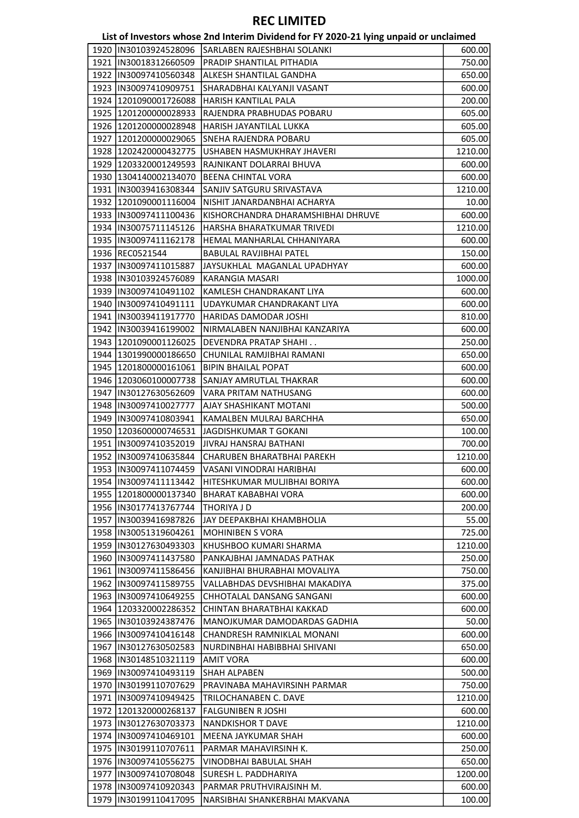|                         | LISTOT INVESTORS WHOSE ZHU INTERNIT DIVIDEND TOFFIT ZUZU-ZI TYMIS UNPAIU OF UNCIANNEU |         |
|-------------------------|---------------------------------------------------------------------------------------|---------|
|                         | 1920  IN30103924528096 SARLABEN RAJESHBHAI SOLANKI                                    | 600.00  |
| 1921  IN30018312660509  | PRADIP SHANTILAL PITHADIA                                                             | 750.00  |
| 1922  IN30097410560348  | ALKESH SHANTILAL GANDHA                                                               | 650.00  |
| 1923  IN30097410909751  | SHARADBHAI KALYANJI VASANT                                                            | 600.00  |
| 1924 1201090001726088   | HARISH KANTILAL PALA                                                                  | 200.00  |
| 1925   1201200000028933 | RAJENDRA PRABHUDAS POBARU                                                             | 605.00  |
| 1926 1201200000028948   | HARISH JAYANTILAL LUKKA                                                               | 605.00  |
| 1927   1201200000029065 | SNEHA RAJENDRA POBARU                                                                 | 605.00  |
| 1928 1202420000432775   | USHABEN HASMUKHRAY JHAVERI                                                            | 1210.00 |
| 1929 1203320001249593   | RAJNIKANT DOLARRAI BHUVA                                                              | 600.00  |
| 1930   1304140002134070 | BEENA CHINTAL VORA                                                                    | 600.00  |
| 1931   IN30039416308344 | SANJIV SATGURU SRIVASTAVA                                                             | 1210.00 |
| 1932 1201090001116004   | NISHIT JANARDANBHAI ACHARYA                                                           | 10.00   |
| 1933  IN30097411100436  | KISHORCHANDRA DHARAMSHIBHAI DHRUVE                                                    | 600.00  |
| 1934   IN30075711145126 | HARSHA BHARATKUMAR TRIVEDI                                                            | 1210.00 |
|                         |                                                                                       |         |
| 1935  IN30097411162178  | HEMAL MANHARLAL CHHANIYARA                                                            | 600.00  |
| 1936 REC0521544         | BABULAL RAVJIBHAI PATEL                                                               | 150.00  |
| 1937  IN30097411015887  | JAYSUKHLAL MAGANLAL UPADHYAY                                                          | 600.00  |
| 1938  IN30103924576089  | KARANGIA MASARI                                                                       | 1000.00 |
| 1939  IN30097410491102  | KAMLESH CHANDRAKANT LIYA                                                              | 600.00  |
| 1940   IN30097410491111 | UDAYKUMAR CHANDRAKANT LIYA                                                            | 600.00  |
| 1941   IN30039411917770 | <b>HARIDAS DAMODAR JOSHI</b>                                                          | 810.00  |
| 1942  IN30039416199002  | NIRMALABEN NANJIBHAI KANZARIYA                                                        | 600.00  |
| 1943   1201090001126025 | <b>DEVENDRA PRATAP SHAHI</b>                                                          | 250.00  |
| 1944   1301990000186650 | CHUNILAL RAMJIBHAI RAMANI                                                             | 650.00  |
| 1945   1201800000161061 | <b>BIPIN BHAILAL POPAT</b>                                                            | 600.00  |
| 1946   1203060100007738 | SANJAY AMRUTLAL THAKRAR                                                               | 600.00  |
| 1947   IN30127630562609 | VARA PRITAM NATHUSANG                                                                 | 600.00  |
| 1948   IN30097410027777 | AJAY SHASHIKANT MOTANI                                                                | 500.00  |
| 1949  IN30097410803941  | KAMALBEN MULRAJ BARCHHA                                                               | 650.00  |
| 1950 1203600000746531   | JAGDISHKUMAR T GOKANI                                                                 | 100.00  |
| 1951  IN30097410352019  | JIVRAJ HANSRAJ BATHANI                                                                | 700.00  |
| 1952  IN30097410635844  | CHARUBEN BHARATBHAI PAREKH                                                            | 1210.00 |
| 1953  IN30097411074459  | VASANI VINODRAI HARIBHAI                                                              | 600.00  |
| 1954   IN30097411113442 | HITESHKUMAR MULJIBHAI BORIYA                                                          | 600.00  |
| 1955  1201800000137340  | BHARAT KABABHAI VORA                                                                  | 600.00  |
| 1956   IN30177413767744 | THORIYA J D                                                                           | 200.00  |
|                         |                                                                                       |         |
| 1957   IN30039416987826 | JAY DEEPAKBHAI KHAMBHOLIA                                                             | 55.00   |
| 1958  IN30051319604261  | <b>MOHINIBEN S VORA</b>                                                               | 725.00  |
| 1959  IN30127630493303  | KHUSHBOO KUMARI SHARMA                                                                | 1210.00 |
| 1960   IN30097411437580 | PANKAJBHAI JAMNADAS PATHAK                                                            | 250.00  |
| 1961  IN30097411586456  | KANJIBHAI BHURABHAI MOVALIYA                                                          | 750.00  |
| 1962  IN30097411589755  | VALLABHDAS DEVSHIBHAI MAKADIYA                                                        | 375.00  |
| 1963  IN30097410649255  | CHHOTALAL DANSANG SANGANI                                                             | 600.00  |
| 1964   1203320002286352 | CHINTAN BHARATBHAI KAKKAD                                                             | 600.00  |
| 1965   IN30103924387476 | MANOJKUMAR DAMODARDAS GADHIA                                                          | 50.00   |
| 1966   IN30097410416148 | CHANDRESH RAMNIKLAL MONANI                                                            | 600.00  |
| 1967   IN30127630502583 | NURDINBHAI HABIBBHAI SHIVANI                                                          | 650.00  |
| 1968   IN30148510321119 | AMIT VORA                                                                             | 600.00  |
| 1969  IN30097410493119  | SHAH ALPABEN                                                                          | 500.00  |
| 1970   IN30199110707629 | PRAVINABA MAHAVIRSINH PARMAR                                                          | 750.00  |
| 1971   IN30097410949425 | TRILOCHANABEN C. DAVE                                                                 | 1210.00 |
| 1972 1201320000268137   | <b>FALGUNIBEN R JOSHI</b>                                                             | 600.00  |
| 1973  IN30127630703373  | NANDKISHOR T DAVE                                                                     | 1210.00 |
| 1974  IN30097410469101  | MEENA JAYKUMAR SHAH                                                                   | 600.00  |
| 1975  IN30199110707611  | PARMAR MAHAVIRSINH K.                                                                 | 250.00  |
| 1976   IN30097410556275 | VINODBHAI BABULAL SHAH                                                                | 650.00  |
| 1977  IN30097410708048  | SURESH L. PADDHARIYA                                                                  | 1200.00 |
| 1978   IN30097410920343 | PARMAR PRUTHVIRAJSINH M.                                                              | 600.00  |
|                         |                                                                                       |         |
| 1979  IN30199110417095  | NARSIBHAI SHANKERBHAI MAKVANA                                                         | 100.00  |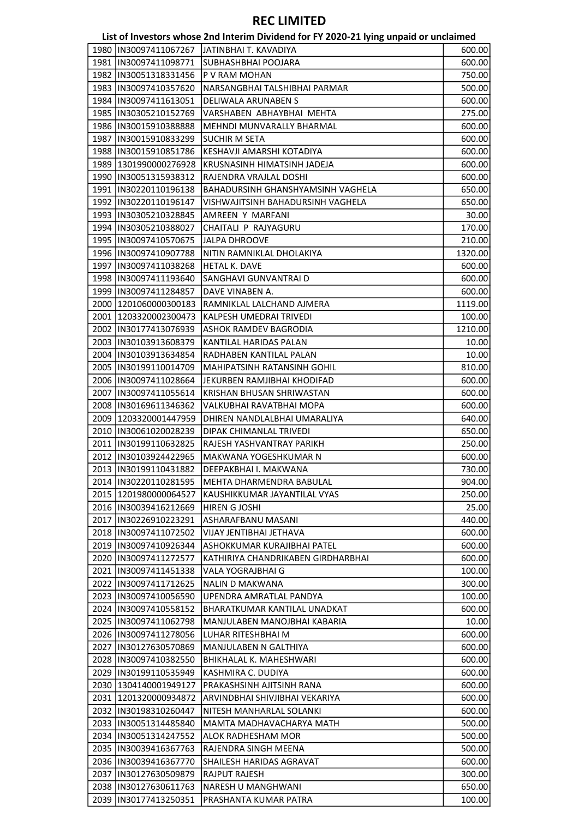|                         | List of Investors whose 2nd Interim Dividend for FY 2020-21 lying unpaid or unclaimed |         |
|-------------------------|---------------------------------------------------------------------------------------|---------|
| 1980 IIN30097411067267  | IJATINBHAI T. KAVADIYA                                                                | 600.00  |
| 1981  IN30097411098771  | <b>SUBHASHBHAI POOJARA</b>                                                            | 600.00  |
| 1982  IN30051318331456  | P V RAM MOHAN                                                                         | 750.00  |
| 1983  IN30097410357620  | NARSANGBHAI TALSHIBHAI PARMAR                                                         | 500.00  |
| 1984   IN30097411613051 | <b>DELIWALA ARUNABEN S</b>                                                            | 600.00  |
| 1985  IN30305210152769  | VARSHABEN ABHAYBHAI MEHTA                                                             | 275.00  |
| 1986  IN30015910388888  | MEHNDI MUNVARALLY BHARMAL                                                             | 600.00  |
| 1987  IN30015910833299  | <b>SUCHIR M SETA</b>                                                                  | 600.00  |
| 1988  IN30015910851786  | KESHAVJI AMARSHI KOTADIYA                                                             | 600.00  |
| 1989 1301990000276928   | KRUSNASINH HIMATSINH JADEJA                                                           | 600.00  |
| 1990  IN30051315938312  | RAJENDRA VRAJLAL DOSHI                                                                | 600.00  |
| 1991   IN30220110196138 | BAHADURSINH GHANSHYAMSINH VAGHELA                                                     | 650.00  |
| 1992 IN30220110196147   | VISHWAJITSINH BAHADURSINH VAGHELA                                                     | 650.00  |
| 1993  IN30305210328845  | AMREEN Y MARFANI                                                                      | 30.00   |
| 1994  IN30305210388027  | CHAITALI P RAJYAGURU                                                                  | 170.00  |
| 1995  IN30097410570675  | <b>JJALPA DHROOVE</b>                                                                 | 210.00  |
| 1996  IN30097410907788  | NITIN RAMNIKLAL DHOLAKIYA                                                             | 1320.00 |
| 1997  IN30097411038268  | <b>HETAL K. DAVE</b>                                                                  | 600.00  |
| 1998  IN30097411193640  | SANGHAVI GUNVANTRAI D                                                                 | 600.00  |
| 1999  IN30097411284857  | DAVE VINABEN A.                                                                       | 600.00  |
| 2000 1201060000300183   | RAMNIKLAL LALCHAND AJMERA                                                             | 1119.00 |
| 2001 1203320002300473   | KALPESH UMEDRAI TRIVEDI                                                               | 100.00  |
| 2002 IIN30177413076939  | ASHOK RAMDEV BAGRODIA                                                                 | 1210.00 |
| 2003  IN30103913608379  | KANTILAL HARIDAS PALAN                                                                | 10.00   |
| 2004  IN30103913634854  | RADHABEN KANTILAL PALAN                                                               | 10.00   |
| 2005  IN30199110014709  | MAHIPATSINH RATANSINH GOHIL                                                           | 810.00  |
| 2006 IN30097411028664   | JEKURBEN RAMJIBHAI KHODIFAD                                                           | 600.00  |
| 2007 IIN30097411055614  | KRISHAN BHUSAN SHRIWASTAN                                                             | 600.00  |
| 2008  IN30169611346362  | VALKUBHAI RAVATBHAI MOPA                                                              | 600.00  |
| 2009 1203320001447959   | DHIREN NANDLALBHAI UMARALIYA                                                          | 640.00  |
| 2010  IN30061020028239  | DIPAK CHIMANLAL TRIVEDI                                                               | 650.00  |
| 2011  IN30199110632825  | RAJESH YASHVANTRAY PARIKH                                                             | 250.00  |
| 2012 IN30103924422965   | MAKWANA YOGESHKUMAR N                                                                 | 600.00  |
| 2013 IN30199110431882   | DEEPAKBHAI I. MAKWANA                                                                 | 730.00  |
| 2014 IN30220110281595   | MEHTA DHARMENDRA BABULAL                                                              | 904.00  |
| 2015   1201980000064527 | KAUSHIKKUMAR JAYANTILAL VYAS                                                          | 250.00  |
| 2016  IN30039416212669  | HIREN G JOSHI                                                                         | 25.00   |
| 2017   IN30226910223291 | ASHARAFBANU MASANI                                                                    | 440.00  |
| 2018 IN30097411072502   | VIJAY JENTIBHAI JETHAVA                                                               | 600.00  |
| 2019  IN30097410926344  | ASHOKKUMAR KURAJIBHAI PATEL                                                           | 600.00  |
| 2020   IN30097411272577 | KATHIRIYA CHANDRIKABEN GIRDHARBHAI                                                    | 600.00  |
| 2021 IN30097411451338   | VALA YOGRAJBHAI G                                                                     | 100.00  |
| 2022 IN30097411712625   | <b>NALIN D MAKWANA</b>                                                                | 300.00  |
| 2023  IN30097410056590  | UPENDRA AMRATLAL PANDYA                                                               | 100.00  |
| 2024 IN30097410558152   | BHARATKUMAR KANTILAL UNADKAT                                                          | 600.00  |
| 2025  IN30097411062798  | MANJULABEN MANOJBHAI KABARIA                                                          | 10.00   |
| 2026  IN30097411278056  | LUHAR RITESHBHAI M                                                                    | 600.00  |
| 2027  IN30127630570869  | MANJULABEN N GALTHIYA                                                                 | 600.00  |
| 2028  IN30097410382550  | BHIKHALAL K. MAHESHWARI                                                               | 600.00  |

 IN30199110535949 KASHMIRA C. DUDIYA 600.00 1304140001949127 PRAKASHSINH AJITSINH RANA 600.00 1201320000934872 ARVINDBHAI SHIVJIBHAI VEKARIYA 600.00 IN30198310260447 NITESH MANHARLAL SOLANKI 600.00 IN30051314485840 MAMTA MADHAVACHARYA MATH 500.00 IN30051314247552 ALOK RADHESHAM MOR 500.00 2035 IN30039416367763 RAJENDRA SINGH MEENA 500.00 2036 | IN30039416367770 | SHAILESH HARIDAS AGRAVAT 600.00 IN30127630509879 RAJPUT RAJESH 300.00 IN30127630611763 NARESH U MANGHWANI 650.00 2039 |IN30177413250351 PRASHANTA KUMAR PATRA 100.00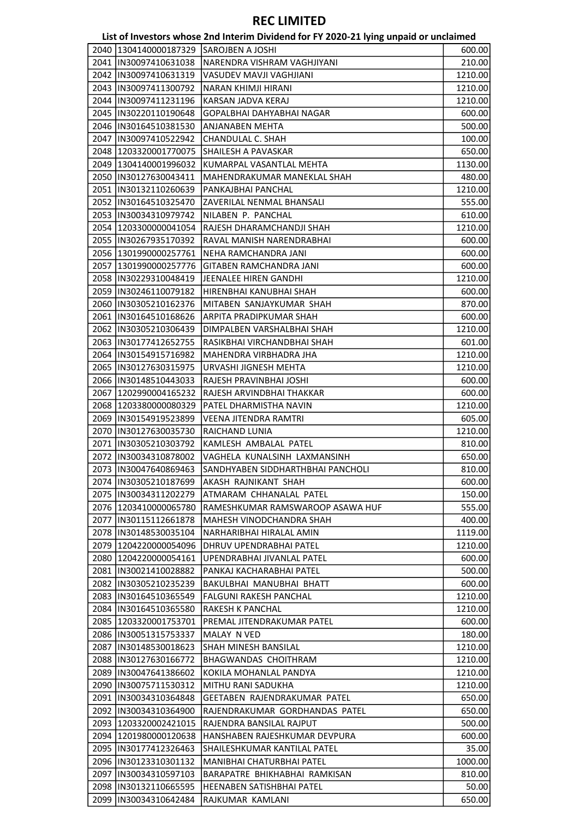|                         | List of Investors whose 2nd Interim Dividend for FY 2020-21 lying unpaid or unclaimed |         |
|-------------------------|---------------------------------------------------------------------------------------|---------|
| 2040 1304140000187329   | <b>SAROJBEN A JOSHI</b>                                                               | 600.00  |
| 2041 IN30097410631038   | NARENDRA VISHRAM VAGHJIYANI                                                           | 210.00  |
| 2042 IN30097410631319   | VASUDEV MAVJI VAGHJIANI                                                               | 1210.00 |
| 2043  IN30097411300792  | NARAN KHIMJI HIRANI                                                                   | 1210.00 |
| 2044  IN30097411231196  | KARSAN JADVA KERAJ                                                                    | 1210.00 |
| 2045  IN30220110190648  | GOPALBHAI DAHYABHAI NAGAR                                                             | 600.00  |
| 2046  IN30164510381530  | ANJANABEN MEHTA                                                                       | 500.00  |
| 2047 IN30097410522942   | CHANDULAL C. SHAH                                                                     | 100.00  |
| 2048 1203320001770075   | SHAILESH A PAVASKAR                                                                   | 650.00  |
| 2049 1304140001996032   | KUMARPAL VASANTLAL MEHTA                                                              | 1130.00 |
| 2050  IN30127630043411  | MAHENDRAKUMAR MANEKLAL SHAH                                                           | 480.00  |
| 2051  IN30132110260639  | PANKAJBHAI PANCHAL                                                                    | 1210.00 |
| 2052  IN30164510325470  | ZAVERILAL NENMAL BHANSALI                                                             | 555.00  |
| 2053 IIN30034310979742  | NILABEN P. PANCHAL                                                                    | 610.00  |
| 2054 1203300000041054   | RAJESH DHARAMCHANDJI SHAH                                                             | 1210.00 |
| 2055  IN30267935170392  | RAVAL MANISH NARENDRABHAI                                                             | 600.00  |
| 2056   1301990000257761 | NEHA RAMCHANDRA JANI                                                                  | 600.00  |
| 2057   1301990000257776 | <b>GITABEN RAMCHANDRA JANI</b>                                                        | 600.00  |
| 2058 IN30229310048419   | JEENALEE HIREN GANDHI                                                                 | 1210.00 |
| 2059 IN30246110079182   | HIRENBHAI KANUBHAI SHAH                                                               | 600.00  |
| 2060  IN30305210162376  | MITABEN SANJAYKUMAR SHAH                                                              | 870.00  |
| 2061  IN30164510168626  | ARPITA PRADIPKUMAR SHAH                                                               | 600.00  |
| 2062  IN30305210306439  | DIMPALBEN VARSHALBHAI SHAH                                                            | 1210.00 |
| 2063  IN30177412652755  | RASIKBHAI VIRCHANDBHAI SHAH                                                           |         |
|                         |                                                                                       | 601.00  |
| 2064 IN30154915716982   | MAHENDRA VIRBHADRA JHA                                                                | 1210.00 |
| 2065  IN30127630315975  | URVASHI JIGNESH MEHTA                                                                 | 1210.00 |
| 2066   IN30148510443033 | RAJESH PRAVINBHAI JOSHI                                                               | 600.00  |
| 2067   1202990004165232 | RAJESH ARVINDBHAI THAKKAR                                                             | 600.00  |
| 2068 1203380000080329   | PATEL DHARMISTHA NAVIN                                                                | 1210.00 |
| 2069 IIN30154919523899  | VEENA JITENDRA RAMTRI                                                                 | 605.00  |
| 2070  IN30127630035730  | RAICHAND LUNIA                                                                        | 1210.00 |
| 2071  IN30305210303792  | KAMLESH AMBALAL PATEL                                                                 | 810.00  |
| 2072 IN30034310878002   | VAGHELA KUNALSINH LAXMANSINH                                                          | 650.00  |
| 2073  IN30047640869463  | SANDHYABEN SIDDHARTHBHAI PANCHOLI                                                     | 810.00  |
| 2074  IN30305210187699  | AKASH RAJNIKANT SHAH                                                                  | 600.00  |
| 2075  IN30034311202279  | ATMARAM CHHANALAL PATEL                                                               | 150.00  |
| 2076 1203410000065780   | RAMESHKUMAR RAMSWAROOP ASAWA HUF                                                      | 555.00  |
| 2077  IN30115112661878  | MAHESH VINODCHANDRA SHAH                                                              | 400.00  |
| 2078 IIN30148530035104  | NARHARIBHAI HIRALAL AMIN                                                              | 1119.00 |
| 2079   1204220000054096 | <b>DHRUV UPENDRABHAI PATEL</b>                                                        | 1210.00 |
| 2080   1204220000054161 | UPENDRABHAI JIVANLAL PATEL                                                            | 600.00  |
| 2081  IN30021410028882  | PANKAJ KACHARABHAI PATEL                                                              | 500.00  |
| 2082 IN30305210235239   | BAKULBHAI MANUBHAI BHATT                                                              | 600.00  |
| 2083  IN30164510365549  | <b>FALGUNI RAKESH PANCHAL</b>                                                         | 1210.00 |
| 2084  IN30164510365580  | RAKESH K PANCHAL                                                                      | 1210.00 |
| 2085   1203320001753701 | PREMAL JITENDRAKUMAR PATEL                                                            | 600.00  |
| 2086 IN30051315753337   | MALAY N VED                                                                           | 180.00  |
| 2087  IN30148530018623  | <b>SHAH MINESH BANSILAL</b>                                                           | 1210.00 |
| 2088  IN30127630166772  | BHAGWANDAS CHOITHRAM                                                                  | 1210.00 |
| 2089 IN30047641386602   | KOKILA MOHANLAL PANDYA                                                                | 1210.00 |
| 2090   IN30075711530312 | MITHU RANI SADUKHA                                                                    | 1210.00 |
| 2091 IN30034310364848   | GEETABEN RAJENDRAKUMAR PATEL                                                          | 650.00  |
| 2092  IN30034310364900  | RAJENDRAKUMAR GORDHANDAS PATEL                                                        | 650.00  |
| 2093 1203320002421015   | RAJENDRA BANSILAL RAJPUT                                                              | 500.00  |
| 2094  1201980000120638  | HANSHABEN RAJESHKUMAR DEVPURA                                                         | 600.00  |
| 2095  IN30177412326463  | SHAILESHKUMAR KANTILAL PATEL                                                          | 35.00   |
| 2096  IN30123310301132  | MANIBHAI CHATURBHAI PATEL                                                             | 1000.00 |
| 2097 IIN30034310597103  | BARAPATRE BHIKHABHAI RAMKISAN                                                         | 810.00  |
| 2098  IN30132110665595  | HEENABEN SATISHBHAI PATEL                                                             | 50.00   |
| 2099  IN30034310642484  | RAJKUMAR KAMLANI                                                                      | 650.00  |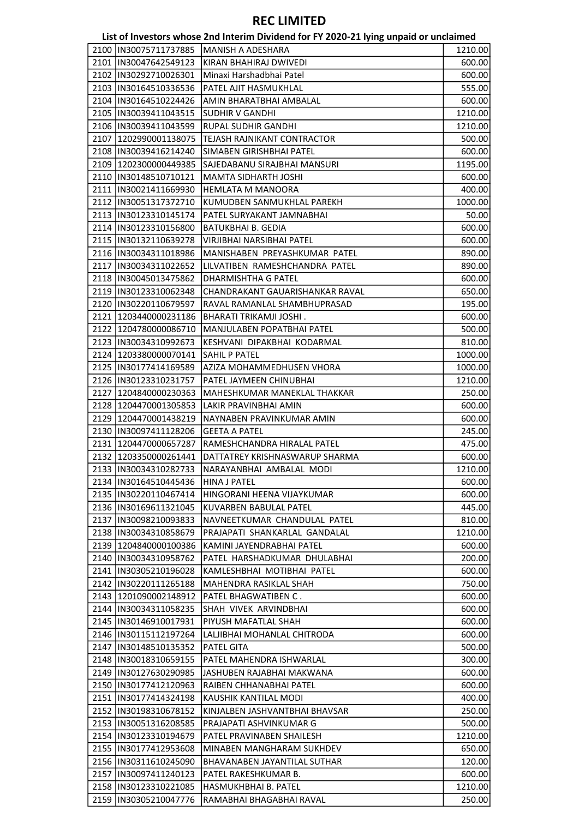|                                                 | List of Investors whose 2nd Interim Dividend for FY 2020-21 lying unpaid or unclaimed |                  |
|-------------------------------------------------|---------------------------------------------------------------------------------------|------------------|
| 2100  IN30075711737885                          | <b>MANISH A ADESHARA</b>                                                              | 1210.00          |
| 2101  IN30047642549123                          | KIRAN BHAHIRAJ DWIVEDI                                                                | 600.00           |
| 2102 IIN30292710026301                          | Minaxi Harshadbhai Patel                                                              | 600.00           |
| 2103  IN30164510336536                          | PATEL AJIT HASMUKHLAL                                                                 | 555.00           |
| 2104  IN30164510224426                          | AMIN BHARATBHAI AMBALAL                                                               | 600.00           |
| 2105  IN30039411043515                          | <b>SUDHIR V GANDHI</b>                                                                | 1210.00          |
| 2106  IN30039411043599                          | RUPAL SUDHIR GANDHI                                                                   | 1210.00          |
| 2107 1202990001138075                           | TEJASH RAJNIKANT CONTRACTOR                                                           | 500.00           |
| 2108 IN30039416214240                           | SIMABEN GIRISHBHAI PATEL                                                              | 600.00           |
| 2109 1202300000449385                           | SAJEDABANU SIRAJBHAI MANSURI                                                          | 1195.00          |
| 2110  IN30148510710121                          | MAMTA SIDHARTH JOSHI                                                                  | 600.00           |
| 2111  IN30021411669930                          | HEMLATA M MANOORA                                                                     | 400.00           |
| 2112  IN30051317372710                          | KUMUDBEN SANMUKHLAL PAREKH                                                            | 1000.00          |
| 2113 IIN30123310145174                          | PATEL SURYAKANT JAMNABHAI                                                             | 50.00            |
| 2114  IN30123310156800                          | <b>BATUKBHAI B. GEDIA</b>                                                             | 600.00           |
| 2115  IN30132110639278                          | VIRJIBHAI NARSIBHAI PATEL                                                             | 600.00           |
| 2116  IN30034311018986                          | MANISHABEN PREYASHKUMAR PATEL                                                         | 890.00           |
| 2117  IN30034311022652                          | LILVATIBEN RAMESHCHANDRA PATEL                                                        | 890.00           |
| 2118 IN30045013475862                           | DHARMISHTHA G PATEL                                                                   | 600.00           |
| 2119 IN30123310062348                           | CHANDRAKANT GAUARISHANKAR RAVAL                                                       | 650.00           |
| 2120  IN30220110679597                          | RAVAL RAMANLAL SHAMBHUPRASAD                                                          | 195.00           |
| 2121   1203440000231186                         | BHARATI TRIKAMJI JOSHI.                                                               | 600.00           |
| 2122 1204780000086710                           | MANJULABEN POPATBHAI PATEL                                                            | 500.00           |
| 2123  IN30034310992673                          | KESHVANI DIPAKBHAI KODARMAL                                                           | 810.00           |
| 2124   1203380000070141                         | SAHIL P PATEL                                                                         | 1000.00          |
| 2125  IN30177414169589                          | AZIZA MOHAMMEDHUSEN VHORA                                                             | 1000.00          |
| 2126  IN30123310231757                          | PATEL JAYMEEN CHINUBHAI                                                               | 1210.00          |
| 2127   1204840000230363                         | MAHESHKUMAR MANEKLAL THAKKAR                                                          | 250.00           |
| 2128 1204470001305853                           | LAKIR PRAVINBHAI AMIN                                                                 | 600.00           |
| 2129 1204470001438219                           | NAYNABEN PRAVINKUMAR AMIN                                                             | 600.00           |
| 2130  IN30097411128206                          | <b>GEETA A PATEL</b>                                                                  | 245.00           |
| 2131 1204470000657287                           | RAMESHCHANDRA HIRALAL PATEL                                                           | 475.00           |
| 2132 1203350000261441                           | DATTATREY KRISHNASWARUP SHARMA                                                        | 600.00           |
| 2133  IN30034310282733                          | NARAYANBHAI AMBALAL MODI                                                              | 1210.00          |
| 2134  IN30164510445436                          | <b>HINA J PATEL</b>                                                                   | 600.00           |
| 2135  IN30220110467414                          | HINGORANI HEENA VIJAYKUMAR                                                            | 600.00           |
| 2136  IN30169611321045                          | <b>KUVARBEN BABULAL PATEL</b>                                                         |                  |
| 2137  IN30098210093833                          | NAVNEETKUMAR CHANDULAL PATEL                                                          | 445.00           |
| 2138 IIN30034310858679                          |                                                                                       | 810.00           |
|                                                 | PRAJAPATI SHANKARLAL GANDALAL                                                         | 1210.00          |
| 2139 1204840000100386<br>2140  IN30034310958762 | KAMINI JAYENDRABHAI PATEL<br>PATEL HARSHADKUMAR DHULABHAI                             | 600.00<br>200.00 |
|                                                 |                                                                                       |                  |
| 2141  IN30305210196028                          | KAMLESHBHAI MOTIBHAI PATEL                                                            | 600.00           |
| 2142  IN30220111265188                          | MAHENDRA RASIKLAL SHAH                                                                | 750.00           |
| 2143 2201090002148912                           | PATEL BHAGWATIBEN C.                                                                  | 600.00           |
| 2144  IN30034311058235                          | SHAH VIVEK ARVINDBHAI                                                                 | 600.00           |
| 2145  IN30146910017931                          | PIYUSH MAFATLAL SHAH                                                                  | 600.00           |
| 2146  IN30115112197264                          | LALJIBHAI MOHANLAL CHITRODA                                                           | 600.00           |
| 2147  IN30148510135352                          | PATEL GITA                                                                            | 500.00           |
| 2148  IN30018310659155                          | PATEL MAHENDRA ISHWARLAL                                                              | 300.00           |
| 2149  IN30127630290985                          | JASHUBEN RAJABHAI MAKWANA                                                             | 600.00           |
| 2150  IN30177412120963                          | RAIBEN CHHANABHAI PATEL                                                               | 600.00           |
| 2151  IN30177414324198                          | KAUSHIK KANTILAL MODI                                                                 | 400.00           |
| 2152  IN30198310678152                          | KINJALBEN JASHVANTBHAI BHAVSAR                                                        | 250.00           |
| 2153  IN30051316208585                          | PRAJAPATI ASHVINKUMAR G                                                               | 500.00           |
| 2154  IN30123310194679                          | PATEL PRAVINABEN SHAILESH                                                             | 1210.00          |
| 2155  IN30177412953608                          | MINABEN MANGHARAM SUKHDEV                                                             | 650.00           |
| 2156  IN30311610245090                          | BHAVANABEN JAYANTILAL SUTHAR                                                          | 120.00           |
| 2157  IN30097411240123                          | PATEL RAKESHKUMAR B.                                                                  | 600.00           |
| 2158  IN30123310221085                          | HASMUKHBHAI B. PATEL                                                                  | 1210.00          |
| 2159  IN30305210047776                          | RAMABHAI BHAGABHAI RAVAL                                                              | 250.00           |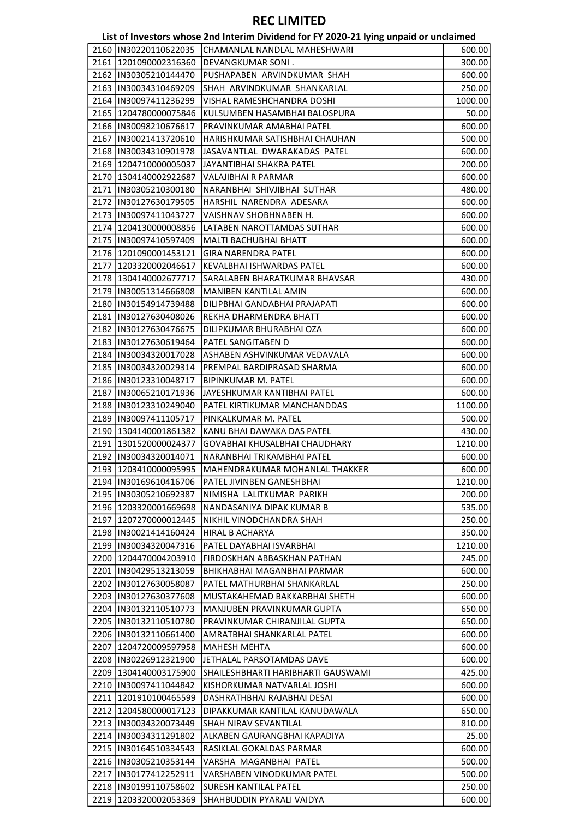| List of Investors whose 2nd Interim Dividend for FY 2020-21 lying unpaid or unclaimed |  |  |
|---------------------------------------------------------------------------------------|--|--|
|---------------------------------------------------------------------------------------|--|--|

|                         | ED, OF INVESTORS WHOSE ENGINEERING DIVIDENCIAL OF THE EXECUTIVE SUPPORT OF GIRDIGHTEN |         |
|-------------------------|---------------------------------------------------------------------------------------|---------|
| 2160  IN30220110622035  | CHAMANLAL NANDLAL MAHESHWARI                                                          | 600.00  |
| 2161  1201090002316360  | <b>DEVANGKUMAR SONI.</b>                                                              | 300.00  |
| 2162  IN30305210144470  | PUSHAPABEN ARVINDKUMAR SHAH                                                           | 600.00  |
| 2163  IN30034310469209  | SHAH ARVINDKUMAR SHANKARLAL                                                           | 250.00  |
| 2164  IN30097411236299  | VISHAL RAMESHCHANDRA DOSHI                                                            | 1000.00 |
| 2165   1204780000075846 | KULSUMBEN HASAMBHAI BALOSPURA                                                         | 50.00   |
| 2166  IN30098210676617  | PRAVINKUMAR AMABHAI PATEL                                                             | 600.00  |
| 2167  IN30021413720610  | HARISHKUMAR SATISHBHAI CHAUHAN                                                        | 500.00  |
|                         |                                                                                       |         |
| 2168  IN30034310901978  | JASAVANTLAL DWARAKADAS PATEL                                                          | 600.00  |
| 2169   1204710000005037 | JAYANTIBHAI SHAKRA PATEL                                                              | 200.00  |
| 2170 1304140002922687   | VALAJIBHAI R PARMAR                                                                   | 600.00  |
| 2171  IN30305210300180  | NARANBHAI SHIVJIBHAI SUTHAR                                                           | 480.00  |
| 2172  IN30127630179505  | HARSHIL NARENDRA ADESARA                                                              | 600.00  |
| 2173  IN30097411043727  | VAISHNAV SHOBHNABEN H.                                                                | 600.00  |
| 2174   1204130000008856 | LATABEN NAROTTAMDAS SUTHAR                                                            | 600.00  |
| 2175  IN30097410597409  | MALTI BACHUBHAI BHATT                                                                 | 600.00  |
| 2176   1201090001453121 | <b>GIRA NARENDRA PATEL</b>                                                            | 600.00  |
| 2177   1203320002046617 | KEVALBHAI ISHWARDAS PATEL                                                             | 600.00  |
| 2178   1304140002677717 | SARALABEN BHARATKUMAR BHAVSAR                                                         | 430.00  |
| 2179  IN30051314666808  | MANIBEN KANTILAL AMIN                                                                 | 600.00  |
| 2180   IN30154914739488 | DILIPBHAI GANDABHAI PRAJAPATI                                                         | 600.00  |
| 2181  IN30127630408026  | REKHA DHARMENDRA BHATT                                                                | 600.00  |
| 2182  IN30127630476675  | DILIPKUMAR BHURABHAI OZA                                                              | 600.00  |
| 2183  IN30127630619464  | PATEL SANGITABEN D                                                                    | 600.00  |
| 2184  IN30034320017028  | ASHABEN ASHVINKUMAR VEDAVALA                                                          | 600.00  |
| 2185  IN30034320029314  | PREMPAL BARDIPRASAD SHARMA                                                            | 600.00  |
| 2186  IN30123310048717  |                                                                                       |         |
|                         | BIPINKUMAR M. PATEL                                                                   | 600.00  |
| 2187  IN30065210171936  | JAYESHKUMAR KANTIBHAI PATEL                                                           | 600.00  |
| 2188  IN30123310249040  | PATEL KIRTIKUMAR MANCHANDDAS                                                          | 1100.00 |
| 2189  IN30097411105717  | PINKALKUMAR M. PATEL                                                                  | 500.00  |
| 2190   1304140001861382 | KANU BHAI DAWAKA DAS PATEL                                                            | 430.00  |
| 2191 1301520000024377   | GOVABHAI KHUSALBHAI CHAUDHARY                                                         | 1210.00 |
| 2192  IN30034320014071  | NARANBHAI TRIKAMBHAI PATEL                                                            | 600.00  |
| 2193 1203410000095995   | MAHENDRAKUMAR MOHANLAL THAKKER                                                        | 600.00  |
| 2194  IN30169610416706  | PATEL JIVINBEN GANESHBHAI                                                             | 1210.00 |
| 2195  IN30305210692387  | NIMISHA LALITKUMAR PARIKH                                                             | 200.00  |
| 2196 1203320001669698   | NANDASANIYA DIPAK KUMAR B                                                             | 535.00  |
| 2197 1207270000012445   | NIKHIL VINODCHANDRA SHAH                                                              | 250.00  |
| 2198  IN30021414160424  | HIRAL B ACHARYA                                                                       | 350.00  |
| 2199  IN30034320047316  | PATEL DAYABHAI ISVARBHAI                                                              | 1210.00 |
| 2200 1204470004203910   | FIRDOSKHAN ABBASKHAN PATHAN                                                           | 245.00  |
| 2201  IN30429513213059  | BHIKHABHAI MAGANBHAI PARMAR                                                           | 600.00  |
| 2202 IN30127630058087   | PATEL MATHURBHAI SHANKARLAL                                                           | 250.00  |
| 2203 IN30127630377608   | MUSTAKAHEMAD BAKKARBHAI SHETH                                                         | 600.00  |
| 2204 IN30132110510773   | MANJUBEN PRAVINKUMAR GUPTA                                                            | 650.00  |
| 2205  IN30132110510780  | PRAVINKUMAR CHIRANJILAL GUPTA                                                         | 650.00  |
| 2206  IN30132110661400  | AMRATBHAI SHANKARLAL PATEL                                                            | 600.00  |
| 2207 1204720009597958   | <b>MAHESH MEHTA</b>                                                                   | 600.00  |
| 2208  IN30226912321900  | JETHALAL PARSOTAMDAS DAVE                                                             | 600.00  |
| 2209 1304140003175900   | SHAILESHBHARTI HARIBHARTI GAUSWAMI                                                    | 425.00  |
| 2210  IN30097411044842  | KISHORKUMAR NATVARLAL JOSHI                                                           | 600.00  |
| 2211  1201910100465599  | DASHRATHBHAI RAJABHAI DESAI                                                           | 600.00  |
| 2212 1204580000017123   | DIPAKKUMAR KANTILAL KANUDAWALA                                                        |         |
|                         |                                                                                       | 650.00  |
| 2213  IN30034320073449  | <b>SHAH NIRAV SEVANTILAL</b>                                                          | 810.00  |
| 2214  IN30034311291802  | ALKABEN GAURANGBHAI KAPADIYA                                                          | 25.00   |
| 2215 IN30164510334543   | RASIKLAL GOKALDAS PARMAR                                                              | 600.00  |
| 2216  IN30305210353144  | VARSHA MAGANBHAI PATEL                                                                | 500.00  |
| 2217  IN30177412252911  | VARSHABEN VINODKUMAR PATEL                                                            | 500.00  |
| 2218  IN30199110758602  | SURESH KANTILAL PATEL                                                                 | 250.00  |
| 2219 1203320002053369   | SHAHBUDDIN PYARALI VAIDYA                                                             | 600.00  |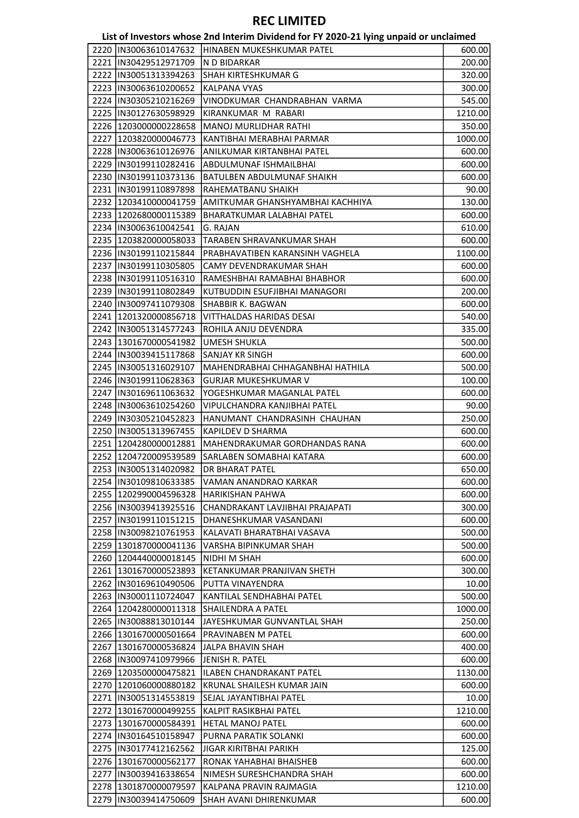#### List of Investors whose 2nd Interim Dividend for FY 2020-21 lying unpaid or unclaimed

| 2220  IN30063610147632  | HINABEN MUKESHKUMAR PATEL         | 600.00  |
|-------------------------|-----------------------------------|---------|
| 2221  IN30429512971709  | N D BIDARKAR                      | 200.00  |
| 2222  IN30051313394263  | <b>SHAH KIRTESHKUMAR G</b>        | 320.00  |
| 2223  IN30063610200652  | <b>KALPANA VYAS</b>               | 300.00  |
| 2224 IN30305210216269   | VINODKUMAR CHANDRABHAN VARMA      | 545.00  |
| 2225  IN30127630598929  | KIRANKUMAR M RABARI               | 1210.00 |
| 2226 1203000000228658   | <b>MANOJ MURLIDHAR RATHI</b>      | 350.00  |
| 2227 1203820000046773   | KANTIBHAI MERABHAI PARMAR         | 1000.00 |
| 2228  IN30063610126976  | ANILKUMAR KIRTANBHAI PATEL        | 600.00  |
| 2229 IIN30199110282416  | ABDULMUNAF ISHMAILBHAI            | 600.00  |
| 2230  IN30199110373136  | BATULBEN ABDULMUNAF SHAIKH        | 600.00  |
| 2231  IN30199110897898  | RAHEMATBANU SHAIKH                | 90.00   |
|                         |                                   |         |
| 2232 1203410000041759   | AMITKUMAR GHANSHYAMBHAI KACHHIYA  | 130.00  |
| 2233 1202680000115389   | <b>BHARATKUMAR LALABHAI PATEL</b> | 600.00  |
| 2234  IN30063610042541  | G. RAJAN                          | 610.00  |
| 2235 1203820000058033   | TARABEN SHRAVANKUMAR SHAH         | 600.00  |
| 2236  IN30199110215844  | PRABHAVATIBEN KARANSINH VAGHELA   | 1100.00 |
| 2237  IN30199110305805  | CAMY DEVENDRAKUMAR SHAH           | 600.00  |
| 2238  IN30199110516310  | RAMESHBHAI RAMABHAI BHABHOR       | 600.00  |
| 2239  IN30199110802849  | KUTBUDDIN ESUFJIBHAI MANAGORI     | 200.00  |
| 2240 IN30097411079308   | SHABBIR K. BAGWAN                 | 600.00  |
| 2241  1201320000856718  | <b>VITTHALDAS HARIDAS DESAI</b>   | 540.00  |
| 2242  IN30051314577243  | ROHILA ANJU DEVENDRA              | 335.00  |
| 2243   1301670000541982 | UMESH SHUKLA                      | 500.00  |
| 2244  IN30039415117868  | <b>SANJAY KR SINGH</b>            | 600.00  |
| 2245  IN30051316029107  | MAHENDRABHAI CHHAGANBHAI HATHILA  | 500.00  |
| 2246  IN30199110628363  | <b>GURJAR MUKESHKUMAR V</b>       | 100.00  |
| 2247  IN30169611063632  | YOGESHKUMAR MAGANLAL PATEL        | 600.00  |
| 2248  IN30063610254260  | VIPULCHANDRA KANJIBHAI PATEL      | 90.00   |
| 2249  IN30305210452823  | HANUMANT CHANDRASINH CHAUHAN      | 250.00  |
| 2250  IN30051313967455  | KAPILDEV D SHARMA                 | 600.00  |
| 2251 1204280000012881   | MAHENDRAKUMAR GORDHANDAS RANA     | 600.00  |
| 2252 1204720009539589   | SARLABEN SOMABHAI KATARA          | 600.00  |
| 2253  IN30051314020982  | <b>DR BHARAT PATEL</b>            | 650.00  |
|                         |                                   |         |
| 2254  IN30109810633385  | VAMAN ANANDRAO KARKAR             | 600.00  |
| 2255 1202990004596328   | <b>HARIKISHAN PAHWA</b>           | 600.00  |
| 2256 IIN30039413925516  | CHANDRAKANT LAVJIBHAI PRAJAPATI   | 300.00  |
| 2257 IN30199110151215   | DHANESHKUMAR VASANDANI            | 600.00  |
| 2258 IN30098210761953   | KALAVATI BHARATBHAI VASAVA        | 500.00  |
| 2259 1301870000041136   | VARSHA BIPINKUMAR SHAH            | 500.00  |
| 2260   1204440000018145 | NIDHI M SHAH                      | 600.00  |
| 2261   1301670000523893 | KETANKUMAR PRANJIVAN SHETH        | 300.00  |
| 2262 IIN30169610490506  | PUTTA VINAYENDRA                  | 10.00   |
| 2263 IN30001110724047   | KANTILAL SENDHABHAI PATEL         | 500.00  |
| 2264 1204280000011318   | <b>SHAILENDRA A PATEL</b>         | 1000.00 |
| 2265 IN30088813010144   | JAYESHKUMAR GUNVANTLAL SHAH       | 250.00  |
| 2266  1301670000501664  | <b>PRAVINABEN M PATEL</b>         | 600.00  |
| 2267 1301670000536824   | JALPA BHAVIN SHAH                 | 400.00  |
| 2268 IN30097410979966   | JENISH R. PATEL                   | 600.00  |
| 2269 1203500000475821   | ILABEN CHANDRAKANT PATEL          | 1130.00 |
| 2270 1201060000880182   | KRUNAL SHAILESH KUMAR JAIN        | 600.00  |
| 2271  IN30051314553819  | SEJAL JAYANTIBHAI PATEL           | 10.00   |
| 2272 1301670000499255   | KALPIT RASIKBHAI PATEL            | 1210.00 |
| 2273 1301670000584391   | <b>HETAL MANOJ PATEL</b>          | 600.00  |
| 2274 IN30164510158947   | PURNA PARATIK SOLANKI             | 600.00  |
| 2275  IN30177412162562  | JIGAR KIRITBHAI PARIKH            | 125.00  |
|                         |                                   |         |
| 2276 1301670000562177   | RONAK YAHABHAI BHAISHEB           | 600.00  |
| 2277 IIN30039416338654  | NIMESH SURESHCHANDRA SHAH         | 600.00  |
| 2278 1301870000079597   | KALPANA PRAVIN RAJMAGIA           | 1210.00 |
| 2279  IN30039414750609  | SHAH AVANI DHIRENKUMAR            | 600.00  |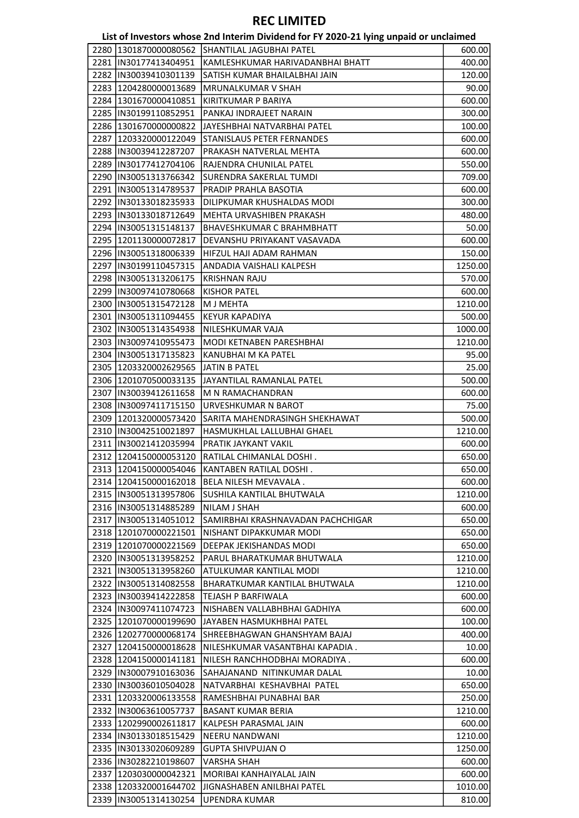| List of Investors whose 2nd Interim Dividend for FY 2020-21 lying unpaid or unclaimed |  |  |
|---------------------------------------------------------------------------------------|--|--|
|---------------------------------------------------------------------------------------|--|--|

| 2280   1301870000080562 | SHANTILAL JAGUBHAI PATEL          | 600.00  |
|-------------------------|-----------------------------------|---------|
|                         |                                   |         |
| 2281 IN30177413404951   | KAMLESHKUMAR HARIVADANBHAI BHATT  | 400.00  |
| 2282  IN30039410301139  | SATISH KUMAR BHAILALBHAI JAIN     | 120.00  |
| 2283  1204280000013689  | MRUNALKUMAR V SHAH                | 90.00   |
| 2284 1301670000410851   | KIRITKUMAR P BARIYA               | 600.00  |
| 2285  IN30199110852951  | PANKAJ INDRAJEET NARAIN           | 300.00  |
| 2286 1301670000000822   | JAYESHBHAI NATVARBHAI PATEL       | 100.00  |
| 2287 1203320000122049   | STANISLAUS PETER FERNANDES        | 600.00  |
| 2288  IN30039412287207  | PRAKASH NATVERLAL MEHTA           | 600.00  |
| 2289 IN30177412704106   | RAJENDRA CHUNILAL PATEL           | 550.00  |
| 2290  IN30051313766342  | SURENDRA SAKERLAL TUMDI           | 709.00  |
| 2291  IN30051314789537  | PRADIP PRAHLA BASOTIA             | 600.00  |
|                         |                                   |         |
| 2292  IN30133018235933  | DILIPKUMAR KHUSHALDAS MODI        | 300.00  |
| 2293  IN30133018712649  | MEHTA URVASHIBEN PRAKASH          | 480.00  |
| 2294  IN30051315148137  | <b>BHAVESHKUMAR C BRAHMBHATT</b>  | 50.00   |
| 2295  1201130000072817  | DEVANSHU PRIYAKANT VASAVADA       | 600.00  |
| 2296  IN30051318006339  | HIFZUL HAJI ADAM RAHMAN           | 150.00  |
| 2297  IN30199110457315  | ANDADIA VAISHALI KALPESH          | 1250.00 |
| 2298 IIN30051313206175  | <b>KRISHNAN RAJU</b>              | 570.00  |
| 2299 IIN30097410780668  | <b>KISHOR PATEL</b>               | 600.00  |
| 2300  IN30051315472128  | M J MEHTA                         | 1210.00 |
| 2301  IN30051311094455  | <b>KEYUR KAPADIYA</b>             | 500.00  |
| 2302 IIN30051314354938  | NILESHKUMAR VAJA                  | 1000.00 |
| 2303  IN30097410955473  | MODI KETNABEN PARESHBHAI          | 1210.00 |
|                         | KANUBHAI M KA PATEL               |         |
| 2304   IN30051317135823 |                                   | 95.00   |
| 2305   1203320002629565 | <b>JATIN B PATEL</b>              | 25.00   |
| 2306  1201070500033135  | JAYANTILAL RAMANLAL PATEL         | 500.00  |
| 2307  IN30039412611658  | M N RAMACHANDRAN                  | 600.00  |
| 2308  IN30097411715150  | URVESHKUMAR N BAROT               | 75.00   |
| 2309 1201320000573420   | SARITA MAHENDRASINGH SHEKHAWAT    | 500.00  |
| 2310  IN30042510021897  | HASMUKHLAL LALLUBHAI GHAEL        | 1210.00 |
| 2311  IN30021412035994  | PRATIK JAYKANT VAKIL              | 600.00  |
| 2312 1204150000053120   | RATILAL CHIMANLAL DOSHI.          | 650.00  |
| 2313 1204150000054046   | KANTABEN RATILAL DOSHI.           | 650.00  |
| 2314 1204150000162018   | BELA NILESH MEVAVALA.             | 600.00  |
| 2315  IN30051313957806  | SUSHILA KANTILAL BHUTWALA         | 1210.00 |
| 2316  IN30051314885289  | <b>NILAM J SHAH</b>               | 600.00  |
| 2317 IN30051314051012   | SAMIRBHAI KRASHNAVADAN PACHCHIGAR | 650.00  |
| 2318 1201070000221501   | NISHANT DIPAKKUMAR MODI           | 650.00  |
|                         |                                   |         |
| 2319 1201070000221569   | DEEPAK JEKISHANDAS MODI           | 650.00  |
| 2320 IN30051313958252   | PARUL BHARATKUMAR BHUTWALA        | 1210.00 |
| 2321  IN30051313958260  | ATULKUMAR KANTILAL MODI           | 1210.00 |
| 2322  IN30051314082558  | BHARATKUMAR KANTILAL BHUTWALA     | 1210.00 |
| 2323 IIN30039414222858  | TEJASH P BARFIWALA                | 600.00  |
| 2324 IN30097411074723   | NISHABEN VALLABHBHAI GADHIYA      | 600.00  |
| 2325 1201070000199690   | JAYABEN HASMUKHBHAI PATEL         | 100.00  |
| 2326 1202770000068174   | SHREEBHAGWAN GHANSHYAM BAJAJ      | 400.00  |
| 2327 1204150000018628   | NILESHKUMAR VASANTBHAI KAPADIA .  | 10.00   |
| 2328 1204150000141181   | NILESH RANCHHODBHAI MORADIYA.     | 600.00  |
| 2329  IN30007910163036  | SAHAJANAND NITINKUMAR DALAL       | 10.00   |
| 2330 IN30036010504028   | NATVARBHAI KESHAVBHAI PATEL       | 650.00  |
| 2331 1203320006133558   | RAMESHBHAI PUNABHAI BAR           | 250.00  |
| 2332  IN30063610057737  | <b>BASANT KUMAR BERIA</b>         | 1210.00 |
| 2333 1202990002611817   | KALPESH PARASMAL JAIN             | 600.00  |
| 2334  IN30133018515429  | NEERU NANDWANI                    | 1210.00 |
| 2335  IN30133020609289  | <b>GUPTA SHIVPUJAN O</b>          | 1250.00 |
|                         |                                   |         |
| 2336 IN30282210198607   | <b>VARSHA SHAH</b>                | 600.00  |
| 2337 1203030000042321   | MORIBAI KANHAIYALAL JAIN          | 600.00  |
| 2338 1203320001644702   | JIGNASHABEN ANILBHAI PATEL        | 1010.00 |
| 2339  IN30051314130254  | <b>UPENDRA KUMAR</b>              | 810.00  |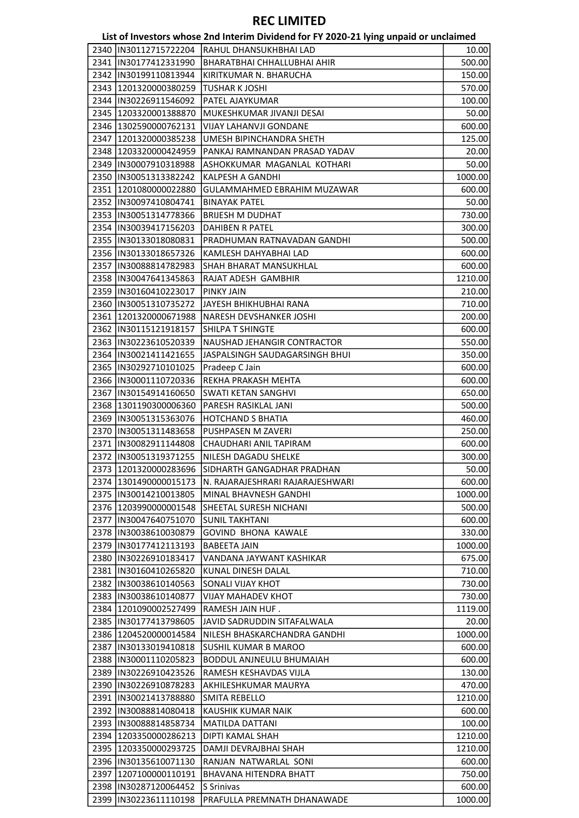|                         | 2340  IN30112715722204  RAHUL DHANSUKHBHAI LAD | 10.00   |
|-------------------------|------------------------------------------------|---------|
| 2341  IN30177412331990  | <b>BHARATBHAI CHHALLUBHAI AHIR</b>             | 500.00  |
| 2342  IN30199110813944  | KIRITKUMAR N. BHARUCHA                         | 150.00  |
| 2343  1201320000380259  | TUSHAR K JOSHI                                 | 570.00  |
| 2344   IN30226911546092 | PATEL AJAYKUMAR                                | 100.00  |
| 2345   1203320001388870 | MUKESHKUMAR JIVANJI DESAI                      | 50.00   |
| 2346 1302590000762131   | <b>VIJAY LAHANVJI GONDANE</b>                  | 600.00  |
| 2347 1201320000385238   | UMESH BIPINCHANDRA SHETH                       | 125.00  |
| 2348   1203320000424959 | PANKAJ RAMNANDAN PRASAD YADAV                  | 20.00   |
|                         |                                                |         |
| 2349  IN30007910318988  | ASHOKKUMAR MAGANLAL KOTHARI                    | 50.00   |
| 2350  IN30051313382242  | KALPESH A GANDHI                               | 1000.00 |
| 2351 1201080000022880   | <b>GULAMMAHMED EBRAHIM MUZAWAR</b>             | 600.00  |
| 2352  IN30097410804741  | <b>BINAYAK PATEL</b>                           | 50.00   |
| 2353  IN30051314778366  | <b>BRIJESH M DUDHAT</b>                        | 730.00  |
| 2354  IN30039417156203  | DAHIBEN R PATEL                                | 300.00  |
| 2355  IN30133018080831  | PRADHUMAN RATNAVADAN GANDHI                    | 500.00  |
| 2356 IN30133018657326   | KAMLESH DAHYABHAI LAD                          | 600.00  |
| 2357 IN30088814782983   | SHAH BHARAT MANSUKHLAL                         | 600.00  |
| 2358 IN30047641345863   | RAJAT ADESH GAMBHIR                            | 1210.00 |
| 2359  IN30160410223017  | PINKY JAIN                                     | 210.00  |
| 2360  IN30051310735272  | JAYESH BHIKHUBHAI RANA                         | 710.00  |
| 2361 1201320000671988   | NARESH DEVSHANKER JOSHI                        | 200.00  |
|                         |                                                |         |
| 2362  IN30115121918157  | SHILPA T SHINGTE                               | 600.00  |
| 2363  IN30223610520339  | NAUSHAD JEHANGIR CONTRACTOR                    | 550.00  |
| 2364   IN30021411421655 | JASPALSINGH SAUDAGARSINGH BHUI                 | 350.00  |
| 2365  IN30292710101025  | Pradeep C Jain                                 | 600.00  |
| 2366  IN30001110720336  | REKHA PRAKASH MEHTA                            | 600.00  |
| 2367  IN30154914160650  | <b>SWATI KETAN SANGHVI</b>                     | 650.00  |
| 2368   1301190300006360 | PARESH RASIKLAL JANI                           | 500.00  |
| 2369  IN30051315363076  | <b>HOTCHAND S BHATIA</b>                       | 460.00  |
| 2370   IN30051311483658 | PUSHPASEN M ZAVERI                             | 250.00  |
| 2371  IN30082911144808  | CHAUDHARI ANIL TAPIRAM                         | 600.00  |
| 2372  IN30051319371255  | NILESH DAGADU SHELKE                           | 300.00  |
| 2373 1201320000283696   | SIDHARTH GANGADHAR PRADHAN                     | 50.00   |
| 2374 1301490000015173   | N. RAJARAJESHRARI RAJARAJESHWARI               | 600.00  |
| 2375  IN30014210013805  | MINAL BHAVNESH GANDHI                          | 1000.00 |
|                         | SHEETAL SURESH NICHANI                         |         |
| 2376  1203990000001548  |                                                | 500.00  |
| 2377 IN30047640751070   | <b>SUNIL TAKHTANI</b>                          | 600.00  |
| 2378  IN30038610030879  | <b>GOVIND BHONA KAWALE</b>                     | 330.00  |
| 2379  IN30177412113193  | <b>BABEETA JAIN</b>                            | 1000.00 |
| 2380  IN30226910183417  | VANDANA JAYWANT KASHIKAR                       | 675.00  |
| 2381  IN30160410265820  | KUNAL DINESH DALAL                             | 710.00  |
| 2382  IN30038610140563  | <b>SONALI VIJAY KHOT</b>                       | 730.00  |
| 2383 IN30038610140877   | <b>VIJAY MAHADEV KHOT</b>                      | 730.00  |
| 2384 1201090002527499   | RAMESH JAIN HUF.                               | 1119.00 |
| 2385  IN30177413798605  | JAVID SADRUDDIN SITAFALWALA                    | 20.00   |
| 2386 1204520000014584   | NILESH BHASKARCHANDRA GANDHI                   | 1000.00 |
| 2387 IN30133019410818   | SUSHIL KUMAR B MAROO                           | 600.00  |
| 2388  IN30001110205823  | BODDUL ANJNEULU BHUMAIAH                       | 600.00  |
| 2389  IN30226910423526  | RAMESH KESHAVDAS VIJLA                         | 130.00  |
| 2390  IN30226910878283  | AKHILESHKUMAR MAURYA                           | 470.00  |
| 2391  IN30021413788880  | SMITA REBELLO                                  | 1210.00 |
|                         |                                                |         |
| 2392  IN30088814080418  | KAUSHIK KUMAR NAIK                             | 600.00  |
| 2393  IN30088814858734  | <b>MATILDA DATTANI</b>                         | 100.00  |
| 2394 1203350000286213   | DIPTI KAMAL SHAH                               | 1210.00 |
| 2395 1203350000293725   | DAMJI DEVRAJBHAI SHAH                          | 1210.00 |
| 2396  IN30135610071130  | RANJAN NATWARLAL SONI                          | 600.00  |
| 2397 1207100000110191   | BHAVANA HITENDRA BHATT                         | 750.00  |
| 2398  IN30287120064452  | S Srinivas                                     | 600.00  |
| 2399  IN30223611110198  | PRAFULLA PREMNATH DHANAWADE                    | 1000.00 |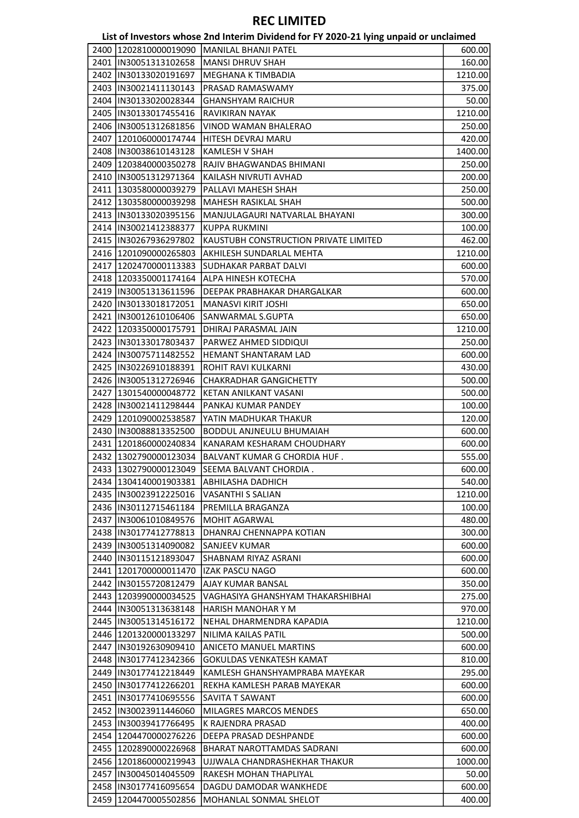|      |                         | List of Investors whose 2nd Interim Dividend for FY 2020-21 lying unpaid or unclaimed |         |
|------|-------------------------|---------------------------------------------------------------------------------------|---------|
|      | 2400 1202810000019090   | <b>IMANILAL BHANJI PATEL</b>                                                          | 600.00  |
|      | 2401  IN30051313102658  | <b>MANSI DHRUV SHAH</b>                                                               | 160.00  |
|      | 2402 IIN30133020191697  | MEGHANA K TIMBADIA                                                                    | 1210.00 |
|      | 2403  IN30021411130143  | PRASAD RAMASWAMY                                                                      | 375.00  |
|      | 2404  IN30133020028344  | <b>GHANSHYAM RAICHUR</b>                                                              | 50.00   |
|      | 2405  IN30133017455416  | <b>RAVIKIRAN NAYAK</b>                                                                | 1210.00 |
|      | 2406  IN30051312681856  | VINOD WAMAN BHALERAO                                                                  | 250.00  |
| 2407 | 1201060000174744        | HITESH DEVRAJ MARU                                                                    | 420.00  |
|      | 2408  IN30038610143128  | KAMLESH V SHAH                                                                        | 1400.00 |
|      | 2409 1203840000350278   | RAJIV BHAGWANDAS BHIMANI                                                              | 250.00  |
|      | 2410  IN30051312971364  | KAILASH NIVRUTI AVHAD                                                                 | 200.00  |
|      | 2411   1303580000039279 | PALLAVI MAHESH SHAH                                                                   | 250.00  |
|      | 2412 1303580000039298   | MAHESH RASIKLAL SHAH                                                                  | 500.00  |
|      | 2413 IN30133020395156   | MANJULAGAURI NATVARLAL BHAYANI                                                        | 300.00  |
|      | 2414  IN30021412388377  | KUPPA RUKMINI                                                                         | 100.00  |
|      | 2415  IN30267936297802  | KAUSTUBH CONSTRUCTION PRIVATE LIMITED                                                 | 462.00  |
|      | 2416 1201090000265803   | AKHILESH SUNDARLAL MEHTA                                                              | 1210.00 |
|      | 2417 1202470000113383   | <b>SUDHAKAR PARBAT DALVI</b>                                                          | 600.00  |
|      | 2418 1203350001174164   | ALPA HINESH KOTECHA                                                                   | 570.00  |
|      | 2419  IN30051313611596  | DEEPAK PRABHAKAR DHARGALKAR                                                           | 600.00  |
|      | 2420  IN30133018172051  | MANASVI KIRIT JOSHI                                                                   | 650.00  |
|      | 2421  IN30012610106406  | SANWARMAL S.GUPTA                                                                     | 650.00  |
|      | 2422 1203350000175791   | DHIRAJ PARASMAL JAIN                                                                  | 1210.00 |
|      | 2423  IN30133017803437  | PARWEZ AHMED SIDDIQUI                                                                 |         |
|      |                         |                                                                                       | 250.00  |
|      | 2424 IN30075711482552   | HEMANT SHANTARAM LAD                                                                  | 600.00  |
|      | 2425  IN30226910188391  | ROHIT RAVI KULKARNI                                                                   | 430.00  |
|      | 2426  IN30051312726946  | <b>CHAKRADHAR GANGICHETTY</b>                                                         | 500.00  |
|      | 2427   1301540000048772 | KETAN ANILKANT VASANI                                                                 | 500.00  |
|      | 2428  IN30021411298444  | PANKAJ KUMAR PANDEY                                                                   | 100.00  |
|      | 2429 1201090002538587   | YATIN MADHUKAR THAKUR                                                                 | 120.00  |
|      | 2430  IN30088813352500  | BODDUL ANJNEULU BHUMAIAH                                                              | 600.00  |
|      | 2431 1201860000240834   | KANARAM KESHARAM CHOUDHARY                                                            | 600.00  |
|      | 2432 1302790000123034   | <b>BALVANT KUMAR G CHORDIA HUF.</b>                                                   | 555.00  |
|      | 2433 1302790000123049   | SEEMA BALVANT CHORDIA.                                                                | 600.00  |
|      | 2434   1304140001903381 | <b>ABHILASHA DADHICH</b>                                                              | 540.00  |
|      | 2435 IN30023912225016   | <b>VASANTHI S SALIAN</b>                                                              | 1210.00 |
|      | 2436 IN30112715461184   | PREMILLA BRAGANZA                                                                     | 100.00  |
|      | 2437  IN30061010849576  | <b>MOHIT AGARWAL</b>                                                                  | 480.00  |
|      | 2438 IN30177412778813   | DHANRAJ CHENNAPPA KOTIAN                                                              | 300.00  |
|      | 2439 IN30051314090082   | <b>SANJEEV KUMAR</b>                                                                  | 600.00  |
|      | 2440 IN30115121893047   | SHABNAM RIYAZ ASRANI                                                                  | 600.00  |
|      | 2441  1201700000011470  | <b>IZAK PASCU NAGO</b>                                                                | 600.00  |
|      | 2442  IN30155720812479  | <b>AJAY KUMAR BANSAL</b>                                                              | 350.00  |
|      | 2443 1203990000034525   | VAGHASIYA GHANSHYAM THAKARSHIBHAI                                                     | 275.00  |
|      | 2444  IN30051313638148  | HARISH MANOHAR Y M                                                                    | 970.00  |
|      | 2445  IN30051314516172  | NEHAL DHARMENDRA KAPADIA                                                              | 1210.00 |
|      | 2446 1201320000133297   | NILIMA KAILAS PATIL                                                                   | 500.00  |
|      | 2447  IN30192630909410  | <b>ANICETO MANUEL MARTINS</b>                                                         | 600.00  |
|      | 2448  IN30177412342366  | <b>GOKULDAS VENKATESH KAMAT</b>                                                       | 810.00  |
|      | 2449   IN30177412218449 | KAMLESH GHANSHYAMPRABA MAYEKAR                                                        | 295.00  |
|      | 2450 IN30177412266201   | REKHA KAMLESH PARAB MAYEKAR                                                           | 600.00  |
|      | 2451  IN30177410695556  | <b>SAVITA T SAWANT</b>                                                                | 600.00  |
|      | 2452 IIN30023911446060  | <b>MILAGRES MARCOS MENDES</b>                                                         | 650.00  |
|      | 2453  IN30039417766495  | K RAJENDRA PRASAD                                                                     | 400.00  |
|      | 2454 1204470000276226   | DEEPA PRASAD DESHPANDE                                                                | 600.00  |
|      | 2455   1202890000226968 | BHARAT NAROTTAMDAS SADRANI                                                            | 600.00  |
|      | 2456 1201860000219943   | UJJWALA CHANDRASHEKHAR THAKUR                                                         | 1000.00 |
|      | 2457 IN30045014045509   | RAKESH MOHAN THAPLIYAL                                                                | 50.00   |
|      | 2458  IN30177416095654  | DAGDU DAMODAR WANKHEDE                                                                | 600.00  |
|      | 2459 1204470005502856   | MOHANLAL SONMAL SHELOT                                                                | 400.00  |
|      |                         |                                                                                       |         |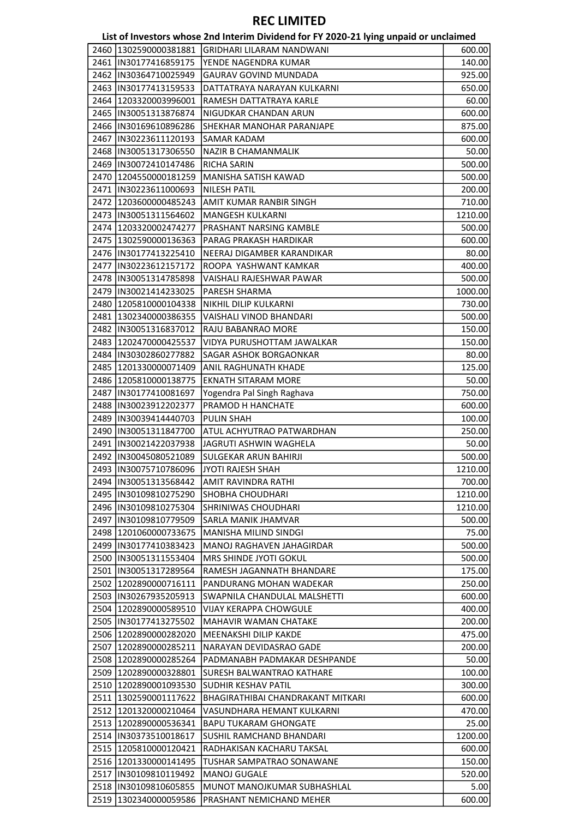List of Investors whose 2nd Interim Dividend for FY 2020-21 lying unpaid or unclaimed

|      |                         | List of investors whose zhu internit Dividend for FT zozo-zi fying uripaid or unclaimed |         |
|------|-------------------------|-----------------------------------------------------------------------------------------|---------|
|      | 2460 1302590000381881   | <b>GRIDHARI LILARAM NANDWANI</b>                                                        | 600.00  |
|      | 2461   IN30177416859175 | YENDE NAGENDRA KUMAR                                                                    | 140.00  |
|      | 2462  IN30364710025949  | <b>GAURAV GOVIND MUNDADA</b>                                                            | 925.00  |
|      | 2463  IN30177413159533  | DATTATRAYA NARAYAN KULKARNI                                                             | 650.00  |
|      | 2464 1203320003996001   | RAMESH DATTATRAYA KARLE                                                                 | 60.00   |
|      | 2465  IN30051313876874  | NIGUDKAR CHANDAN ARUN                                                                   | 600.00  |
|      | 2466  IN30169610896286  | <b>SHEKHAR MANOHAR PARANJAPE</b>                                                        | 875.00  |
|      | 2467   IN30223611120193 | <b>SAMAR KADAM</b>                                                                      | 600.00  |
|      | 2468  IN30051317306550  | NAZIR B CHAMANMALIK                                                                     | 50.00   |
|      | 2469  IN30072410147486  | <b>RICHA SARIN</b>                                                                      | 500.00  |
|      | 2470 1204550000181259   | MANISHA SATISH KAWAD                                                                    |         |
|      |                         |                                                                                         | 500.00  |
|      | 2471  IN30223611000693  | <b>NILESH PATIL</b>                                                                     | 200.00  |
|      | 2472 1203600000485243   | AMIT KUMAR RANBIR SINGH                                                                 | 710.00  |
|      | 2473  IN30051311564602  | MANGESH KULKARNI                                                                        | 1210.00 |
|      | 2474 1203320002474277   | PRASHANT NARSING KAMBLE                                                                 | 500.00  |
|      | 2475 1302590000136363   | PARAG PRAKASH HARDIKAR                                                                  | 600.00  |
|      | 2476   IN30177413225410 | NEERAJ DIGAMBER KARANDIKAR                                                              | 80.00   |
|      | 2477  IN30223612157172  | ROOPA YASHWANT KAMKAR                                                                   | 400.00  |
|      | 2478 IN30051314785898   | VAISHALI RAJESHWAR PAWAR                                                                | 500.00  |
|      | 2479  IN30021414233025  | <b>PARESH SHARMA</b>                                                                    | 1000.00 |
|      | 2480 1205810000104338   | NIKHIL DILIP KULKARNI                                                                   | 730.00  |
|      | 2481   1302340000386355 | VAISHALI VINOD BHANDARI                                                                 | 500.00  |
|      | 2482  IN30051316837012  | RAJU BABANRAO MORE                                                                      | 150.00  |
|      | 2483 1202470000425537   | VIDYA PURUSHOTTAM JAWALKAR                                                              | 150.00  |
|      | 2484   IN30302860277882 | <b>SAGAR ASHOK BORGAONKAR</b>                                                           | 80.00   |
|      | 2485 1201330000071409   | ANIL RAGHUNATH KHADE                                                                    | 125.00  |
|      | 2486 1205810000138775   | <b>EKNATH SITARAM MORE</b>                                                              | 50.00   |
|      | 2487  IN30177410081697  | Yogendra Pal Singh Raghava                                                              | 750.00  |
|      |                         |                                                                                         |         |
|      | 2488  IN30023912202377  | PRAMOD H HANCHATE                                                                       | 600.00  |
|      | 2489  IN30039414440703  | <b>PULIN SHAH</b>                                                                       | 100.00  |
|      | 2490  IN30051311847700  | ATUL ACHYUTRAO PATWARDHAN                                                               | 250.00  |
|      | 2491  IN30021422037938  | JAGRUTI ASHWIN WAGHELA                                                                  | 50.00   |
|      | 2492  IN30045080521089  | <b>SULGEKAR ARUN BAHIRJI</b>                                                            | 500.00  |
|      | 2493  IN30075710786096  | JYOTI RAJESH SHAH                                                                       | 1210.00 |
|      | 2494   IN30051313568442 | AMIT RAVINDRA RATHI                                                                     | 700.00  |
|      | 2495 IN30109810275290   | <b>SHOBHA CHOUDHARI</b>                                                                 | 1210.00 |
|      | 2496  IN30109810275304  | SHRINIWAS CHOUDHARI                                                                     | 1210.00 |
|      | 2497  IN30109810779509  | SARLA MANIK JHAMVAR                                                                     | 500.00  |
|      | 2498   1201060000733675 | MANISHA MILIND SINDGI                                                                   | 75.00   |
|      | 2499  IN30177410383423  | MANOJ RAGHAVEN JAHAGIRDAR                                                               | 500.00  |
|      | 2500  IN30051311553404  | <b>MRS SHINDE JYOTI GOKUL</b>                                                           | 500.00  |
|      | 2501  IN30051317289564  | RAMESH JAGANNATH BHANDARE                                                               | 175.00  |
|      | 2502 1202890000716111   | PANDURANG MOHAN WADEKAR                                                                 | 250.00  |
|      | 2503  IN30267935205913  | SWAPNILA CHANDULAL MALSHETTI                                                            | 600.00  |
|      | 2504  1202890000589510  | VIJAY KERAPPA CHOWGULE                                                                  | 400.00  |
|      | 2505  IN30177413275502  | <b>MAHAVIR WAMAN CHATAKE</b>                                                            | 200.00  |
|      | 2506  1202890000282020  | <b>MEENAKSHI DILIP KAKDE</b>                                                            | 475.00  |
| 2507 | 1202890000285211        | NARAYAN DEVIDASRAO GADE                                                                 | 200.00  |
|      | 2508 1202890000285264   | PADMANABH PADMAKAR DESHPANDE                                                            | 50.00   |
|      |                         |                                                                                         |         |
|      | 2509 1202890000328801   | SURESH BALWANTRAO KATHARE                                                               | 100.00  |
|      | 2510   1202890001093530 | <b>SUDHIR KESHAV PATIL</b>                                                              | 300.00  |
|      | 2511  1302590001117622  | BHAGIRATHIBAI CHANDRAKANT MITKARI                                                       | 600.00  |
|      | 2512 1201320000210464   | VASUNDHARA HEMANT KULKARNI                                                              | 470.00  |
|      | 2513 1202890000536341   | <b>BAPU TUKARAM GHONGATE</b>                                                            | 25.00   |
|      | 2514  IN30373510018617  | SUSHIL RAMCHAND BHANDARI                                                                | 1200.00 |
|      | 2515  1205810000120421  | RADHAKISAN KACHARU TAKSAL                                                               | 600.00  |
|      | 2516  1201330000141495  | TUSHAR SAMPATRAO SONAWANE                                                               | 150.00  |
|      | 2517  IN30109810119492  | <b>MANOJ GUGALE</b>                                                                     | 520.00  |
|      | 2518  IN30109810605855  | MUNOT MANOJKUMAR SUBHASHLAL                                                             | 5.00    |
|      | 2519 1302340000059586   | PRASHANT NEMICHAND MEHER                                                                | 600.00  |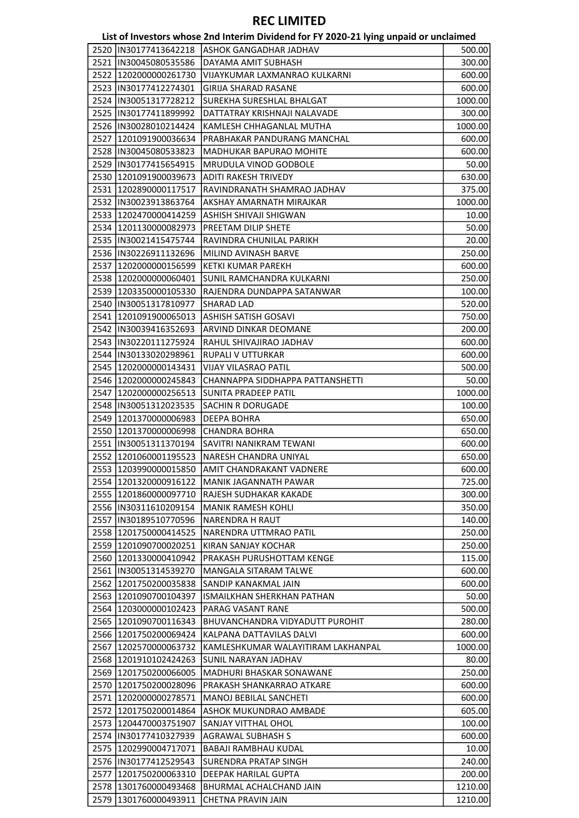#### List of Investors whose 2nd Interim Dividend for FY 2020-21 lying unpaid or unclaimed

|                         | $\frac{1}{2}$ . The corollar measure $\frac{1}{2}$ is the measure of the corollar of the corollar state $\frac{1}{2}$ |         |
|-------------------------|-----------------------------------------------------------------------------------------------------------------------|---------|
| 2520  IN30177413642218  | <b>ASHOK GANGADHAR JADHAV</b>                                                                                         | 500.00  |
| 2521  IN30045080535586  | DAYAMA AMIT SUBHASH                                                                                                   | 300.00  |
| 2522 1202000000261730   | VIJAYKUMAR LAXMANRAO KULKARNI                                                                                         | 600.00  |
| 2523  IN30177412274301  | <b>GIRIJA SHARAD RASANE</b>                                                                                           | 600.00  |
| 2524  IN30051317728212  | SUREKHA SURESHLAL BHALGAT                                                                                             | 1000.00 |
| 2525  IN30177411899992  | DATTATRAY KRISHNAJI NALAVADE                                                                                          | 300.00  |
| 2526  IN30028010214424  | KAMLESH CHHAGANLAL MUTHA                                                                                              | 1000.00 |
| 2527  1201091900036634  | PRABHAKAR PANDURANG MANCHAL                                                                                           | 600.00  |
| 2528  IN30045080533823  | MADHUKAR BAPURAO MOHITE                                                                                               | 600.00  |
| 2529  IN30177415654915  | MRUDULA VINOD GODBOLE                                                                                                 | 50.00   |
| 2530 1201091900039673   | ADITI RAKESH TRIVEDY                                                                                                  | 630.00  |
| 2531  1202890000117517  | RAVINDRANATH SHAMRAO JADHAV                                                                                           | 375.00  |
| 2532  IN30023913863764  | AKSHAY AMARNATH MIRAJKAR                                                                                              | 1000.00 |
| 2533 1202470000414259   | ASHISH SHIVAJI SHIGWAN                                                                                                | 10.00   |
| 2534 1201130000082973   |                                                                                                                       |         |
| 2535  IN30021415475744  | PREETAM DILIP SHETE                                                                                                   | 50.00   |
|                         | RAVINDRA CHUNILAL PARIKH                                                                                              | 20.00   |
| 2536  IN30226911132696  | MILIND AVINASH BARVE                                                                                                  | 250.00  |
| 2537  1202000000156599  | KETKI KUMAR PAREKH                                                                                                    | 600.00  |
| 2538  1202000000060401  | SUNIL RAMCHANDRA KULKARNI                                                                                             | 250.00  |
| 2539 1203350000105330   | RAJENDRA DUNDAPPA SATANWAR                                                                                            | 100.00  |
| 2540  IN30051317810977  | <b>SHARAD LAD</b>                                                                                                     | 520.00  |
| 2541 1201091900065013   | ASHISH SATISH GOSAVI                                                                                                  | 750.00  |
| 2542  IN30039416352693  | ARVIND DINKAR DEOMANE                                                                                                 | 200.00  |
| 2543  IN30220111275924  | RAHUL SHIVAJIRAO JADHAV                                                                                               | 600.00  |
| 2544  IN30133020298961  | RUPALI V UTTURKAR                                                                                                     | 600.00  |
| 2545   1202000000143431 | VIJAY VILASRAO PATIL                                                                                                  | 500.00  |
| 2546 1202000000245843   | CHANNAPPA SIDDHAPPA PATTANSHETTI                                                                                      | 50.00   |
| 2547 1202000000256513   | SUNITA PRADEEP PATIL                                                                                                  | 1000.00 |
| 2548  IN30051312023535  | <b>SACHIN R DORUGADE</b>                                                                                              | 100.00  |
| 2549 1201370000006983   | <b>DEEPA BOHRA</b>                                                                                                    | 650.00  |
| 2550 1201370000006998   | <b>CHANDRA BOHRA</b>                                                                                                  | 650.00  |
| 2551  IN30051311370194  | SAVITRI NANIKRAM TEWANI                                                                                               | 600.00  |
| 2552 1201060001195523   | NARESH CHANDRA UNIYAL                                                                                                 | 650.00  |
| 2553 1203990000015850   | <b>AMIT CHANDRAKANT VADNERE</b>                                                                                       | 600.00  |
| 2554 1201320000916122   | MANIK JAGANNATH PAWAR                                                                                                 | 725.00  |
| 2555 1201860000097710   | RAJESH SUDHAKAR KAKADE                                                                                                | 300.00  |
| 2556 IN30311610209154   | <b>MANIK RAMESH KOHLI</b>                                                                                             | 350.00  |
| 2557  IN30189510770596  | NARENDRA H RAUT                                                                                                       | 140.00  |
| 2558 1201750000414525   | NARENDRA UTTMRAO PATIL                                                                                                | 250.00  |
| 2559 1201090700020251   | KIRAN SANJAY KOCHAR                                                                                                   | 250.00  |
| 2560   1201330000410942 | PRAKASH PURUSHOTTAM KENGE                                                                                             | 115.00  |
| 2561  IN30051314539270  | MANGALA SITARAM TALWE                                                                                                 | 600.00  |
| 2562 1201750200035838   | SANDIP KANAKMAL JAIN                                                                                                  | 600.00  |
| 2563 1201090700104397   | ISMAILKHAN SHERKHAN PATHAN                                                                                            | 50.00   |
| 2564 1203000000102423   | PARAG VASANT RANE                                                                                                     | 500.00  |
| 2565  1201090700116343  | <b>BHUVANCHANDRA VIDYADUTT PUROHIT</b>                                                                                | 280.00  |
| 2566 1201750200069424   | KALPANA DATTAVILAS DALVI                                                                                              | 600.00  |
| 2567   1202570000063732 | KAMLESHKUMAR WALAYITIRAM LAKHANPAL                                                                                    | 1000.00 |
| 2568 1201910102424263   | ISUNIL NARAYAN JADHAV                                                                                                 | 80.00   |
| 2569 1201750200066005   | MADHURI BHASKAR SONAWANE                                                                                              | 250.00  |
| 2570   1201750200028096 | PRAKASH SHANKARRAO ATKARE                                                                                             | 600.00  |
| 2571  1202000000278571  | MANOJ BEBILAL SANCHETI                                                                                                | 600.00  |
| 2572 1201750200014864   | ASHOK MUKUNDRAO AMBADE                                                                                                |         |
|                         |                                                                                                                       | 605.00  |
| 2573 1204470003751907   | SANJAY VITTHAL OHOL                                                                                                   | 100.00  |
| 2574 IN30177410327939   | <b>AGRAWAL SUBHASH S</b>                                                                                              | 600.00  |
| 2575 1202990004717071   | <b>BABAJI RAMBHAU KUDAL</b>                                                                                           | 10.00   |
| 2576  IN30177412529543  | SURENDRA PRATAP SINGH                                                                                                 | 240.00  |
| 2577  1201750200063310  | DEEPAK HARILAL GUPTA                                                                                                  | 200.00  |
| 2578   1301760000493468 | BHURMAL ACHALCHAND JAIN                                                                                               | 1210.00 |
| 2579 1301760000493911   | CHETNA PRAVIN JAIN                                                                                                    | 1210.00 |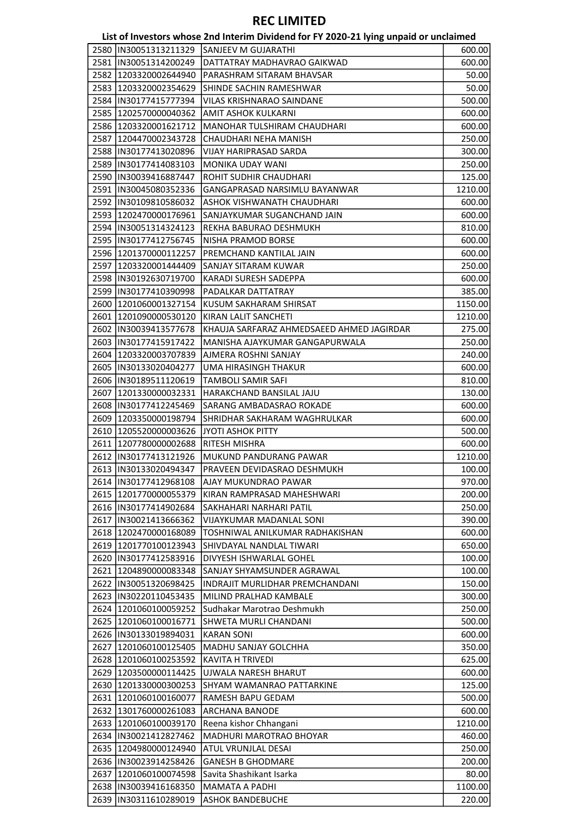|      |                                                | List of Investors whose 2nd Interim Dividend for FY 2020-21 lying unpaid or unclaimed |         |
|------|------------------------------------------------|---------------------------------------------------------------------------------------|---------|
|      | 2580  IN30051313211329                         | <b>ISANJEEV M GUJARATHI</b>                                                           | 600.00  |
|      | 2581  IN30051314200249                         | DATTATRAY MADHAVRAO GAIKWAD                                                           | 600.00  |
|      | 2582 1203320002644940                          | PARASHRAM SITARAM BHAVSAR                                                             | 50.00   |
|      | 2583 1203320002354629                          | ISHINDE SACHIN RAMESHWAR                                                              | 50.00   |
|      | 2584  IN30177415777394                         | <b>VILAS KRISHNARAO SAINDANE</b>                                                      | 500.00  |
|      | 2585  1202570000040362                         | <b>AMIT ASHOK KULKARNI</b>                                                            | 600.00  |
|      | 2586   1203320001621712                        | MANOHAR TULSHIRAM CHAUDHARI                                                           | 600.00  |
| 2587 | 1204470002343728                               | CHAUDHARI NEHA MANISH                                                                 | 250.00  |
|      | 2588 IN30177413020896                          | VIJAY HARIPRASAD SARDA                                                                | 300.00  |
|      | 2589  IN30177414083103                         | MONIKA UDAY WANI                                                                      | 250.00  |
|      | 2590  IN30039416887447                         | ROHIT SUDHIR CHAUDHARI                                                                | 125.00  |
|      | 2591  IN30045080352336                         | GANGAPRASAD NARSIMLU BAYANWAR                                                         | 1210.00 |
|      | 2592  IN30109810586032                         | ASHOK VISHWANATH CHAUDHARI                                                            | 600.00  |
|      | 2593   1202470000176961                        | SANJAYKUMAR SUGANCHAND JAIN                                                           | 600.00  |
|      | 2594 IN30051314324123                          | REKHA BABURAO DESHMUKH                                                                | 810.00  |
|      | 2595  IN30177412756745                         | NISHA PRAMOD BORSE                                                                    | 600.00  |
|      | 2596   1201370000112257                        | PREMCHAND KANTILAL JAIN                                                               | 600.00  |
|      | 2597   1203320001444409                        | SANJAY SITARAM KUWAR                                                                  | 250.00  |
|      | 2598 IN30192630719700                          | <b>KARADI SURESH SADEPPA</b>                                                          | 600.00  |
|      | 2599  IN30177410390998                         | PADALKAR DATTATRAY                                                                    | 385.00  |
|      | 2600 1201060001327154                          | KUSUM SAKHARAM SHIRSAT                                                                | 1150.00 |
|      | 2601 1201090000530120                          | KIRAN LALIT SANCHETI                                                                  | 1210.00 |
|      | 2602  IN30039413577678                         | KHAUJA SARFARAZ AHMEDSAEED AHMED JAGIRDAR                                             | 275.00  |
|      | 2603  IN30177415917422                         | MANISHA AJAYKUMAR GANGAPURWALA                                                        | 250.00  |
|      | 2604 1203320003707839                          | AJMERA ROSHNI SANJAY                                                                  | 240.00  |
|      | 2605  IN30133020404277                         | UMA HIRASINGH THAKUR                                                                  | 600.00  |
|      | 2606  IN30189511120619                         | TAMBOLI SAMIR SAFI                                                                    |         |
|      |                                                | HARAKCHAND BANSILAL JAJU                                                              | 810.00  |
|      | 2607   1201330000032331                        |                                                                                       | 130.00  |
|      | 2608  IN30177412245469                         | SARANG AMBADASRAO ROKADE                                                              | 600.00  |
|      | 2609 1203350000198794                          | SHRIDHAR SAKHARAM WAGHRULKAR                                                          | 600.00  |
|      | 2610 1205520000003626<br>2611 1207780000002688 | JYOTI ASHOK PITTY                                                                     | 500.00  |
|      |                                                | <b>RITESH MISHRA</b>                                                                  | 600.00  |
|      | 2612  IN30177413121926                         | MUKUND PANDURANG PAWAR                                                                | 1210.00 |
|      |                                                | 2613   IN30133020494347   PRAVEEN DEVIDASRAO DESHMUKH                                 | 100.00  |
|      | 2614  IN30177412968108                         | AJAY MUKUNDRAO PAWAR                                                                  | 970.00  |
|      | 2615   1201770000055379                        | KIRAN RAMPRASAD MAHESHWARI                                                            | 200.00  |
|      | 2616  IN30177414902684                         | <b>SAKHAHARI NARHARI PATIL</b>                                                        | 250.00  |
|      | 2617  IN30021413666362                         | VIJAYKUMAR MADANLAL SONI                                                              | 390.00  |
|      | 2618 1202470000168089                          | TOSHNIWAL ANILKUMAR RADHAKISHAN                                                       | 600.00  |
|      | 2619 1201770100123943                          | SHIVDAYAL NANDLAL TIWARI                                                              | 650.00  |
|      | 2620  IN30177412583916                         | DIVYESH ISHWARLAL GOHEL                                                               | 100.00  |
|      | 2621 1204890000083348                          | SANJAY SHYAMSUNDER AGRAWAL                                                            | 100.00  |
|      | 2622 IN30051320698425                          | INDRAJIT MURLIDHAR PREMCHANDANI                                                       | 150.00  |
|      | 2623  IN30220110453435                         | MILIND PRALHAD KAMBALE                                                                | 300.00  |
|      | 2624 1201060100059252                          | Sudhakar Marotrao Deshmukh                                                            | 250.00  |
|      | 2625  1201060100016771                         | <b>SHWETA MURLI CHANDANI</b>                                                          | 500.00  |
|      | 2626  IN30133019894031                         | <b>KARAN SONI</b>                                                                     | 600.00  |
| 2627 | 1201060100125405                               | MADHU SANJAY GOLCHHA                                                                  | 350.00  |
|      | 2628 1201060100253592                          | <b>KAVITA H TRIVEDI</b>                                                               | 625.00  |
|      | 2629 1203500000114425                          | UJWALA NARESH BHARUT                                                                  | 600.00  |
|      | 2630 1201330000300253                          | SHYAM WAMANRAO PATTARKINE                                                             | 125.00  |
|      | 2631 1201060100160077                          | RAMESH BAPU GEDAM                                                                     | 500.00  |
|      | 2632 1301760000261083                          | <b>ARCHANA BANODE</b>                                                                 | 600.00  |
|      | 2633 1201060100039170                          | Reena kishor Chhangani                                                                | 1210.00 |
|      | 2634   IN30021412827462                        | <b>MADHURI MAROTRAO BHOYAR</b>                                                        | 460.00  |
|      | 2635 1204980000124940                          | <b>ATUL VRUNJLAL DESAI</b>                                                            | 250.00  |
|      | 2636  IN30023914258426                         | <b>GANESH B GHODMARE</b>                                                              | 200.00  |
|      | 2637 1201060100074598                          | Savita Shashikant Isarka                                                              | 80.00   |
|      | 2638  IN30039416168350                         | <b>MAMATA A PADHI</b>                                                                 | 1100.00 |
|      | 2639  IN30311610289019                         | <b>ASHOK BANDEBUCHE</b>                                                               | 220.00  |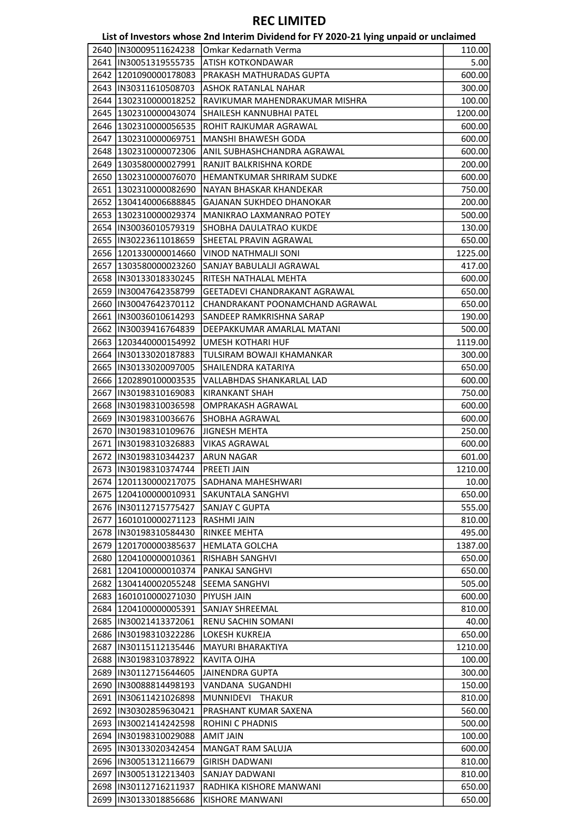# List of Investors whose 2nd Interim Dividend for FY 2020-21 lying unpaid or unclaimed

|                         | בואג טרווועפאנטו איווטאפ בווע ווונפווווו טועועפווע וטר דו בטבט-בב ואווואַ עוון אוער עווכומווופע |         |
|-------------------------|-------------------------------------------------------------------------------------------------|---------|
| 2640   IN30009511624238 | Omkar Kedarnath Verma                                                                           | 110.00  |
| 2641   IN30051319555735 | ATISH KOTKONDAWAR                                                                               | 5.00    |
| 2642 1201090000178083   | PRAKASH MATHURADAS GUPTA                                                                        | 600.00  |
| 2643  IN30311610508703  | <b>ASHOK RATANLAL NAHAR</b>                                                                     | 300.00  |
| 2644 1302310000018252   | RAVIKUMAR MAHENDRAKUMAR MISHRA                                                                  | 100.00  |
| 2645 1302310000043074   | SHAILESH KANNUBHAI PATEL                                                                        | 1200.00 |
| 2646   1302310000056535 | ROHIT RAJKUMAR AGRAWAL                                                                          | 600.00  |
| 2647   1302310000069751 | MANSHI BHAWESH GODA                                                                             | 600.00  |
| 2648 1302310000072306   | ANIL SUBHASHCHANDRA AGRAWAL                                                                     | 600.00  |
| 2649   1303580000027991 | RANJIT BALKRISHNA KORDE                                                                         | 200.00  |
| 2650 1302310000076070   | HEMANTKUMAR SHRIRAM SUDKE                                                                       | 600.00  |
| 2651 1302310000082690   | NAYAN BHASKAR KHANDEKAR                                                                         | 750.00  |
| 2652 1304140006688845   | <b>GAJANAN SUKHDEO DHANOKAR</b>                                                                 | 200.00  |
| 2653 1302310000029374   | MANIKRAO LAXMANRAO POTEY                                                                        | 500.00  |
| 2654  IN30036010579319  | SHOBHA DAULATRAO KUKDE                                                                          | 130.00  |
| 2655  IN30223611018659  | SHEETAL PRAVIN AGRAWAL                                                                          | 650.00  |
| 2656 1201330000014660   | <b>VINOD NATHMALJI SONI</b>                                                                     | 1225.00 |
| 2657 1303580000023260   | SANJAY BABULALJI AGRAWAL                                                                        | 417.00  |
|                         | RITESH NATHALAL MEHTA                                                                           |         |
| 2658  IN30133018330245  | GEETADEVI CHANDRAKANT AGRAWAL                                                                   | 600.00  |
| 2659  IN30047642358799  |                                                                                                 | 650.00  |
| 2660   IN30047642370112 | CHANDRAKANT POONAMCHAND AGRAWAL                                                                 | 650.00  |
| 2661  IN30036010614293  | SANDEEP RAMKRISHNA SARAP                                                                        | 190.00  |
| 2662  IN30039416764839  | DEEPAKKUMAR AMARLAL MATANI                                                                      | 500.00  |
| 2663   1203440000154992 | UMESH KOTHARI HUF                                                                               | 1119.00 |
| 2664   IN30133020187883 | TULSIRAM BOWAJI KHAMANKAR                                                                       | 300.00  |
| 2665  IN30133020097005  | SHAILENDRA KATARIYA                                                                             | 650.00  |
| 2666 1202890100003535   | VALLABHDAS SHANKARLAL LAD                                                                       | 600.00  |
| 2667  IN30198310169083  | <b>KIRANKANT SHAH</b>                                                                           | 750.00  |
| 2668  IN30198310036598  | OMPRAKASH AGRAWAL                                                                               | 600.00  |
| 2669  IN30198310036676  | SHOBHA AGRAWAL                                                                                  | 600.00  |
| 2670  IN30198310109676  | <b>JIGNESH MEHTA</b>                                                                            | 250.00  |
| 2671  IN30198310326883  | <b>VIKAS AGRAWAL</b>                                                                            | 600.00  |
| 2672  IN30198310344237  | <b>ARUN NAGAR</b>                                                                               | 601.00  |
| 2673  IN30198310374744  | <b>PREETI JAIN</b>                                                                              | 1210.00 |
| 2674 1201130000217075   | SADHANA MAHESHWARI                                                                              | 10.00   |
| 2675   1204100000010931 | <b>SAKUNTALA SANGHVI</b>                                                                        | 650.00  |
| 2676  IN30112715775427  | <b>SANJAY C GUPTA</b>                                                                           | 555.00  |
| 2677   1601010000271123 | RASHMI JAIN                                                                                     | 810.00  |
| 2678  IN30198310584430  | <b>RINKEE MEHTA</b>                                                                             | 495.00  |
| 2679 1201700000385637   | <b>HEMLATA GOLCHA</b>                                                                           | 1387.00 |
| 2680   1204100000010361 | RISHABH SANGHVI                                                                                 | 650.00  |
| 2681 1204100000010374   | PANKAJ SANGHVI                                                                                  | 650.00  |
| 2682 1304140002055248   | <b>SEEMA SANGHVI</b>                                                                            | 505.00  |
| 2683 1601010000271030   | PIYUSH JAIN                                                                                     | 600.00  |
| 2684 1204100000005391   | SANJAY SHREEMAL                                                                                 | 810.00  |
| 2685  IN30021413372061  | RENU SACHIN SOMANI                                                                              | 40.00   |
| 2686  IN30198310322286  | LOKESH KUKREJA                                                                                  | 650.00  |
| 2687  IN30115112135446  | MAYURI BHARAKTIYA                                                                               | 1210.00 |
| 2688  IN30198310378922  | KAVITA OJHA                                                                                     | 100.00  |
| 2689  IN30112715644605  | <b>JAINENDRA GUPTA</b>                                                                          | 300.00  |
| 2690  IN30088814498193  | VANDANA SUGANDHI                                                                                | 150.00  |
| 2691 IN30611421026898   | <b>MUNNIDEVI</b><br><b>THAKUR</b>                                                               | 810.00  |
| 2692 IN30302859630421   | PRASHANT KUMAR SAXENA                                                                           | 560.00  |
| 2693 IN30021414242598   | ROHINI C PHADNIS                                                                                | 500.00  |
| 2694  IN30198310029088  | <b>AMIT JAIN</b>                                                                                | 100.00  |
|                         | MANGAT RAM SALUJA                                                                               | 600.00  |
| 2695  IN30133020342454  |                                                                                                 |         |
| 2696  IN30051312116679  | <b>GIRISH DADWANI</b>                                                                           | 810.00  |
| 2697  IN30051312213403  | SANJAY DADWANI                                                                                  | 810.00  |
| 2698  IN30112716211937  | RADHIKA KISHORE MANWANI                                                                         | 650.00  |
| 2699  IN30133018856686  | KISHORE MANWANI                                                                                 | 650.00  |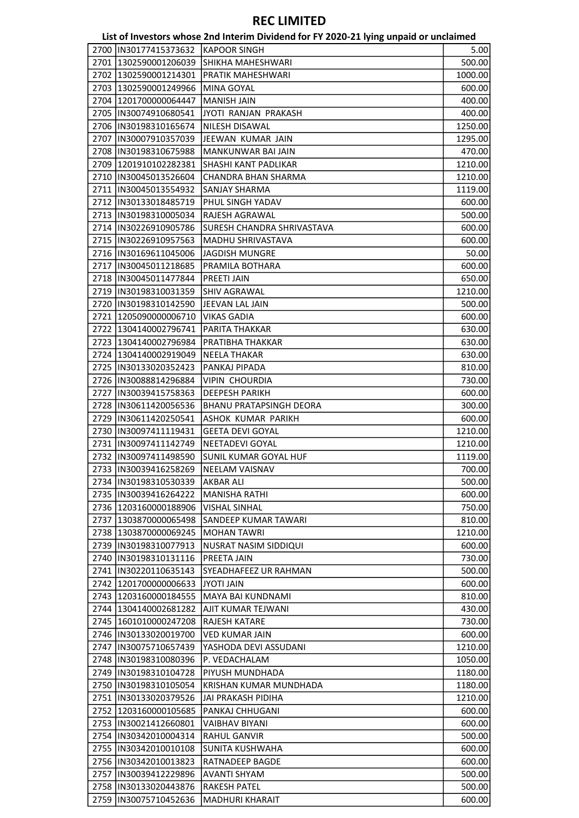|      |                         | List of Investors whose 2nd Interim Dividend for FY 2020-21 lying unpaid or unclaimed |         |
|------|-------------------------|---------------------------------------------------------------------------------------|---------|
|      | 2700 IN30177415373632   | <b>KAPOOR SINGH</b>                                                                   | 5.00    |
|      | 2701 1302590001206039   | SHIKHA MAHESHWARI                                                                     | 500.00  |
|      | 2702 1302590001214301   | PRATIK MAHESHWARI                                                                     | 1000.00 |
|      | 2703 1302590001249966   | <b>MINA GOYAL</b>                                                                     | 600.00  |
|      | 2704 1201700000064447   | <b>MANISH JAIN</b>                                                                    | 400.00  |
|      | 2705  IN30074910680541  | JYOTI RANJAN PRAKASH                                                                  | 400.00  |
|      | 2706  IN30198310165674  | NILESH DISAWAL                                                                        | 1250.00 |
| 2707 | IN30007910357039        | JEEWAN KUMAR JAIN                                                                     | 1295.00 |
|      | 2708  IN30198310675988  | MANKUNWAR BAI JAIN                                                                    | 470.00  |
|      | 2709 1201910102282381   | SHASHI KANT PADLIKAR                                                                  | 1210.00 |
|      | 2710  IN30045013526604  | CHANDRA BHAN SHARMA                                                                   | 1210.00 |
|      | 2711  IN30045013554932  | <b>SANJAY SHARMA</b>                                                                  | 1119.00 |
|      | 2712  IN30133018485719  | PHUL SINGH YADAV                                                                      | 600.00  |
|      | 2713 IIN30198310005034  | RAJESH AGRAWAL                                                                        | 500.00  |
|      | 2714 IN30226910905786   | <b>SURESH CHANDRA SHRIVASTAVA</b>                                                     | 600.00  |
|      | 2715  IN30226910957563  | MADHU SHRIVASTAVA                                                                     | 600.00  |
|      | 2716  IN30169611045006  | <b>JAGDISH MUNGRE</b>                                                                 | 50.00   |
|      | 2717  IN30045011218685  | PRAMILA BOTHARA                                                                       | 600.00  |
|      | 2718 IN30045011477844   | PREETI JAIN                                                                           | 650.00  |
|      | 2719  IN30198310031359  | <b>SHIV AGRAWAL</b>                                                                   | 1210.00 |
|      | 2720  IN30198310142590  | JEEVAN LAL JAIN                                                                       | 500.00  |
| 2721 | 1205090000006710        | <b>VIKAS GADIA</b>                                                                    | 600.00  |
|      | 2722 1304140002796741   | PARITA THAKKAR                                                                        | 630.00  |
|      | 2723 1304140002796984   | PRATIBHA THAKKAR                                                                      |         |
|      |                         |                                                                                       | 630.00  |
|      | 2724 1304140002919049   | <b>NEELA THAKAR</b>                                                                   | 630.00  |
|      | 2725  IN30133020352423  | PANKAJ PIPADA                                                                         | 810.00  |
|      | 2726  IN30088814296884  | <b>VIPIN CHOURDIA</b>                                                                 | 730.00  |
|      | 2727 IN30039415758363   | <b>DEEPESH PARIKH</b>                                                                 | 600.00  |
|      | 2728  IN30611420056536  | <b>BHANU PRATAPSINGH DEORA</b>                                                        | 300.00  |
|      | 2729 IIN30611420250541  | ASHOK KUMAR PARIKH                                                                    | 600.00  |
|      | 2730  IN30097411119431  | <b>GEETA DEVI GOYAL</b>                                                               | 1210.00 |
|      | 2731  IN30097411142749  | NEETADEVI GOYAL                                                                       | 1210.00 |
|      | 2732 IN30097411498590   | <b>SUNIL KUMAR GOYAL HUF</b>                                                          | 1119.00 |
|      | 2733  IN30039416258269  | NEELAM VAISNAV                                                                        | 700.00  |
|      | 2734  IN30198310530339  | <b>AKBAR ALI</b>                                                                      | 500.00  |
|      | 2735  IN30039416264222  | <b>MANISHA RATHI</b>                                                                  | 600.00  |
|      | 2736 1203160000188906   | <b>VISHAL SINHAL</b>                                                                  | 750.00  |
|      | 2737 1303870000065498   | SANDEEP KUMAR TAWARI                                                                  | 810.00  |
|      | 2738 1303870000069245   | <b>MOHAN TAWRI</b>                                                                    | 1210.00 |
|      | 2739  IN30198310077913  | NUSRAT NASIM SIDDIQUI                                                                 | 600.00  |
|      | 2740  IN30198310131116  | PREETA JAIN                                                                           | 730.00  |
|      | 2741 IN30220110635143   | <b>SYEADHAFEEZ UR RAHMAN</b>                                                          | 500.00  |
|      | 2742 1201700000006633   | <b>JYOTI JAIN</b>                                                                     | 600.00  |
|      | 2743 1203160000184555   | MAYA BAI KUNDNAMI                                                                     | 810.00  |
|      | 2744 1304140002681282   | AJIT KUMAR TEJWANI                                                                    | 430.00  |
|      | 2745   1601010000247208 | RAJESH KATARE                                                                         | 730.00  |
|      | 2746  IN30133020019700  | <b>VED KUMAR JAIN</b>                                                                 | 600.00  |
|      | 2747  IN30075710657439  | YASHODA DEVI ASSUDANI                                                                 | 1210.00 |
|      | 2748  IN30198310080396  | P. VEDACHALAM                                                                         | 1050.00 |
|      | 2749  IN30198310104728  | PIYUSH MUNDHADA                                                                       | 1180.00 |
|      | 2750  IN30198310105054  | KRISHAN KUMAR MUNDHADA                                                                | 1180.00 |
|      | 2751  IN30133020379526  | JAI PRAKASH PIDIHA                                                                    | 1210.00 |
|      | 2752 1203160000105685   | PANKAJ CHHUGANI                                                                       | 600.00  |
|      | 2753 IN30021412660801   | <b>VAIBHAV BIYANI</b>                                                                 | 600.00  |
|      | 2754  IN30342010004314  | <b>RAHUL GANVIR</b>                                                                   | 500.00  |
|      | 2755  IN30342010010108  | SUNITA KUSHWAHA                                                                       | 600.00  |
|      | 2756  IN30342010013823  | RATNADEEP BAGDE                                                                       | 600.00  |
|      | 2757  IN30039412229896  | <b>AVANTI SHYAM</b>                                                                   | 500.00  |
|      | 2758  IN30133020443876  | RAKESH PATEL                                                                          | 500.00  |
|      | 2759 IN30075710452636   | <b>MADHURI KHARAIT</b>                                                                | 600.00  |
|      |                         |                                                                                       |         |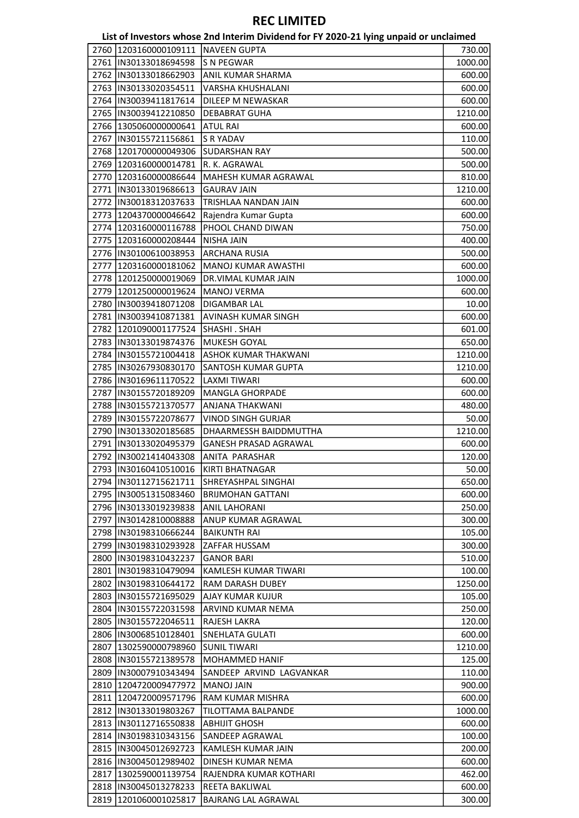|      |                               | List of Investors whose 2nd Interim Dividend for FY 2020-21 lying unpaid or unclaimed |         |
|------|-------------------------------|---------------------------------------------------------------------------------------|---------|
| 2760 | 1203160000109111 NAVEEN GUPTA |                                                                                       | 730.00  |
|      | 2761  IN30133018694598        | S N PEGWAR                                                                            | 1000.00 |
|      | 2762  IN30133018662903        | <b>ANIL KUMAR SHARMA</b>                                                              | 600.00  |
|      | 2763  IN30133020354511        | VARSHA KHUSHALANI                                                                     | 600.00  |
|      | 2764   IN30039411817614       | DILEEP M NEWASKAR                                                                     | 600.00  |
|      | 2765  IN30039412210850        | <b>DEBABRAT GUHA</b>                                                                  | 1210.00 |
|      | 2766 1305060000000641         | <b>ATUL RAI</b>                                                                       | 600.00  |
| 2767 | IN30155721156861              | <b>S R YADAV</b>                                                                      | 110.00  |
|      | 2768 1201700000049306         | <b>SUDARSHAN RAY</b>                                                                  | 500.00  |
|      | 2769 1203160000014781         | R. K. AGRAWAL                                                                         | 500.00  |
|      | 2770 1203160000086644         | MAHESH KUMAR AGRAWAL                                                                  | 810.00  |
|      | 2771 IN30133019686613         | <b>GAURAV JAIN</b>                                                                    | 1210.00 |
|      | 2772  IN30018312037633        | TRISHLAA NANDAN JAIN                                                                  | 600.00  |
|      | 2773 2204370000046642         | Rajendra Kumar Gupta                                                                  | 600.00  |
|      | 2774   1203160000116788       | PHOOL CHAND DIWAN                                                                     | 750.00  |
|      | 2775   1203160000208444       | <b>NISHA JAIN</b>                                                                     | 400.00  |
| 2776 | IN30100610038953              | <b>ARCHANA RUSIA</b>                                                                  |         |
| 2777 |                               |                                                                                       | 500.00  |
|      | 1203160000181062              | MANOJ KUMAR AWASTHI                                                                   | 600.00  |
|      | 2778 1201250000019069         | DR.VIMAL KUMAR JAIN                                                                   | 1000.00 |
|      | 2779 1201250000019624         | <b>MANOJ VERMA</b>                                                                    | 600.00  |
|      | 2780 IN30039418071208         | DIGAMBAR LAL                                                                          | 10.00   |
|      | 2781  IN30039410871381        | AVINASH KUMAR SINGH                                                                   | 600.00  |
|      | 2782 1201090001177524         | SHASHI. SHAH                                                                          | 601.00  |
|      | 2783  IN30133019874376        | <b>MUKESH GOYAL</b>                                                                   | 650.00  |
|      | 2784  IN30155721004418        | <b>ASHOK KUMAR THAKWANI</b>                                                           | 1210.00 |
|      | 2785  IN30267930830170        | <b>SANTOSH KUMAR GUPTA</b>                                                            | 1210.00 |
|      | 2786  IN30169611170522        | <b>LAXMI TIWARI</b>                                                                   | 600.00  |
| 2787 | IN30155720189209              | <b>MANGLA GHORPADE</b>                                                                | 600.00  |
|      | 2788  IN30155721370577        | <b>ANJANA THAKWANI</b>                                                                | 480.00  |
|      | 2789 IN30155722078677         | <b>VINOD SINGH GURJAR</b>                                                             | 50.00   |
|      | 2790  IN30133020185685        | DHAARMESSH BAIDDMUTTHA                                                                | 1210.00 |
|      | 2791  IN30133020495379        | GANESH PRASAD AGRAWAL                                                                 | 600.00  |
|      | 2792  IN30021414043308        | ANITA PARASHAR                                                                        | 120.00  |
|      | 2793  IN30160410510016        | KIRTI BHATNAGAR                                                                       | 50.00   |
|      | 2794 IN30112715621711         | SHREYASHPAL SINGHAI                                                                   | 650.00  |
|      | 2795  IN30051315083460        | <b>BRIJMOHAN GATTANI</b>                                                              | 600.00  |
|      | 2796 IN30133019239838         | <b>ANIL LAHORANI</b>                                                                  | 250.00  |
|      | 2797 IIN30142810008888        | ANUP KUMAR AGRAWAL                                                                    | 300.00  |
|      | 2798 IIN30198310666244        | <b>BAIKUNTH RAI</b>                                                                   | 105.00  |
|      | 2799 IN30198310293928         | <b>ZAFFAR HUSSAM</b>                                                                  | 300.00  |
|      | 2800 IN30198310432237         | <b>GANOR BARI</b>                                                                     | 510.00  |
|      | 2801  IN30198310479094        | KAMLESH KUMAR TIWARI                                                                  | 100.00  |
|      | 2802  IN30198310644172        | <b>RAM DARASH DUBEY</b>                                                               | 1250.00 |
|      | 2803  IN30155721695029        | <b>AJAY KUMAR KUJUR</b>                                                               | 105.00  |
|      | 2804 IN30155722031598         | ARVIND KUMAR NEMA                                                                     | 250.00  |
|      | 2805  IN30155722046511        | <b>RAJESH LAKRA</b>                                                                   | 120.00  |
|      | 2806  IN30068510128401        | <b>SNEHLATA GULATI</b>                                                                | 600.00  |
|      | 2807 1302590000798960         | SUNIL TIWARI                                                                          | 1210.00 |
|      | 2808  IN30155721389578        | <b>MOHAMMED HANIF</b>                                                                 | 125.00  |
|      | 2809  IN30007910343494        | SANDEEP ARVIND LAGVANKAR                                                              | 110.00  |
|      | 2810 1204720009477972         | <b>MANOJ JAIN</b>                                                                     | 900.00  |
|      | 2811 1204720009571796         | <b>RAM KUMAR MISHRA</b>                                                               | 600.00  |
|      | 2812  IN30133019803267        | TILOTTAMA BALPANDE                                                                    | 1000.00 |
|      | 2813  IN30112716550838        | ABHIJIT GHOSH                                                                         | 600.00  |
|      | 2814  IN30198310343156        | SANDEEP AGRAWAL                                                                       | 100.00  |
|      | 2815 IN30045012692723         | KAMLESH KUMAR JAIN                                                                    | 200.00  |
|      | 2816  IN30045012989402        | DINESH KUMAR NEMA                                                                     | 600.00  |
|      | 2817 1302590001139754         | RAJENDRA KUMAR KOTHARI                                                                | 462.00  |
|      | 2818 IN30045013278233         | <b>REETA BAKLIWAL</b>                                                                 |         |
|      |                               |                                                                                       | 600.00  |
|      | 2819   1201060001025817       | <b>BAJRANG LAL AGRAWAL</b>                                                            | 300.00  |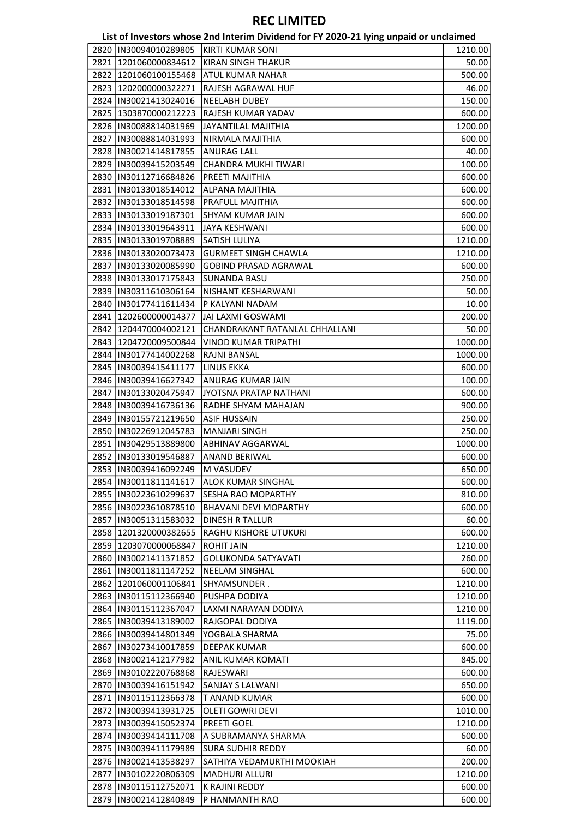|      |                         | List of Investors whose 2nd Interim Dividend for FY 2020-21 lying unpaid or unclaimed |         |
|------|-------------------------|---------------------------------------------------------------------------------------|---------|
|      | 2820  IN30094010289805  | <b>KIRTI KUMAR SONI</b>                                                               | 1210.00 |
|      | 2821 1201060000834612   | <b>KIRAN SINGH THAKUR</b>                                                             | 50.00   |
|      | 2822 1201060100155468   | ATUL KUMAR NAHAR                                                                      | 500.00  |
|      | 2823 1202000000322271   | <b>RAJESH AGRAWAL HUF</b>                                                             | 46.00   |
|      | 2824  IN30021413024016  | <b>NEELABH DUBEY</b>                                                                  | 150.00  |
|      | 2825   1303870000212223 | RAJESH KUMAR YADAV                                                                    | 600.00  |
|      | 2826  IN30088814031969  | JAYANTILAL MAJITHIA                                                                   | 1200.00 |
|      | 2827  IN30088814031993  | NIRMALA MAJITHIA                                                                      | 600.00  |
|      | 2828  IN30021414817855  | <b>ANURAG LALL</b>                                                                    | 40.00   |
|      | 2829  IN30039415203549  | CHANDRA MUKHI TIWARI                                                                  | 100.00  |
|      | 2830  IN30112716684826  | PREETI MAJITHIA                                                                       | 600.00  |
|      | 2831  IN30133018514012  | ALPANA MAJITHIA                                                                       | 600.00  |
|      | 2832 IN30133018514598   | PRAFULL MAJITHIA                                                                      | 600.00  |
|      | 2833  IN30133019187301  | <b>SHYAM KUMAR JAIN</b>                                                               | 600.00  |
|      | 2834  IN30133019643911  | <b>JAYA KESHWANI</b>                                                                  | 600.00  |
|      | 2835  IN30133019708889  | SATISH LULIYA                                                                         | 1210.00 |
|      | 2836  IN30133020073473  | <b>GURMEET SINGH CHAWLA</b>                                                           |         |
|      |                         | <b>GOBIND PRASAD AGRAWAL</b>                                                          | 1210.00 |
|      | 2837  IN30133020085990  |                                                                                       | 600.00  |
|      | 2838  IN30133017175843  | <b>SUNANDA BASU</b>                                                                   | 250.00  |
|      | 2839  IN30311610306164  | NISHANT KESHARWANI                                                                    | 50.00   |
| 2840 | IN30177411611434        | P KALYANI NADAM                                                                       | 10.00   |
|      | 2841 1202600000014377   | JAI LAXMI GOSWAMI                                                                     | 200.00  |
|      | 2842 1204470004002121   | CHANDRAKANT RATANLAL CHHALLANI                                                        | 50.00   |
| 2843 | 1204720009500844        | VINOD KUMAR TRIPATHI                                                                  | 1000.00 |
|      | 2844  IN30177414002268  | RAJNI BANSAL                                                                          | 1000.00 |
|      | 2845  IN30039415411177  | <b>LINUS EKKA</b>                                                                     | 600.00  |
|      | 2846   IN30039416627342 | ANURAG KUMAR JAIN                                                                     | 100.00  |
|      | 2847   IN30133020475947 | JYOTSNA PRATAP NATHANI                                                                | 600.00  |
|      | 2848  IN30039416736136  | RADHE SHYAM MAHAJAN                                                                   | 900.00  |
|      | 2849  IN30155721219650  | <b>ASIF HUSSAIN</b>                                                                   | 250.00  |
|      | 2850  IN30226912045783  | <b>MANJARI SINGH</b>                                                                  | 250.00  |
|      | 2851 IN30429513889800   | ABHINAV AGGARWAL                                                                      | 1000.00 |
|      | 2852  IN30133019546887  | <b>ANAND BERIWAL</b>                                                                  | 600.00  |
|      | 2853  IN30039416092249  | M VASUDEV                                                                             | 650.00  |
|      | 2854  IN30011811141617  | ALOK KUMAR SINGHAL                                                                    | 600.00  |
|      | 2855  IN30223610299637  | SESHA RAO MOPARTHY                                                                    | 810.00  |
|      | 2856 IN30223610878510   | <b>BHAVANI DEVI MOPARTHY</b>                                                          | 600.00  |
|      | 2857  IN30051311583032  | <b>DINESH R TALLUR</b>                                                                | 60.00   |
|      | 2858 1201320000382655   | <b>RAGHU KISHORE UTUKURI</b>                                                          | 600.00  |
|      | 2859 1203070000068847   | <b>ROHIT JAIN</b>                                                                     | 1210.00 |
|      | 2860 IN30021411371852   | <b>GOLUKONDA SATYAVATI</b>                                                            | 260.00  |
|      | 2861 IN30011811147252   | <b>NEELAM SINGHAL</b>                                                                 | 600.00  |
|      | 2862 1201060001106841   | SHYAMSUNDER .                                                                         | 1210.00 |
|      | 2863  IN30115112366940  | PUSHPA DODIYA                                                                         | 1210.00 |
|      | 2864 IN30115112367047   | LAXMI NARAYAN DODIYA                                                                  | 1210.00 |
|      | 2865 IN30039413189002   | RAJGOPAL DODIYA                                                                       | 1119.00 |
|      | 2866  IN30039414801349  | YOGBALA SHARMA                                                                        | 75.00   |
| 2867 | IN30273410017859        | <b>DEEPAK KUMAR</b>                                                                   | 600.00  |
|      | 2868 IN30021412177982   | <b>ANIL KUMAR KOMATI</b>                                                              | 845.00  |
|      | 2869 IIN30102220768868  | RAJESWARI                                                                             | 600.00  |
|      | 2870  IN30039416151942  | <b>SANJAY S LALWANI</b>                                                               | 650.00  |
|      | 2871 IN30115112366378   | T ANAND KUMAR                                                                         | 600.00  |
|      | 2872 IIN30039413931725  | OLETI GOWRI DEVI                                                                      | 1010.00 |
|      | 2873   IN30039415052374 | <b>PREETI GOEL</b>                                                                    |         |
|      |                         |                                                                                       | 1210.00 |
|      | 2874  IN30039414111708  | A SUBRAMANYA SHARMA                                                                   | 600.00  |
|      | 2875 IN30039411179989   | <b>SURA SUDHIR REDDY</b>                                                              | 60.00   |
|      | 2876 IN30021413538297   | SATHIYA VEDAMURTHI MOOKIAH                                                            | 200.00  |
| 2877 | IN30102220806309        | <b>MADHURI ALLURI</b>                                                                 | 1210.00 |
|      | 2878 IN30115112752071   | K RAJINI REDDY                                                                        | 600.00  |
|      | 2879  IN30021412840849  | P HANMANTH RAO                                                                        | 600.00  |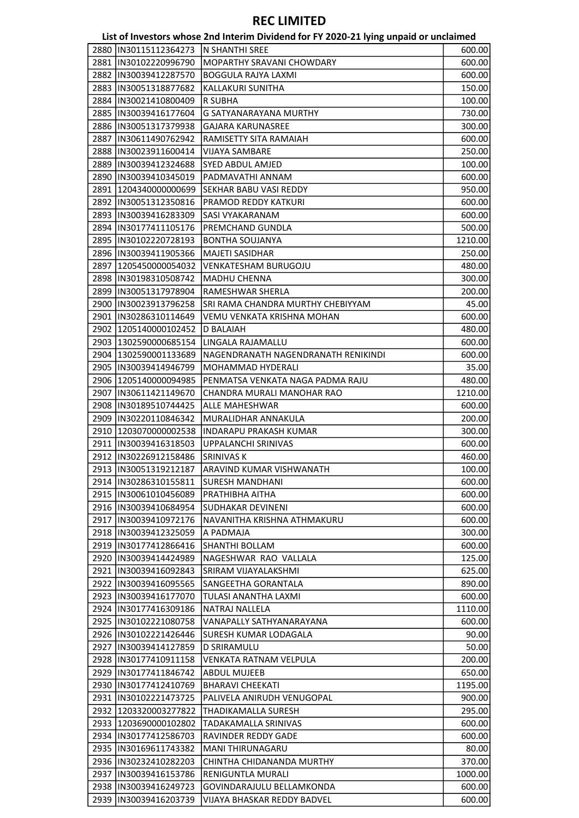|                         | List of Investors whose 2nd Interim Dividend for FY 2020-21 lying unpaid or unclaimed |         |
|-------------------------|---------------------------------------------------------------------------------------|---------|
| 2880  IN30115112364273  | ln SHANTHI SREE                                                                       | 600.00  |
| 2881  IN30102220996790  | MOPARTHY SRAVANI CHOWDARY                                                             | 600.00  |
| 2882 IIN30039412287570  | <b>BOGGULA RAJYA LAXMI</b>                                                            | 600.00  |
| 2883  IN30051318877682  | KALLAKURI SUNITHA                                                                     | 150.00  |
| 2884  IN30021410800409  | R SUBHA                                                                               | 100.00  |
| 2885  IN30039416177604  | <b>G SATYANARAYANA MURTHY</b>                                                         | 730.00  |
| 2886 IN30051317379938   | <b>GAJARA KARUNASREE</b>                                                              | 300.00  |
| 2887  IN30611490762942  | RAMISETTY SITA RAMAIAH                                                                | 600.00  |
| 2888  IN30023911600414  | <b>VIJAYA SAMBARE</b>                                                                 | 250.00  |
| 2889 IN30039412324688   | <b>SYED ABDUL AMJED</b>                                                               | 100.00  |
| 2890  IN30039410345019  | PADMAVATHI ANNAM                                                                      | 600.00  |
| 2891   1204340000000699 | <b>SEKHAR BABU VASI REDDY</b>                                                         | 950.00  |
| 2892  IN30051312350816  | PRAMOD REDDY KATKURI                                                                  | 600.00  |
| 2893  IN30039416283309  | SASI VYAKARANAM                                                                       | 600.00  |
| 2894 IIN30177411105176  | PREMCHAND GUNDLA                                                                      | 500.00  |
| 2895  IN30102220728193  | <b>BONTHA SOUJANYA</b>                                                                | 1210.00 |
| 2896  IN30039411905366  | <b>MAJETI SASIDHAR</b>                                                                | 250.00  |
| 2897   1205450000054032 | <b>VENKATESHAM BURUGOJU</b>                                                           | 480.00  |
| 2898 IIN30198310508742  | <b>MADHU CHENNA</b>                                                                   | 300.00  |
| 2899  IN30051317978904  | RAMESHWAR SHERLA                                                                      | 200.00  |
| 2900  IN30023913796258  | SRI RAMA CHANDRA MURTHY CHEBIYYAM                                                     | 45.00   |
| 2901  IN30286310114649  | VEMU VENKATA KRISHNA MOHAN                                                            | 600.00  |
| 2902 1205140000102452   | <b>D BALAIAH</b>                                                                      | 480.00  |
| 2903   1302590000685154 | LINGALA RAJAMALLU                                                                     |         |
| 2904 1302590001133689   | NAGENDRANATH NAGENDRANATH RENIKINDI                                                   | 600.00  |
|                         | MOHAMMAD HYDERALI                                                                     | 600.00  |
| 2905  IN30039414946799  | PENMATSA VENKATA NAGA PADMA RAJU                                                      | 35.00   |
| 2906   1205140000094985 |                                                                                       | 480.00  |
| 2907 IN30611421149670   | CHANDRA MURALI MANOHAR RAO                                                            | 1210.00 |
| 2908  IN30189510744425  | ALLE MAHESHWAR                                                                        | 600.00  |
| 2909 IN30220110846342   | MURALIDHAR ANNAKULA                                                                   | 200.00  |
| 2910   1203070000002538 | <b>INDARAPU PRAKASH KUMAR</b>                                                         | 300.00  |
| 2911  IN30039416318503  | UPPALANCHI SRINIVAS                                                                   | 600.00  |
| 2912 IN30226912158486   | <b>SRINIVAS K</b>                                                                     | 460.00  |
|                         | 2913   IN30051319212187   ARAVIND KUMAR VISHWANATH                                    | 100.00  |
| 2914  IN30286310155811  | <b>SURESH MANDHANI</b>                                                                | 600.00  |
| 2915  IN30061010456089  | PRATHIBHA AITHA                                                                       | 600.00  |
| 2916 IN30039410684954   | SUDHAKAR DEVINENI                                                                     | 600.00  |
| 2917 IN30039410972176   | NAVANITHA KRISHNA ATHMAKURU                                                           | 600.00  |
| 2918 IN30039412325059   | A PADMAJA                                                                             | 300.00  |
| 2919  IN30177412866416  | SHANTHI BOLLAM                                                                        | 600.00  |
| 2920  IN30039414424989  | NAGESHWAR RAO VALLALA                                                                 | 125.00  |
| 2921  IN30039416092843  | SRIRAM VIJAYALAKSHMI                                                                  | 625.00  |
| 2922 IN30039416095565   | <b>SANGEETHA GORANTALA</b>                                                            | 890.00  |
| 2923  IN30039416177070  | TULASI ANANTHA LAXMI                                                                  | 600.00  |
| 2924  IN30177416309186  | <b>NATRAJ NALLELA</b>                                                                 | 1110.00 |
| 2925  IN30102221080758  | VANAPALLY SATHYANARAYANA                                                              | 600.00  |
| 2926  IN30102221426446  | <b>SURESH KUMAR LODAGALA</b>                                                          | 90.00   |
| 2927  IN30039414127859  | <b>D SRIRAMULU</b>                                                                    | 50.00   |
| 2928 IN30177410911158   | VENKATA RATNAM VELPULA                                                                | 200.00  |
| 2929  IN30177411846742  | <b>ABDUL MUJEEB</b>                                                                   | 650.00  |
| 2930  IN30177412410769  | <b>BHARAVI CHEEKATI</b>                                                               | 1195.00 |
| 2931  IN30102221473725  | PALIVELA ANIRUDH VENUGOPAL                                                            | 900.00  |
| 2932 1203320003277822   | THADIKAMALLA SURESH                                                                   | 295.00  |
| 2933 1203690000102802   | <b>TADAKAMALLA SRINIVAS</b>                                                           | 600.00  |
| 2934   IN30177412586703 | <b>RAVINDER REDDY GADE</b>                                                            | 600.00  |
| 2935  IN30169611743382  | MANI THIRUNAGARU                                                                      | 80.00   |
| 2936   IN30232410282203 | CHINTHA CHIDANANDA MURTHY                                                             | 370.00  |
| 2937  IN30039416153786  | RENIGUNTLA MURALI                                                                     | 1000.00 |
| 2938 IN30039416249723   | GOVINDARAJULU BELLAMKONDA                                                             | 600.00  |
| 2939  IN30039416203739  | VIJAYA BHASKAR REDDY BADVEL                                                           | 600.00  |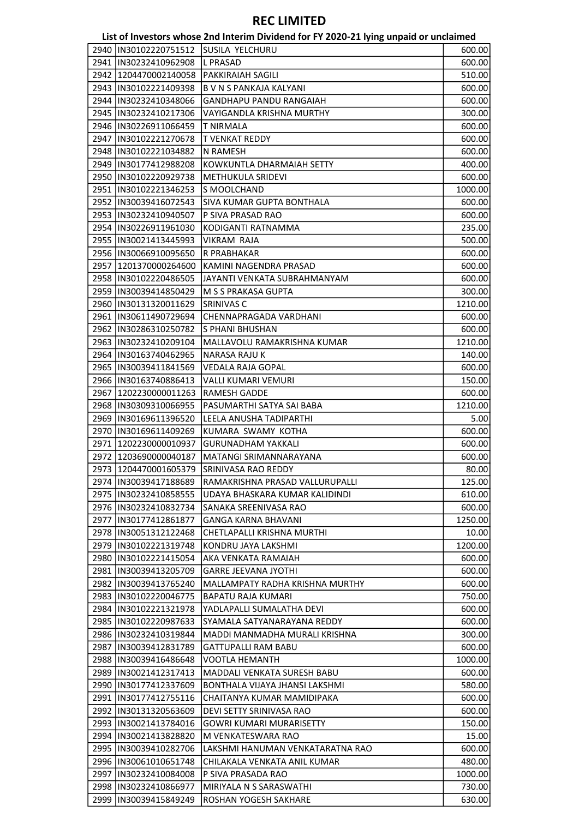|                         | List of Investors whose 2nd Interim Dividend for FY 2020-21 lying unpaid or unclaimed |         |
|-------------------------|---------------------------------------------------------------------------------------|---------|
| 2940  IN30102220751512  | SUSILA YELCHURU                                                                       | 600.00  |
| 2941  IN30232410962908  | <b>L PRASAD</b>                                                                       | 600.00  |
| 2942 1204470002140058   | <b>PAKKIRAIAH SAGILI</b>                                                              | 510.00  |
| 2943  IN30102221409398  | <b>B V N S PANKAJA KALYANI</b>                                                        | 600.00  |
| 2944  IN30232410348066  | GANDHAPU PANDU RANGAIAH                                                               | 600.00  |
| 2945  IN30232410217306  | VAYIGANDLA KRISHNA MURTHY                                                             | 300.00  |
| 2946  IN30226911066459  | <b>T NIRMALA</b>                                                                      | 600.00  |
| 2947 IN30102221270678   | T VENKAT REDDY                                                                        | 600.00  |
| 2948 IN30102221034882   | <b>N RAMESH</b>                                                                       | 600.00  |
| 2949 IN30177412988208   | KOWKUNTLA DHARMAIAH SETTY                                                             | 400.00  |
| 2950  IN30102220929738  | METHUKULA SRIDEVI                                                                     | 600.00  |
| 2951  IN30102221346253  | S MOOLCHAND                                                                           | 1000.00 |
| 2952  IN30039416072543  | <b>SIVA KUMAR GUPTA BONTHALA</b>                                                      | 600.00  |
| 2953  IN30232410940507  | P SIVA PRASAD RAO                                                                     | 600.00  |
| 2954  IN30226911961030  | KODIGANTI RATNAMMA                                                                    | 235.00  |
| 2955  IN30021413445993  | <b>VIKRAM RAJA</b>                                                                    | 500.00  |
| 2956  IN30066910095650  | R PRABHAKAR                                                                           | 600.00  |
| 2957 1201370000264600   | KAMINI NAGENDRA PRASAD                                                                | 600.00  |
| 2958  IN30102220486505  | JAYANTI VENKATA SUBRAHMANYAM                                                          | 600.00  |
| 2959 IN30039414850429   | M S S PRAKASA GUPTA                                                                   | 300.00  |
| 2960  IN30131320011629  | <b>SRINIVAS C</b>                                                                     | 1210.00 |
| 2961  IN30611490729694  | CHENNAPRAGADA VARDHANI                                                                | 600.00  |
| 2962  IN30286310250782  | S PHANI BHUSHAN                                                                       | 600.00  |
| 2963  IN30232410209104  | MALLAVOLU RAMAKRISHNA KUMAR                                                           | 1210.00 |
| 2964  IN30163740462965  | NARASA RAJU K                                                                         | 140.00  |
| 2965  IN30039411841569  | <b>VEDALA RAJA GOPAL</b>                                                              | 600.00  |
| 2966  IN30163740886413  | VALLI KUMARI VEMURI                                                                   | 150.00  |
| 2967   1202230000011263 | <b>RAMESH GADDE</b>                                                                   | 600.00  |
| 2968  IN30309310066955  | PASUMARTHI SATYA SAI BABA                                                             | 1210.00 |
| 2969 IN30169611396520   | LEELA ANUSHA TADIPARTHI                                                               | 5.00    |
| 2970  IN30169611409269  | KUMARA SWAMY KOTHA                                                                    | 600.00  |
| 2971 1202230000010937   | <b>GURUNADHAM YAKKALI</b>                                                             | 600.00  |
| 2972 1203690000040187   | MATANGI SRIMANNARAYANA                                                                | 600.00  |
| 2973 1204470001605379   | SRINIVASA RAO REDDY                                                                   | 80.00   |
| 2974  IN30039417188689  | RAMAKRISHNA PRASAD VALLURUPALLI                                                       | 125.00  |
| 2975  IN30232410858555  | UDAYA BHASKARA KUMAR KALIDINDI                                                        | 610.00  |
| 2976 IN30232410832734   | ISANAKA SREENIVASA RAO                                                                | 600.00  |
| 2977  IN30177412861877  | <b>GANGA KARNA BHAVANI</b>                                                            | 1250.00 |
| 2978 IN30051312122468   | CHETLAPALLI KRISHNA MURTHI                                                            | 10.00   |
| 2979  IN30102221319748  | KONDRU JAYA LAKSHMI                                                                   | 1200.00 |
| 2980  IN30102221415054  | AKA VENKATA RAMAIAH                                                                   | 600.00  |
| 2981 IN30039413205709   | <b>GARRE JEEVANA JYOTHI</b>                                                           | 600.00  |
| 2982 IN30039413765240   | MALLAMPATY RADHA KRISHNA MURTHY                                                       | 600.00  |
| 2983  IN30102220046775  | <b>BAPATU RAJA KUMARI</b>                                                             | 750.00  |
| 2984  IN30102221321978  | YADLAPALLI SUMALATHA DEVI                                                             | 600.00  |
| 2985  IN30102220987633  | SYAMALA SATYANARAYANA REDDY                                                           | 600.00  |
| 2986 IN30232410319844   | MADDI MANMADHA MURALI KRISHNA                                                         | 300.00  |
| 2987  IN30039412831789  | <b>GATTUPALLI RAM BABU</b>                                                            | 600.00  |
| 2988  IN30039416486648  | <b>VOOTLA HEMANTH</b>                                                                 | 1000.00 |
| 2989 IN30021412317413   | MADDALI VENKATA SURESH BABU                                                           | 600.00  |
| 2990  IN30177412337609  | BONTHALA VIJAYA JHANSI LAKSHMI                                                        | 580.00  |
| 2991 IN30177412755116   | CHAITANYA KUMAR MAMIDIPAKA                                                            | 600.00  |
| 2992 IN30131320563609   | DEVI SETTY SRINIVASA RAO                                                              | 600.00  |
| 2993  IN30021413784016  | <b>GOWRI KUMARI MURARISETTY</b>                                                       | 150.00  |
| 2994  IN30021413828820  | M VENKATESWARA RAO                                                                    | 15.00   |
| 2995  IN30039410282706  | LAKSHMI HANUMAN VENKATARATNA RAO                                                      | 600.00  |
| 2996  IN30061010651748  | CHILAKALA VENKATA ANIL KUMAR                                                          | 480.00  |
| 2997 IIN30232410084008  | P SIVA PRASADA RAO                                                                    | 1000.00 |
| 2998  IN30232410866977  | MIRIYALA N S SARASWATHI                                                               | 730.00  |
| 2999  IN30039415849249  | ROSHAN YOGESH SAKHARE                                                                 | 630.00  |
|                         |                                                                                       |         |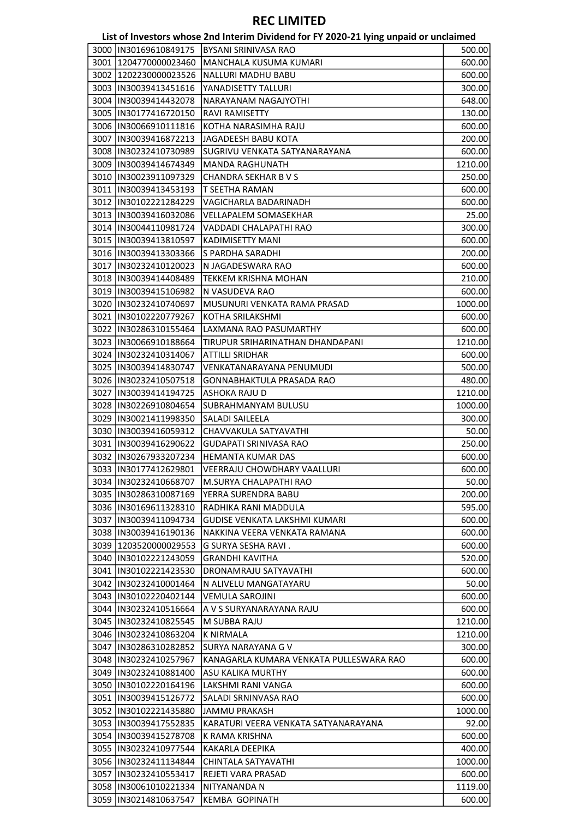|                         | List of Investors whose 2nd Interim Dividend for FY 2020-21 lying unpaid or unclaimed |         |
|-------------------------|---------------------------------------------------------------------------------------|---------|
| 3000  IN30169610849175  | <b>BYSANI SRINIVASA RAO</b>                                                           | 500.00  |
| 3001 1204770000023460   | MANCHALA KUSUMA KUMARI                                                                | 600.00  |
| 3002   1202230000023526 | NALLURI MADHU BABU                                                                    | 600.00  |
| 3003  IN30039413451616  | YANADISETTY TALLURI                                                                   | 300.00  |
| 3004  IN30039414432078  | NARAYANAM NAGAJYOTHI                                                                  | 648.00  |
| 3005  IN30177416720150  | <b>RAVI RAMISETTY</b>                                                                 | 130.00  |
| 3006  IN30066910111816  | KOTHA NARASIMHA RAJU                                                                  | 600.00  |
| 3007  IN30039416872213  | JAGADEESH BABU KOTA                                                                   | 200.00  |
| 3008 IIN30232410730989  | SUGRIVU VENKATA SATYANARAYANA                                                         | 600.00  |
| 3009  IN30039414674349  | <b>MANDA RAGHUNATH</b>                                                                | 1210.00 |
| 3010  IN30023911097329  | CHANDRA SEKHAR B V S                                                                  | 250.00  |
| 3011  IN30039413453193  | T SEETHA RAMAN                                                                        | 600.00  |
| 3012  IN30102221284229  | VAGICHARLA BADARINADH                                                                 | 600.00  |
| 3013  IN30039416032086  | <b>VELLAPALEM SOMASEKHAR</b>                                                          | 25.00   |
| 3014  IN30044110981724  | VADDADI CHALAPATHI RAO                                                                | 300.00  |
| 3015  IN30039413810597  | KADIMISETTY MANI                                                                      | 600.00  |
| 3016  IN30039413303366  | S PARDHA SARADHI                                                                      | 200.00  |
| 3017  IN30232410120023  | N JAGADESWARA RAO                                                                     |         |
|                         |                                                                                       | 600.00  |
| 3018  IN30039414408489  | TEKKEM KRISHNA MOHAN                                                                  | 210.00  |
| 3019 IN30039415106982   | N VASUDEVA RAO                                                                        | 600.00  |
| 3020  IN30232410740697  | MUSUNURI VENKATA RAMA PRASAD                                                          | 1000.00 |
| 3021  IN30102220779267  | KOTHA SRILAKSHMI                                                                      | 600.00  |
| 3022  IN30286310155464  | LAXMANA RAO PASUMARTHY                                                                | 600.00  |
| 3023  IN30066910188664  | TIRUPUR SRIHARINATHAN DHANDAPANI                                                      | 1210.00 |
| 3024  IN30232410314067  | ATTILLI SRIDHAR                                                                       | 600.00  |
| 3025 IIN30039414830747  | VENKATANARAYANA PENUMUDI                                                              | 500.00  |
| 3026  IN30232410507518  | GONNABHAKTULA PRASADA RAO                                                             | 480.00  |
| 3027  IN30039414194725  | <b>ASHOKA RAJU D</b>                                                                  | 1210.00 |
| 3028  IN30226910804654  | <b>SUBRAHMANYAM BULUSU</b>                                                            | 1000.00 |
| 3029  IN30021411998350  | SALADI SAILEELA                                                                       | 300.00  |
| 3030 IN30039416059312   | CHAVVAKULA SATYAVATHI                                                                 | 50.00   |
| 3031  IN30039416290622  | <b>GUDAPATI SRINIVASA RAO</b>                                                         | 250.00  |
| 3032 IN30267933207234   | <b>HEMANTA KUMAR DAS</b>                                                              | 600.00  |
| 3033  IN30177412629801  | VEERRAJU CHOWDHARY VAALLURI                                                           | 600.00  |
| 3034 IN30232410668707   | <b>M.SURYA CHALAPATHI RAO</b>                                                         | 50.00   |
| 3035 IIN30286310087169  | YERRA SURENDRA BABU                                                                   | 200.00  |
| 3036 IN30169611328310   | RADHIKA RANI MADDULA                                                                  | 595.00  |
| 3037  IN30039411094734  | GUDISE VENKATA LAKSHMI KUMARI                                                         | 600.00  |
| 3038  IN30039416190136  | NAKKINA VEERA VENKATA RAMANA                                                          | 600.00  |
| 3039 1203520000029553   | G SURYA SESHA RAVI.                                                                   | 600.00  |
| 3040  IN30102221243059  | <b>GRANDHI KAVITHA</b>                                                                | 520.00  |
| 3041  IN30102221423530  | DRONAMRAJU SATYAVATHI                                                                 | 600.00  |
| 3042  IN30232410001464  | N ALIVELU MANGATAYARU                                                                 | 50.00   |
| 3043  IN30102220402144  | <b>VEMULA SAROJINI</b>                                                                | 600.00  |
| 3044  IN30232410516664  | A V S SURYANARAYANA RAJU                                                              | 600.00  |
| 3045 IN30232410825545   | M SUBBA RAJU                                                                          | 1210.00 |
| 3046  IN30232410863204  | <b>K NIRMALA</b>                                                                      | 1210.00 |
| 3047 IN30286310282852   | SURYA NARAYANA G V                                                                    | 300.00  |
| 3048  IN30232410257967  | KANAGARLA KUMARA VENKATA PULLESWARA RAO                                               | 600.00  |
| 3049  IN30232410881400  | <b>ASU KALIKA MURTHY</b>                                                              | 600.00  |
|                         |                                                                                       |         |
| 3050  IN30102220164196  | LAKSHMI RANI VANGA                                                                    | 600.00  |
| 3051  IN30039415126772  | SALADI SRNINVASA RAO                                                                  | 600.00  |
| 3052  IN30102221435880  | <b>JAMMU PRAKASH</b>                                                                  | 1000.00 |
| 3053  IN30039417552835  | KARATURI VEERA VENKATA SATYANARAYANA                                                  | 92.00   |
| 3054  IN30039415278708  | K RAMA KRISHNA                                                                        | 600.00  |
| 3055  IN30232410977544  | KAKARLA DEEPIKA                                                                       | 400.00  |
| 3056   IN30232411134844 | CHINTALA SATYAVATHI                                                                   | 1000.00 |
| 3057  IN30232410553417  | REJETI VARA PRASAD                                                                    | 600.00  |
| 3058  IN30061010221334  | NITYANANDA N                                                                          | 1119.00 |
| 3059  IN30214810637547  | <b>KEMBA GOPINATH</b>                                                                 | 600.00  |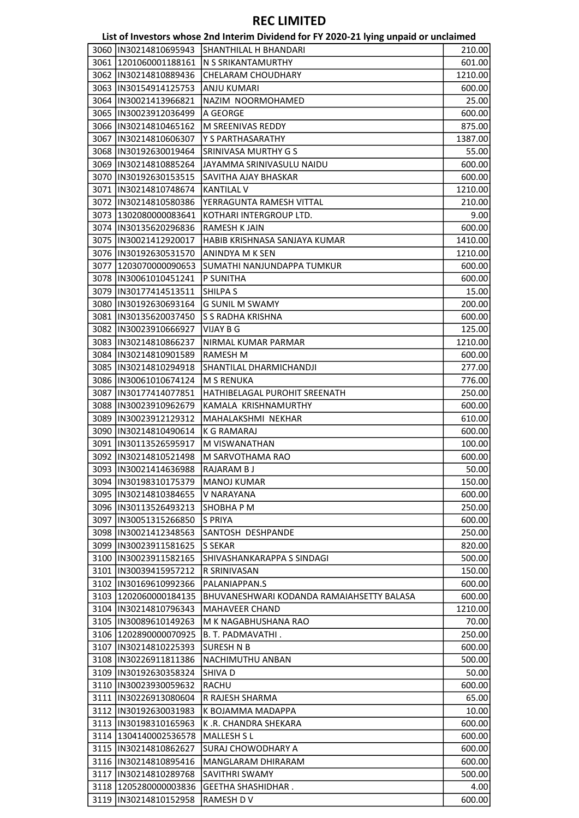| List of Investors whose 2nd Interim Dividend for FY 2020-21 lying unpaid or unclaimed |  |                                                 |             |
|---------------------------------------------------------------------------------------|--|-------------------------------------------------|-------------|
|                                                                                       |  | וסגרוווואס ש וג וושדוגגול כגמאמגמפיזנגמפונו מאמ | <b>2100</b> |

| 3060 IIN30214810695943  | SHANTHILAL H BHANDARI                     | 210.00  |
|-------------------------|-------------------------------------------|---------|
| 3061 1201060001188161   | N S SRIKANTAMURTHY                        | 601.00  |
| 3062  IN30214810889436  | CHELARAM CHOUDHARY                        | 1210.00 |
| 3063   IN30154914125753 | <b>ANJU KUMARI</b>                        | 600.00  |
| 3064   IN30021413966821 | NAZIM NOORMOHAMED                         | 25.00   |
| 3065  IN30023912036499  | A GEORGE                                  | 600.00  |
| 3066 IN30214810465162   | M SREENIVAS REDDY                         | 875.00  |
| 3067 IIN30214810606307  | Y S PARTHASARATHY                         | 1387.00 |
| 3068  IN30192630019464  | SRINIVASA MURTHY G S                      | 55.00   |
| 3069 IN30214810885264   | JAYAMMA SRINIVASULU NAIDU                 | 600.00  |
| 3070  IN30192630153515  | SAVITHA AJAY BHASKAR                      | 600.00  |
| 3071 IN30214810748674   | <b>KANTILAL V</b>                         | 1210.00 |
| 3072  IN30214810580386  | YERRAGUNTA RAMESH VITTAL                  | 210.00  |
| 3073 1302080000083641   | KOTHARI INTERGROUP LTD.                   | 9.00    |
| 3074  IN30135620296836  | <b>RAMESH K JAIN</b>                      | 600.00  |
| 3075  IN30021412920017  | HABIB KRISHNASA SANJAYA KUMAR             | 1410.00 |
| 3076  IN30192630531570  | ANINDYA M K SEN                           | 1210.00 |
| 3077 1203070000090653   | SUMATHI NANJUNDAPPA TUMKUR                | 600.00  |
| 3078 IIN30061010451241  | P SUNITHA                                 | 600.00  |
| 3079  IN30177414513511  | SHILPA S                                  | 15.00   |
| 3080  IN30192630693164  | <b>G SUNIL M SWAMY</b>                    |         |
| 3081 IN30135620037450   | ls s radha krishna                        | 200.00  |
|                         |                                           | 600.00  |
| 3082  IN30023910666927  | VIJAY B G                                 | 125.00  |
| 3083  IN30214810866237  | NIRMAL KUMAR PARMAR                       | 1210.00 |
| 3084  IN30214810901589  | <b>RAMESH M</b>                           | 600.00  |
| 3085  IN30214810294918  | SHANTILAL DHARMICHANDJI                   | 277.00  |
| 3086  IN30061010674124  | <b>M S RENUKA</b>                         | 776.00  |
| 3087  IN30177414077851  | HATHIBELAGAL PUROHIT SREENATH             | 250.00  |
| 3088  IN30023910962679  | KAMALA KRISHNAMURTHY                      | 600.00  |
| 3089 IN30023912129312   | MAHALAKSHMI NEKHAR                        | 610.00  |
| 3090  IN30214810490614  | <b>K G RAMARAJ</b>                        | 600.00  |
| 3091  IN30113526595917  | M VISWANATHAN                             | 100.00  |
| 3092  IN30214810521498  | M SARVOTHAMA RAO                          | 600.00  |
| 3093  IN30021414636988  | RAJARAM B J                               | 50.00   |
| 3094  IN30198310175379  | MANOJ KUMAR                               | 150.00  |
| 3095  IN30214810384655  | V NARAYANA                                | 600.00  |
| 3096  IN30113526493213  | SHOBHA P M                                | 250.00  |
| 3097  IN30051315266850  | S PRIYA                                   | 600.00  |
| 3098  IN30021412348563  | SANTOSH DESHPANDE                         | 250.00  |
| 3099 IN30023911581625   | S SEKAR                                   | 820.00  |
| 3100  IN30023911582165  | SHIVASHANKARAPPA S SINDAGI                | 500.00  |
| 3101   IN30039415957212 | R SRINIVASAN                              | 150.00  |
| 3102 IIN30169610992366  | PALANIAPPAN.S                             | 600.00  |
| 3103 1202060000184135   | BHUVANESHWARI KODANDA RAMAIAHSETTY BALASA | 600.00  |
| 3104 IN30214810796343   | MAHAVEER CHAND                            | 1210.00 |
| 3105 IN30089610149263   | M K NAGABHUSHANA RAO                      | 70.00   |
| 3106 1202890000070925   | B. T. PADMAVATHI.                         | 250.00  |
| 3107 IN30214810225393   | <b>SURESH N B</b>                         | 600.00  |
| 3108  IN30226911811386  | <b>NACHIMUTHU ANBAN</b>                   | 500.00  |
| 3109 IN30192630358324   | <b>SHIVA D</b>                            | 50.00   |
| 3110 IN30023930059632   | RACHU                                     | 600.00  |
| 3111  IN30226913080604  | R RAJESH SHARMA                           | 65.00   |
| 3112  IN30192630031983  | K BOJAMMA MADAPPA                         | 10.00   |
| 3113  IN30198310165963  | K.R. CHANDRA SHEKARA                      | 600.00  |
| 3114   1304140002536578 | MALLESH S L                               | 600.00  |
| 3115 IN30214810862627   | SURAJ CHOWODHARY A                        | 600.00  |
| 3116 IN30214810895416   | MANGLARAM DHIRARAM                        | 600.00  |
| 3117  IN30214810289768  | SAVITHRI SWAMY                            | 500.00  |
| 3118 1205280000003836   | <b>GEETHA SHASHIDHAR.</b>                 | 4.00    |
| 3119  IN30214810152958  | RAMESH D V                                | 600.00  |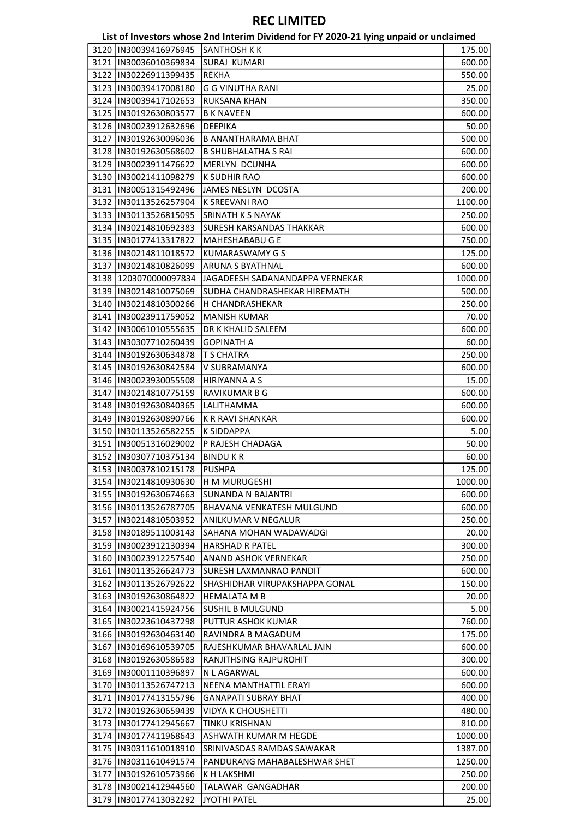|      |                        | List of Investors whose 2nd Interim Dividend for FY 2020-21 lying unpaid or unclaimed |         |
|------|------------------------|---------------------------------------------------------------------------------------|---------|
| 3120 | IIN30039416976945      | <b>SANTHOSH K K</b>                                                                   | 175.00  |
|      | 3121  IN30036010369834 | SURAJ KUMARI                                                                          | 600.00  |
|      | 3122  IN30226911399435 | <b>REKHA</b>                                                                          | 550.00  |
|      | 3123  IN30039417008180 | <b>G G VINUTHA RANI</b>                                                               | 25.00   |
|      | 3124  IN30039417102653 | RUKSANA KHAN                                                                          | 350.00  |
|      | 3125  IN30192630803577 | <b>B K NAVEEN</b>                                                                     | 600.00  |
|      | 3126  IN30023912632696 | <b>DEEPIKA</b>                                                                        | 50.00   |
|      | 3127  IN30192630096036 | <b>B ANANTHARAMA BHAT</b>                                                             | 500.00  |
|      | 3128  IN30192630568602 | <b>B SHUBHALATHA S RAI</b>                                                            | 600.00  |
|      | 3129  IN30023911476622 | <b>MERLYN DCUNHA</b>                                                                  | 600.00  |
|      | 3130  IN30021411098279 | <b>K SUDHIR RAO</b>                                                                   | 600.00  |
|      | 3131 IN30051315492496  | JAMES NESLYN DCOSTA                                                                   | 200.00  |
|      | 3132  IN30113526257904 | K SREEVANI RAO                                                                        | 1100.00 |
|      | 3133  IN30113526815095 | <b>SRINATH K S NAYAK</b>                                                              | 250.00  |
|      | 3134  IN30214810692383 | SURESH KARSANDAS THAKKAR                                                              | 600.00  |
|      | 3135  IN30177413317822 | MAHESHABABU G E                                                                       | 750.00  |
|      | 3136  IN30214811018572 | <b>KUMARASWAMY G S</b>                                                                | 125.00  |
|      | 3137  IN30214810826099 | <b>ARUNA S BYATHNAL</b>                                                               | 600.00  |
|      | 3138 1203070000097834  | JAGADEESH SADANANDAPPA VERNEKAR                                                       | 1000.00 |
|      | 3139 IN30214810075069  | SUDHA CHANDRASHEKAR HIREMATH                                                          | 500.00  |
|      | 3140  IN30214810300266 | H CHANDRASHEKAR                                                                       | 250.00  |
|      | 3141  IN30023911759052 | <b>MANISH KUMAR</b>                                                                   | 70.00   |
|      | 3142  IN30061010555635 | DR K KHALID SALEEM                                                                    | 600.00  |
|      | 3143  IN30307710260439 | <b>GOPINATH A</b>                                                                     | 60.00   |
|      | 3144  IN30192630634878 | T S CHATRA                                                                            | 250.00  |
|      | 3145  IN30192630842584 | V SUBRAMANYA                                                                          | 600.00  |
|      | 3146  IN30023930055508 | HIRIYANNA A S                                                                         | 15.00   |
|      | 3147  IN30214810775159 | RAVIKUMAR B G                                                                         | 600.00  |
|      | 3148  IN30192630840365 | LALITHAMMA                                                                            | 600.00  |
|      | 3149  IN30192630890766 | <b>K R RAVI SHANKAR</b>                                                               | 600.00  |
|      | 3150  IN30113526582255 | <b>K SIDDAPPA</b>                                                                     | 5.00    |
|      | 3151  IN30051316029002 | P RAJESH CHADAGA                                                                      | 50.00   |
|      | 3152 IN30307710375134  | <b>BINDUKR</b>                                                                        | 60.00   |
|      | 3153  IN30037810215178 | <b>PUSHPA</b>                                                                         | 125.00  |
|      | 3154 IN30214810930630  | <b>H M MURUGESHI</b>                                                                  | 1000.00 |
|      | 3155  IN30192630674663 | <b>SUNANDA N BAJANTRI</b>                                                             | 600.00  |
|      | 3156  IN30113526787705 | <b>BHAVANA VENKATESH MULGUND</b>                                                      | 600.00  |
|      | 3157 IN30214810503952  | <b>ANILKUMAR V NEGALUR</b>                                                            | 250.00  |
|      | 3158  IN30189511003143 | SAHANA MOHAN WADAWADGI                                                                | 20.00   |
|      | 3159 IIN30023912130394 | <b>HARSHAD R PATEL</b>                                                                | 300.00  |
|      | 3160 IN30023912257540  | ANAND ASHOK VERNEKAR                                                                  | 250.00  |
|      | 3161  IN30113526624773 | SURESH LAXMANRAO PANDIT                                                               | 600.00  |
|      | 3162  IN30113526792622 | SHASHIDHAR VIRUPAKSHAPPA GONAL                                                        | 150.00  |
|      | 3163 IN30192630864822  | HEMALATA M B                                                                          | 20.00   |
|      | 3164 IN30021415924756  | <b>SUSHIL B MULGUND</b>                                                               | 5.00    |
|      | 3165 IN30223610437298  | PUTTUR ASHOK KUMAR                                                                    | 760.00  |
|      | 3166  IN30192630463140 | RAVINDRA B MAGADUM                                                                    | 175.00  |
|      | 3167 IN30169610539705  | RAJESHKUMAR BHAVARLAL JAIN                                                            | 600.00  |
|      | 3168 IN30192630586583  | <b>RANJITHSING RAJPUROHIT</b>                                                         | 300.00  |
|      | 3169 IN30001110396897  | N L AGARWAL                                                                           | 600.00  |
|      | 3170 IN30113526747213  | NEENA MANTHATTIL ERAYI                                                                | 600.00  |
|      | 3171  IN30177413155796 | <b>GANAPATI SUBRAY BHAT</b>                                                           | 400.00  |
|      | 3172 IN30192630659439  | <b>VIDYA K CHOUSHETTI</b>                                                             | 480.00  |
|      | 3173 IIN30177412945667 | <b>TINKU KRISHNAN</b>                                                                 | 810.00  |
|      | 3174  IN30177411968643 | ASHWATH KUMAR M HEGDE                                                                 | 1000.00 |
|      | 3175  IN30311610018910 | SRINIVASDAS RAMDAS SAWAKAR                                                            | 1387.00 |
|      | 3176 IN30311610491574  | PANDURANG MAHABALESHWAR SHET                                                          | 1250.00 |
|      | 3177  IN30192610573966 | K H LAKSHMI                                                                           | 250.00  |
|      | 3178 IIN30021412944560 | TALAWAR GANGADHAR                                                                     | 200.00  |
|      | 3179 IIN30177413032292 | JYOTHI PATEL                                                                          | 25.00   |
|      |                        |                                                                                       |         |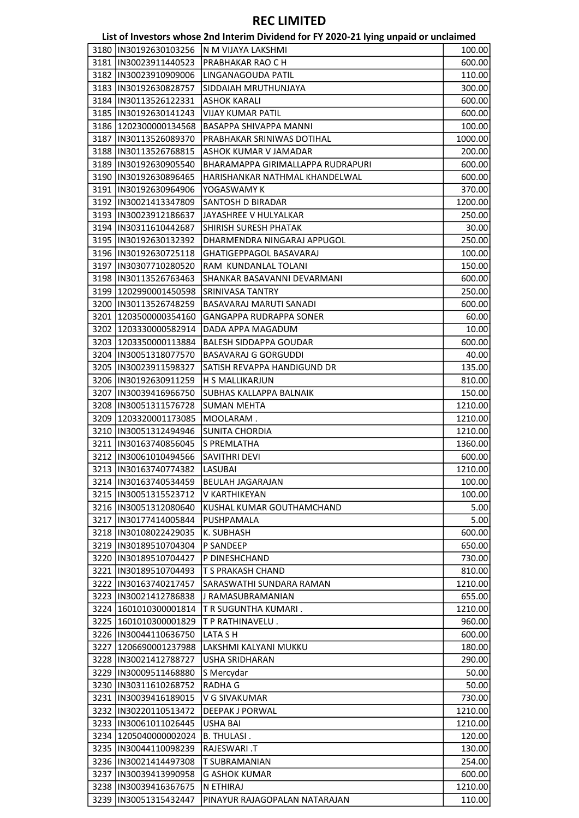|                                | List of Investors whose 2nd Interim Dividend for FY 2020-21 lying unpaid or unclaimed |         |
|--------------------------------|---------------------------------------------------------------------------------------|---------|
| 3180  IN30192630103256         | IN M VIJAYA LAKSHMI                                                                   | 100.00  |
| 3181  IN30023911440523         | PRABHAKAR RAO C H                                                                     | 600.00  |
| 3182 IIN30023910909006         | LINGANAGOUDA PATIL                                                                    | 110.00  |
| 3183 IN30192630828757          | SIDDAIAH MRUTHUNJAYA                                                                  | 300.00  |
| 3184   IN30113526122331        | <b>ASHOK KARALI</b>                                                                   | 600.00  |
| 3185  IN30192630141243         | <b>VIJAY KUMAR PATIL</b>                                                              | 600.00  |
| 3186 1202300000134568          | BASAPPA SHIVAPPA MANNI                                                                | 100.00  |
| 3187 IIN30113526089370         | PRABHAKAR SRINIWAS DOTIHAL                                                            | 1000.00 |
| 3188  IN30113526768815         | <b>ASHOK KUMAR V JAMADAR</b>                                                          | 200.00  |
| 3189  IN30192630905540         | BHARAMAPPA GIRIMALLAPPA RUDRAPURI                                                     | 600.00  |
| 3190  IN30192630896465         | HARISHANKAR NATHMAL KHANDELWAL                                                        | 600.00  |
| 3191 IN30192630964906          | YOGASWAMY K                                                                           | 370.00  |
| 3192  IN30021413347809         | SANTOSH D BIRADAR                                                                     | 1200.00 |
| 3193 IIN30023912186637         | JAYASHREE V HULYALKAR                                                                 | 250.00  |
| 3194 IIN30311610442687         | <b>SHIRISH SURESH PHATAK</b>                                                          | 30.00   |
| 3195  IN30192630132392         | DHARMENDRA NINGARAJ APPUGOL                                                           | 250.00  |
| 3196  IN30192630725118         | <b>GHATIGEPPAGOL BASAVARAJ</b>                                                        | 100.00  |
| 3197  IN30307710280520         | RAM KUNDANLAL TOLANI                                                                  | 150.00  |
| 3198 IN30113526763463          | SHANKAR BASAVANNI DEVARMANI                                                           | 600.00  |
| 3199 1202990001450598          | <b>SRINIVASA TANTRY</b>                                                               | 250.00  |
| 3200  IN30113526748259         | BASAVARAJ MARUTI SANADI                                                               | 600.00  |
| 3201   1203500000354160        | GANGAPPA RUDRAPPA SONER                                                               | 60.00   |
| 3202 1203330000582914          | DADA APPA MAGADUM                                                                     | 10.00   |
| 3203 1203350000113884          | <b>BALESH SIDDAPPA GOUDAR</b>                                                         |         |
|                                |                                                                                       | 600.00  |
| 3204  IN30051318077570         | <b>BASAVARAJ G GORGUDDI</b>                                                           | 40.00   |
| 3205  IN30023911598327         | SATISH REVAPPA HANDIGUND DR                                                           | 135.00  |
| 3206 IN30192630911259          | <b>H S MALLIKARJUN</b>                                                                | 810.00  |
| 3207  IN30039416966750         | <b>SUBHAS KALLAPPA BALNAIK</b>                                                        | 150.00  |
| 3208  IN30051311576728         | <b>SUMAN MEHTA</b>                                                                    | 1210.00 |
| 3209 1203320001173085          | MOOLARAM.                                                                             | 1210.00 |
| 3210  IN30051312494946         | <b>SUNITA CHORDIA</b>                                                                 | 1210.00 |
| 3211  IN30163740856045         | <b>S PREMLATHA</b>                                                                    | 1360.00 |
| 3212 IN30061010494566          | <b>SAVITHRI DEVI</b>                                                                  | 600.00  |
| 3213  IN30163740774382 LASUBAI |                                                                                       | 1210.00 |
| 3214  IN30163740534459         | <b>BEULAH JAGARAJAN</b>                                                               | 100.00  |
| 3215 IN30051315523712          | V KARTHIKEYAN                                                                         | 100.00  |
| 3216  IN30051312080640         | KUSHAL KUMAR GOUTHAMCHAND                                                             | 5.00    |
| 3217  IN30177414005844         | PUSHPAMALA                                                                            | 5.00    |
| 3218  IN30108022429035         | K. SUBHASH                                                                            | 600.00  |
| 3219 IN30189510704304          | <b>P SANDEEP</b>                                                                      | 650.00  |
| 3220 IIN30189510704427         | P DINESHCHAND                                                                         | 730.00  |
| 3221  IN30189510704493         | T S PRAKASH CHAND                                                                     | 810.00  |
| 3222 IN30163740217457          | SARASWATHI SUNDARA RAMAN                                                              | 1210.00 |
| 3223 IN30021412786838          | J RAMASUBRAMANIAN                                                                     | 655.00  |
| 3224 1601010300001814          | T R SUGUNTHA KUMARI.                                                                  | 1210.00 |
| 3225   1601010300001829        | T P RATHINAVELU.                                                                      | 960.00  |
| 3226 IN30044110636750          | LATA S H                                                                              | 600.00  |
| 3227 1206690001237988          | LAKSHMI KALYANI MUKKU                                                                 | 180.00  |
| 3228 IN30021412788727          | <b>USHA SRIDHARAN</b>                                                                 | 290.00  |
| 3229  IN30009511468880         | S Mercydar                                                                            | 50.00   |
| 3230 IN30311610268752          | <b>RADHAG</b>                                                                         | 50.00   |
| 3231  IN30039416189015         | V G SIVAKUMAR                                                                         | 730.00  |
| 3232 IIN30220110513472         | <b>DEEPAK J PORWAL</b>                                                                | 1210.00 |
| 3233 IN30061011026445          | <b>USHA BAI</b>                                                                       | 1210.00 |
| 3234 1205040000002024          | B. THULASI .                                                                          | 120.00  |
| 3235  IN30044110098239         | RAJESWARI .T                                                                          | 130.00  |
| 3236  IN30021414497308         | T SUBRAMANIAN                                                                         | 254.00  |
| 3237 IIN30039413990958         | G ASHOK KUMAR                                                                         | 600.00  |
| 3238 IN30039416367675          | N ETHIRAJ                                                                             | 1210.00 |
| 3239 IN30051315432447          | PINAYUR RAJAGOPALAN NATARAJAN                                                         | 110.00  |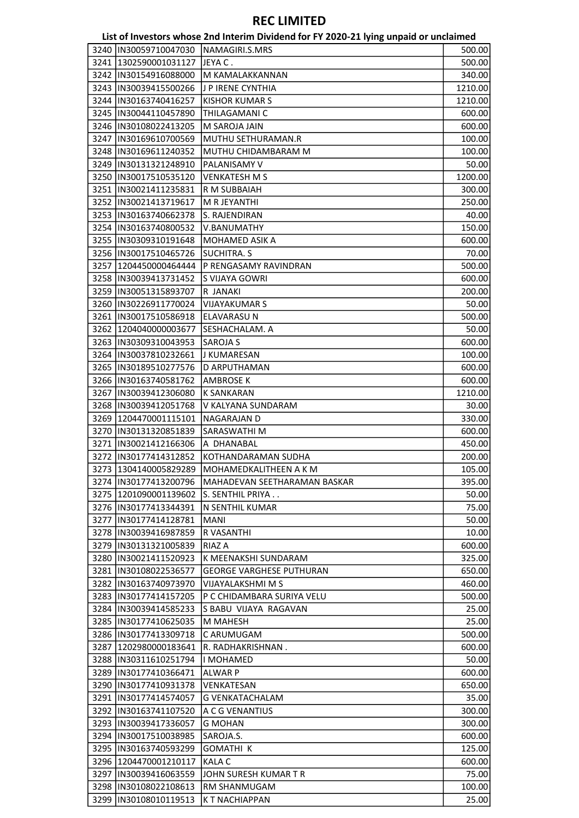|                                                | List of Investors whose 2nd Interim Dividend for FY 2020-21 lying unpaid or unclaimed |                |
|------------------------------------------------|---------------------------------------------------------------------------------------|----------------|
| 3240   IN30059710047030   NAMAGIRI.S.MRS       |                                                                                       | 500.00         |
| 3241 1302590001031127                          | lJEYA C .                                                                             | 500.00         |
| 3242  IN30154916088000                         | M KAMALAKKANNAN                                                                       | 340.00         |
| 3243  IN30039415500266                         | J P IRENE CYNTHIA                                                                     | 1210.00        |
| 3244  IN30163740416257                         | <b>KISHOR KUMAR S</b>                                                                 | 1210.00        |
| 3245  IN30044110457890                         | THILAGAMANI C                                                                         | 600.00         |
| 3246  IN30108022413205                         | M SAROJA JAIN                                                                         | 600.00         |
| 3247  IN30169610700569                         | MUTHU SETHURAMAN.R                                                                    | 100.00         |
| 3248  IN30169611240352                         | MUTHU CHIDAMBARAM M                                                                   | 100.00         |
| 3249  IN30131321248910                         | PALANISAMY V                                                                          | 50.00          |
| 3250  IN30017510535120                         | <b>VENKATESH M S</b>                                                                  | 1200.00        |
| 3251  IN30021411235831                         | R M SUBBAIAH                                                                          | 300.00         |
| 3252  IN30021413719617                         | M R JEYANTHI                                                                          | 250.00         |
| 3253  IN30163740662378                         | S. RAJENDIRAN                                                                         | 40.00          |
| 3254 IN30163740800532                          | V.BANUMATHY                                                                           | 150.00         |
| 3255  IN30309310191648                         | MOHAMED ASIK A                                                                        | 600.00         |
| 3256  IN30017510465726                         | <b>SUCHITRA. S</b>                                                                    | 70.00          |
| 3257   1204450000464444                        | P RENGASAMY RAVINDRAN                                                                 | 500.00         |
| 3258 IN30039413731452                          | S VIJAYA GOWRI                                                                        | 600.00         |
| 3259  IN30051315893707                         | R JANAKI                                                                              | 200.00         |
| 3260  IN30226911770024                         | <b>VIJAYAKUMAR S</b>                                                                  | 50.00          |
| 3261  IN30017510586918                         | <b>ELAVARASU N</b>                                                                    | 500.00         |
| 3262 1204040000003677                          | SESHACHALAM. A                                                                        | 50.00          |
| 3263  IN30309310043953                         | <b>SAROJA S</b>                                                                       | 600.00         |
| 3264   IN30037810232661                        | J KUMARESAN                                                                           | 100.00         |
| 3265  IN30189510277576                         | D ARPUTHAMAN                                                                          | 600.00         |
| 3266  IN30163740581762                         | AMBROSE K                                                                             | 600.00         |
| 3267  IN30039412306080                         | <b>K SANKARAN</b>                                                                     | 1210.00        |
| 3268  IN30039412051768                         | V KALYANA SUNDARAM                                                                    | 30.00          |
| 3269 1204470001115101                          | <b>NAGARAJAN D</b>                                                                    | 330.00         |
| 3270 IN30131320851839                          | SARASWATHI M                                                                          | 600.00         |
| 3271  IN30021412166306                         | A DHANABAL                                                                            | 450.00         |
| 3272 IN30177414312852                          | KOTHANDARAMAN SUDHA                                                                   | 200.00         |
| 3273 1304140005829289                          | MOHAMEDKALITHEEN A K M                                                                | 105.00         |
| 3274  IN30177413200796                         |                                                                                       |                |
| 3275 1201090001139602                          | MAHADEVAN SEETHARAMAN BASKAR<br>lS. SENTHIL PRIYA                                     | 395.00         |
|                                                |                                                                                       | 50.00          |
| 3276 IN30177413344391<br>3277 IN30177414128781 | N SENTHIL KUMAR                                                                       | 75.00<br>50.00 |
|                                                | <b>MANI</b>                                                                           |                |
| 3278  IN30039416987859                         | R VASANTHI                                                                            | 10.00          |
| 3279  IN30131321005839                         | <b>RIAZ A</b>                                                                         | 600.00         |
| 3280 IIN30021411520923                         | K MEENAKSHI SUNDARAM                                                                  | 325.00         |
| 3281  IN30108022536577                         | <b>GEORGE VARGHESE PUTHURAN</b>                                                       | 650.00         |
| 3282 IN30163740973970                          | <b>VIJAYALAKSHMI M S</b>                                                              | 460.00         |
| 3283 IN30177414157205                          | P C CHIDAMBARA SURIYA VELU                                                            | 500.00         |
| 3284 IN30039414585233                          | <b>S BABU VIJAYA RAGAVAN</b>                                                          | 25.00          |
| 3285  IN30177410625035                         | M MAHESH                                                                              | 25.00          |
| 3286 IN30177413309718                          | C ARUMUGAM                                                                            | 500.00         |
| 3287 1202980000183641                          | R. RADHAKRISHNAN .                                                                    | 600.00         |
| 3288  IN30311610251794                         | li MOHAMED                                                                            | 50.00          |
| 3289 IN30177410366471                          | ALWAR P                                                                               | 600.00         |
| 3290  IN30177410931378                         | VENKATESAN                                                                            | 650.00         |
| 3291 IN30177414574057                          | <b>G VENKATACHALAM</b>                                                                | 35.00          |
| 3292 IN30163741107520                          | A C G VENANTIUS                                                                       | 300.00         |
| 3293 IN30039417336057                          | <b>G MOHAN</b>                                                                        | 300.00         |
| 3294  IN30017510038985                         | SAROJA.S.                                                                             | 600.00         |
| 3295 IN30163740593299                          | <b>GOMATHI K</b>                                                                      | 125.00         |
| 3296 1204470001210117                          | <b>KALA C</b>                                                                         | 600.00         |
| 3297 IN30039416063559                          | JOHN SURESH KUMAR T R                                                                 | 75.00          |
| 3298 IN30108022108613                          | RM SHANMUGAM                                                                          | 100.00         |
| 3299  IN30108010119513                         | K T NACHIAPPAN                                                                        | 25.00          |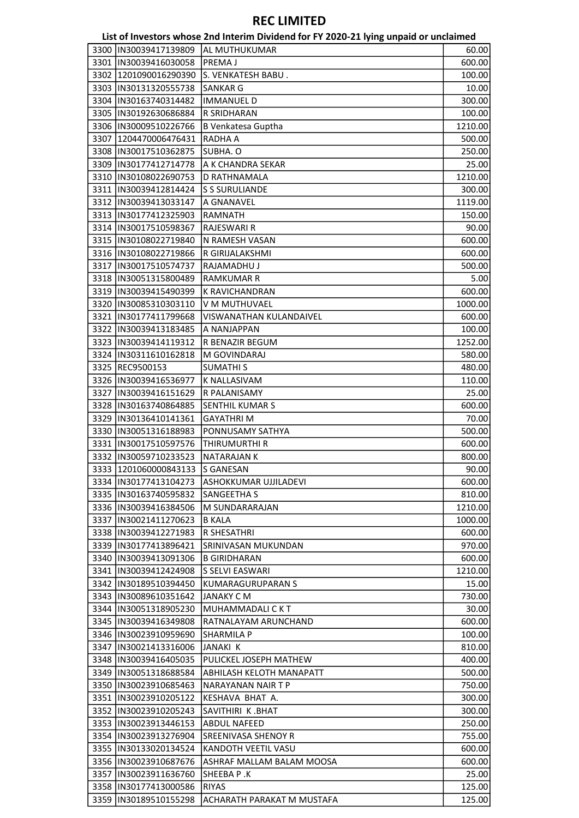|      |                        | List of Investors whose 2nd Interim Dividend for FY 2020-21 lying unpaid or unclaimed |         |
|------|------------------------|---------------------------------------------------------------------------------------|---------|
| 3300 | IN30039417139809       | AL MUTHUKUMAR                                                                         | 60.00   |
|      | 3301  IN30039416030058 | <b>PREMAJ</b>                                                                         | 600.00  |
|      | 3302 1201090016290390  | S. VENKATESH BABU.                                                                    | 100.00  |
|      | 3303  IN30131320555738 | <b>SANKAR G</b>                                                                       | 10.00   |
|      | 3304  IN30163740314482 | <b>IMMANUEL D</b>                                                                     | 300.00  |
|      | 3305  IN30192630686884 | R SRIDHARAN                                                                           | 100.00  |
|      | 3306  IN30009510226766 | <b>B Venkatesa Guptha</b>                                                             | 1210.00 |
|      | 3307 1204470006476431  | RADHA A                                                                               | 500.00  |
|      | 3308  IN30017510362875 | SUBHA. O                                                                              | 250.00  |
|      | 3309  IN30177412714778 | A K CHANDRA SEKAR                                                                     | 25.00   |
|      |                        |                                                                                       |         |
|      | 3310  IN30108022690753 | D RATHNAMALA                                                                          | 1210.00 |
|      | 3311  IN30039412814424 | <b>S S SURULIANDE</b>                                                                 | 300.00  |
|      | 3312  IN30039413033147 | A GNANAVEL                                                                            | 1119.00 |
|      | 3313  IN30177412325903 | <b>RAMNATH</b>                                                                        | 150.00  |
|      | 3314  IN30017510598367 | <b>RAJESWARI R</b>                                                                    | 90.00   |
|      | 3315  IN30108022719840 | N RAMESH VASAN                                                                        | 600.00  |
|      | 3316  IN30108022719866 | R GIRIJALAKSHMI                                                                       | 600.00  |
|      | 3317  IN30017510574737 | RAJAMADHU J                                                                           | 500.00  |
|      | 3318  IN30051315800489 | <b>RAMKUMAR R</b>                                                                     | 5.00    |
|      | 3319 IN30039415490399  | K RAVICHANDRAN                                                                        | 600.00  |
|      | 3320  IN30085310303110 | V M MUTHUVAEL                                                                         | 1000.00 |
|      | 3321  IN30177411799668 | VISWANATHAN KULANDAIVEL                                                               | 600.00  |
|      | 3322 IN30039413183485  | A NANJAPPAN                                                                           | 100.00  |
|      | 3323 IN30039414119312  | R BENAZIR BEGUM                                                                       | 1252.00 |
|      | 3324  IN30311610162818 | M GOVINDARAJ                                                                          | 580.00  |
|      | 3325 REC9500153        | <b>SUMATHIS</b>                                                                       | 480.00  |
|      | 3326  IN30039416536977 | K NALLASIVAM                                                                          | 110.00  |
| 3327 | IN30039416151629       | R PALANISAMY                                                                          | 25.00   |
|      | 3328  IN30163740864885 | SENTHIL KUMAR S                                                                       | 600.00  |
|      | 3329  IN30136410141361 | <b>GAYATHRIM</b>                                                                      | 70.00   |
|      | 3330  IN30051316188983 | PONNUSAMY SATHYA                                                                      | 500.00  |
|      | 3331  IN30017510597576 | THIRUMURTHI R                                                                         | 600.00  |
|      | 3332 IN30059710233523  | <b>NATARAJAN K</b>                                                                    | 800.00  |
|      | 3333 1201060000843133  | <b>S GANESAN</b>                                                                      | 90.00   |
|      |                        |                                                                                       |         |
|      | 3334 IN30177413104273  | ASHOKKUMAR UJJILADEVI                                                                 | 600.00  |
|      | 3335 IN30163740595832  | <b>SANGEETHA S</b>                                                                    | 810.00  |
|      | 3336 IIN30039416384506 | M SUNDARARAJAN                                                                        | 1210.00 |
|      | 3337 IN30021411270623  | <b>B KALA</b>                                                                         | 1000.00 |
|      | 3338 IIN30039412271983 | <b>R SHESATHRI</b>                                                                    | 600.00  |
|      | 3339 IIN30177413896421 | SRINIVASAN MUKUNDAN                                                                   | 970.00  |
|      | 3340 IIN30039413091306 | <b>B GIRIDHARAN</b>                                                                   | 600.00  |
|      | 3341 IN30039412424908  | S SELVI EASWARI                                                                       | 1210.00 |
|      | 3342  IN30189510394450 | <b>KUMARAGURUPARAN S</b>                                                              | 15.00   |
|      | 3343 IN30089610351642  | JANAKY C M                                                                            | 730.00  |
|      | 3344 IN30051318905230  | MUHAMMADALI C K T                                                                     | 30.00   |
|      | 3345 IN30039416349808  | RATNALAYAM ARUNCHAND                                                                  | 600.00  |
|      | 3346  IN30023910959690 | <b>SHARMILA P</b>                                                                     | 100.00  |
|      | 3347  IN30021413316006 | JANAKI K                                                                              | 810.00  |
|      | 3348  IN30039416405035 | PULICKEL JOSEPH MATHEW                                                                | 400.00  |
|      | 3349 IN30051318688584  | <b>ABHILASH KELOTH MANAPATT</b>                                                       | 500.00  |
|      | 3350 IIN30023910685463 | NARAYANAN NAIR T P                                                                    | 750.00  |
|      | 3351 IN30023910205122  | KESHAVA BHAT A.                                                                       | 300.00  |
|      | 3352 IN30023910205243  | SAVITHIRI K.BHAT                                                                      | 300.00  |
|      | 3353  IN30023913446153 | <b>ABDUL NAFEED</b>                                                                   |         |
|      |                        |                                                                                       | 250.00  |
|      | 3354  IN30023913276904 | SREENIVASA SHENOY R                                                                   | 755.00  |
|      | 3355 IIN30133020134524 | KANDOTH VEETIL VASU                                                                   | 600.00  |
|      | 3356 IIN30023910687676 | ASHRAF MALLAM BALAM MOOSA                                                             | 600.00  |
|      | 3357  IN30023911636760 | SHEEBA P .K                                                                           | 25.00   |
|      | 3358  IN30177413000586 | <b>RIYAS</b>                                                                          | 125.00  |
|      | 3359  IN30189510155298 | <b>ACHARATH PARAKAT M MUSTAFA</b>                                                     | 125.00  |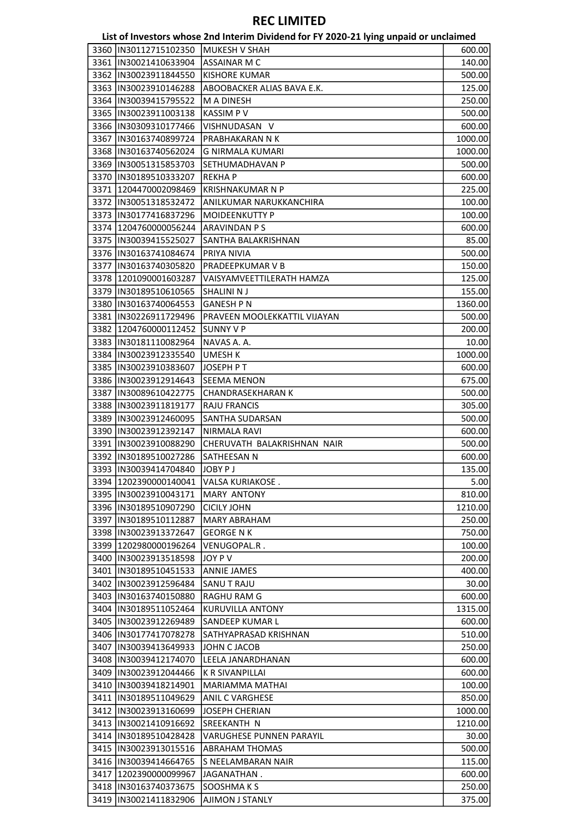|                                                  | List of Investors whose 2nd Interim Dividend for FY 2020-21 lying unpaid or unclaimed |                   |
|--------------------------------------------------|---------------------------------------------------------------------------------------|-------------------|
| 3360  IN30112715102350                           | MUKESH V SHAH                                                                         | 600.00            |
| 3361 IN30021410633904                            | <b>ASSAINAR M C</b>                                                                   | 140.00            |
| 3362 IN30023911844550                            | <b>KISHORE KUMAR</b>                                                                  | 500.00            |
| 3363  IN30023910146288                           | ABOOBACKER ALIAS BAVA E.K.                                                            | 125.00            |
| 3364   IN30039415795522                          | <b>M A DINESH</b>                                                                     | 250.00            |
| 3365  IN30023911003138                           | <b>KASSIMPV</b>                                                                       | 500.00            |
| 3366  IN30309310177466                           | VISHNUDASAN V                                                                         | 600.00            |
| 3367 IN30163740899724                            | PRABHAKARAN N K                                                                       | 1000.00           |
| 3368  IN30163740562024                           | <b>G NIRMALA KUMARI</b>                                                               | 1000.00           |
| 3369  IN30051315853703                           | <b>SETHUMADHAVAN P</b>                                                                | 500.00            |
| 3370  IN30189510333207                           | <b>REKHAP</b>                                                                         | 600.00            |
| 3371   1204470002098469                          | <b>KRISHNAKUMAR N P</b>                                                               | 225.00            |
| 3372 IIN30051318532472                           | ANILKUMAR NARUKKANCHIRA                                                               | 100.00            |
| 3373  IN30177416837296                           | <b>MOIDEENKUTTY P</b>                                                                 | 100.00            |
| 3374 1204760000056244                            | <b>ARAVINDAN PS</b>                                                                   | 600.00            |
| 3375  IN30039415525027                           | SANTHA BALAKRISHNAN                                                                   | 85.00             |
| 3376  IN30163741084674                           | PRIYA NIVIA                                                                           | 500.00            |
| 3377  IN30163740305820                           | PRADEEPKUMAR V B                                                                      | 150.00            |
| 3378 1201090001603287                            | VAISYAMVEETTILERATH HAMZA                                                             | 125.00            |
| 3379  IN30189510610565                           | SHALINI N J                                                                           | 155.00            |
| 3380  IN30163740064553                           | <b>GANESH P N</b>                                                                     | 1360.00           |
| 3381  IN30226911729496                           | PRAVEEN MOOLEKKATTIL VIJAYAN                                                          | 500.00            |
| 3382 1204760000112452                            | <b>SUNNY V P</b>                                                                      | 200.00            |
| 3383  IN30181110082964                           | NAVAS A. A.                                                                           | 10.00             |
| 3384  IN30023912335540                           | <b>UMESH K</b>                                                                        | 1000.00           |
| 3385  IN30023910383607                           | JOSEPH PT                                                                             | 600.00            |
| 3386   IN30023912914643                          | <b>SEEMA MENON</b>                                                                    | 675.00            |
| 3387  IN30089610422775                           | <b>CHANDRASEKHARAN K</b>                                                              | 500.00            |
| 3388  IN30023911819177                           | <b>RAJU FRANCIS</b>                                                                   | 305.00            |
| 3389  IN30023912460095                           | <b>SANTHA SUDARSAN</b>                                                                | 500.00            |
| 3390  IN30023912392147                           | NIRMALA RAVI                                                                          | 600.00            |
| 3391  IN30023910088290                           | CHERUVATH BALAKRISHNAN NAIR                                                           | 500.00            |
| 3392  IN30189510027286                           | SATHEESAN N                                                                           | 600.00            |
| 3393  IN30039414704840  JOBY PJ                  |                                                                                       | 135.00            |
|                                                  |                                                                                       | 5.00              |
| 3394  1202390000140041<br>3395 IIN30023910043171 | VALSA KURIAKOSE.<br><b>MARY ANTONY</b>                                                | 810.00            |
|                                                  |                                                                                       |                   |
| 3396 IN30189510907290                            | <b>CICILY JOHN</b>                                                                    | 1210.00<br>250.00 |
| 3397  IN30189510112887                           | <b>MARY ABRAHAM</b>                                                                   |                   |
| 3398 IN30023913372647                            | <b>GEORGE N K</b>                                                                     | 750.00            |
| 3399 1202980000196264                            | VENUGOPAL.R.                                                                          | 100.00            |
| 3400 IN30023913518598                            | JOY P V                                                                               | 200.00            |
| 3401 IN30189510451533                            | <b>ANNIE JAMES</b>                                                                    | 400.00            |
| 3402 IN30023912596484                            | SANU T RAJU                                                                           | 30.00             |
| 3403 IIN30163740150880                           | <b>RAGHU RAM G</b>                                                                    | 600.00            |
| 3404 IN30189511052464                            | KURUVILLA ANTONY                                                                      | 1315.00           |
| 3405  IN30023912269489                           | SANDEEP KUMAR L                                                                       | 600.00            |
| 3406 IN30177417078278                            | SATHYAPRASAD KRISHNAN                                                                 | 510.00            |
| 3407   IN30039413649933                          | JOHN C JACOB                                                                          | 250.00            |
| 3408 IN30039412174070                            | LEELA JANARDHANAN                                                                     | 600.00            |
| 3409 IN30023912044466                            | <b>K R SIVANPILLAI</b>                                                                | 600.00            |
| 3410  IN30039418214901                           | <b>MARIAMMA MATHAI</b>                                                                | 100.00            |
| 3411 IN30189511049629                            | <b>ANIL C VARGHESE</b>                                                                | 850.00            |
| 3412  IN30023913160699                           | JOSEPH CHERIAN                                                                        | 1000.00           |
| 3413  IN30021410916692                           | SREEKANTH N                                                                           | 1210.00           |
| 3414  IN30189510428428                           | VARUGHESE PUNNEN PARAYIL                                                              | 30.00             |
| 3415 IN30023913015516                            | <b>ABRAHAM THOMAS</b>                                                                 | 500.00            |
| 3416 IN30039414664765                            | S NEELAMBARAN NAIR                                                                    | 115.00            |
| 3417   1202390000099967                          | JAGANATHAN.                                                                           | 600.00            |
| 3418 IN30163740373675                            | SOOSHMA K S                                                                           | 250.00            |
| 3419 IN30021411832906                            | <b>AJIMON J STANLY</b>                                                                | 375.00            |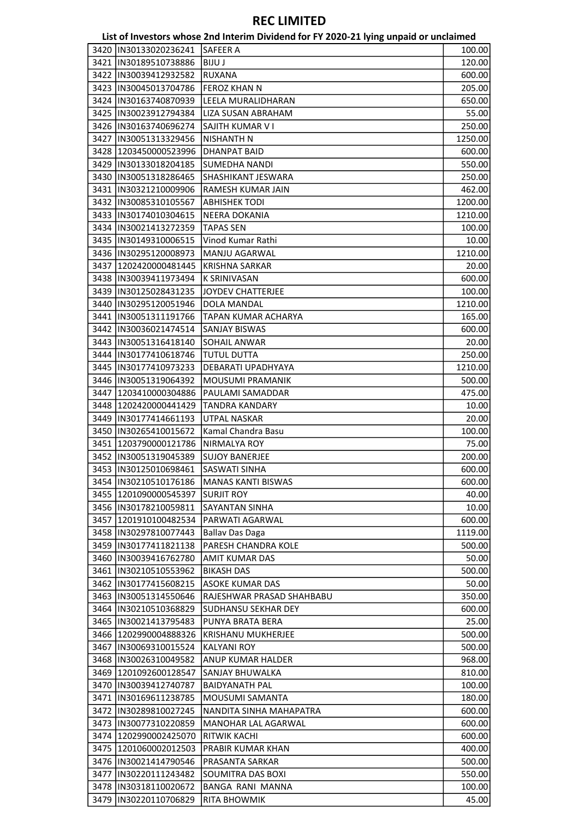| List of Investors whose 2nd Interim Dividend for FY 2020-21 lying unpaid or unclaimed |                         |                           |         |
|---------------------------------------------------------------------------------------|-------------------------|---------------------------|---------|
| 3420                                                                                  | IN30133020236241        | <b>SAFEER A</b>           | 100.00  |
|                                                                                       | 3421  IN30189510738886  | <b>BIJU J</b>             | 120.00  |
|                                                                                       | 3422  IN30039412932582  | <b>RUXANA</b>             | 600.00  |
|                                                                                       | 3423  IN30045013704786  | <b>FEROZ KHAN N</b>       | 205.00  |
|                                                                                       | 3424  IN30163740870939  | LEELA MURALIDHARAN        | 650.00  |
|                                                                                       | 3425  IN30023912794384  | LIZA SUSAN ABRAHAM        | 55.00   |
|                                                                                       | 3426  IN30163740696274  | SAJITH KUMAR V I          | 250.00  |
|                                                                                       | 3427  IN30051313329456  | <b>NISHANTH N</b>         | 1250.00 |
|                                                                                       | 3428 1203450000523996   | <b>DHANPAT BAID</b>       | 600.00  |
|                                                                                       | 3429  IN30133018204185  | <b>SUMEDHA NANDI</b>      | 550.00  |
|                                                                                       | 3430  IN30051318286465  | SHASHIKANT JESWARA        | 250.00  |
|                                                                                       | 3431 IN30321210009906   | RAMESH KUMAR JAIN         | 462.00  |
|                                                                                       | 3432  IN30085310105567  | <b>ABHISHEK TODI</b>      | 1200.00 |
|                                                                                       | 3433  IN30174010304615  | <b>NEERA DOKANIA</b>      | 1210.00 |
|                                                                                       | 3434  IN30021413272359  | <b>TAPAS SEN</b>          | 100.00  |
|                                                                                       | 3435  IN30149310006515  | Vinod Kumar Rathi         | 10.00   |
|                                                                                       | 3436  IN30295120008973  | <b>MANJU AGARWAL</b>      | 1210.00 |
|                                                                                       | 3437 1202420000481445   | <b>KRISHNA SARKAR</b>     | 20.00   |
|                                                                                       | 3438  IN30039411973494  | <b>K SRINIVASAN</b>       | 600.00  |
|                                                                                       | 3439  IN30125028431235  | <b>JOYDEV CHATTERJEE</b>  | 100.00  |
|                                                                                       | 3440  IN30295120051946  | DOLA MANDAL               | 1210.00 |
|                                                                                       | 3441  IN30051311191766  | TAPAN KUMAR ACHARYA       | 165.00  |
|                                                                                       | 3442  IN30036021474514  | <b>SANJAY BISWAS</b>      |         |
|                                                                                       |                         |                           | 600.00  |
|                                                                                       | 3443  IN30051316418140  | <b>SOHAIL ANWAR</b>       | 20.00   |
|                                                                                       | 3444  IN30177410618746  | <b>TUTUL DUTTA</b>        | 250.00  |
|                                                                                       | 3445  IN30177410973233  | DEBARATI UPADHYAYA        | 1210.00 |
|                                                                                       | 3446  IN30051319064392  | MOUSUMI PRAMANIK          | 500.00  |
| 3447                                                                                  | 1203410000304886        | PAULAMI SAMADDAR          | 475.00  |
|                                                                                       | 3448   1202420000441429 | <b>TANDRA KANDARY</b>     | 10.00   |
|                                                                                       | 3449  IN30177414661193  | <b>UTPAL NASKAR</b>       | 20.00   |
|                                                                                       | 3450  IN30265410015672  | Kamal Chandra Basu        | 100.00  |
|                                                                                       | 3451 1203790000121786   | NIRMALYA ROY              | 75.00   |
|                                                                                       | 3452  IN30051319045389  | <b>SUJOY BANERJEE</b>     | 200.00  |
|                                                                                       | 3453  IN30125010698461  | SASWATI SINHA             | 600.00  |
|                                                                                       | 3454  IN30210510176186  | <b>MANAS KANTI BISWAS</b> | 600.00  |
|                                                                                       | 3455  1201090000545397  | <b>SURJIT ROY</b>         | 40.00   |
|                                                                                       | 3456  IN30178210059811  | <b>SAYANTAN SINHA</b>     | 10.00   |
|                                                                                       | 3457 1201910100482534   | PARWATI AGARWAL           | 600.00  |
|                                                                                       | 3458  IN30297810077443  | <b>Ballav Das Daga</b>    | 1119.00 |
|                                                                                       | 3459  IN30177411821138  | PARESH CHANDRA KOLE       | 500.00  |
|                                                                                       | 3460  IN30039416762780  | <b>AMIT KUMAR DAS</b>     | 50.00   |
|                                                                                       | 3461  IN30210510553962  | <b>BIKASH DAS</b>         | 500.00  |
|                                                                                       | 3462  IN30177415608215  | <b>ASOKE KUMAR DAS</b>    | 50.00   |
|                                                                                       | 3463  IN30051314550646  | RAJESHWAR PRASAD SHAHBABU | 350.00  |
|                                                                                       | 3464 IN30210510368829   | SUDHANSU SEKHAR DEY       | 600.00  |
|                                                                                       | 3465   IN30021413795483 | PUNYA BRATA BERA          | 25.00   |
|                                                                                       | 3466 1202990004888326   | <b>KRISHANU MUKHERJEE</b> | 500.00  |
|                                                                                       | 3467 IN30069310015524   | <b>KALYANI ROY</b>        | 500.00  |
|                                                                                       | 3468  IN30026310049582  | <b>ANUP KUMAR HALDER</b>  | 968.00  |
|                                                                                       | 3469 1201092600128547   | SANJAY BHUWALKA           | 810.00  |
|                                                                                       | 3470 IN30039412740787   | <b>BAIDYANATH PAL</b>     | 100.00  |
|                                                                                       | 3471  IN30169611238785  | MOUSUMI SAMANTA           | 180.00  |
|                                                                                       | 3472  IN30289810027245  | NANDITA SINHA MAHAPATRA   | 600.00  |
|                                                                                       | 3473  IN30077310220859  | MANOHAR LAL AGARWAL       | 600.00  |
|                                                                                       | 3474 1202990002425070   | <b>RITWIK KACHI</b>       | 600.00  |
|                                                                                       | 3475 1201060002012503   | <b>PRABIR KUMAR KHAN</b>  | 400.00  |
|                                                                                       | 3476  IN30021414790546  | <b>PRASANTA SARKAR</b>    | 500.00  |
|                                                                                       | 3477  IN30220111243482  | <b>SOUMITRA DAS BOXI</b>  | 550.00  |
|                                                                                       | 3478 IN30318110020672   | BANGA RANI MANNA          | 100.00  |
|                                                                                       | 3479  IN30220110706829  | <b>RITA BHOWMIK</b>       | 45.00   |
|                                                                                       |                         |                           |         |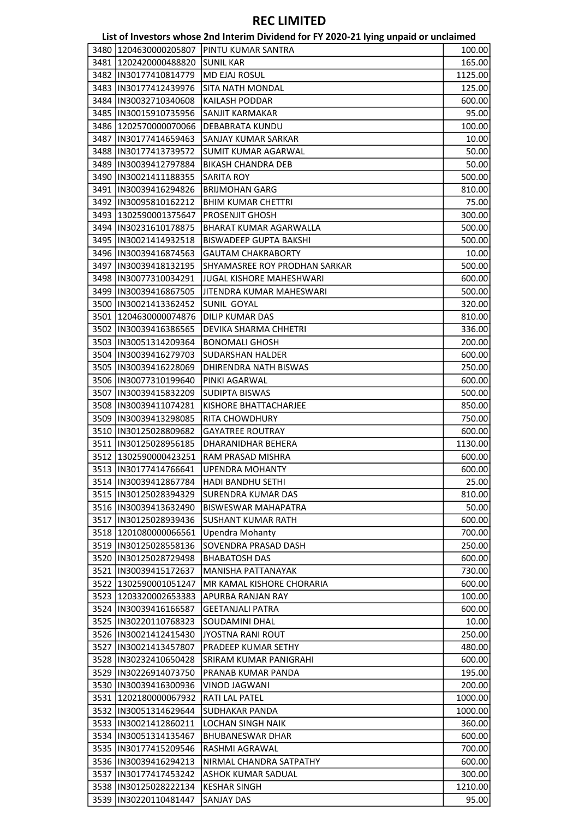|                                                | List of Investors whose 2nd Interim Dividend for FY 2020-21 lying unpaid or unclaimed |         |
|------------------------------------------------|---------------------------------------------------------------------------------------|---------|
|                                                | 3480 1204630000205807 PINTU KUMAR SANTRA                                              | 100.00  |
| 3481 1202420000488820                          | <b>SUNIL KAR</b>                                                                      | 165.00  |
| 3482  IN30177410814779                         | <b>MD EJAJ ROSUL</b>                                                                  | 1125.00 |
| 3483  IN30177412439976                         | <b>SITA NATH MONDAL</b>                                                               | 125.00  |
| 3484  IN30032710340608                         | <b>KAILASH PODDAR</b>                                                                 | 600.00  |
| 3485  IN30015910735956                         | SANJIT KARMAKAR                                                                       | 95.00   |
| 3486 1202570000070066                          | DEBABRATA KUNDU                                                                       | 100.00  |
| 3487 IIN30177414659463                         | SANJAY KUMAR SARKAR                                                                   | 10.00   |
| 3488  IN30177413739572                         | <b>SUMIT KUMAR AGARWAL</b>                                                            | 50.00   |
| 3489 IN30039412797884                          | <b>BIKASH CHANDRA DEB</b>                                                             | 50.00   |
| 3490  IN30021411188355                         | <b>SARITA ROY</b>                                                                     | 500.00  |
| 3491  IN30039416294826                         | <b>BRIJMOHAN GARG</b>                                                                 | 810.00  |
| 3492  IN30095810162212                         | <b>BHIM KUMAR CHETTRI</b>                                                             | 75.00   |
| 3493 1302590001375647                          | PROSENJIT GHOSH                                                                       | 300.00  |
| 3494  IN30231610178875                         | BHARAT KUMAR AGARWALLA                                                                | 500.00  |
| 3495  IN30021414932518                         | <b>BISWADEEP GUPTA BAKSHI</b>                                                         | 500.00  |
| 3496  IN30039416874563                         | <b>GAUTAM CHAKRABORTY</b>                                                             | 10.00   |
| 3497  IN30039418132195                         | SHYAMASREE ROY PRODHAN SARKAR                                                         | 500.00  |
|                                                |                                                                                       |         |
| 3498 IIN30077310034291                         | <b>JUGAL KISHORE MAHESHWARI</b>                                                       | 600.00  |
| 3499  IN30039416867505                         | JITENDRA KUMAR MAHESWARI                                                              | 500.00  |
| 3500  IN30021413362452                         | SUNIL GOYAL                                                                           | 320.00  |
| 3501   1204630000074876                        | <b>DILIP KUMAR DAS</b>                                                                | 810.00  |
| 3502  IN30039416386565                         | DEVIKA SHARMA CHHETRI                                                                 | 336.00  |
| 3503  IN30051314209364                         | <b>BONOMALI GHOSH</b>                                                                 | 200.00  |
| 3504  IN30039416279703                         | <b>SUDARSHAN HALDER</b>                                                               | 600.00  |
| 3505  IN30039416228069                         | DHIRENDRA NATH BISWAS                                                                 | 250.00  |
| 3506  IN30077310199640                         | PINKI AGARWAL                                                                         | 600.00  |
| 3507  IN30039415832209                         | <b>SUDIPTA BISWAS</b>                                                                 | 500.00  |
| 3508  IN30039411074281                         | KISHORE BHATTACHARJEE                                                                 | 850.00  |
| 3509  IN30039413298085                         | <b>RITA CHOWDHURY</b>                                                                 | 750.00  |
| 3510  IN30125028809682                         | <b>GAYATREE ROUTRAY</b>                                                               | 600.00  |
| 3511  IN30125028956185                         | DHARANIDHAR BEHERA                                                                    | 1130.00 |
| 3512 1302590000423251                          | RAM PRASAD MISHRA                                                                     | 600.00  |
| 3513  IN30177414766641                         | UPENDRA MOHANTY                                                                       | 600.00  |
| 3514   IN30039412867784                        | HADI BANDHU SETHI                                                                     | 25.00   |
| 3515 IIN30125028394329                         | <b>SURENDRA KUMAR DAS</b>                                                             | 810.00  |
| 3516  IN30039413632490                         | <b>BISWESWAR MAHAPATRA</b>                                                            | 50.00   |
| 3517 IN30125028939436                          | <b>SUSHANT KUMAR RATH</b>                                                             | 600.00  |
| 3518 1201080000066561                          | <b>Upendra Mohanty</b>                                                                | 700.00  |
| 3519  IN30125028558136                         | SOVENDRA PRASAD DASH                                                                  | 250.00  |
| 3520 IN30125028729498                          | <b>BHABATOSH DAS</b>                                                                  | 600.00  |
| 3521 IN30039415172637                          | <b>MANISHA PATTANAYAK</b>                                                             | 730.00  |
| 3522   1302590001051247                        | MR KAMAL KISHORE CHORARIA                                                             | 600.00  |
| 3523 1203320002653383                          | <b>APURBA RANJAN RAY</b>                                                              | 100.00  |
| 3524 IN30039416166587                          | <b>GEETANJALI PATRA</b>                                                               | 600.00  |
| 3525 IN30220110768323                          | SOUDAMINI DHAL                                                                        | 10.00   |
| 3526 IN30021412415430                          | JYOSTNA RANI ROUT                                                                     | 250.00  |
| 3527  IN30021413457807                         | PRADEEP KUMAR SETHY                                                                   | 480.00  |
| 3528 IN30232410650428                          | <b>SRIRAM KUMAR PANIGRAHI</b>                                                         | 600.00  |
| 3529 IN30226914073750                          | <b>PRANAB KUMAR PANDA</b>                                                             | 195.00  |
| 3530  IN30039416300936                         | <b>VINOD JAGWANI</b>                                                                  | 200.00  |
| 3531  1202180000067932                         | RATI LAL PATEL                                                                        | 1000.00 |
| 3532 IN30051314629644                          | <b>SUDHAKAR PANDA</b>                                                                 | 1000.00 |
| 3533  IN30021412860211                         | <b>LOCHAN SINGH NAIK</b>                                                              | 360.00  |
| 3534   IN30051314135467                        | <b>BHUBANESWAR DHAR</b>                                                               | 600.00  |
| 3535 IIN30177415209546                         | RASHMI AGRAWAL                                                                        | 700.00  |
| 3536  IN30039416294213                         | NIRMAL CHANDRA SATPATHY                                                               | 600.00  |
|                                                |                                                                                       |         |
| 3537 IN30177417453242<br>3538 IN30125028222134 | ASHOK KUMAR SADUAL                                                                    | 300.00  |
|                                                | <b>KESHAR SINGH</b>                                                                   | 1210.00 |
| 3539 IN30220110481447                          | <b>SANJAY DAS</b>                                                                     | 95.00   |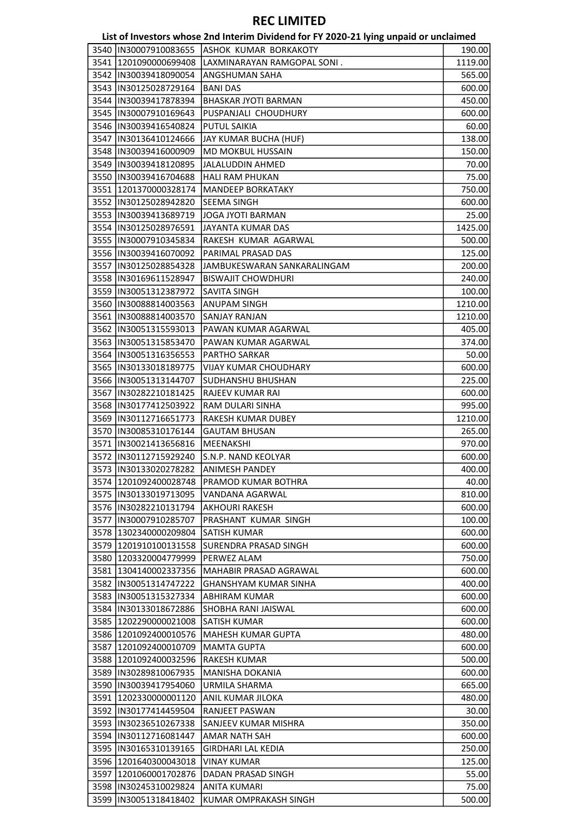| List of Investors whose 2nd Interim Dividend for FY 2020-21 lying unpaid or unclaimed |  |  |
|---------------------------------------------------------------------------------------|--|--|
|---------------------------------------------------------------------------------------|--|--|

|                         | ED, OF INVESTORS WHOSE ENGINEERING FOR THE LOLD LETTING WITH |         |
|-------------------------|--------------------------------------------------------------|---------|
| 3540  IN30007910083655  | <b>ASHOK KUMAR BORKAKOTY</b>                                 | 190.00  |
| 3541 1201090000699408   | LAXMINARAYAN RAMGOPAL SONI.                                  | 1119.00 |
| 3542  IN30039418090054  | ANGSHUMAN SAHA                                               | 565.00  |
| 3543  IN30125028729164  | <b>BANI DAS</b>                                              | 600.00  |
| 3544   IN30039417878394 | <b>BHASKAR JYOTI BARMAN</b>                                  | 450.00  |
| 3545  IN30007910169643  | PUSPANJALI CHOUDHURY                                         | 600.00  |
| 3546  IN30039416540824  | <b>PUTUL SAIKIA</b>                                          | 60.00   |
| 3547  IN30136410124666  | JAY KUMAR BUCHA (HUF)                                        | 138.00  |
| 3548  IN30039416000909  | <b>MD MOKBUL HUSSAIN</b>                                     | 150.00  |
| 3549  IN30039418120895  | JALALUDDIN AHMED                                             | 70.00   |
| 3550  IN30039416704688  | <b>HALI RAM PHUKAN</b>                                       | 75.00   |
| 3551 1201370000328174   | <b>MANDEEP BORKATAKY</b>                                     | 750.00  |
| 3552  IN30125028942820  | <b>SEEMA SINGH</b>                                           | 600.00  |
| 3553  IN30039413689719  | <b>JOGA JYOTI BARMAN</b>                                     | 25.00   |
| 3554  IN30125028976591  | JAYANTA KUMAR DAS                                            | 1425.00 |
| 3555  IN30007910345834  | RAKESH KUMAR AGARWAL                                         | 500.00  |
| 3556  IN30039416070092  | PARIMAL PRASAD DAS                                           | 125.00  |
| 3557  IN30125028854328  |                                                              |         |
|                         | JAMBUKESWARAN SANKARALINGAM                                  | 200.00  |
| 3558  IN30169611528947  | <b>BISWAJIT CHOWDHURI</b>                                    | 240.00  |
| 3559  IN30051312387972  | SAVITA SINGH                                                 | 100.00  |
| 3560  IN30088814003563  | ANUPAM SINGH                                                 | 1210.00 |
| 3561  IN30088814003570  | <b>SANJAY RANJAN</b>                                         | 1210.00 |
| 3562  IN30051315593013  | PAWAN KUMAR AGARWAL                                          | 405.00  |
| 3563  IN30051315853470  | PAWAN KUMAR AGARWAL                                          | 374.00  |
| 3564  IN30051316356553  | PARTHO SARKAR                                                | 50.00   |
| 3565  IN30133018189775  | <b>VIJAY KUMAR CHOUDHARY</b>                                 | 600.00  |
| 3566  IN30051313144707  | <b>SUDHANSHU BHUSHAN</b>                                     | 225.00  |
| 3567   IN30282210181425 | <b>RAJEEV KUMAR RAI</b>                                      | 600.00  |
| 3568  IN30177412503922  | RAM DULARI SINHA                                             | 995.00  |
| 3569  IN30112716651773  | RAKESH KUMAR DUBEY                                           | 1210.00 |
| 3570   IN30085310176144 | <b>GAUTAM BHUSAN</b>                                         | 265.00  |
| 3571  IN30021413656816  | MEENAKSHI                                                    | 970.00  |
| 3572  IN30112715929240  | S.N.P. NAND KEOLYAR                                          | 600.00  |
| 3573 IN30133020278282   | ANIMESH PANDEY                                               | 400.00  |
| 3574  1201092400028748  | PRAMOD KUMAR BOTHRA                                          | 40.00   |
| 3575 IIN30133019713095  | VANDANA AGARWAL                                              | 810.00  |
| 3576 IN30282210131794   | <b>AKHOURI RAKESH</b>                                        | 600.00  |
| 3577  IN30007910285707  | PRASHANT KUMAR SINGH                                         | 100.00  |
| 3578 1302340000209804   | <b>SATISH KUMAR</b>                                          | 600.00  |
| 3579 1201910100131558   | SURENDRA PRASAD SINGH                                        | 600.00  |
| 3580 1203320004779999   | <b>PERWEZ ALAM</b>                                           | 750.00  |
|                         | <b>MAHABIR PRASAD AGRAWAL</b>                                |         |
| 3581   1304140002337356 |                                                              | 600.00  |
| 3582 IN30051314747222   | <b>GHANSHYAM KUMAR SINHA</b>                                 | 400.00  |
| 3583  IN30051315327334  | <b>ABHIRAM KUMAR</b>                                         | 600.00  |
| 3584  IN30133018672886  | <b>SHOBHA RANI JAISWAL</b>                                   | 600.00  |
| 3585  1202290000021008  | <b>SATISH KUMAR</b>                                          | 600.00  |
| 3586 1201092400010576   | <b>MAHESH KUMAR GUPTA</b>                                    | 480.00  |
| 3587 1201092400010709   | <b>MAMTA GUPTA</b>                                           | 600.00  |
| 3588 1201092400032596   | <b>RAKESH KUMAR</b>                                          | 500.00  |
| 3589  IN30289810067935  | <b>MANISHA DOKANIA</b>                                       | 600.00  |
| 3590  IN30039417954060  | URMILA SHARMA                                                | 665.00  |
| 3591 1202330000001120   | ANIL KUMAR JILOKA                                            | 480.00  |
| 3592  IN30177414459504  | RANJEET PASWAN                                               | 30.00   |
| 3593 IN30236510267338   | SANJEEV KUMAR MISHRA                                         | 350.00  |
| 3594  IN30112716081447  | <b>AMAR NATH SAH</b>                                         | 600.00  |
| 3595  IN30165310139165  | <b>GIRDHARI LAL KEDIA</b>                                    | 250.00  |
| 3596 1201640300043018   | <b>VINAY KUMAR</b>                                           | 125.00  |
| 3597  1201060001702876  | DADAN PRASAD SINGH                                           | 55.00   |
| 3598 IN30245310029824   | <b>ANITA KUMARI</b>                                          | 75.00   |
| 3599  IN30051318418402  | KUMAR OMPRAKASH SINGH                                        | 500.00  |
|                         |                                                              |         |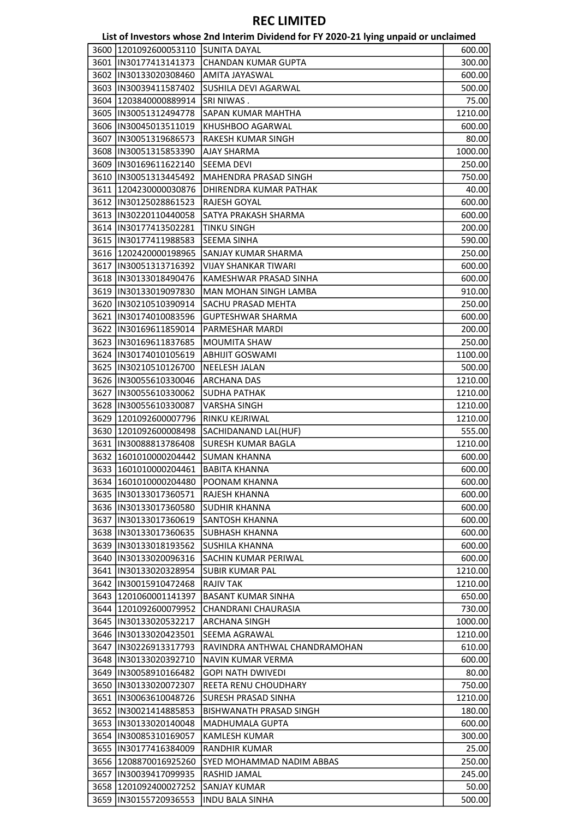|                                                  | List of Investors whose 2nd Interim Dividend for FY 2020-21 lying unpaid or unclaimed |         |
|--------------------------------------------------|---------------------------------------------------------------------------------------|---------|
| 3600   1201092600053110   SUNITA DAYAL           |                                                                                       | 600.00  |
| 3601   IN30177413141373                          | <b>CHANDAN KUMAR GUPTA</b>                                                            | 300.00  |
| 3602  IN30133020308460                           | AMITA JAYASWAL                                                                        | 600.00  |
| 3603 IN30039411587402                            | <b>SUSHILA DEVI AGARWAL</b>                                                           | 500.00  |
| 3604   1203840000889914                          | SRI NIWAS.                                                                            | 75.00   |
| 3605  IN30051312494778                           | <b>SAPAN KUMAR MAHTHA</b>                                                             | 1210.00 |
| 3606  IN30045013511019                           | KHUSHBOO AGARWAL                                                                      | 600.00  |
| 3607   IN30051319686573                          | RAKESH KUMAR SINGH                                                                    | 80.00   |
| 3608 IN30051315853390                            | <b>AJAY SHARMA</b>                                                                    | 1000.00 |
| 3609  IN30169611622140                           | <b>SEEMA DEVI</b>                                                                     | 250.00  |
| 3610   IN30051313445492                          | MAHENDRA PRASAD SINGH                                                                 | 750.00  |
| 3611   1204230000030876                          | DHIRENDRA KUMAR PATHAK                                                                | 40.00   |
| 3612  IN30125028861523                           | RAJESH GOYAL                                                                          | 600.00  |
| 3613 IN30220110440058                            | SATYA PRAKASH SHARMA                                                                  | 600.00  |
| 3614   IN30177413502281                          | <b>TINKU SINGH</b>                                                                    | 200.00  |
| 3615  IN30177411988583                           | <b>SEEMA SINHA</b>                                                                    | 590.00  |
| 3616 1202420000198965                            | <b>SANJAY KUMAR SHARMA</b>                                                            | 250.00  |
| 3617  IN30051313716392                           | <b>VIJAY SHANKAR TIWARI</b>                                                           | 600.00  |
| 3618 IIN30133018490476                           | KAMESHWAR PRASAD SINHA                                                                | 600.00  |
| 3619 IN30133019097830                            | MAN MOHAN SINGH LAMBA                                                                 | 910.00  |
| 3620  IN30210510390914                           | SACHU PRASAD MEHTA                                                                    | 250.00  |
| 3621  IN30174010083596                           | <b>GUPTESHWAR SHARMA</b>                                                              | 600.00  |
| 3622 IN30169611859014                            | PARMESHAR MARDI                                                                       | 200.00  |
| 3623  IN30169611837685                           | <b>MOUMITA SHAW</b>                                                                   | 250.00  |
| 3624 IN30174010105619                            | <b>ABHIJIT GOSWAMI</b>                                                                | 1100.00 |
| 3625  IN30210510126700                           | <b>NEELESH JALAN</b>                                                                  | 500.00  |
| 3626  IN30055610330046                           | <b>ARCHANA DAS</b>                                                                    | 1210.00 |
| 3627  IN30055610330062                           | <b>SUDHA PATHAK</b>                                                                   | 1210.00 |
| 3628  IN30055610330087                           | <b>VARSHA SINGH</b>                                                                   | 1210.00 |
| 3629 1201092600007796                            | <b>RINKU KEJRIWAL</b>                                                                 | 1210.00 |
| 3630 1201092600008498                            | SACHIDANAND LAL(HUF)                                                                  | 555.00  |
| 3631  IN30088813786408                           | <b>SURESH KUMAR BAGLA</b>                                                             | 1210.00 |
| 3632 1601010000204442                            | <b>SUMAN KHANNA</b>                                                                   | 600.00  |
| 3633 1601010000204461 BABITA KHANNA              |                                                                                       | 600.00  |
|                                                  | <b>POONAM KHANNA</b>                                                                  | 600.00  |
| 3634   1601010000204480                          | <b>RAJESH KHANNA</b>                                                                  |         |
| 3635  IN30133017360571<br>3636 IIN30133017360580 |                                                                                       | 600.00  |
|                                                  | <b>SUDHIR KHANNA</b>                                                                  | 600.00  |
| 3637  IN30133017360619                           | <b>SANTOSH KHANNA</b>                                                                 | 600.00  |
| 3638 IIN30133017360635                           | <b>SUBHASH KHANNA</b>                                                                 | 600.00  |
| 3639  IN30133018193562                           | <b>SUSHILA KHANNA</b>                                                                 | 600.00  |
| 3640 IN30133020096316                            | SACHIN KUMAR PERIWAL                                                                  | 600.00  |
| 3641   IN30133020328954                          | <b>SUBIR KUMAR PAL</b>                                                                | 1210.00 |
| 3642 IN30015910472468                            | <b>RAJIV TAK</b>                                                                      | 1210.00 |
| 3643 1201060001141397                            | <b>BASANT KUMAR SINHA</b>                                                             | 650.00  |
| 3644 1201092600079952                            | CHANDRANI CHAURASIA                                                                   | 730.00  |
| 3645 IN30133020532217                            | <b>ARCHANA SINGH</b>                                                                  | 1000.00 |
| 3646   IN30133020423501                          | SEEMA AGRAWAL                                                                         | 1210.00 |
| 3647   IN30226913317793                          | RAVINDRA ANTHWAL CHANDRAMOHAN                                                         | 610.00  |
| 3648  IN30133020392710                           | <b>NAVIN KUMAR VERMA</b>                                                              | 600.00  |
| 3649  IN30058910166482                           | <b>GOPI NATH DWIVEDI</b>                                                              | 80.00   |
| 3650 IIN30133020072307                           | <b>REETA RENU CHOUDHARY</b>                                                           | 750.00  |
| 3651 IN30063610048726                            | <b>SURESH PRASAD SINHA</b>                                                            | 1210.00 |
| 3652 IIN30021414885853                           | BISHWANATH PRASAD SINGH                                                               | 180.00  |
| 3653  IN30133020140048                           | <b>MADHUMALA GUPTA</b>                                                                | 600.00  |
| 3654  IN30085310169057                           | <b>KAMLESH KUMAR</b>                                                                  | 300.00  |
| 3655  IN30177416384009                           | <b>RANDHIR KUMAR</b>                                                                  | 25.00   |
| 3656 1208870016925260                            | <b>SYED MOHAMMAD NADIM ABBAS</b>                                                      | 250.00  |
| 3657  IN30039417099935                           | RASHID JAMAL                                                                          | 245.00  |
| 3658 1201092400027252                            | <b>SANJAY KUMAR</b>                                                                   | 50.00   |
| 3659  IN30155720936553                           | <b>INDU BALA SINHA</b>                                                                | 500.00  |